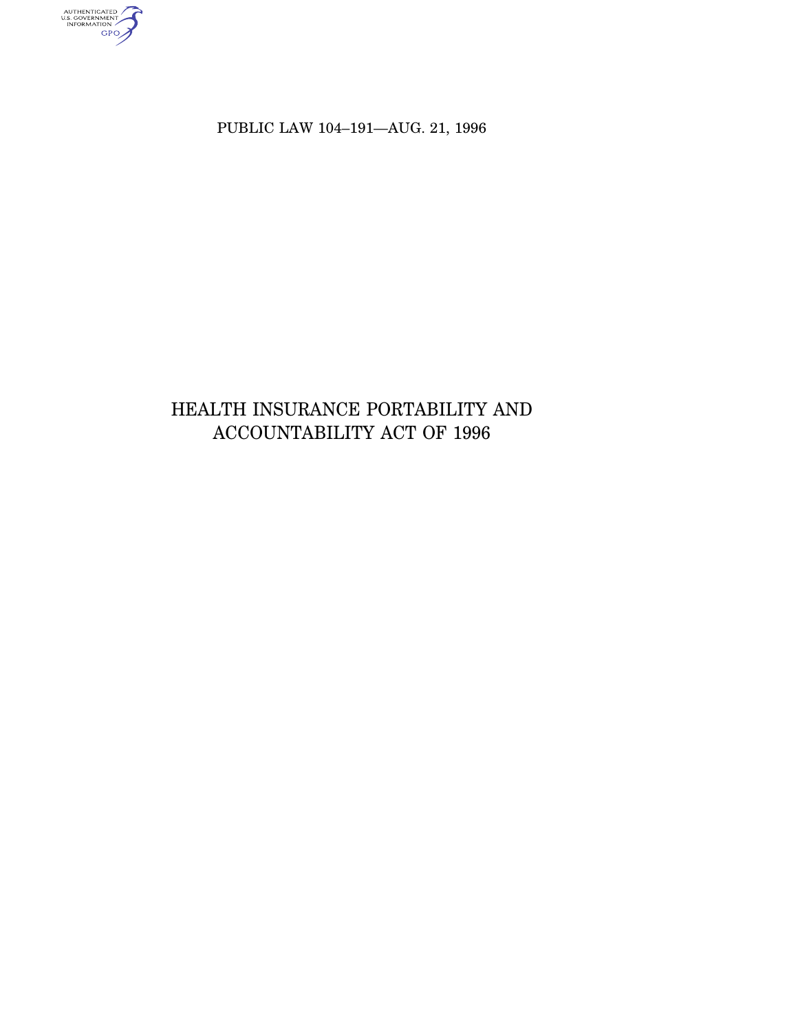AUTHENTICATED<br>U.S. GOVERNMENT<br>INFORMATION

PUBLIC LAW 104–191—AUG. 21, 1996

# HEALTH INSURANCE PORTABILITY AND ACCOUNTABILITY ACT OF 1996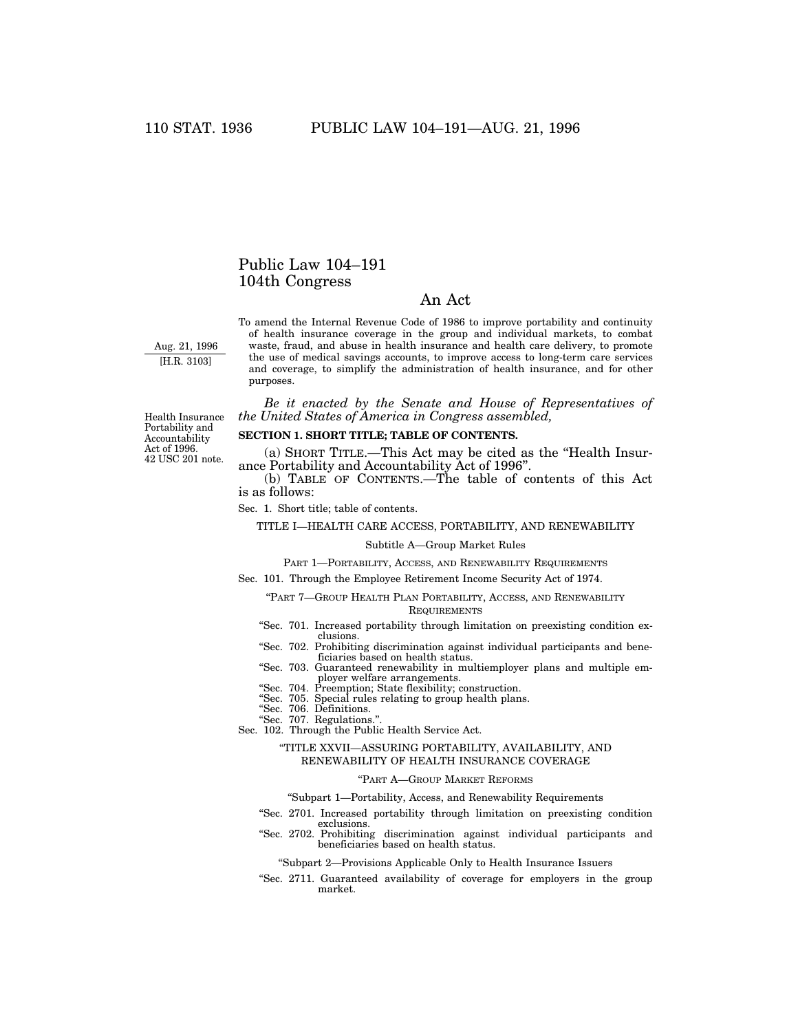# Public Law 104–191 104th Congress

# An Act

Aug. 21, 1996 [H.R. 3103]

To amend the Internal Revenue Code of 1986 to improve portability and continuity of health insurance coverage in the group and individual markets, to combat waste, fraud, and abuse in health insurance and health care delivery, to promote the use of medical savings accounts, to improve access to long-term care services and coverage, to simplify the administration of health insurance, and for other purposes.

*Be it enacted by the Senate and House of Representatives of the United States of America in Congress assembled,*

# **SECTION 1. SHORT TITLE; TABLE OF CONTENTS.**

(a) SHORT TITLE.—This Act may be cited as the ''Health Insurance Portability and Accountability Act of 1996''.

(b) TABLE OF CONTENTS.—The table of contents of this Act is as follows:

Sec. 1. Short title; table of contents.

# TITLE I—HEALTH CARE ACCESS, PORTABILITY, AND RENEWABILITY

### Subtitle A—Group Market Rules

# PART 1—PORTABILITY, ACCESS, AND RENEWABILITY REQUIREMENTS

# Sec. 101. Through the Employee Retirement Income Security Act of 1974.

### ''PART 7—GROUP HEALTH PLAN PORTABILITY, ACCESS, AND RENEWABILITY **REQUIREMENTS**

- ''Sec. 701. Increased portability through limitation on preexisting condition exclusions.
- ''Sec. 702. Prohibiting discrimination against individual participants and beneficiaries based on health status.
- ''Sec. 703. Guaranteed renewability in multiemployer plans and multiple employer welfare arrangements.
- ''Sec. 704. Preemption; State flexibility; construction.
- ''Sec. 705. Special rules relating to group health plans.
- ''Sec. 706. Definitions. ''Sec. 707. Regulations.''.
- Sec. 102. Through the Public Health Service Act.

# ''TITLE XXVII—ASSURING PORTABILITY, AVAILABILITY, AND RENEWABILITY OF HEALTH INSURANCE COVERAGE

#### ''PART A—GROUP MARKET REFORMS

# ''Subpart 1—Portability, Access, and Renewability Requirements

- ''Sec. 2701. Increased portability through limitation on preexisting condition exclusions.
- ''Sec. 2702. Prohibiting discrimination against individual participants and beneficiaries based on health status.

### ''Subpart 2—Provisions Applicable Only to Health Insurance Issuers

''Sec. 2711. Guaranteed availability of coverage for employers in the group market.

42 USC 201 note. Health Insurance Portability and Accountability Act of 1996.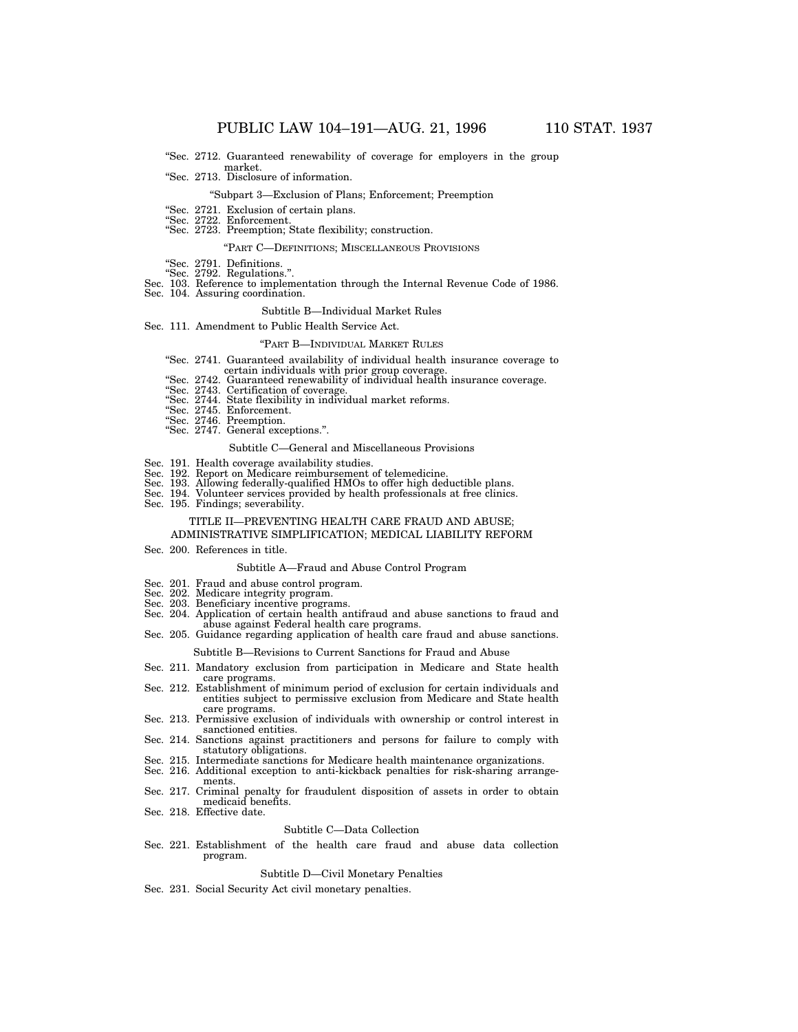- ''Sec. 2712. Guaranteed renewability of coverage for employers in the group
- market. ''Sec. 2713. Disclosure of information.

#### ''Subpart 3—Exclusion of Plans; Enforcement; Preemption

- ''Sec. 2721. Exclusion of certain plans.
- 
- ''Sec. 2722. Enforcement. ''Sec. 2723. Preemption; State flexibility; construction.

#### ''PART C—DEFINITIONS; MISCELLANEOUS PROVISIONS

- 
- ''Sec. 2791. Definitions. ''Sec. 2792. Regulations.''.
- Sec. 103. Reference to implementation through the Internal Revenue Code of 1986.
- Sec. 104. Assuring coordination.

#### Subtitle B—Individual Market Rules

Sec. 111. Amendment to Public Health Service Act.

#### ''PART B—INDIVIDUAL MARKET RULES

- ''Sec. 2741. Guaranteed availability of individual health insurance coverage to certain individuals with prior group coverage.
- ''Sec. 2742. Guaranteed renewability of individual health insurance coverage. ''Sec. 2743. Certification of coverage. ''Sec. 2744. State flexibility in individual market reforms. ''Sec. 2745. Enforcement.
- 
- 
- 
- 
- ''Sec. 2746. Preemption. ''Sec. 2747. General exceptions.''.

#### Subtitle C—General and Miscellaneous Provisions

- Sec. 191. Health coverage availability studies.
- 
- Sec. 192. Report on Medicare reimbursement of telemedicine. Sec. 193. Allowing federally-qualified HMOs to offer high deductible plans.
- Sec. 194. Volunteer services provided by health professionals at free clinics.
- Sec. 195. Findings; severability.

# TITLE II—PREVENTING HEALTH CARE FRAUD AND ABUSE;

# ADMINISTRATIVE SIMPLIFICATION; MEDICAL LIABILITY REFORM

Sec. 200. References in title.

#### Subtitle A—Fraud and Abuse Control Program

- Sec. 201. Fraud and abuse control program.
- Sec. 202. Medicare integrity program. Sec. 203. Beneficiary incentive programs.
- 
- Sec. 204. Application of certain health antifraud and abuse sanctions to fraud and abuse against Federal health care programs.
- Sec. 205. Guidance regarding application of health care fraud and abuse sanctions. Subtitle B—Revisions to Current Sanctions for Fraud and Abuse
	-
- Sec. 211. Mandatory exclusion from participation in Medicare and State health care programs.
- Sec. 212. Establishment of minimum period of exclusion for certain individuals and entities subject to permissive exclusion from Medicare and State health care programs.
- Sec. 213. Permissive exclusion of individuals with ownership or control interest in sanctioned entities.
- Sec. 214. Sanctions against practitioners and persons for failure to comply with statutory obligations.
- Sec. 215. Intermediate sanctions for Medicare health maintenance organizations.
- Sec. 216. Additional exception to anti-kickback penalties for risk-sharing arrangements.
- Sec. 217. Criminal penalty for fraudulent disposition of assets in order to obtain medicaid benefits.
- Sec. 218. Effective date.

# Subtitle C—Data Collection

Sec. 221. Establishment of the health care fraud and abuse data collection program.

#### Subtitle D—Civil Monetary Penalties

Sec. 231. Social Security Act civil monetary penalties.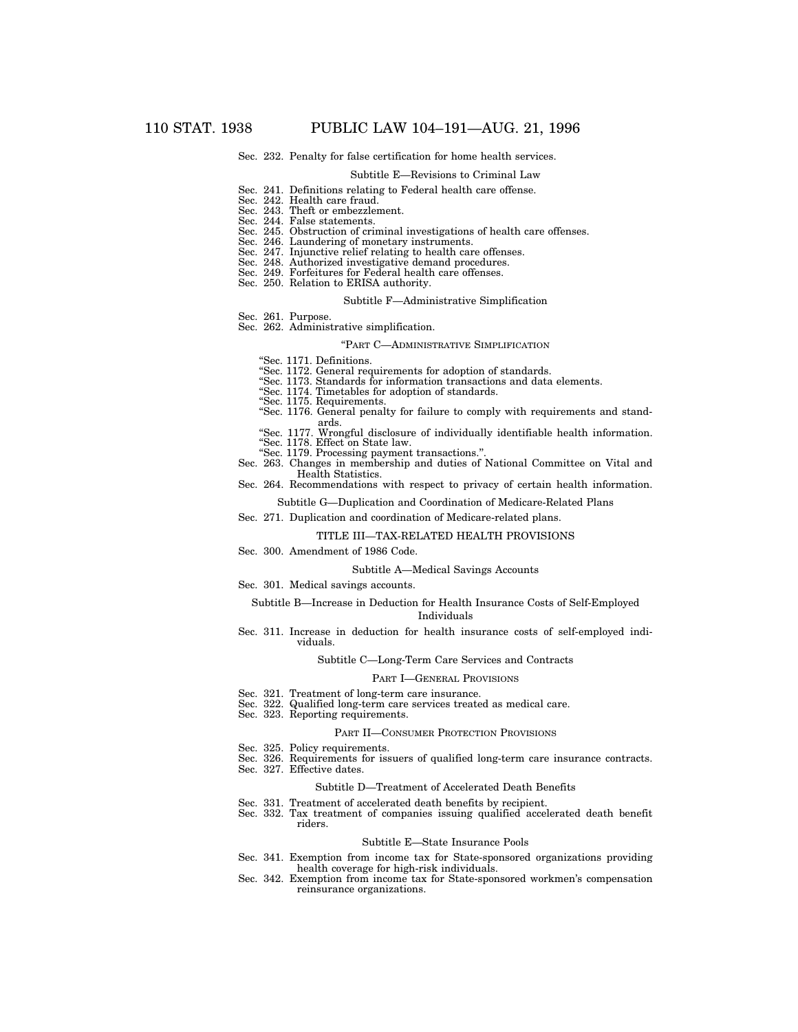Sec. 232. Penalty for false certification for home health services.

#### Subtitle E—Revisions to Criminal Law

#### Sec. 241. Definitions relating to Federal health care offense.

- Sec. 242. Health care fraud.
- Sec. 243. Theft or embezzlement.
- Sec. 244. False statements.
- Sec. 245. Obstruction of criminal investigations of health care offenses.
- Sec. 246. Laundering of monetary instruments.
- Sec. 247. Injunctive relief relating to health care offenses.
- Sec. 248. Authorized investigative demand procedures.
- Sec. 249. Forfeitures for Federal health care offenses. Sec. 250. Relation to ERISA authority.
- 

#### Subtitle F—Administrative Simplification

- Sec. 261. Purpose.
- Sec. 262. Administrative simplification.

#### ''PART C—ADMINISTRATIVE SIMPLIFICATION

- 
- ''Sec. 1171. Definitions. ''Sec. 1172. General requirements for adoption of standards.
- ''Sec. 1173. Standards for information transactions and data elements.
- ''Sec. 1174. Timetables for adoption of standards.
- ''Sec. 1175. Requirements.
- "Sec. 1176. General penalty for failure to comply with requirements and standards. ''Sec. 1177. Wrongful disclosure of individually identifiable health information.
- 
- 
- ''Sec. 1178. Effect on State law. ''Sec. 1179. Processing payment transactions.''.
- Sec. 263. Changes in membership and duties of National Committee on Vital and Health Statistics.
- Sec. 264. Recommendations with respect to privacy of certain health information.

#### Subtitle G—Duplication and Coordination of Medicare-Related Plans

Sec. 271. Duplication and coordination of Medicare-related plans.

### TITLE III—TAX-RELATED HEALTH PROVISIONS

Sec. 300. Amendment of 1986 Code.

#### Subtitle A—Medical Savings Accounts

Sec. 301. Medical savings accounts.

Subtitle B—Increase in Deduction for Health Insurance Costs of Self-Employed Individuals

Sec. 311. Increase in deduction for health insurance costs of self-employed individuals.

#### Subtitle C—Long-Term Care Services and Contracts

#### PART I—GENERAL PROVISIONS

- Sec. 321. Treatment of long-term care insurance.
- Sec. 322. Qualified long-term care services treated as medical care.
- Sec. 323. Reporting requirements.

#### PART II—CONSUMER PROTECTION PROVISIONS

- Sec. 325. Policy requirements.
- Sec. 326. Requirements for issuers of qualified long-term care insurance contracts.
- Sec. 327. Effective dates.

#### Subtitle D—Treatment of Accelerated Death Benefits

- Sec. 331. Treatment of accelerated death benefits by recipient.
- Sec. 332. Tax treatment of companies issuing qualified accelerated death benefit riders.

#### Subtitle E—State Insurance Pools

- Sec. 341. Exemption from income tax for State-sponsored organizations providing health coverage for high-risk individuals.
- Sec. 342. Exemption from income tax for State-sponsored workmen's compensation reinsurance organizations.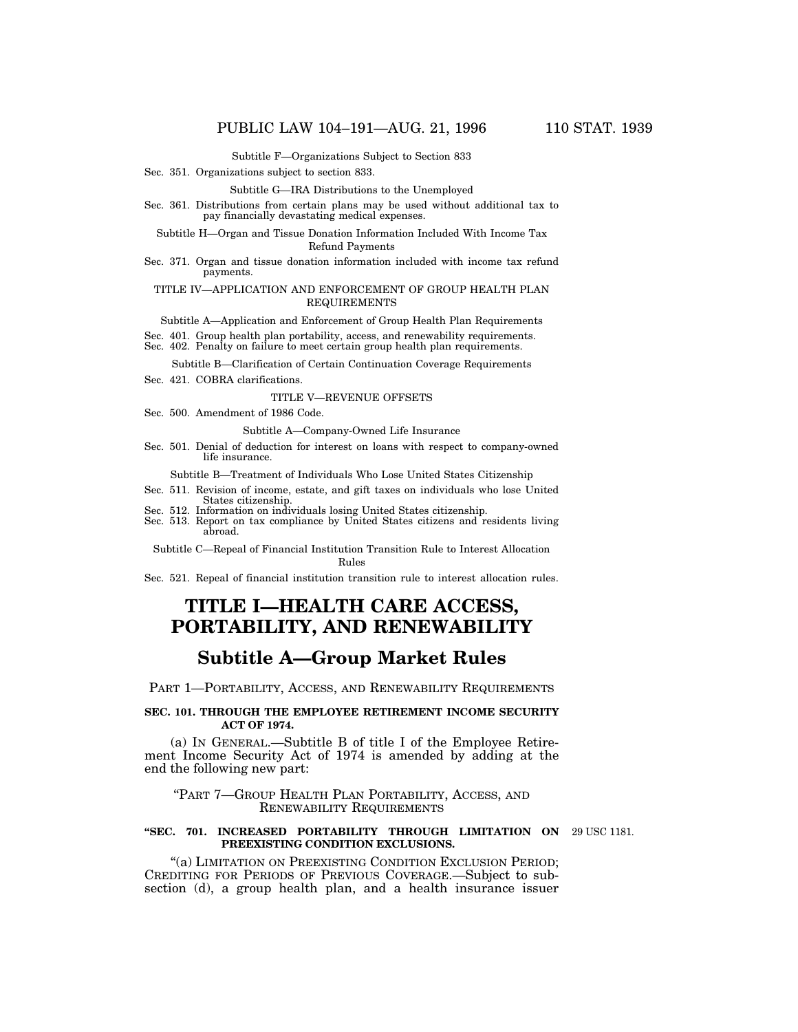Subtitle F—Organizations Subject to Section 833

Sec. 351. Organizations subject to section 833.

Subtitle G—IRA Distributions to the Unemployed

Sec. 361. Distributions from certain plans may be used without additional tax to pay financially devastating medical expenses.

Subtitle H—Organ and Tissue Donation Information Included With Income Tax Refund Payments

Sec. 371. Organ and tissue donation information included with income tax refund payments.

# TITLE IV—APPLICATION AND ENFORCEMENT OF GROUP HEALTH PLAN REQUIREMENTS

Subtitle A—Application and Enforcement of Group Health Plan Requirements

Sec. 401. Group health plan portability, access, and renewability requirements. Sec. 402. Penalty on failure to meet certain group health plan requirements.

- Subtitle B—Clarification of Certain Continuation Coverage Requirements
- Sec. 421. COBRA clarifications.

#### TITLE V—REVENUE OFFSETS

Sec. 500. Amendment of 1986 Code.

Subtitle A—Company-Owned Life Insurance

Sec. 501. Denial of deduction for interest on loans with respect to company-owned life insurance.

Subtitle B—Treatment of Individuals Who Lose United States Citizenship

- Sec. 511. Revision of income, estate, and gift taxes on individuals who lose United
- States citizenship. Sec. 512. Information on individuals losing United States citizenship.
- Sec. 513. Report on tax compliance by United States citizens and residents living abroad.

Subtitle C—Repeal of Financial Institution Transition Rule to Interest Allocation Rules

Sec. 521. Repeal of financial institution transition rule to interest allocation rules.

# **TITLE I—HEALTH CARE ACCESS, PORTABILITY, AND RENEWABILITY**

# **Subtitle A—Group Market Rules**

PART 1—PORTABILITY, ACCESS, AND RENEWABILITY REQUIREMENTS

# **SEC. 101. THROUGH THE EMPLOYEE RETIREMENT INCOME SECURITY ACT OF 1974.**

(a) IN GENERAL.—Subtitle B of title I of the Employee Retirement Income Security Act of 1974 is amended by adding at the end the following new part:

# "PART 7-GROUP HEALTH PLAN PORTABILITY, ACCESS, AND RENEWABILITY REQUIREMENTS

#### **''SEC. 701. INCREASED PORTABILITY THROUGH LIMITATION ON** 29 USC 1181.**PREEXISTING CONDITION EXCLUSIONS.**

''(a) LIMITATION ON PREEXISTING CONDITION EXCLUSION PERIOD; CREDITING FOR PERIODS OF PREVIOUS COVERAGE.—Subject to subsection (d), a group health plan, and a health insurance issuer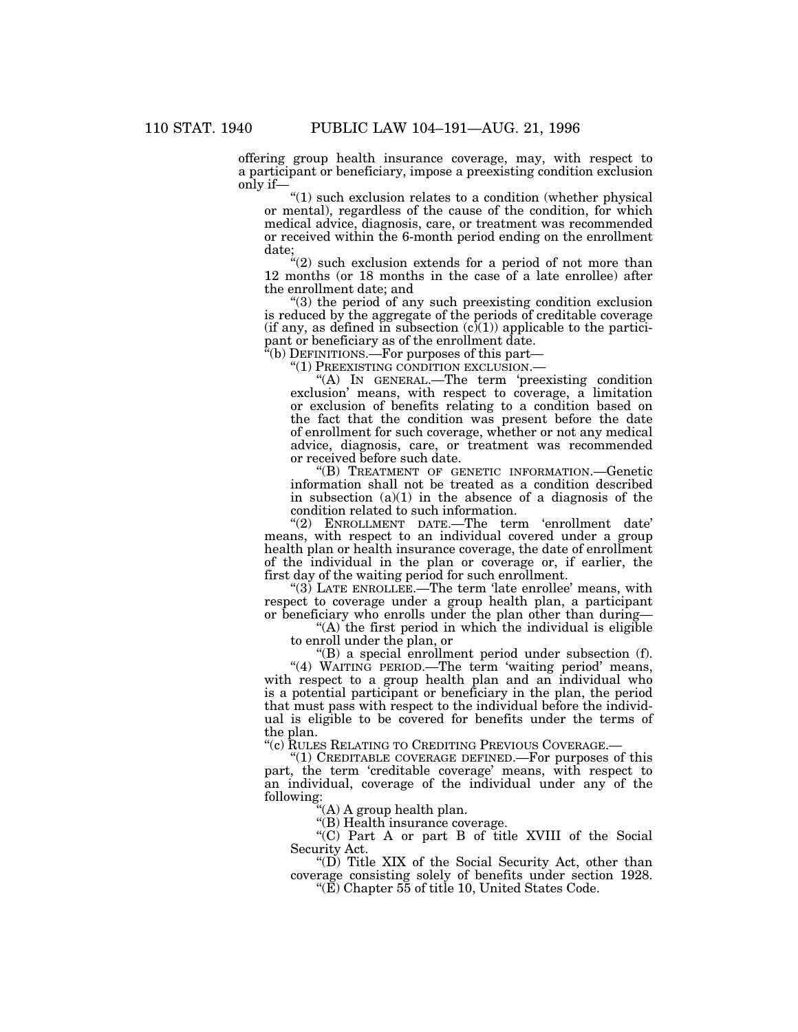offering group health insurance coverage, may, with respect to a participant or beneficiary, impose a preexisting condition exclusion only if—

" $(1)$  such exclusion relates to a condition (whether physical or mental), regardless of the cause of the condition, for which medical advice, diagnosis, care, or treatment was recommended or received within the 6-month period ending on the enrollment date;

"(2) such exclusion extends for a period of not more than 12 months (or 18 months in the case of a late enrollee) after the enrollment date; and

''(3) the period of any such preexisting condition exclusion is reduced by the aggregate of the periods of creditable coverage (if any, as defined in subsection  $(c)(1)$ ) applicable to the participant or beneficiary as of the enrollment date.

 $E<sup>α</sup>(b)$  DEFINITIONS.—For purposes of this part—

''(1) PREEXISTING CONDITION EXCLUSION.—

''(A) IN GENERAL.—The term 'preexisting condition exclusion' means, with respect to coverage, a limitation or exclusion of benefits relating to a condition based on the fact that the condition was present before the date of enrollment for such coverage, whether or not any medical advice, diagnosis, care, or treatment was recommended or received before such date.

''(B) TREATMENT OF GENETIC INFORMATION.—Genetic information shall not be treated as a condition described in subsection  $(a)(1)$  in the absence of a diagnosis of the condition related to such information.

''(2) ENROLLMENT DATE.—The term 'enrollment date' means, with respect to an individual covered under a group health plan or health insurance coverage, the date of enrollment of the individual in the plan or coverage or, if earlier, the first day of the waiting period for such enrollment.

" $(3)$  LATE ENROLLEE.—The term 'late enrollee' means, with respect to coverage under a group health plan, a participant or beneficiary who enrolls under the plan other than during—

" $(A)$  the first period in which the individual is eligible to enroll under the plan, or

''(B) a special enrollment period under subsection (f).

"(4) WAITING PERIOD.—The term 'waiting period' means, with respect to a group health plan and an individual who is a potential participant or beneficiary in the plan, the period that must pass with respect to the individual before the individual is eligible to be covered for benefits under the terms of the plan.

''(c) RULES RELATING TO CREDITING PREVIOUS COVERAGE.—

" $(1)$  CREDITABLE COVERAGE DEFINED.—For purposes of this part, the term 'creditable coverage' means, with respect to an individual, coverage of the individual under any of the following:

''(A) A group health plan.

"(B) Health insurance coverage.

''(C) Part A or part B of title XVIII of the Social Security Act.

''(D) Title XIX of the Social Security Act, other than coverage consisting solely of benefits under section 1928.

" $(E)$  Chapter 55 of title 10, United States Code.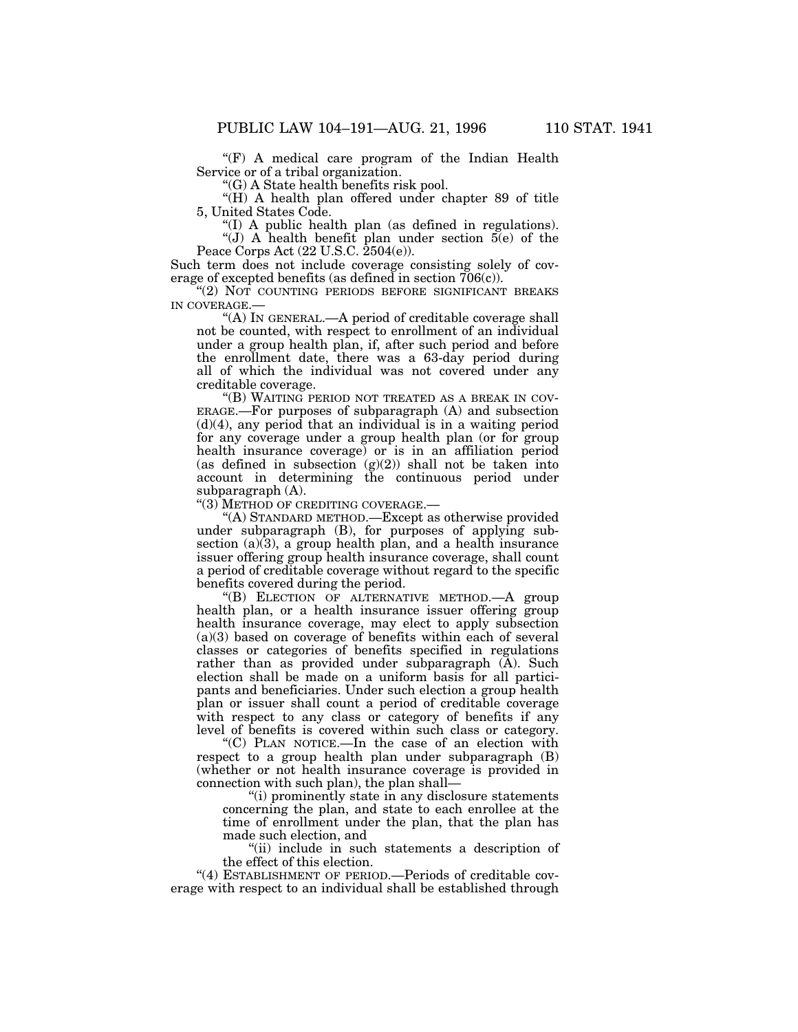"(F) A medical care program of the Indian Health Service or of a tribal organization.

''(G) A State health benefits risk pool.

''(H) A health plan offered under chapter 89 of title 5, United States Code.

''(I) A public health plan (as defined in regulations).

"(J) A health benefit plan under section  $5(e)$  of the Peace Corps Act (22 U.S.C. 2504(e)).

Such term does not include coverage consisting solely of coverage of excepted benefits (as defined in section 706(c)).

"(2) NOT COUNTING PERIODS BEFORE SIGNIFICANT BREAKS IN COVERAGE.—

"(A) In GENERAL.—A period of creditable coverage shall not be counted, with respect to enrollment of an individual under a group health plan, if, after such period and before the enrollment date, there was a 63-day period during all of which the individual was not covered under any creditable coverage.

''(B) WAITING PERIOD NOT TREATED AS A BREAK IN COV-ERAGE.—For purposes of subparagraph (A) and subsection  $(d)(4)$ , any period that an individual is in a waiting period for any coverage under a group health plan (or for group health insurance coverage) or is in an affiliation period (as defined in subsection  $(g)(2)$ ) shall not be taken into account in determining the continuous period under subparagraph (A).

''(3) METHOD OF CREDITING COVERAGE.—

''(A) STANDARD METHOD.—Except as otherwise provided under subparagraph (B), for purposes of applying subsection  $(a)(3)$ , a group health plan, and a health insurance issuer offering group health insurance coverage, shall count a period of creditable coverage without regard to the specific benefits covered during the period.

''(B) ELECTION OF ALTERNATIVE METHOD.—A group health plan, or a health insurance issuer offering group health insurance coverage, may elect to apply subsection  $(a)(3)$  based on coverage of benefits within each of several classes or categories of benefits specified in regulations rather than as provided under subparagraph (A). Such election shall be made on a uniform basis for all participants and beneficiaries. Under such election a group health plan or issuer shall count a period of creditable coverage with respect to any class or category of benefits if any level of benefits is covered within such class or category.

''(C) PLAN NOTICE.—In the case of an election with respect to a group health plan under subparagraph (B) (whether or not health insurance coverage is provided in connection with such plan), the plan shall—

''(i) prominently state in any disclosure statements concerning the plan, and state to each enrollee at the time of enrollment under the plan, that the plan has made such election, and

''(ii) include in such statements a description of the effect of this election.

''(4) ESTABLISHMENT OF PERIOD.—Periods of creditable coverage with respect to an individual shall be established through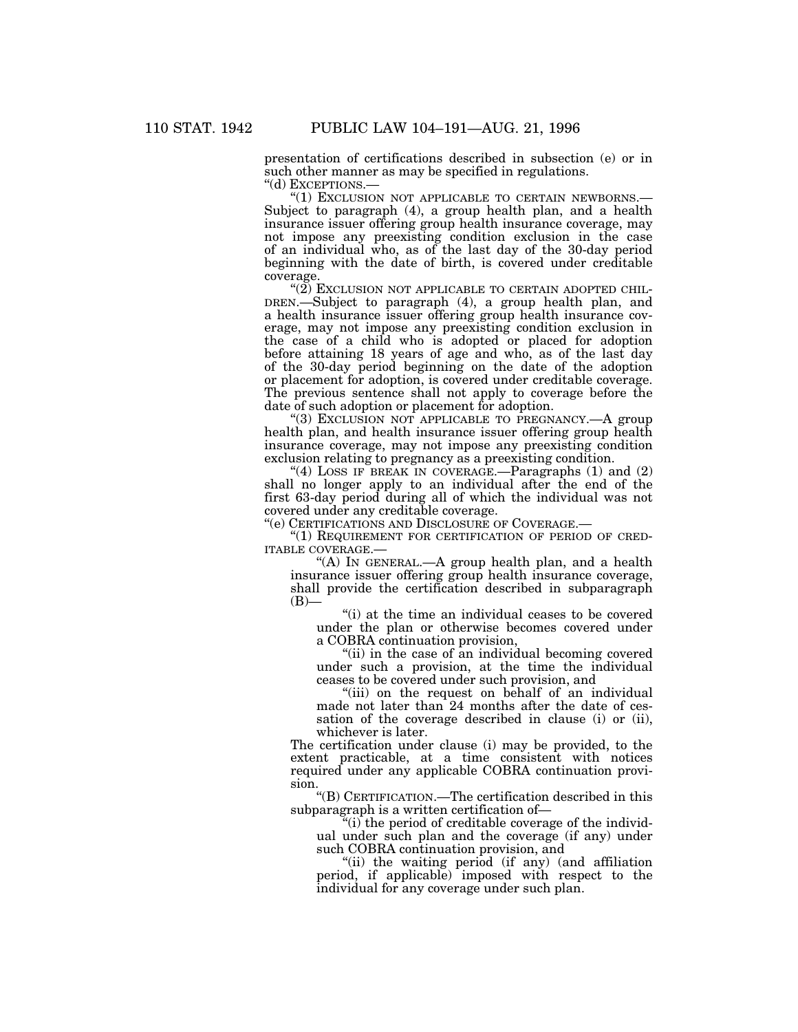presentation of certifications described in subsection (e) or in such other manner as may be specified in regulations.<br>"(d) EXCEPTIONS.—

"(1) EXCLUSION NOT APPLICABLE TO CERTAIN NEWBORNS.— Subject to paragraph (4), a group health plan, and a health insurance issuer offering group health insurance coverage, may not impose any preexisting condition exclusion in the case of an individual who, as of the last day of the 30-day period beginning with the date of birth, is covered under creditable

coverage. " $(2)$  EXCLUSION NOT APPLICABLE TO CERTAIN ADOPTED CHIL-DREN.—Subject to paragraph (4), a group health plan, and a health insurance issuer offering group health insurance coverage, may not impose any preexisting condition exclusion in the case of a child who is adopted or placed for adoption before attaining 18 years of age and who, as of the last day of the 30-day period beginning on the date of the adoption or placement for adoption, is covered under creditable coverage. The previous sentence shall not apply to coverage before the date of such adoption or placement for adoption.

"(3) EXCLUSION NOT APPLICABLE TO PREGNANCY.—A group health plan, and health insurance issuer offering group health insurance coverage, may not impose any preexisting condition exclusion relating to pregnancy as a preexisting condition.

"(4) LOSS IF BREAK IN COVERAGE.—Paragraphs  $(1)$  and  $(2)$ shall no longer apply to an individual after the end of the first 63-day period during all of which the individual was not covered under any creditable coverage.

''(e) CERTIFICATIONS AND DISCLOSURE OF COVERAGE.—

"(1) REQUIREMENT FOR CERTIFICATION OF PERIOD OF CRED-ITABLE COVERAGE.—

"(A) IN GENERAL.—A group health plan, and a health insurance issuer offering group health insurance coverage, shall provide the certification described in subparagraph  $(B)$ 

"(i) at the time an individual ceases to be covered under the plan or otherwise becomes covered under a COBRA continuation provision,

"(ii) in the case of an individual becoming covered under such a provision, at the time the individual ceases to be covered under such provision, and

"(iii) on the request on behalf of an individual made not later than 24 months after the date of cessation of the coverage described in clause (i) or (ii), whichever is later.

The certification under clause (i) may be provided, to the extent practicable, at a time consistent with notices required under any applicable COBRA continuation provision.

''(B) CERTIFICATION.—The certification described in this subparagraph is a written certification of—

 $\tilde{f}$ (i) the period of creditable coverage of the individual under such plan and the coverage (if any) under such COBRA continuation provision, and

''(ii) the waiting period (if any) (and affiliation period, if applicable) imposed with respect to the individual for any coverage under such plan.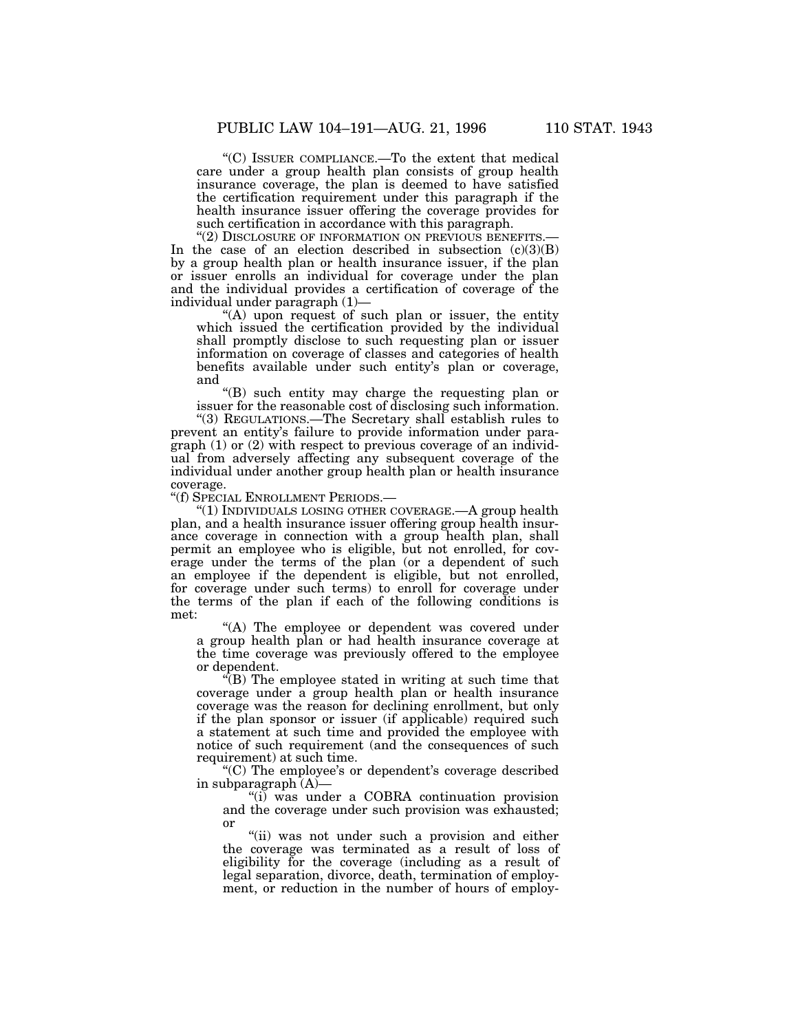''(C) ISSUER COMPLIANCE.—To the extent that medical care under a group health plan consists of group health insurance coverage, the plan is deemed to have satisfied the certification requirement under this paragraph if the health insurance issuer offering the coverage provides for such certification in accordance with this paragraph.

"(2) DISCLOSURE OF INFORMATION ON PREVIOUS BENEFITS.-In the case of an election described in subsection  $(c)(3)(B)$ by a group health plan or health insurance issuer, if the plan or issuer enrolls an individual for coverage under the plan and the individual provides a certification of coverage of the individual under paragraph (1)—

"(A) upon request of such plan or issuer, the entity which issued the certification provided by the individual shall promptly disclose to such requesting plan or issuer information on coverage of classes and categories of health benefits available under such entity's plan or coverage, and

''(B) such entity may charge the requesting plan or issuer for the reasonable cost of disclosing such information.

''(3) REGULATIONS.—The Secretary shall establish rules to prevent an entity's failure to provide information under paragraph (1) or (2) with respect to previous coverage of an individual from adversely affecting any subsequent coverage of the individual under another group health plan or health insurance coverage.

''(f) SPECIAL ENROLLMENT PERIODS.—

''(1) INDIVIDUALS LOSING OTHER COVERAGE.—A group health plan, and a health insurance issuer offering group health insurance coverage in connection with a group health plan, shall permit an employee who is eligible, but not enrolled, for coverage under the terms of the plan (or a dependent of such an employee if the dependent is eligible, but not enrolled, for coverage under such terms) to enroll for coverage under the terms of the plan if each of the following conditions is met:

''(A) The employee or dependent was covered under a group health plan or had health insurance coverage at the time coverage was previously offered to the employee or dependent.

 $\hat{H}(B)$  The employee stated in writing at such time that coverage under a group health plan or health insurance coverage was the reason for declining enrollment, but only if the plan sponsor or issuer (if applicable) required such a statement at such time and provided the employee with notice of such requirement (and the consequences of such requirement) at such time.

''(C) The employee's or dependent's coverage described in subparagraph (A)—

''(i) was under a COBRA continuation provision and the coverage under such provision was exhausted; or

"(ii) was not under such a provision and either the coverage was terminated as a result of loss of eligibility for the coverage (including as a result of legal separation, divorce, death, termination of employment, or reduction in the number of hours of employ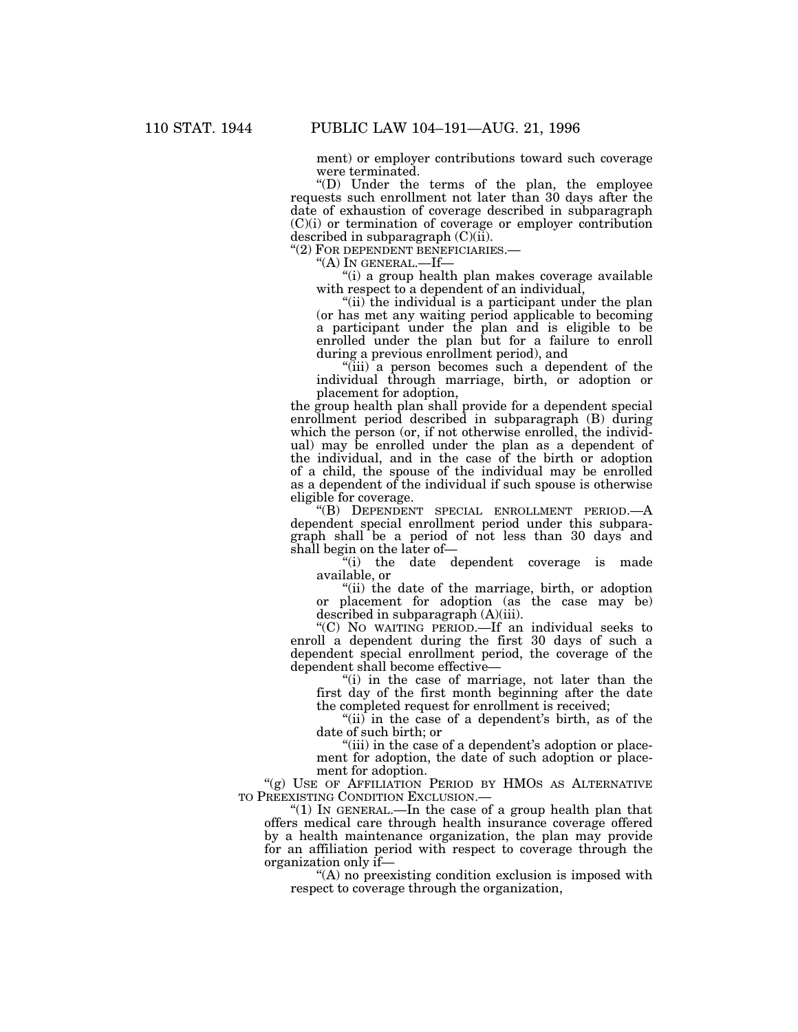ment) or employer contributions toward such coverage were terminated.

''(D) Under the terms of the plan, the employee requests such enrollment not later than 30 days after the date of exhaustion of coverage described in subparagraph  $(C)(i)$  or termination of coverage or employer contribution described in subparagraph  $(C)(ii)$ .

''(2) FOR DEPENDENT BENEFICIARIES.—

''(A) IN GENERAL.—If—

''(i) a group health plan makes coverage available with respect to a dependent of an individual,

"(ii) the individual is a participant under the plan" (or has met any waiting period applicable to becoming a participant under the plan and is eligible to be enrolled under the plan but for a failure to enroll during a previous enrollment period), and

''(iii) a person becomes such a dependent of the individual through marriage, birth, or adoption or placement for adoption,

the group health plan shall provide for a dependent special enrollment period described in subparagraph (B) during which the person (or, if not otherwise enrolled, the individual) may be enrolled under the plan as a dependent of the individual, and in the case of the birth or adoption of a child, the spouse of the individual may be enrolled as a dependent of the individual if such spouse is otherwise eligible for coverage.

''(B) DEPENDENT SPECIAL ENROLLMENT PERIOD.—A dependent special enrollment period under this subparagraph shall be a period of not less than 30 days and shall begin on the later of—

''(i) the date dependent coverage is made available, or

"(ii) the date of the marriage, birth, or adoption or placement for adoption (as the case may be) described in subparagraph (A)(iii).

''(C) NO WAITING PERIOD.—If an individual seeks to enroll a dependent during the first 30 days of such a dependent special enrollment period, the coverage of the dependent shall become effective—

"(i) in the case of marriage, not later than the first day of the first month beginning after the date the completed request for enrollment is received;

"(ii) in the case of a dependent's birth, as of the date of such birth; or

"(iii) in the case of a dependent's adoption or placement for adoption, the date of such adoption or placement for adoption.

"(g) USE OF AFFILIATION PERIOD BY HMOS AS ALTERNATIVE TO PREEXISTING CONDITION EXCLUSION.

''(1) IN GENERAL.—In the case of a group health plan that offers medical care through health insurance coverage offered by a health maintenance organization, the plan may provide for an affiliation period with respect to coverage through the organization only if—

''(A) no preexisting condition exclusion is imposed with respect to coverage through the organization,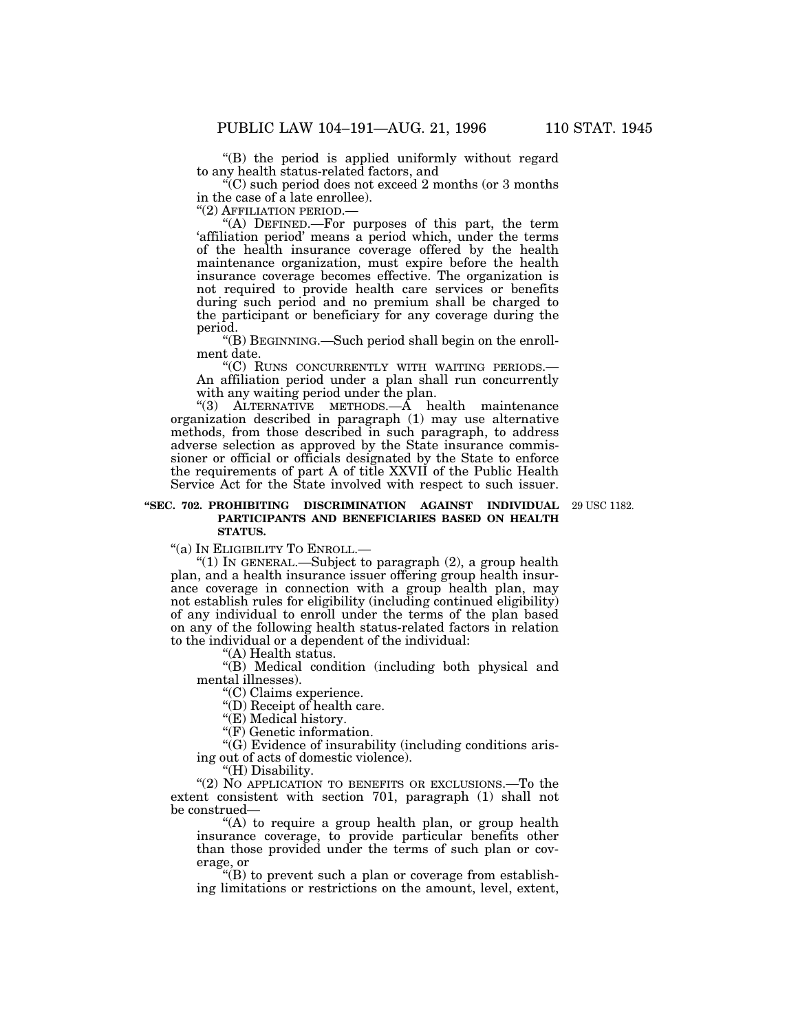''(B) the period is applied uniformly without regard to any health status-related factors, and

''(C) such period does not exceed 2 months (or 3 months in the case of a late enrollee).

''(2) AFFILIATION PERIOD.—

" $(A)$  DEFINED.—For purposes of this part, the term 'affiliation period' means a period which, under the terms of the health insurance coverage offered by the health maintenance organization, must expire before the health insurance coverage becomes effective. The organization is not required to provide health care services or benefits during such period and no premium shall be charged to the participant or beneficiary for any coverage during the period.

''(B) BEGINNING.—Such period shall begin on the enrollment date.

''(C) RUNS CONCURRENTLY WITH WAITING PERIODS.— An affiliation period under a plan shall run concurrently with any waiting period under the plan.

''(3) ALTERNATIVE METHODS.—A health maintenance organization described in paragraph (1) may use alternative methods, from those described in such paragraph, to address adverse selection as approved by the State insurance commissioner or official or officials designated by the State to enforce the requirements of part A of title XXVII of the Public Health Service Act for the State involved with respect to such issuer.

### **''SEC. 702. PROHIBITING DISCRIMINATION AGAINST INDIVIDUAL** 29 USC 1182.**PARTICIPANTS AND BENEFICIARIES BASED ON HEALTH STATUS.**

''(a) IN ELIGIBILITY TO ENROLL.—

"(1) In GENERAL.—Subject to paragraph  $(2)$ , a group health plan, and a health insurance issuer offering group health insurance coverage in connection with a group health plan, may not establish rules for eligibility (including continued eligibility) of any individual to enroll under the terms of the plan based on any of the following health status-related factors in relation to the individual or a dependent of the individual:

 $(A)$  Health status.

''(B) Medical condition (including both physical and mental illnesses).

''(C) Claims experience.

''(D) Receipt of health care.

"(E) Medical history.

"(F) Genetic information.

''(G) Evidence of insurability (including conditions arising out of acts of domestic violence).

''(H) Disability.

"(2) NO APPLICATION TO BENEFITS OR EXCLUSIONS.—To the extent consistent with section 701, paragraph (1) shall not be construed—

"(A) to require a group health plan, or group health insurance coverage, to provide particular benefits other than those provided under the terms of such plan or coverage, or

 $\mathcal{L}(B)$  to prevent such a plan or coverage from establishing limitations or restrictions on the amount, level, extent,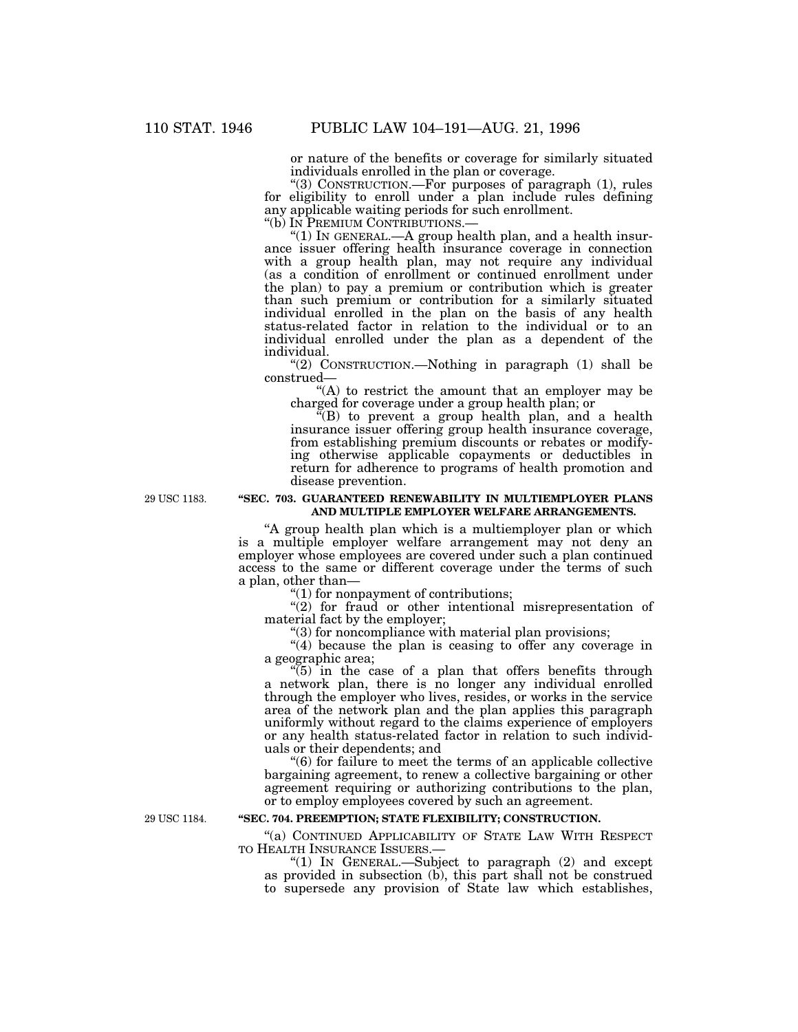or nature of the benefits or coverage for similarly situated individuals enrolled in the plan or coverage.

''(3) CONSTRUCTION.—For purposes of paragraph (1), rules for eligibility to enroll under a plan include rules defining any applicable waiting periods for such enrollment.<br>"(b) IN PREMIUM CONTRIBUTIONS.—

" $(1)$  In GENERAL.—A group health plan, and a health insurance issuer offering health insurance coverage in connection with a group health plan, may not require any individual (as a condition of enrollment or continued enrollment under the plan) to pay a premium or contribution which is greater than such premium or contribution for a similarly situated individual enrolled in the plan on the basis of any health status-related factor in relation to the individual or to an individual enrolled under the plan as a dependent of the individual.

''(2) CONSTRUCTION.—Nothing in paragraph (1) shall be construed—

"(A) to restrict the amount that an employer may be charged for coverage under a group health plan; or

 $E(E)$  to prevent a group health plan, and a health insurance issuer offering group health insurance coverage, from establishing premium discounts or rebates or modifying otherwise applicable copayments or deductibles in return for adherence to programs of health promotion and disease prevention.

29 USC 1183.

# **''SEC. 703. GUARANTEED RENEWABILITY IN MULTIEMPLOYER PLANS AND MULTIPLE EMPLOYER WELFARE ARRANGEMENTS.**

''A group health plan which is a multiemployer plan or which is a multiple employer welfare arrangement may not deny an employer whose employees are covered under such a plan continued access to the same or different coverage under the terms of such a plan, other than—

''(1) for nonpayment of contributions;

"(2) for fraud or other intentional misrepresentation of material fact by the employer;

''(3) for noncompliance with material plan provisions;

 $*(4)$  because the plan is ceasing to offer any coverage in a geographic area;

 $\sqrt[4]{5}$  in the case of a plan that offers benefits through a network plan, there is no longer any individual enrolled through the employer who lives, resides, or works in the service area of the network plan and the plan applies this paragraph uniformly without regard to the claims experience of employers or any health status-related factor in relation to such individuals or their dependents; and

''(6) for failure to meet the terms of an applicable collective bargaining agreement, to renew a collective bargaining or other agreement requiring or authorizing contributions to the plan, or to employ employees covered by such an agreement.

# **''SEC. 704. PREEMPTION; STATE FLEXIBILITY; CONSTRUCTION.**

''(a) CONTINUED APPLICABILITY OF STATE LAW WITH RESPECT TO HEALTH INSURANCE ISSUERS.—<br>"(1) IN GENERAL.—Subject to paragraph (2) and except

as provided in subsection (b), this part shall not be construed to supersede any provision of State law which establishes,

29 USC 1184.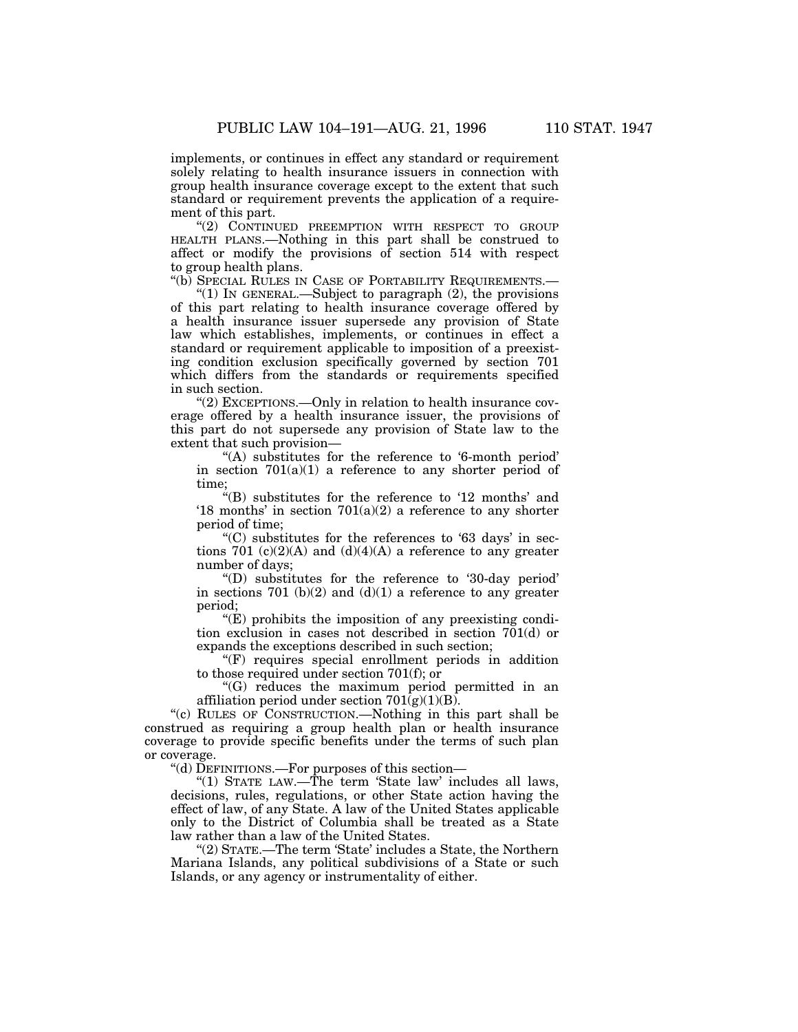implements, or continues in effect any standard or requirement solely relating to health insurance issuers in connection with group health insurance coverage except to the extent that such standard or requirement prevents the application of a requirement of this part.

''(2) CONTINUED PREEMPTION WITH RESPECT TO GROUP HEALTH PLANS.—Nothing in this part shall be construed to affect or modify the provisions of section 514 with respect to group health plans.

"(b) SPECIAL RULES IN CASE OF PORTABILITY REQUIREMENTS.—

"(1) IN GENERAL.—Subject to paragraph  $(2)$ , the provisions of this part relating to health insurance coverage offered by a health insurance issuer supersede any provision of State law which establishes, implements, or continues in effect a standard or requirement applicable to imposition of a preexisting condition exclusion specifically governed by section 701 which differs from the standards or requirements specified in such section.

''(2) EXCEPTIONS.—Only in relation to health insurance coverage offered by a health insurance issuer, the provisions of this part do not supersede any provision of State law to the extent that such provision—

''(A) substitutes for the reference to '6-month period' in section  $701(a)(1)$  a reference to any shorter period of time;

''(B) substitutes for the reference to '12 months' and '18 months' in section  $701(a)(2)$  a reference to any shorter period of time;

 $(C)$  substitutes for the references to '63 days' in sections 701 (c)(2)(A) and (d)(4)(A) a reference to any greater number of days;

''(D) substitutes for the reference to '30-day period' in sections 701 (b)(2) and (d)(1) a reference to any greater period;

 $E(E)$  prohibits the imposition of any preexisting condition exclusion in cases not described in section 701(d) or expands the exceptions described in such section;

"(F) requires special enrollment periods in addition to those required under section 701(f); or

''(G) reduces the maximum period permitted in an affiliation period under section  $701(g)(1)(B)$ .

''(c) RULES OF CONSTRUCTION.—Nothing in this part shall be construed as requiring a group health plan or health insurance coverage to provide specific benefits under the terms of such plan or coverage.

''(d) DEFINITIONS.—For purposes of this section—

"(1) STATE LAW.—The term 'State law' includes all laws, decisions, rules, regulations, or other State action having the effect of law, of any State. A law of the United States applicable only to the District of Columbia shall be treated as a State law rather than a law of the United States.

''(2) STATE.—The term 'State' includes a State, the Northern Mariana Islands, any political subdivisions of a State or such Islands, or any agency or instrumentality of either.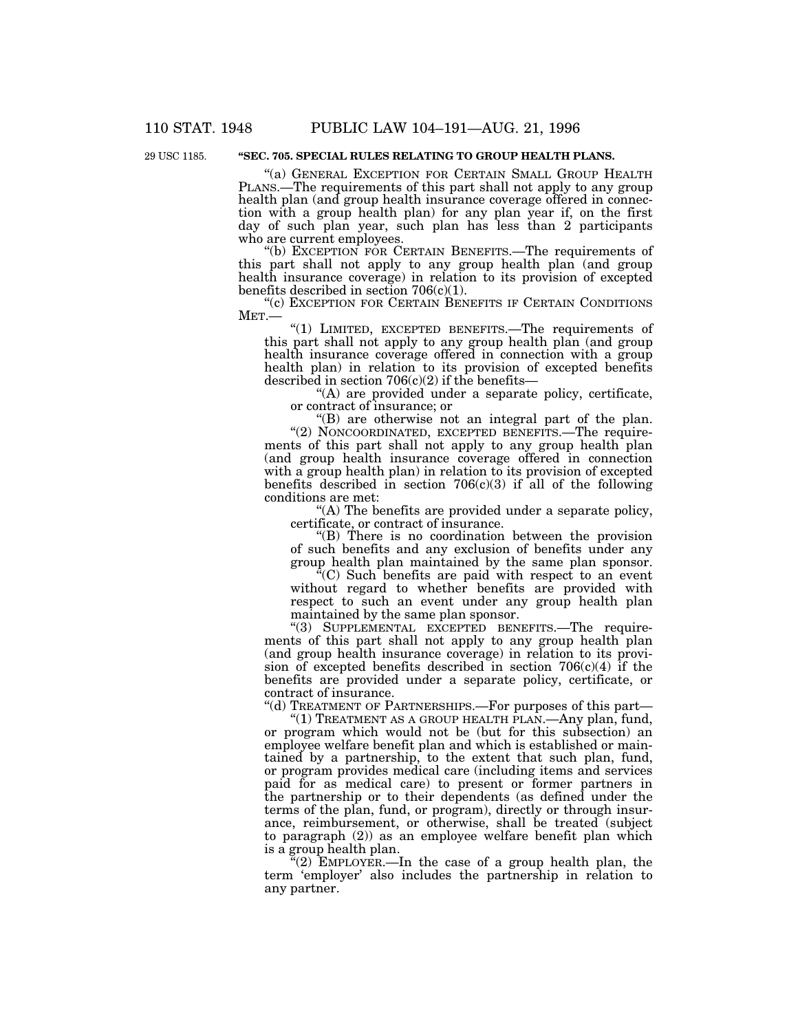29 USC 1185.

# **''SEC. 705. SPECIAL RULES RELATING TO GROUP HEALTH PLANS.**

"(a) GENERAL EXCEPTION FOR CERTAIN SMALL GROUP HEALTH PLANS.—The requirements of this part shall not apply to any group health plan (and group health insurance coverage offered in connection with a group health plan) for any plan year if, on the first day of such plan year, such plan has less than 2 participants who are current employees.

''(b) EXCEPTION FOR CERTAIN BENEFITS.—The requirements of this part shall not apply to any group health plan (and group health insurance coverage) in relation to its provision of excepted benefits described in section 706(c)(1).

"(c) EXCEPTION FOR CERTAIN BENEFITS IF CERTAIN CONDITIONS  $MET$ .

"(1) LIMITED, EXCEPTED BENEFITS.—The requirements of this part shall not apply to any group health plan (and group health insurance coverage offered in connection with a group health plan) in relation to its provision of excepted benefits described in section  $706(c)(2)$  if the benefits—

''(A) are provided under a separate policy, certificate, or contract of insurance; or

''(B) are otherwise not an integral part of the plan. "(2) NONCOORDINATED, EXCEPTED BENEFITS.—The requirements of this part shall not apply to any group health plan (and group health insurance coverage offered in connection with a group health plan) in relation to its provision of excepted benefits described in section  $706(c)(3)$  if all of the following conditions are met:

"(A) The benefits are provided under a separate policy, certificate, or contract of insurance.

''(B) There is no coordination between the provision of such benefits and any exclusion of benefits under any group health plan maintained by the same plan sponsor.

 $\alpha$ <sup>"</sup>(C) Such benefits are paid with respect to an event without regard to whether benefits are provided with respect to such an event under any group health plan maintained by the same plan sponsor.

''(3) SUPPLEMENTAL EXCEPTED BENEFITS.—The requirements of this part shall not apply to any group health plan (and group health insurance coverage) in relation to its provision of excepted benefits described in section  $706(c)(4)$  if the benefits are provided under a separate policy, certificate, or contract of insurance.

''(d) TREATMENT OF PARTNERSHIPS.—For purposes of this part—

''(1) TREATMENT AS A GROUP HEALTH PLAN.—Any plan, fund, or program which would not be (but for this subsection) an employee welfare benefit plan and which is established or maintained by a partnership, to the extent that such plan, fund, or program provides medical care (including items and services paid for as medical care) to present or former partners in the partnership or to their dependents (as defined under the terms of the plan, fund, or program), directly or through insurance, reimbursement, or otherwise, shall be treated (subject to paragraph (2)) as an employee welfare benefit plan which is a group health plan.

"(2) EMPLOYER.—In the case of a group health plan, the term 'employer' also includes the partnership in relation to any partner.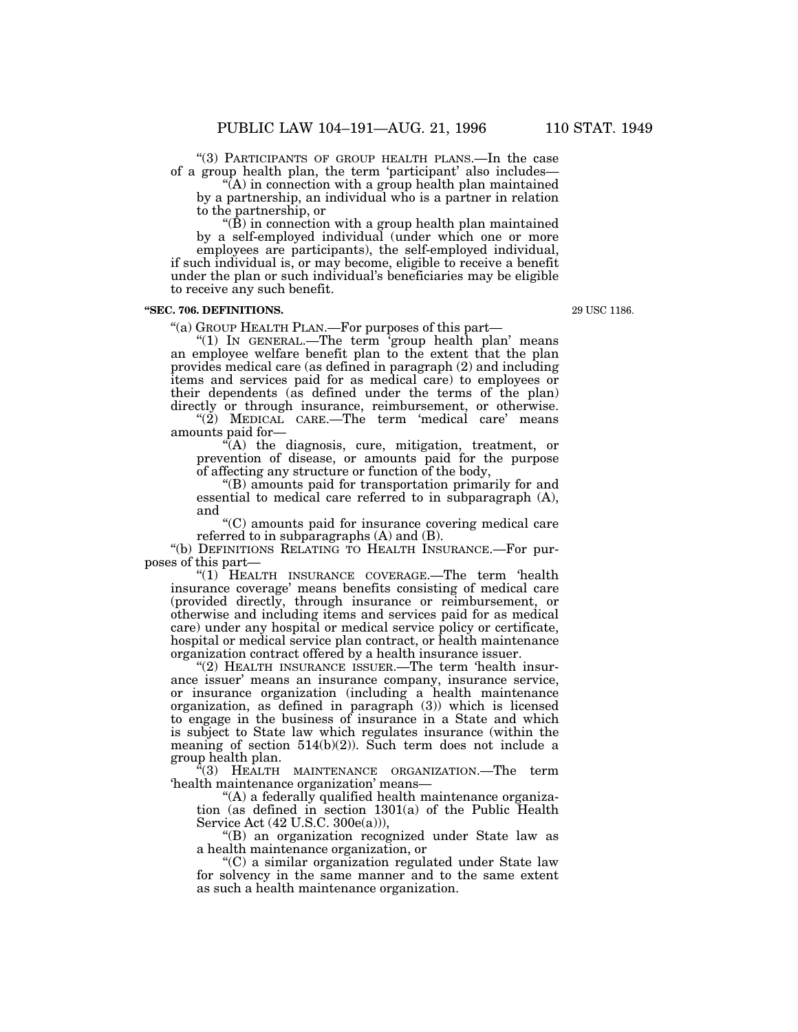''(3) PARTICIPANTS OF GROUP HEALTH PLANS.—In the case of a group health plan, the term 'participant' also includes—

''(A) in connection with a group health plan maintained by a partnership, an individual who is a partner in relation to the partnership, or

 $\angle$ <sup>"(B)</sup> in connection with a group health plan maintained by a self-employed individual (under which one or more employees are participants), the self-employed individual, if such individual is, or may become, eligible to receive a benefit under the plan or such individual's beneficiaries may be eligible to receive any such benefit.

#### **''SEC. 706. DEFINITIONS.**

''(a) GROUP HEALTH PLAN.—For purposes of this part—

"(1) IN GENERAL.—The term  $\frac{1}{2}$  group health plan' means an employee welfare benefit plan to the extent that the plan provides medical care (as defined in paragraph (2) and including items and services paid for as medical care) to employees or their dependents (as defined under the terms of the plan) directly or through insurance, reimbursement, or otherwise.

"(2) MEDICAL CARE.—The term 'medical care' means amounts paid for—

''(A) the diagnosis, cure, mitigation, treatment, or prevention of disease, or amounts paid for the purpose of affecting any structure or function of the body,

''(B) amounts paid for transportation primarily for and essential to medical care referred to in subparagraph (A), and

''(C) amounts paid for insurance covering medical care referred to in subparagraphs (A) and (B).

''(b) DEFINITIONS RELATING TO HEALTH INSURANCE.—For purposes of this part—

''(1) HEALTH INSURANCE COVERAGE.—The term 'health insurance coverage' means benefits consisting of medical care (provided directly, through insurance or reimbursement, or otherwise and including items and services paid for as medical care) under any hospital or medical service policy or certificate, hospital or medical service plan contract, or health maintenance organization contract offered by a health insurance issuer.

''(2) HEALTH INSURANCE ISSUER.—The term 'health insurance issuer' means an insurance company, insurance service, or insurance organization (including a health maintenance organization, as defined in paragraph (3)) which is licensed to engage in the business of insurance in a State and which is subject to State law which regulates insurance (within the meaning of section 514(b)(2)). Such term does not include a group health plan.

''(3) HEALTH MAINTENANCE ORGANIZATION.—The term 'health maintenance organization' means—

''(A) a federally qualified health maintenance organization (as defined in section 1301(a) of the Public Health Service Act (42 U.S.C. 300e(a))),

''(B) an organization recognized under State law as a health maintenance organization, or

''(C) a similar organization regulated under State law for solvency in the same manner and to the same extent as such a health maintenance organization.

29 USC 1186.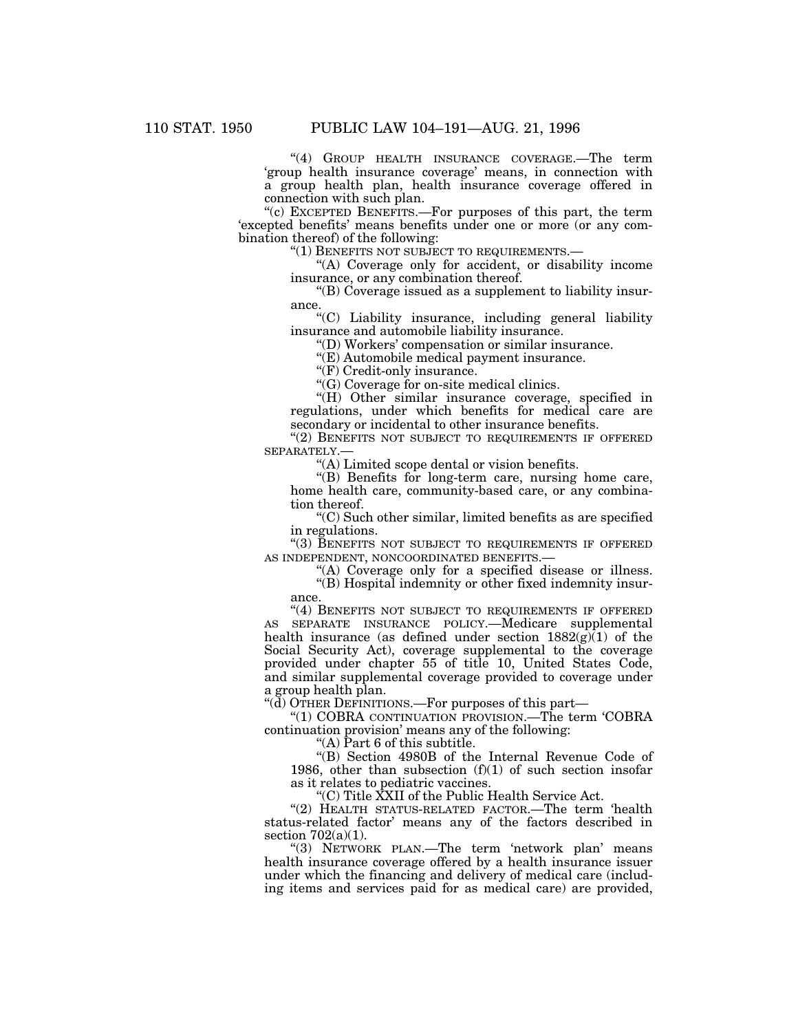''(4) GROUP HEALTH INSURANCE COVERAGE.—The term 'group health insurance coverage' means, in connection with a group health plan, health insurance coverage offered in connection with such plan.

''(c) EXCEPTED BENEFITS.—For purposes of this part, the term 'excepted benefits' means benefits under one or more (or any combination thereof) of the following:

"(1) BENEFITS NOT SUBJECT TO REQUIREMENTS.

''(A) Coverage only for accident, or disability income insurance, or any combination thereof.

''(B) Coverage issued as a supplement to liability insurance.

''(C) Liability insurance, including general liability insurance and automobile liability insurance.

''(D) Workers' compensation or similar insurance.

"(E) Automobile medical payment insurance.

"(F) Credit-only insurance.

 $\mathcal{C}(G)$  Coverage for on-site medical clinics.

"(H) Other similar insurance coverage, specified in regulations, under which benefits for medical care are secondary or incidental to other insurance benefits.

"(2) BENEFITS NOT SUBJECT TO REQUIREMENTS IF OFFERED SEPARATELY.—

''(A) Limited scope dental or vision benefits.

"(B) Benefits for long-term care, nursing home care, home health care, community-based care, or any combination thereof.

''(C) Such other similar, limited benefits as are specified in regulations.

"(3) BENEFITS NOT SUBJECT TO REQUIREMENTS IF OFFERED AS INDEPENDENT, NONCOORDINATED BENEFITS.—

> "(A) Coverage only for a specified disease or illness. "(B) Hospital indemnity or other fixed indemnity insur-

ance.

"(4) BENEFITS NOT SUBJECT TO REQUIREMENTS IF OFFERED AS SEPARATE INSURANCE POLICY.—Medicare supplemental health insurance (as defined under section  $1882(\hat{g})(1)$  of the Social Security Act), coverage supplemental to the coverage provided under chapter 55 of title 10, United States Code, and similar supplemental coverage provided to coverage under a group health plan.

"(d) OTHER DEFINITIONS.—For purposes of this part—

''(1) COBRA CONTINUATION PROVISION.—The term 'COBRA continuation provision' means any of the following:

''(A) Part 6 of this subtitle.

''(B) Section 4980B of the Internal Revenue Code of 1986, other than subsection  $(f)(1)$  of such section insofar as it relates to pediatric vaccines.

''(C) Title XXII of the Public Health Service Act.

"(2) HEALTH STATUS-RELATED FACTOR.—The term 'health status-related factor' means any of the factors described in section  $702(a)(1)$ .

"(3) NETWORK PLAN.—The term 'network plan' means health insurance coverage offered by a health insurance issuer under which the financing and delivery of medical care (including items and services paid for as medical care) are provided,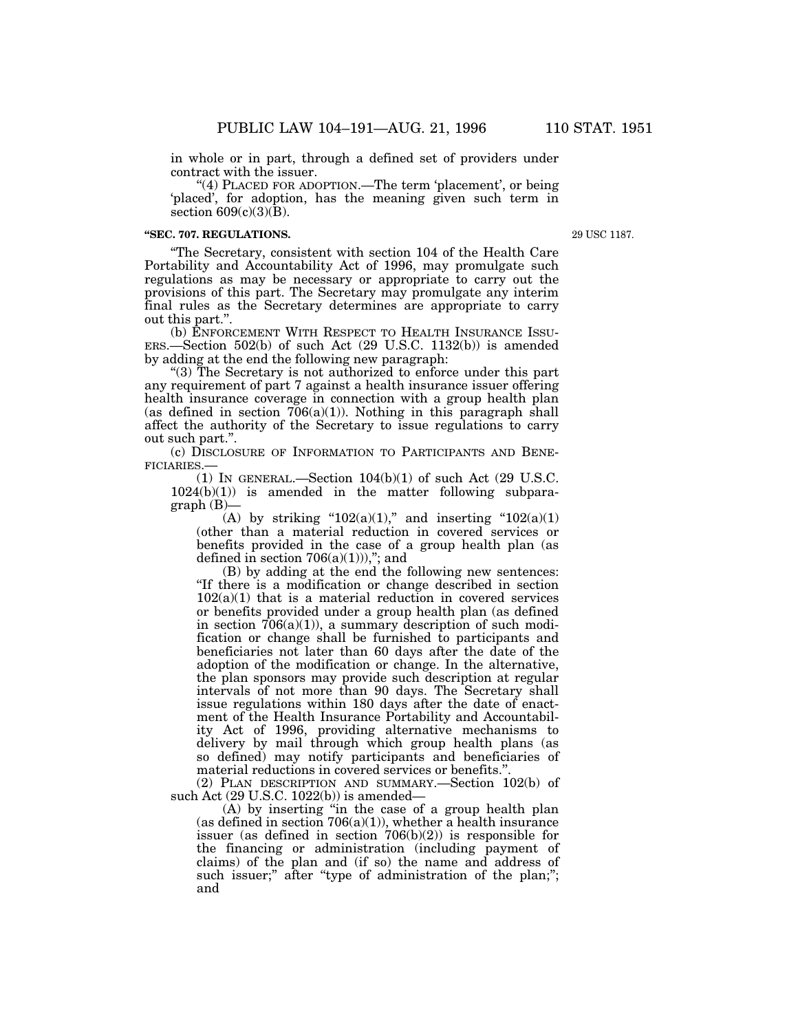in whole or in part, through a defined set of providers under contract with the issuer.

"(4) PLACED FOR ADOPTION.—The term 'placement', or being 'placed', for adoption, has the meaning given such term in section  $609(c)(3)(B)$ .

### **''SEC. 707. REGULATIONS.**

29 USC 1187.

''The Secretary, consistent with section 104 of the Health Care Portability and Accountability Act of 1996, may promulgate such regulations as may be necessary or appropriate to carry out the provisions of this part. The Secretary may promulgate any interim final rules as the Secretary determines are appropriate to carry out this part.''.

(b) ENFORCEMENT WITH RESPECT TO HEALTH INSURANCE ISSU-ERS.—Section 502(b) of such Act (29 U.S.C. 1132(b)) is amended by adding at the end the following new paragraph:

''(3) The Secretary is not authorized to enforce under this part any requirement of part 7 against a health insurance issuer offering health insurance coverage in connection with a group health plan (as defined in section  $706(a)(1)$ ). Nothing in this paragraph shall affect the authority of the Secretary to issue regulations to carry out such part.''.

(c) DISCLOSURE OF INFORMATION TO PARTICIPANTS AND BENE-FICIARIES.—

(1) IN GENERAL.—Section  $104(b)(1)$  of such Act (29 U.S.C. 1024(b)(1)) is amended in the matter following subpara $graph (B)$ —

(A) by striking " $102(a)(1)$ ," and inserting " $102(a)(1)$ " (other than a material reduction in covered services or benefits provided in the case of a group health plan (as defined in section  $706(a)(1))$ ,"; and

(B) by adding at the end the following new sentences: ''If there is a modification or change described in section  $102(a)(1)$  that is a material reduction in covered services or benefits provided under a group health plan (as defined in section  $706(a)(1)$ , a summary description of such modification or change shall be furnished to participants and beneficiaries not later than 60 days after the date of the adoption of the modification or change. In the alternative, the plan sponsors may provide such description at regular intervals of not more than 90 days. The Secretary shall issue regulations within 180 days after the date of enactment of the Health Insurance Portability and Accountability Act of 1996, providing alternative mechanisms to delivery by mail through which group health plans (as so defined) may notify participants and beneficiaries of material reductions in covered services or benefits.''.

(2) PLAN DESCRIPTION AND SUMMARY.—Section 102(b) of such Act (29 U.S.C. 1022(b)) is amended—

(A) by inserting ''in the case of a group health plan (as defined in section  $706(a)(1)$ ), whether a health insurance issuer (as defined in section 706(b)(2)) is responsible for the financing or administration (including payment of claims) of the plan and (if so) the name and address of such issuer;" after "type of administration of the plan;"; and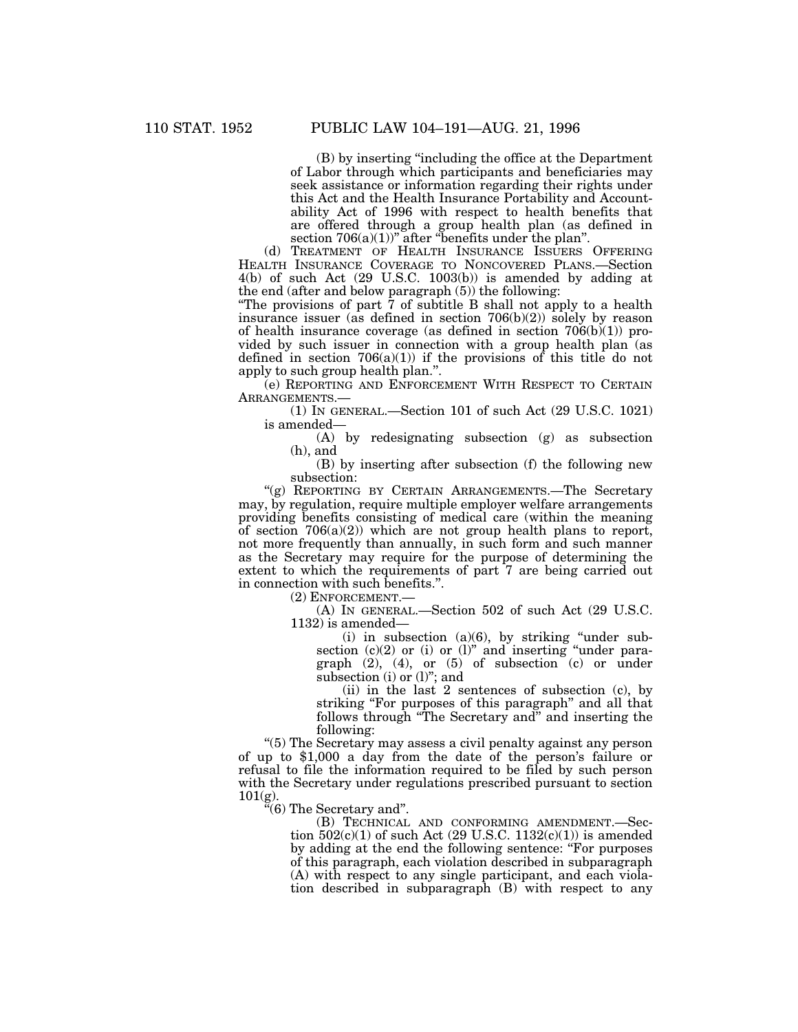(B) by inserting ''including the office at the Department of Labor through which participants and beneficiaries may seek assistance or information regarding their rights under this Act and the Health Insurance Portability and Accountability Act of 1996 with respect to health benefits that are offered through a group health plan (as defined in section  $706(a)(1)$ " after "benefits under the plan".

(d) TREATMENT OF HEALTH INSURANCE ISSUERS OFFERING HEALTH INSURANCE COVERAGE TO NONCOVERED PLANS.—Section 4(b) of such Act (29 U.S.C. 1003(b)) is amended by adding at the end (after and below paragraph (5)) the following:

"The provisions of part  $\overline{7}$  of subtitle B shall not apply to a health insurance issuer (as defined in section  $706(b)(2)$ ) solely by reason of health insurance coverage (as defined in section  $706(b)(1)$ ) provided by such issuer in connection with a group health plan (as defined in section  $706(a)(1)$  if the provisions of this title do not apply to such group health plan.''.

(e) REPORTING AND ENFORCEMENT WITH RESPECT TO CERTAIN ARRANGEMENTS.—

(1) IN GENERAL.—Section 101 of such Act (29 U.S.C. 1021) is amended—

(A) by redesignating subsection (g) as subsection (h), and

(B) by inserting after subsection (f) the following new subsection:

"(g) REPORTING BY CERTAIN ARRANGEMENTS.—The Secretary may, by regulation, require multiple employer welfare arrangements providing benefits consisting of medical care (within the meaning of section  $706(a)(2)$ ) which are not group health plans to report, not more frequently than annually, in such form and such manner as the Secretary may require for the purpose of determining the extent to which the requirements of part 7 are being carried out in connection with such benefits.''.

(2) ENFORCEMENT.—

(A) IN GENERAL.—Section 502 of such Act (29 U.S.C. 1132) is amended—

 $(i)$  in subsection  $(a)(6)$ , by striking "under subsection  $(c)(2)$  or (i) or (l)" and inserting "under paragraph  $(2)$ ,  $(4)$ , or  $(5)$  of subsection  $(c)$  or under subsection (i) or (l)"; and

(ii) in the last 2 sentences of subsection (c), by striking ''For purposes of this paragraph'' and all that follows through "The Secretary and" and inserting the following:

"(5) The Secretary may assess a civil penalty against any person of up to \$1,000 a day from the date of the person's failure or refusal to file the information required to be filed by such person with the Secretary under regulations prescribed pursuant to section 101(g).

 $^{56}$ (6) The Secretary and".

(B) TECHNICAL AND CONFORMING AMENDMENT.—Section  $502(c)(1)$  of such Act (29 U.S.C.  $1132(c)(1)$ ) is amended by adding at the end the following sentence: ''For purposes of this paragraph, each violation described in subparagraph (A) with respect to any single participant, and each violation described in subparagraph (B) with respect to any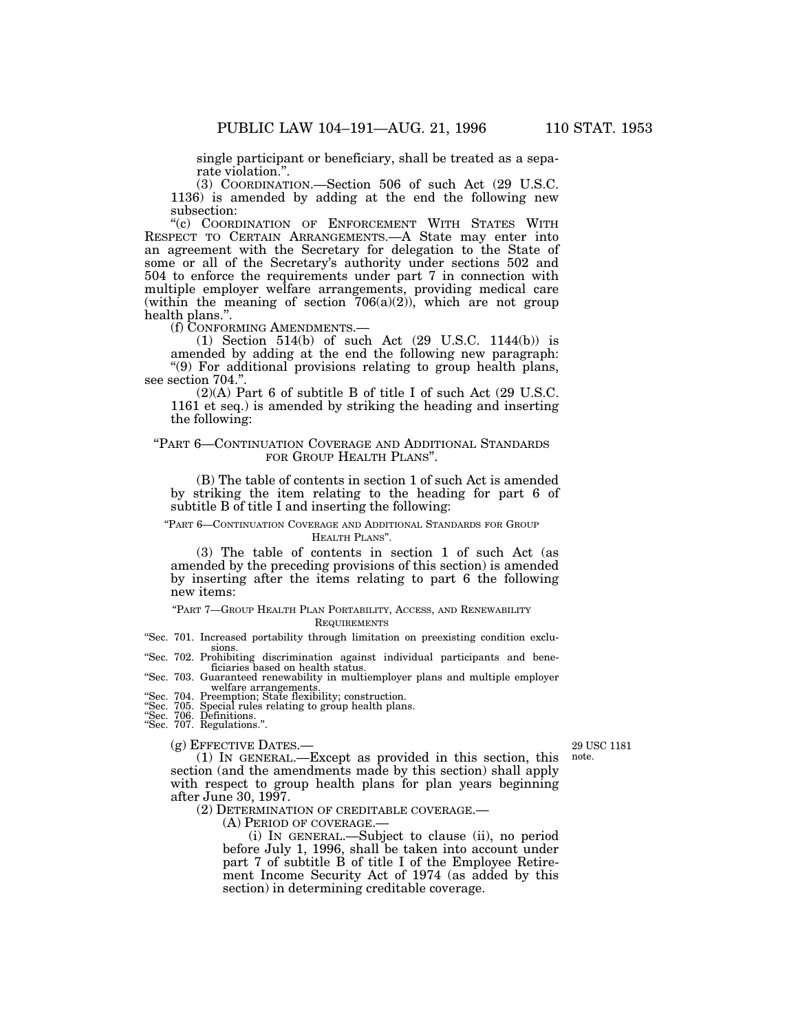single participant or beneficiary, shall be treated as a separate violation.''.

(3) COORDINATION.—Section 506 of such Act (29 U.S.C. 1136) is amended by adding at the end the following new subsection:

''(c) COORDINATION OF ENFORCEMENT WITH STATES WITH RESPECT TO CERTAIN ARRANGEMENTS.—A State may enter into an agreement with the Secretary for delegation to the State of some or all of the Secretary's authority under sections 502 and 504 to enforce the requirements under part 7 in connection with multiple employer welfare arrangements, providing medical care (within the meaning of section  $706(a)(2)$ ), which are not group health plans.''.

(f) CONFORMING AMENDMENTS.—

(1) Section 514(b) of such Act (29 U.S.C. 1144(b)) is amended by adding at the end the following new paragraph: ''(9) For additional provisions relating to group health plans, see section 704.''.

(2)(A) Part 6 of subtitle B of title I of such Act (29 U.S.C. 1161 et seq.) is amended by striking the heading and inserting the following:

### ''PART 6—CONTINUATION COVERAGE AND ADDITIONAL STANDARDS FOR GROUP HEALTH PLANS''.

(B) The table of contents in section 1 of such Act is amended by striking the item relating to the heading for part 6 of subtitle B of title I and inserting the following:

#### ''PART 6—CONTINUATION COVERAGE AND ADDITIONAL STANDARDS FOR GROUP HEALTH PLANS''.

(3) The table of contents in section 1 of such Act (as amended by the preceding provisions of this section) is amended by inserting after the items relating to part 6 the following new items:

# ''PART 7—GROUP HEALTH PLAN PORTABILITY, ACCESS, AND RENEWABILITY

**REQUIREMENTS** 

''Sec. 701. Increased portability through limitation on preexisting condition exclusions.

''Sec. 702. Prohibiting discrimination against individual participants and bene-

ficiaries based on health status. ''Sec. 703. Guaranteed renewability in multiemployer plans and multiple employer

welfare arrangements. ''Sec. 704. Preemption; State flexibility; construction. ''Sec. 705. Special rules relating to group health plans. ''Sec. 706. Definitions. ''Sec. 707. Regulations.''.

(g) EFFECTIVE DATES.—<br>(1) IN GENERAL.—Except as provided in this section, this section (and the amendments made by this section) shall apply with respect to group health plans for plan years beginning after June 30, 1997.<br>
(2) DETERMINATION OF CREDITABLE COVERAGE.—

(A)  $P$ ERIOD OF COVERAGE.—<br>(i) IN GENERAL.—Subject to clause (ii), no period before July 1, 1996, shall be taken into account under part 7 of subtitle B of title I of the Employee Retirement Income Security Act of 1974 (as added by this section) in determining creditable coverage.

29 USC 1181 note.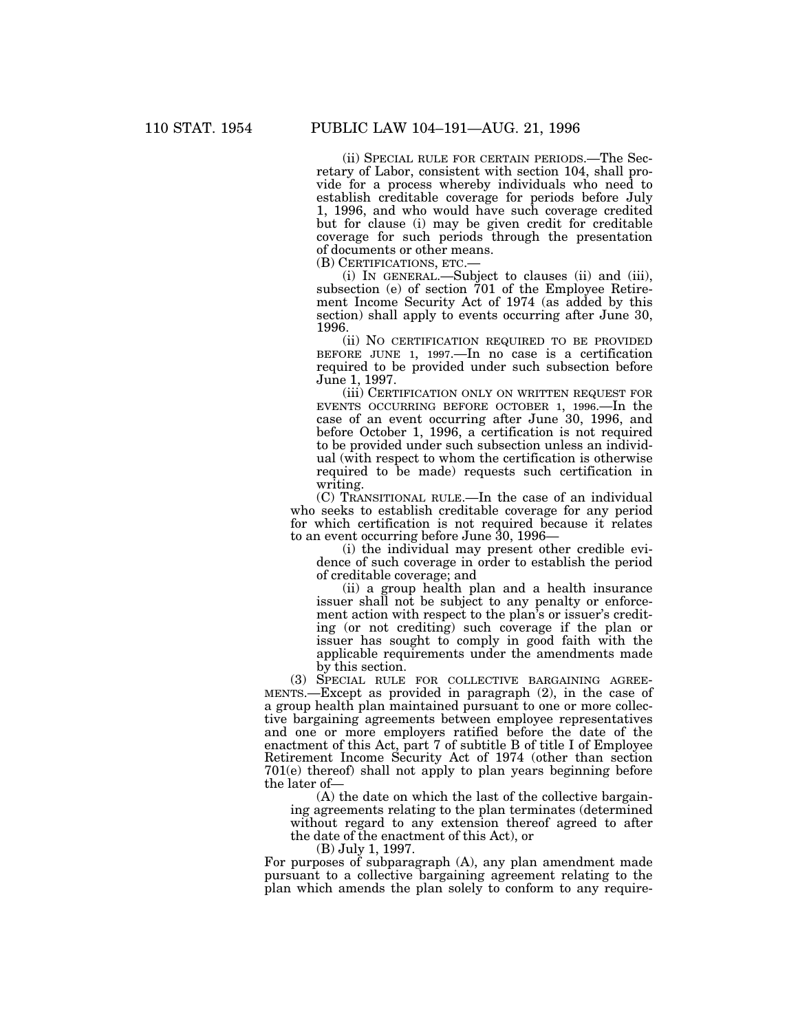(ii) SPECIAL RULE FOR CERTAIN PERIODS.—The Secretary of Labor, consistent with section 104, shall provide for a process whereby individuals who need to establish creditable coverage for periods before July 1, 1996, and who would have such coverage credited but for clause (i) may be given credit for creditable coverage for such periods through the presentation of documents or other means.

(B) CERTIFICATIONS, ETC.—

(i) IN GENERAL.—Subject to clauses (ii) and (iii), subsection (e) of section 701 of the Employee Retirement Income Security Act of 1974 (as added by this section) shall apply to events occurring after June 30, 1996.

(ii) NO CERTIFICATION REQUIRED TO BE PROVIDED BEFORE JUNE 1, 1997.—In no case is a certification required to be provided under such subsection before June 1, 1997.

(iii) CERTIFICATION ONLY ON WRITTEN REQUEST FOR EVENTS OCCURRING BEFORE OCTOBER 1, 1996.—In the case of an event occurring after June 30, 1996, and before October 1, 1996, a certification is not required to be provided under such subsection unless an individual (with respect to whom the certification is otherwise required to be made) requests such certification in writing.

(C) TRANSITIONAL RULE.—In the case of an individual who seeks to establish creditable coverage for any period for which certification is not required because it relates to an event occurring before June 30, 1996—

(i) the individual may present other credible evidence of such coverage in order to establish the period of creditable coverage; and

(ii) a group health plan and a health insurance issuer shall not be subject to any penalty or enforcement action with respect to the plan's or issuer's crediting (or not crediting) such coverage if the plan or issuer has sought to comply in good faith with the applicable requirements under the amendments made by this section.

(3) SPECIAL RULE FOR COLLECTIVE BARGAINING AGREE-MENTS.—Except as provided in paragraph (2), in the case of a group health plan maintained pursuant to one or more collective bargaining agreements between employee representatives and one or more employers ratified before the date of the enactment of this Act, part 7 of subtitle B of title I of Employee Retirement Income Security Act of 1974 (other than section 701(e) thereof) shall not apply to plan years beginning before the later of—

(A) the date on which the last of the collective bargaining agreements relating to the plan terminates (determined without regard to any extension thereof agreed to after the date of the enactment of this Act), or

(B) July 1, 1997.

For purposes of subparagraph (A), any plan amendment made pursuant to a collective bargaining agreement relating to the plan which amends the plan solely to conform to any require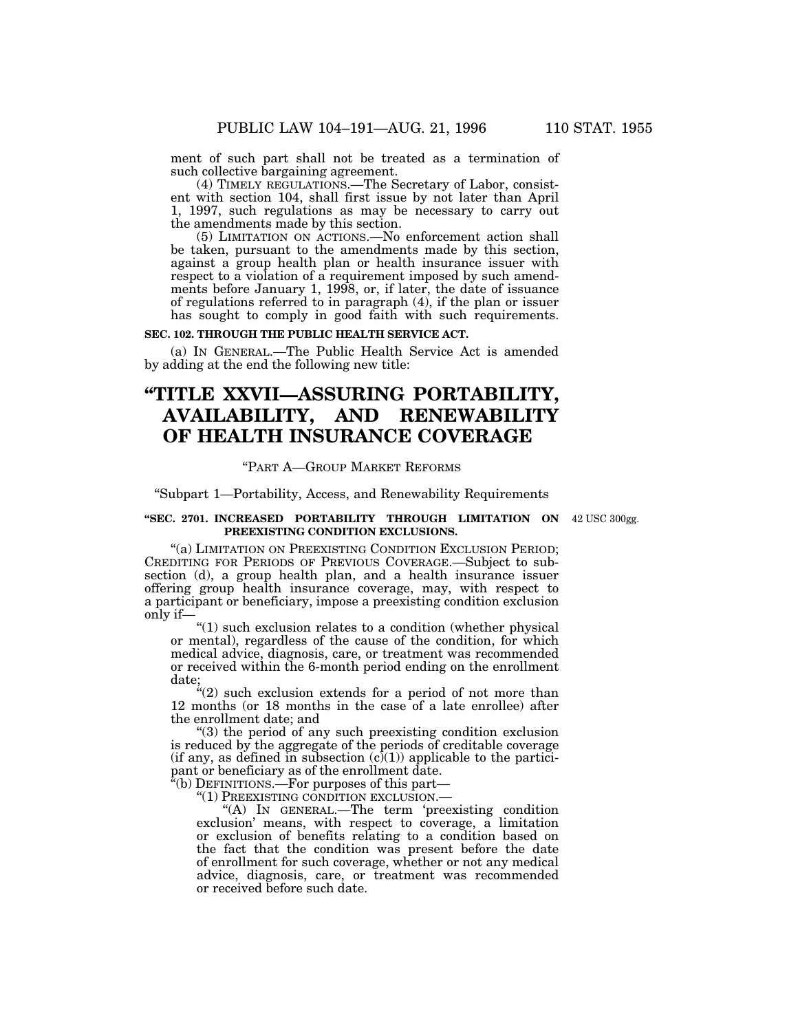ment of such part shall not be treated as a termination of such collective bargaining agreement.

(4) TIMELY REGULATIONS.—The Secretary of Labor, consistent with section 104, shall first issue by not later than April 1, 1997, such regulations as may be necessary to carry out the amendments made by this section.

(5) LIMITATION ON ACTIONS.—No enforcement action shall be taken, pursuant to the amendments made by this section, against a group health plan or health insurance issuer with respect to a violation of a requirement imposed by such amendments before January 1, 1998, or, if later, the date of issuance of regulations referred to in paragraph (4), if the plan or issuer has sought to comply in good faith with such requirements.

# **SEC. 102. THROUGH THE PUBLIC HEALTH SERVICE ACT.**

(a) IN GENERAL.—The Public Health Service Act is amended by adding at the end the following new title:

# **''TITLE XXVII—ASSURING PORTABILITY, AVAILABILITY, AND RENEWABILITY OF HEALTH INSURANCE COVERAGE**

# ''PART A—GROUP MARKET REFORMS

''Subpart 1—Portability, Access, and Renewability Requirements

#### **''SEC. 2701. INCREASED PORTABILITY THROUGH LIMITATION ON** 42 USC 300gg.**PREEXISTING CONDITION EXCLUSIONS.**

''(a) LIMITATION ON PREEXISTING CONDITION EXCLUSION PERIOD; CREDITING FOR PERIODS OF PREVIOUS COVERAGE.—Subject to subsection (d), a group health plan, and a health insurance issuer offering group health insurance coverage, may, with respect to a participant or beneficiary, impose a preexisting condition exclusion only if—

''(1) such exclusion relates to a condition (whether physical or mental), regardless of the cause of the condition, for which medical advice, diagnosis, care, or treatment was recommended or received within the 6-month period ending on the enrollment date;

 $(2)$  such exclusion extends for a period of not more than 12 months (or 18 months in the case of a late enrollee) after the enrollment date; and

''(3) the period of any such preexisting condition exclusion is reduced by the aggregate of the periods of creditable coverage (if any, as defined in subsection  $(c)(1)$ ) applicable to the participant or beneficiary as of the enrollment date.

''(b) DEFINITIONS.—For purposes of this part—

''(1) PREEXISTING CONDITION EXCLUSION.—

''(A) IN GENERAL.—The term 'preexisting condition exclusion' means, with respect to coverage, a limitation or exclusion of benefits relating to a condition based on the fact that the condition was present before the date of enrollment for such coverage, whether or not any medical advice, diagnosis, care, or treatment was recommended or received before such date.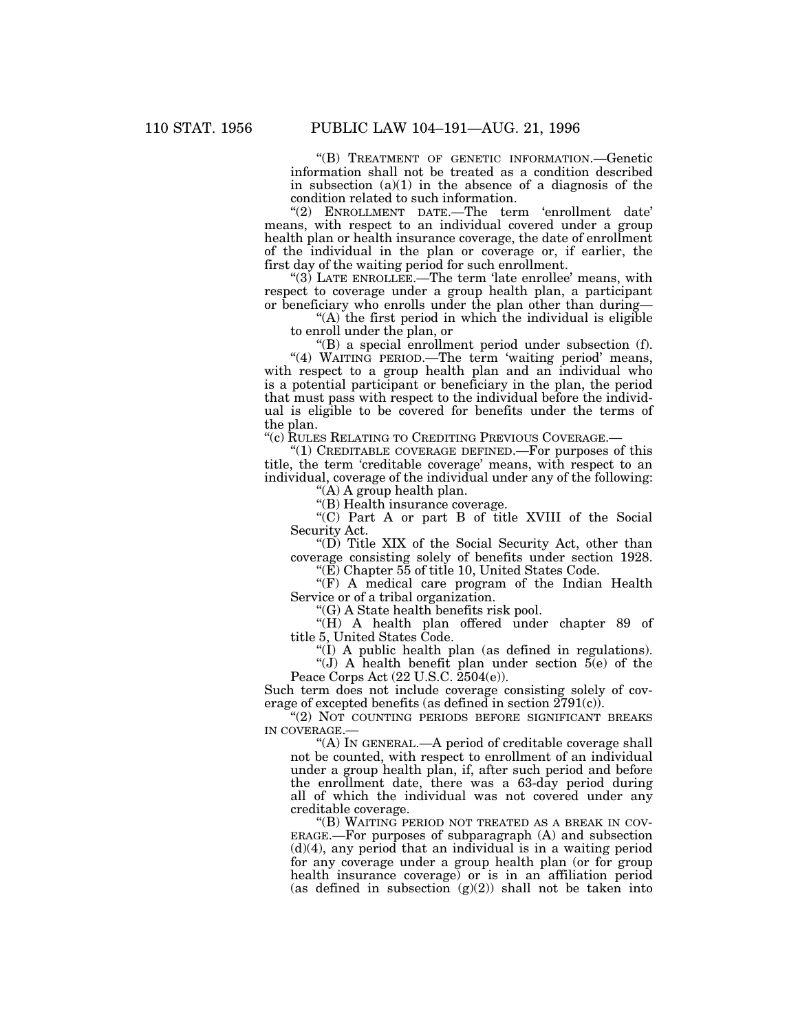''(B) TREATMENT OF GENETIC INFORMATION.—Genetic information shall not be treated as a condition described in subsection  $(a)(1)$  in the absence of a diagnosis of the condition related to such information.

''(2) ENROLLMENT DATE.—The term 'enrollment date' means, with respect to an individual covered under a group health plan or health insurance coverage, the date of enrollment of the individual in the plan or coverage or, if earlier, the first day of the waiting period for such enrollment.

''(3) LATE ENROLLEE.—The term 'late enrollee' means, with respect to coverage under a group health plan, a participant or beneficiary who enrolls under the plan other than during—

''(A) the first period in which the individual is eligible to enroll under the plan, or

''(B) a special enrollment period under subsection (f).

"(4) WAITING PERIOD.—The term 'waiting period' means, with respect to a group health plan and an individual who is a potential participant or beneficiary in the plan, the period that must pass with respect to the individual before the individual is eligible to be covered for benefits under the terms of the plan.

''(c) RULES RELATING TO CREDITING PREVIOUS COVERAGE.—

''(1) CREDITABLE COVERAGE DEFINED.—For purposes of this title, the term 'creditable coverage' means, with respect to an individual, coverage of the individual under any of the following:

''(A) A group health plan.

''(B) Health insurance coverage.

''(C) Part A or part B of title XVIII of the Social Security Act.

''(D) Title XIX of the Social Security Act, other than coverage consisting solely of benefits under section 1928.

''(E) Chapter 55 of title 10, United States Code.

''(F) A medical care program of the Indian Health Service or of a tribal organization.

''(G) A State health benefits risk pool.

''(H) A health plan offered under chapter 89 of title 5, United States Code.

''(I) A public health plan (as defined in regulations).

"(J) A health benefit plan under section  $5(e)$  of the Peace Corps Act (22 U.S.C. 2504(e)).

Such term does not include coverage consisting solely of coverage of excepted benefits (as defined in section 2791(c)).

"(2) NOT COUNTING PERIODS BEFORE SIGNIFICANT BREAKS IN COVERAGE.—

"(A) In GENERAL.—A period of creditable coverage shall not be counted, with respect to enrollment of an individual under a group health plan, if, after such period and before the enrollment date, there was a 63-day period during all of which the individual was not covered under any creditable coverage.

''(B) WAITING PERIOD NOT TREATED AS A BREAK IN COV-ERAGE.—For purposes of subparagraph (A) and subsection  $(d)(4)$ , any period that an individual is in a waiting period for any coverage under a group health plan (or for group health insurance coverage) or is in an affiliation period (as defined in subsection  $(g)(2)$ ) shall not be taken into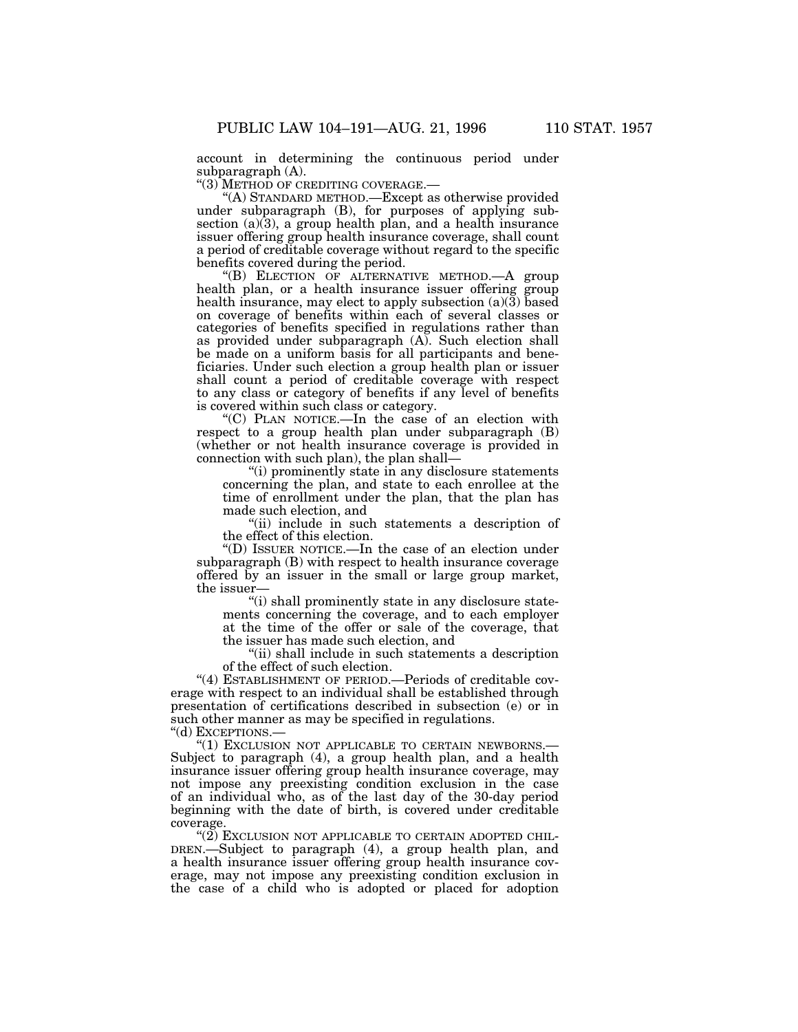account in determining the continuous period under subparagraph (A).<br>"(3) METHOD OF CREDITING COVERAGE.—

"(A) STANDARD METHOD.—Except as otherwise provided under subparagraph (B), for purposes of applying subsection  $(a)(3)$ , a group health plan, and a health insurance issuer offering group health insurance coverage, shall count a period of creditable coverage without regard to the specific benefits covered during the period.

''(B) ELECTION OF ALTERNATIVE METHOD.—A group health plan, or a health insurance issuer offering group health insurance, may elect to apply subsection  $(a)(\bar{3})$  based on coverage of benefits within each of several classes or categories of benefits specified in regulations rather than as provided under subparagraph (A). Such election shall be made on a uniform basis for all participants and beneficiaries. Under such election a group health plan or issuer shall count a period of creditable coverage with respect to any class or category of benefits if any level of benefits is covered within such class or category.

''(C) PLAN NOTICE.—In the case of an election with respect to a group health plan under subparagraph (B) (whether or not health insurance coverage is provided in connection with such plan), the plan shall—

''(i) prominently state in any disclosure statements concerning the plan, and state to each enrollee at the time of enrollment under the plan, that the plan has made such election, and

"(ii) include in such statements a description of the effect of this election.

''(D) ISSUER NOTICE.—In the case of an election under subparagraph (B) with respect to health insurance coverage offered by an issuer in the small or large group market, the issuer—

''(i) shall prominently state in any disclosure statements concerning the coverage, and to each employer at the time of the offer or sale of the coverage, that the issuer has made such election, and

"(ii) shall include in such statements a description of the effect of such election.

''(4) ESTABLISHMENT OF PERIOD.—Periods of creditable coverage with respect to an individual shall be established through presentation of certifications described in subsection (e) or in such other manner as may be specified in regulations.

"(d) EXCEPTIONS.-

"(1) EXCLUSION NOT APPLICABLE TO CERTAIN NEWBORNS.— Subject to paragraph (4), a group health plan, and a health insurance issuer offering group health insurance coverage, may not impose any preexisting condition exclusion in the case of an individual who, as of the last day of the 30-day period beginning with the date of birth, is covered under creditable coverage.

" $(2)$  Exclusion not applicable to certain adopted chil-DREN.—Subject to paragraph (4), a group health plan, and a health insurance issuer offering group health insurance coverage, may not impose any preexisting condition exclusion in the case of a child who is adopted or placed for adoption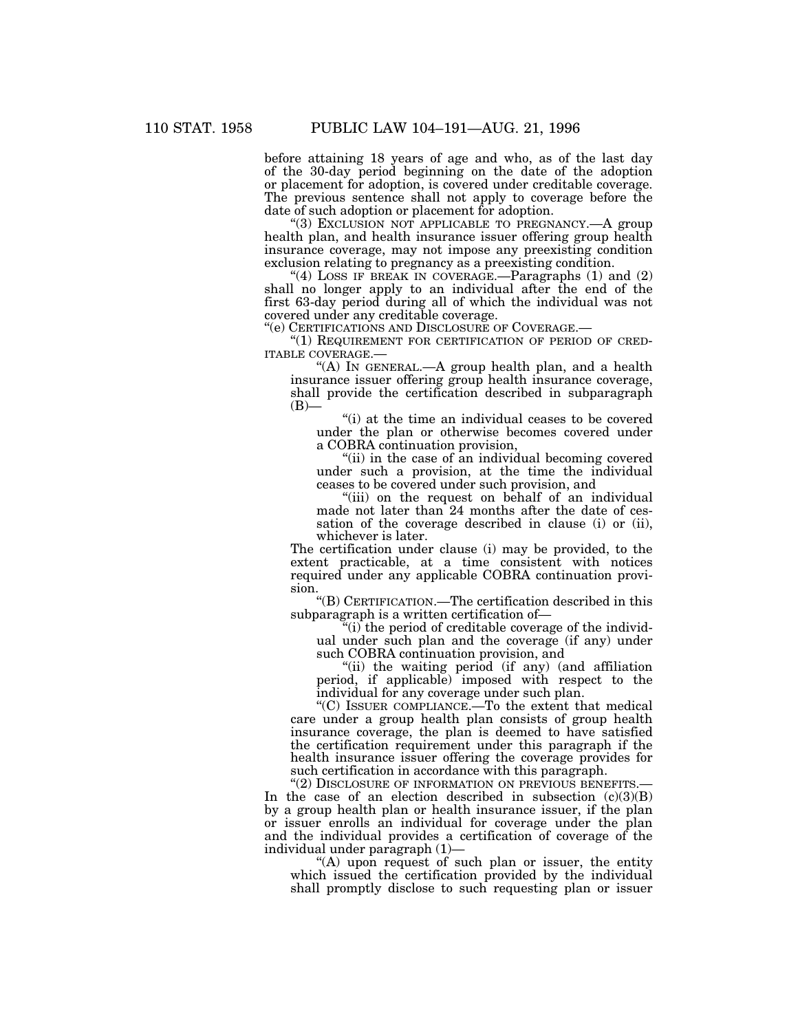before attaining 18 years of age and who, as of the last day of the 30-day period beginning on the date of the adoption or placement for adoption, is covered under creditable coverage. The previous sentence shall not apply to coverage before the date of such adoption or placement for adoption.

"(3) EXCLUSION NOT APPLICABLE TO PREGNANCY.—A group health plan, and health insurance issuer offering group health insurance coverage, may not impose any preexisting condition exclusion relating to pregnancy as a preexisting condition.

"(4) LOSS IF BREAK IN COVERAGE.—Paragraphs  $(1)$  and  $(2)$ shall no longer apply to an individual after the end of the first 63-day period during all of which the individual was not covered under any creditable coverage.

''(e) CERTIFICATIONS AND DISCLOSURE OF COVERAGE.—

''(1) REQUIREMENT FOR CERTIFICATION OF PERIOD OF CRED-ITABLE COVERAGE.—

"(A) In GENERAL.—A group health plan, and a health insurance issuer offering group health insurance coverage, shall provide the certification described in subparagraph  $(B)$ —

"(i) at the time an individual ceases to be covered under the plan or otherwise becomes covered under a COBRA continuation provision,

"(ii) in the case of an individual becoming covered under such a provision, at the time the individual ceases to be covered under such provision, and

"(iii) on the request on behalf of an individual made not later than 24 months after the date of cessation of the coverage described in clause (i) or (ii), whichever is later.

The certification under clause (i) may be provided, to the extent practicable, at a time consistent with notices required under any applicable COBRA continuation provision.

''(B) CERTIFICATION.—The certification described in this subparagraph is a written certification of—

 $\tilde{f}$ (i) the period of creditable coverage of the individual under such plan and the coverage (if any) under such COBRA continuation provision, and

''(ii) the waiting period (if any) (and affiliation period, if applicable) imposed with respect to the individual for any coverage under such plan.

''(C) ISSUER COMPLIANCE.—To the extent that medical care under a group health plan consists of group health insurance coverage, the plan is deemed to have satisfied the certification requirement under this paragraph if the health insurance issuer offering the coverage provides for such certification in accordance with this paragraph.

"(2) DISCLOSURE OF INFORMATION ON PREVIOUS BENEFITS. In the case of an election described in subsection  $(c)(3)(B)$ by a group health plan or health insurance issuer, if the plan or issuer enrolls an individual for coverage under the plan and the individual provides a certification of coverage of the individual under paragraph (1)—

''(A) upon request of such plan or issuer, the entity which issued the certification provided by the individual shall promptly disclose to such requesting plan or issuer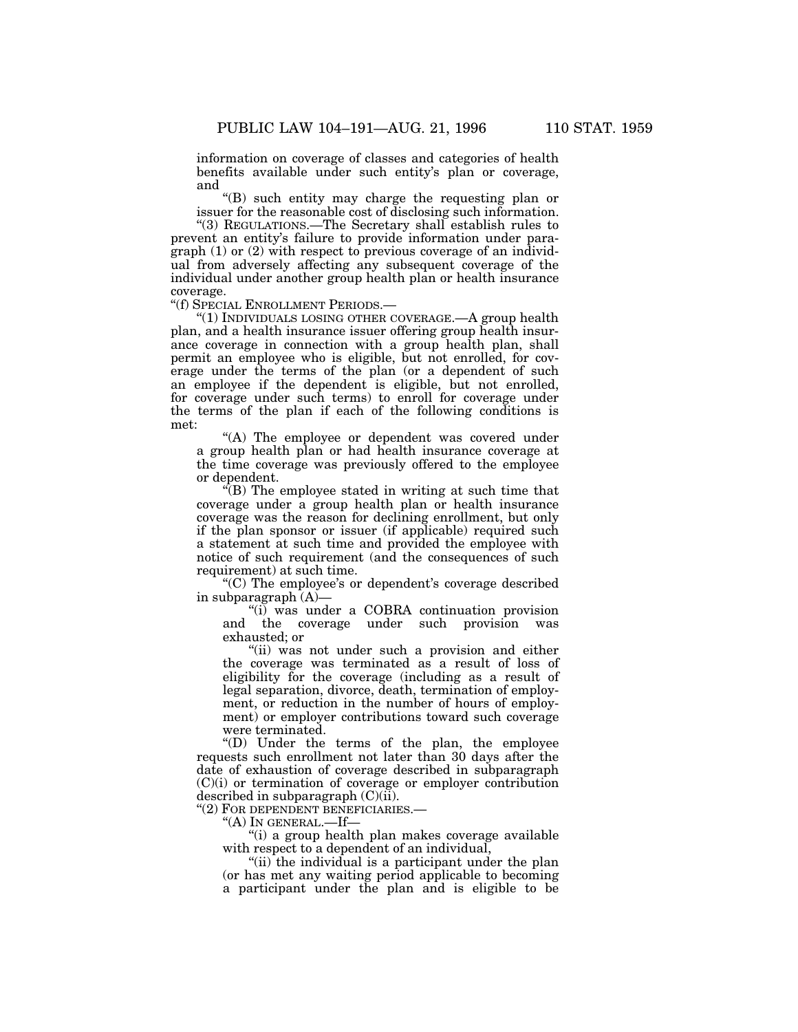information on coverage of classes and categories of health benefits available under such entity's plan or coverage, and

''(B) such entity may charge the requesting plan or issuer for the reasonable cost of disclosing such information.

''(3) REGULATIONS.—The Secretary shall establish rules to prevent an entity's failure to provide information under paragraph (1) or (2) with respect to previous coverage of an individual from adversely affecting any subsequent coverage of the individual under another group health plan or health insurance coverage.

''(f) SPECIAL ENROLLMENT PERIODS.—

''(1) INDIVIDUALS LOSING OTHER COVERAGE.—A group health plan, and a health insurance issuer offering group health insurance coverage in connection with a group health plan, shall permit an employee who is eligible, but not enrolled, for coverage under the terms of the plan (or a dependent of such an employee if the dependent is eligible, but not enrolled, for coverage under such terms) to enroll for coverage under the terms of the plan if each of the following conditions is met:

"(A) The employee or dependent was covered under a group health plan or had health insurance coverage at the time coverage was previously offered to the employee or dependent.

''(B) The employee stated in writing at such time that coverage under a group health plan or health insurance coverage was the reason for declining enrollment, but only if the plan sponsor or issuer (if applicable) required such a statement at such time and provided the employee with notice of such requirement (and the consequences of such requirement) at such time.

''(C) The employee's or dependent's coverage described in subparagraph (A)—

''(i) was under a COBRA continuation provision and the coverage under such provision was exhausted; or

"(ii) was not under such a provision and either the coverage was terminated as a result of loss of eligibility for the coverage (including as a result of legal separation, divorce, death, termination of employment, or reduction in the number of hours of employment) or employer contributions toward such coverage were terminated.

''(D) Under the terms of the plan, the employee requests such enrollment not later than 30 days after the date of exhaustion of coverage described in subparagraph (C)(i) or termination of coverage or employer contribution described in subparagraph (C)(ii).

''(2) FOR DEPENDENT BENEFICIARIES.—

''(A) IN GENERAL.—If—

''(i) a group health plan makes coverage available with respect to a dependent of an individual,

''(ii) the individual is a participant under the plan (or has met any waiting period applicable to becoming a participant under the plan and is eligible to be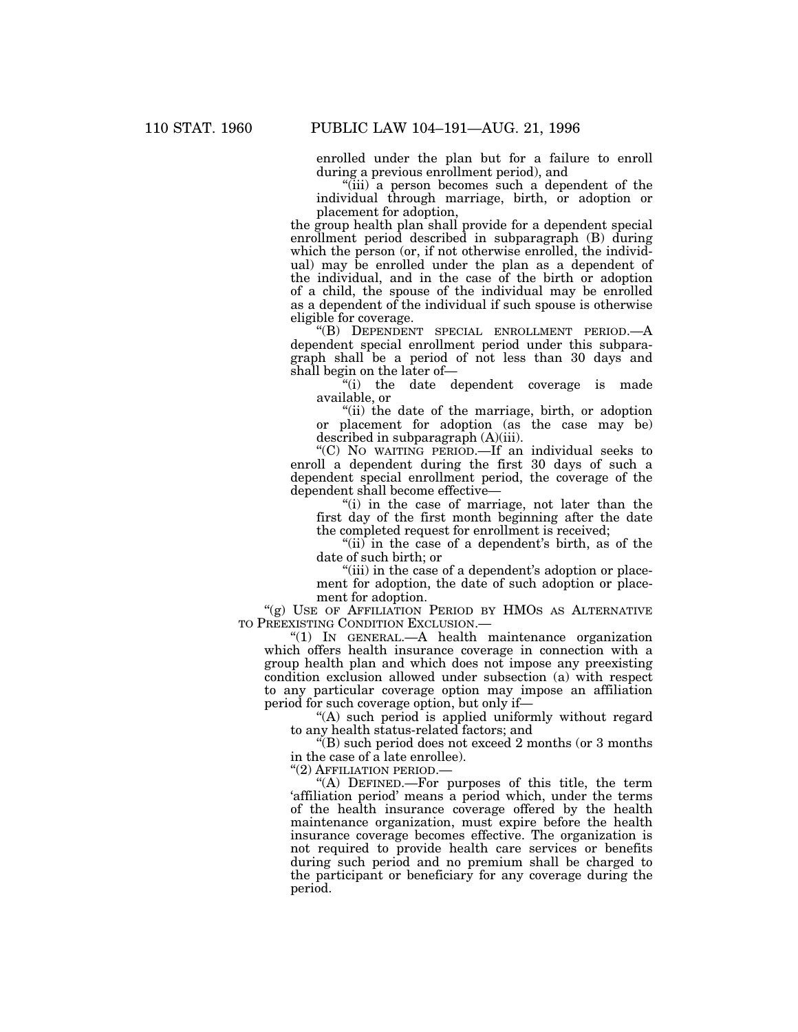enrolled under the plan but for a failure to enroll during a previous enrollment period), and

''(iii) a person becomes such a dependent of the individual through marriage, birth, or adoption or placement for adoption,

the group health plan shall provide for a dependent special enrollment period described in subparagraph (B) during which the person (or, if not otherwise enrolled, the individual) may be enrolled under the plan as a dependent of the individual, and in the case of the birth or adoption of a child, the spouse of the individual may be enrolled as a dependent of the individual if such spouse is otherwise eligible for coverage.

''(B) DEPENDENT SPECIAL ENROLLMENT PERIOD.—A dependent special enrollment period under this subparagraph shall be a period of not less than 30 days and shall begin on the later of—

''(i) the date dependent coverage is made available, or

"(ii) the date of the marriage, birth, or adoption or placement for adoption (as the case may be) described in subparagraph (A)(iii).

''(C) NO WAITING PERIOD.—If an individual seeks to enroll a dependent during the first 30 days of such a dependent special enrollment period, the coverage of the dependent shall become effective—

''(i) in the case of marriage, not later than the first day of the first month beginning after the date the completed request for enrollment is received;

" $(ii)$  in the case of a dependent's birth, as of the date of such birth; or

"(iii) in the case of a dependent's adoption or placement for adoption, the date of such adoption or placement for adoption.

"(g) USE OF AFFILIATION PERIOD BY HMOS AS ALTERNATIVE TO PREEXISTING CONDITION EXCLUSION.—

''(1) IN GENERAL.—A health maintenance organization which offers health insurance coverage in connection with a group health plan and which does not impose any preexisting condition exclusion allowed under subsection (a) with respect to any particular coverage option may impose an affiliation period for such coverage option, but only if—

"(A) such period is applied uniformly without regard to any health status-related factors; and

 $\mathrm{``(B)}$  such period does not exceed 2 months (or 3 months) in the case of a late enrollee).

"(2) AFFILIATION PERIOD.-

''(A) DEFINED.—For purposes of this title, the term 'affiliation period' means a period which, under the terms of the health insurance coverage offered by the health maintenance organization, must expire before the health insurance coverage becomes effective. The organization is not required to provide health care services or benefits during such period and no premium shall be charged to the participant or beneficiary for any coverage during the period.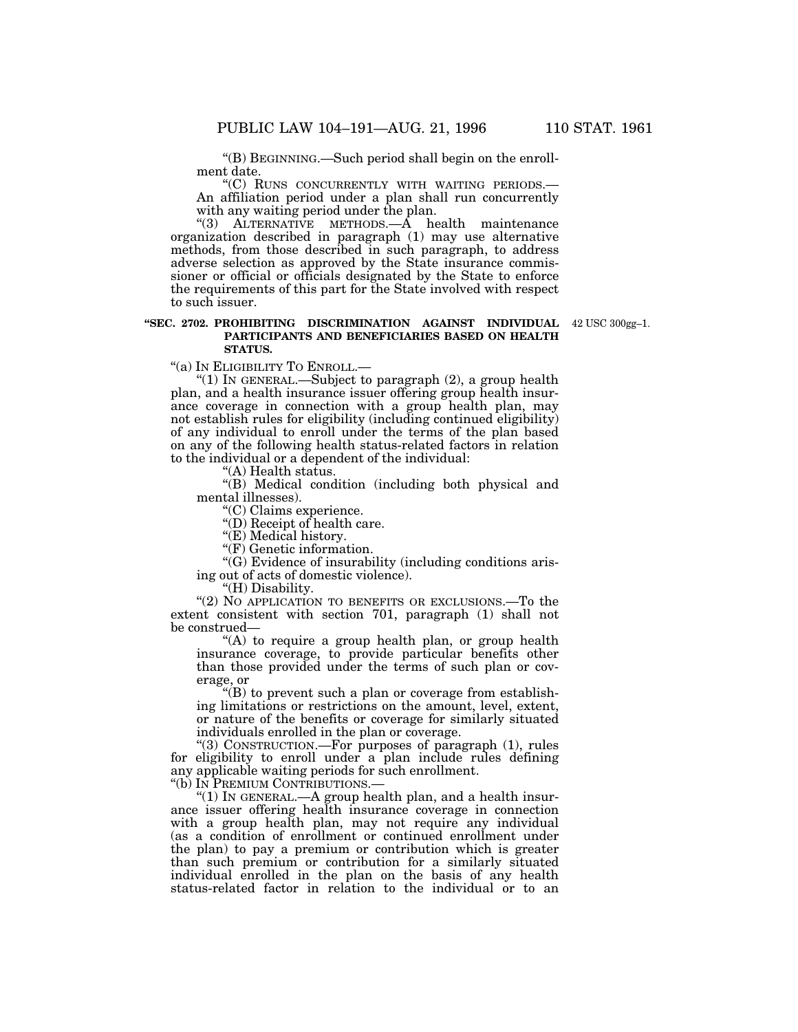''(B) BEGINNING.—Such period shall begin on the enrollment date.<br>"(C) RUNS CONCURRENTLY WITH WAITING PERIODS.—

An affiliation period under a plan shall run concurrently with any waiting period under the plan.

''(3) ALTERNATIVE METHODS.—A health maintenance organization described in paragraph (1) may use alternative methods, from those described in such paragraph, to address adverse selection as approved by the State insurance commissioner or official or officials designated by the State to enforce the requirements of this part for the State involved with respect to such issuer.

#### **''SEC. 2702. PROHIBITING DISCRIMINATION AGAINST INDIVIDUAL** 42 USC 300gg–1.**PARTICIPANTS AND BENEFICIARIES BASED ON HEALTH STATUS.**

''(a) IN ELIGIBILITY TO ENROLL.—

"(1) In GENERAL.—Subject to paragraph  $(2)$ , a group health plan, and a health insurance issuer offering group health insurance coverage in connection with a group health plan, may not establish rules for eligibility (including continued eligibility) of any individual to enroll under the terms of the plan based on any of the following health status-related factors in relation to the individual or a dependent of the individual:

''(A) Health status.

''(B) Medical condition (including both physical and mental illnesses).

''(C) Claims experience.

"(D) Receipt of health care.

"(E) Medical history.

"(F) Genetic information.

 $\mathcal{C}(G)$  Evidence of insurability (including conditions arising out of acts of domestic violence).

"(H) Disability.

"(2) NO APPLICATION TO BENEFITS OR EXCLUSIONS. To the extent consistent with section 701, paragraph (1) shall not be construed—

''(A) to require a group health plan, or group health insurance coverage, to provide particular benefits other than those provided under the terms of such plan or coverage, or

 $\tilde{f}$ (B) to prevent such a plan or coverage from establishing limitations or restrictions on the amount, level, extent, or nature of the benefits or coverage for similarly situated individuals enrolled in the plan or coverage.

''(3) CONSTRUCTION.—For purposes of paragraph (1), rules for eligibility to enroll under a plan include rules defining any applicable waiting periods for such enrollment.

''(b) IN PREMIUM CONTRIBUTIONS.—

''(1) IN GENERAL.—A group health plan, and a health insurance issuer offering health insurance coverage in connection with a group health plan, may not require any individual (as a condition of enrollment or continued enrollment under the plan) to pay a premium or contribution which is greater than such premium or contribution for a similarly situated individual enrolled in the plan on the basis of any health status-related factor in relation to the individual or to an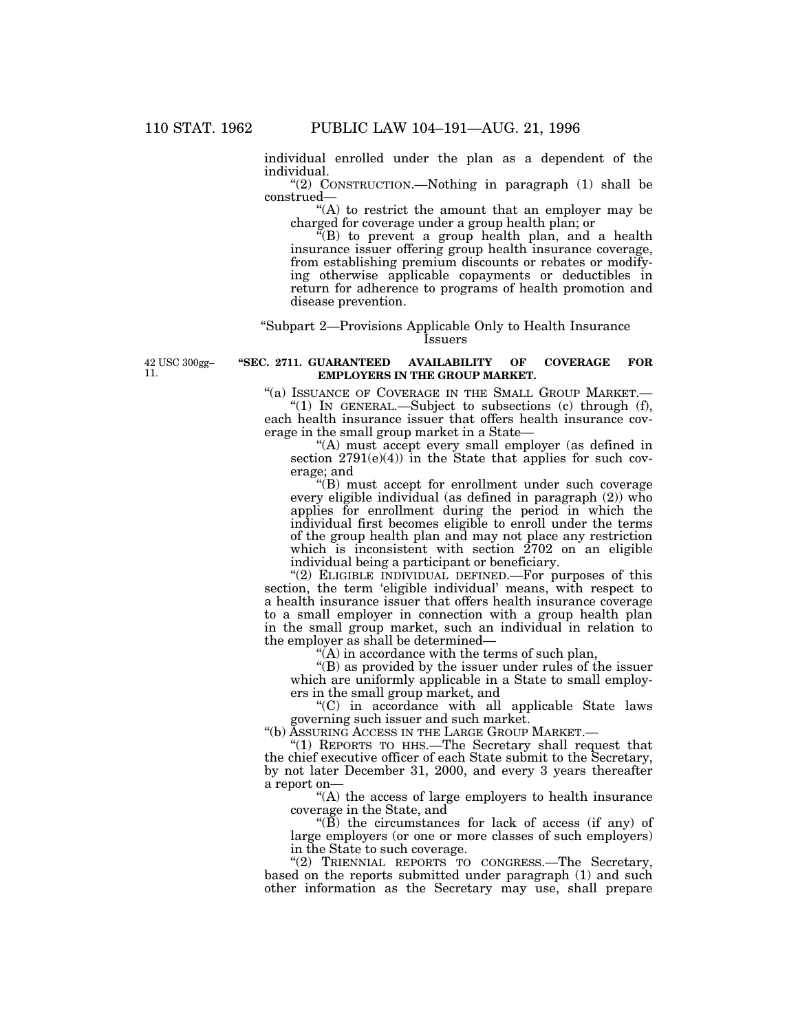individual enrolled under the plan as a dependent of the individual.

''(2) CONSTRUCTION.—Nothing in paragraph (1) shall be construed—

''(A) to restrict the amount that an employer may be charged for coverage under a group health plan; or

 $E(E)$  to prevent a group health plan, and a health insurance issuer offering group health insurance coverage, from establishing premium discounts or rebates or modifying otherwise applicable copayments or deductibles in return for adherence to programs of health promotion and disease prevention.

''Subpart 2—Provisions Applicable Only to Health Insurance Issuers

42 USC 300gg– 11.

# **''SEC. 2711. GUARANTEED AVAILABILITY OF COVERAGE FOR EMPLOYERS IN THE GROUP MARKET.**

"(a) ISSUANCE OF COVERAGE IN THE SMALL GROUP MARKET.-

"(1) In GENERAL.—Subject to subsections (c) through (f), each health insurance issuer that offers health insurance coverage in the small group market in a State—

"(A) must accept every small employer (as defined in section 2791(e)(4)) in the State that applies for such coverage; and

''(B) must accept for enrollment under such coverage every eligible individual (as defined in paragraph (2)) who applies for enrollment during the period in which the individual first becomes eligible to enroll under the terms of the group health plan and may not place any restriction which is inconsistent with section 2702 on an eligible individual being a participant or beneficiary.

"(2) ELIGIBLE INDIVIDUAL DEFINED.—For purposes of this section, the term 'eligible individual' means, with respect to a health insurance issuer that offers health insurance coverage to a small employer in connection with a group health plan in the small group market, such an individual in relation to the employer as shall be determined—

 $\hat{P}(A)$  in accordance with the terms of such plan,

''(B) as provided by the issuer under rules of the issuer which are uniformly applicable in a State to small employers in the small group market, and

''(C) in accordance with all applicable State laws governing such issuer and such market.

''(b) ASSURING ACCESS IN THE LARGE GROUP MARKET.—

''(1) REPORTS TO HHS.—The Secretary shall request that the chief executive officer of each State submit to the Secretary, by not later December 31, 2000, and every 3 years thereafter a report on—

''(A) the access of large employers to health insurance coverage in the State, and

" $(B)$  the circumstances for lack of access (if any) of large employers (or one or more classes of such employers) in the State to such coverage.

''(2) TRIENNIAL REPORTS TO CONGRESS.—The Secretary, based on the reports submitted under paragraph (1) and such other information as the Secretary may use, shall prepare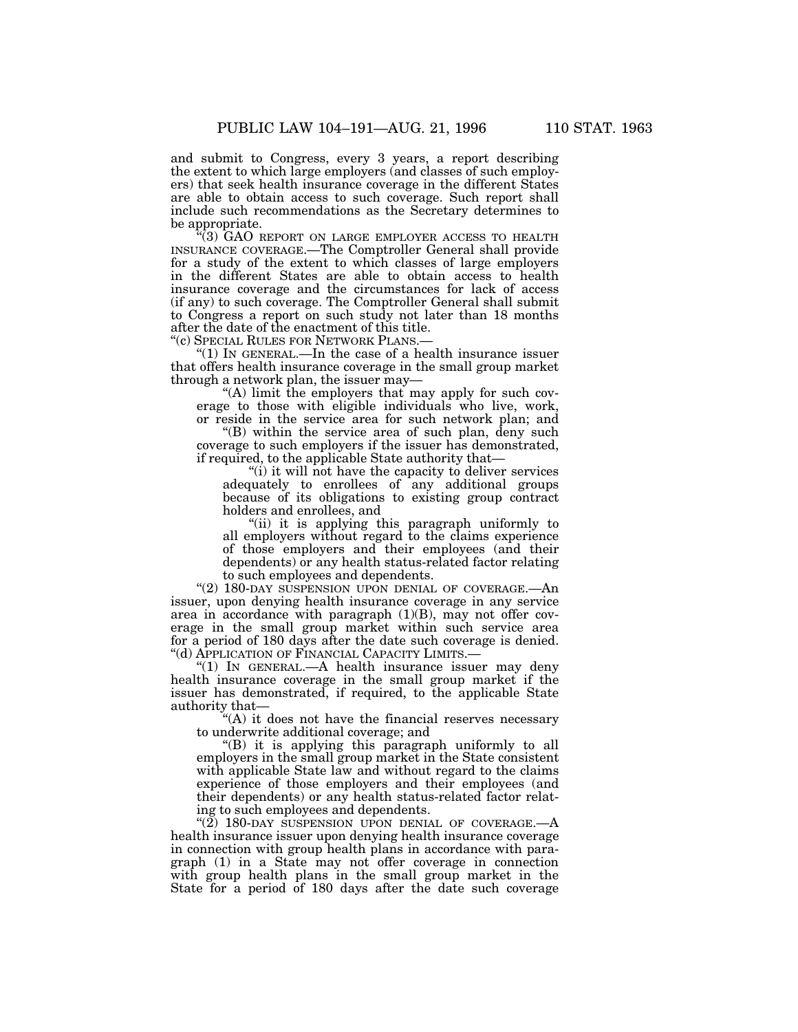and submit to Congress, every 3 years, a report describing the extent to which large employers (and classes of such employers) that seek health insurance coverage in the different States are able to obtain access to such coverage. Such report shall include such recommendations as the Secretary determines to be appropriate.

''(3) GAO REPORT ON LARGE EMPLOYER ACCESS TO HEALTH INSURANCE COVERAGE.—The Comptroller General shall provide for a study of the extent to which classes of large employers in the different States are able to obtain access to health insurance coverage and the circumstances for lack of access (if any) to such coverage. The Comptroller General shall submit to Congress a report on such study not later than 18 months after the date of the enactment of this title.

''(c) SPECIAL RULES FOR NETWORK PLANS.—

"(1) In GENERAL.—In the case of a health insurance issuer that offers health insurance coverage in the small group market through a network plan, the issuer may—

"(A) limit the employers that may apply for such coverage to those with eligible individuals who live, work, or reside in the service area for such network plan; and

''(B) within the service area of such plan, deny such coverage to such employers if the issuer has demonstrated, if required, to the applicable State authority that—

"(i) it will not have the capacity to deliver services adequately to enrollees of any additional groups because of its obligations to existing group contract holders and enrollees, and

''(ii) it is applying this paragraph uniformly to all employers without regard to the claims experience of those employers and their employees (and their dependents) or any health status-related factor relating to such employees and dependents.

''(2) 180-DAY SUSPENSION UPON DENIAL OF COVERAGE.—An issuer, upon denying health insurance coverage in any service area in accordance with paragraph (1)(B), may not offer coverage in the small group market within such service area for a period of 180 days after the date such coverage is denied. ''(d) APPLICATION OF FINANCIAL CAPACITY LIMITS.—

''(1) IN GENERAL.—A health insurance issuer may deny health insurance coverage in the small group market if the issuer has demonstrated, if required, to the applicable State authority that—

"(A) it does not have the financial reserves necessary to underwrite additional coverage; and

''(B) it is applying this paragraph uniformly to all employers in the small group market in the State consistent with applicable State law and without regard to the claims experience of those employers and their employees (and their dependents) or any health status-related factor relating to such employees and dependents.

" $(2)$  180-DAY SUSPENSION UPON DENIAL OF COVERAGE.—A health insurance issuer upon denying health insurance coverage in connection with group health plans in accordance with paragraph (1) in a State may not offer coverage in connection with group health plans in the small group market in the State for a period of 180 days after the date such coverage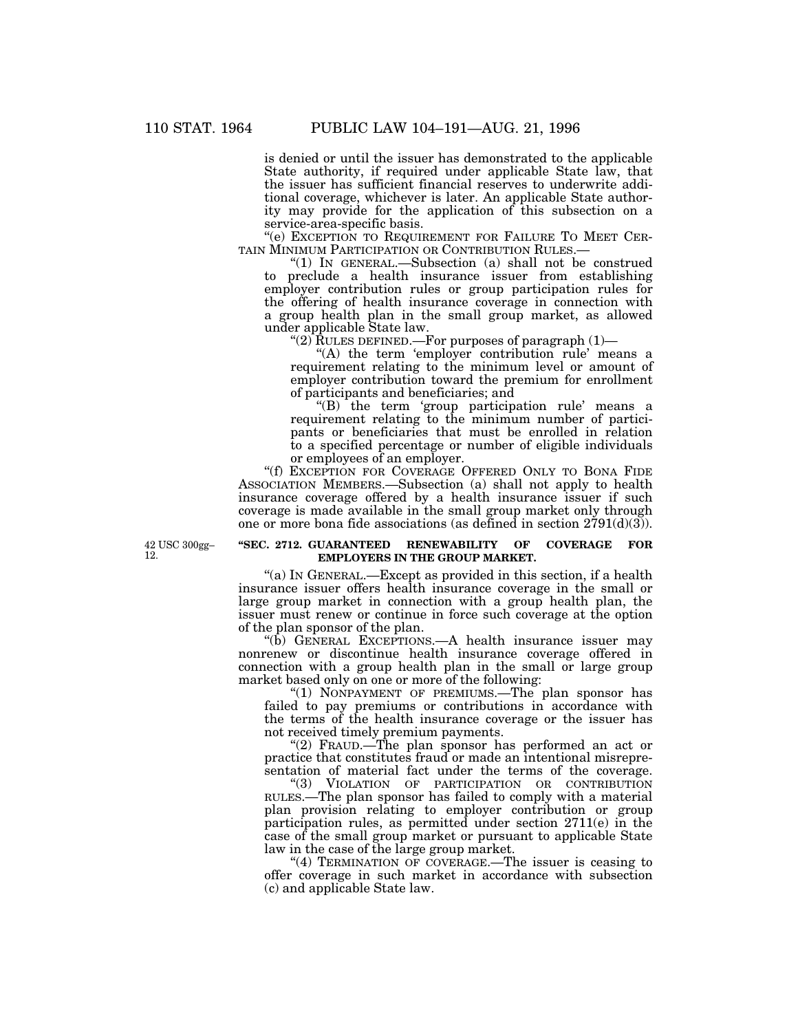is denied or until the issuer has demonstrated to the applicable State authority, if required under applicable State law, that the issuer has sufficient financial reserves to underwrite additional coverage, whichever is later. An applicable State authority may provide for the application of this subsection on a service-area-specific basis.

"(e) EXCEPTION TO REQUIREMENT FOR FAILURE TO MEET CER-TAIN MINIMUM PARTICIPATION OR CONTRIBUTION RULES.—

''(1) IN GENERAL.—Subsection (a) shall not be construed to preclude a health insurance issuer from establishing employer contribution rules or group participation rules for the offering of health insurance coverage in connection with a group health plan in the small group market, as allowed under applicable State law.

" $(2)$  RULES DEFINED.—For purposes of paragraph  $(1)$ —

"(A) the term 'employer contribution rule' means a requirement relating to the minimum level or amount of employer contribution toward the premium for enrollment of participants and beneficiaries; and

''(B) the term 'group participation rule' means a requirement relating to the minimum number of participants or beneficiaries that must be enrolled in relation to a specified percentage or number of eligible individuals or employees of an employer.

"(f) EXCEPTION FOR COVERAGE OFFERED ONLY TO BONA FIDE ASSOCIATION MEMBERS.—Subsection (a) shall not apply to health insurance coverage offered by a health insurance issuer if such coverage is made available in the small group market only through one or more bona fide associations (as defined in section  $2791(d)(3)$ ).

42 USC 300gg– 12.

# **''SEC. 2712. GUARANTEED RENEWABILITY OF COVERAGE FOR EMPLOYERS IN THE GROUP MARKET.**

''(a) IN GENERAL.—Except as provided in this section, if a health insurance issuer offers health insurance coverage in the small or large group market in connection with a group health plan, the issuer must renew or continue in force such coverage at the option of the plan sponsor of the plan.

''(b) GENERAL EXCEPTIONS.—A health insurance issuer may nonrenew or discontinue health insurance coverage offered in connection with a group health plan in the small or large group market based only on one or more of the following:

"(1) NONPAYMENT OF PREMIUMS.—The plan sponsor has failed to pay premiums or contributions in accordance with the terms of the health insurance coverage or the issuer has not received timely premium payments.

''(2) FRAUD.—The plan sponsor has performed an act or practice that constitutes fraud or made an intentional misrepresentation of material fact under the terms of the coverage.

''(3) VIOLATION OF PARTICIPATION OR CONTRIBUTION RULES.—The plan sponsor has failed to comply with a material plan provision relating to employer contribution or group participation rules, as permitted under section 2711(e) in the case of the small group market or pursuant to applicable State law in the case of the large group market.

"(4) TERMINATION OF COVERAGE.—The issuer is ceasing to offer coverage in such market in accordance with subsection (c) and applicable State law.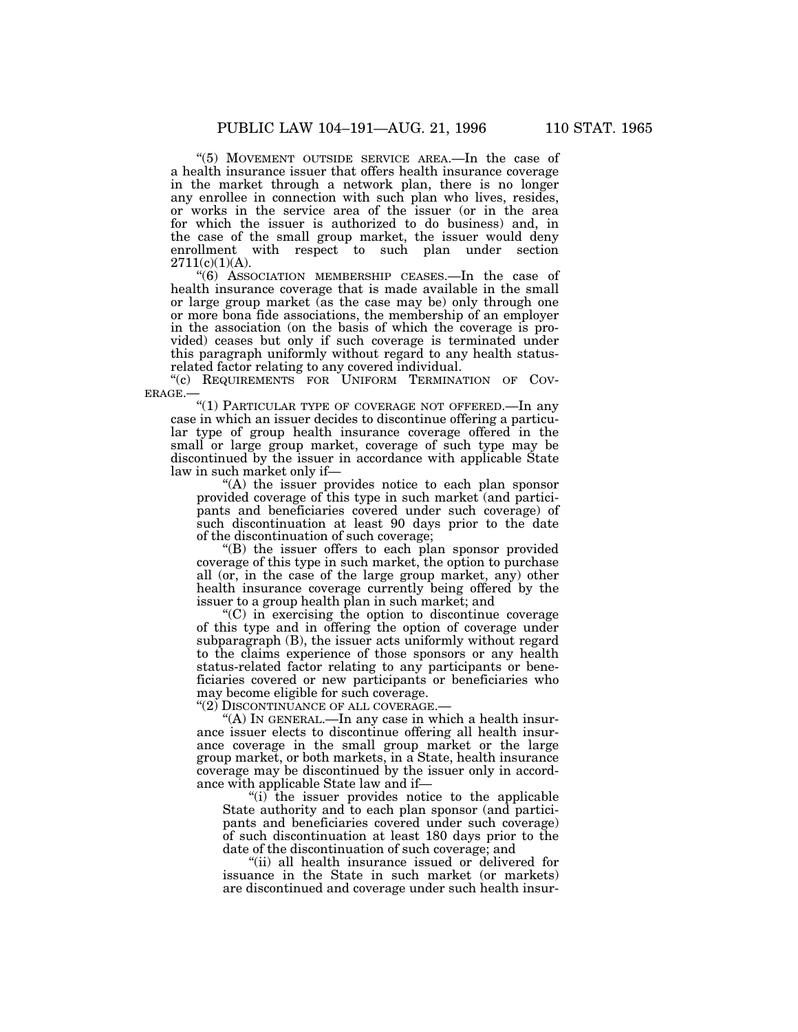''(5) MOVEMENT OUTSIDE SERVICE AREA.—In the case of a health insurance issuer that offers health insurance coverage in the market through a network plan, there is no longer any enrollee in connection with such plan who lives, resides, or works in the service area of the issuer (or in the area for which the issuer is authorized to do business) and, in the case of the small group market, the issuer would deny enrollment with respect to such plan under section  $2711(c)(1)(A)$ .

''(6) ASSOCIATION MEMBERSHIP CEASES.—In the case of health insurance coverage that is made available in the small or large group market (as the case may be) only through one or more bona fide associations, the membership of an employer in the association (on the basis of which the coverage is provided) ceases but only if such coverage is terminated under this paragraph uniformly without regard to any health statusrelated factor relating to any covered individual.

''(c) REQUIREMENTS FOR UNIFORM TERMINATION OF COV-ERAGE.—

''(1) PARTICULAR TYPE OF COVERAGE NOT OFFERED.—In any case in which an issuer decides to discontinue offering a particular type of group health insurance coverage offered in the small or large group market, coverage of such type may be discontinued by the issuer in accordance with applicable State law in such market only if—

''(A) the issuer provides notice to each plan sponsor provided coverage of this type in such market (and participants and beneficiaries covered under such coverage) of such discontinuation at least 90 days prior to the date of the discontinuation of such coverage;

''(B) the issuer offers to each plan sponsor provided coverage of this type in such market, the option to purchase all (or, in the case of the large group market, any) other health insurance coverage currently being offered by the issuer to a group health plan in such market; and

''(C) in exercising the option to discontinue coverage of this type and in offering the option of coverage under subparagraph (B), the issuer acts uniformly without regard to the claims experience of those sponsors or any health status-related factor relating to any participants or beneficiaries covered or new participants or beneficiaries who may become eligible for such coverage.

''(2) DISCONTINUANCE OF ALL COVERAGE.—

''(A) IN GENERAL.—In any case in which a health insurance issuer elects to discontinue offering all health insurance coverage in the small group market or the large group market, or both markets, in a State, health insurance coverage may be discontinued by the issuer only in accordance with applicable State law and if—

''(i) the issuer provides notice to the applicable State authority and to each plan sponsor (and participants and beneficiaries covered under such coverage) of such discontinuation at least 180 days prior to the date of the discontinuation of such coverage; and

''(ii) all health insurance issued or delivered for issuance in the State in such market (or markets) are discontinued and coverage under such health insur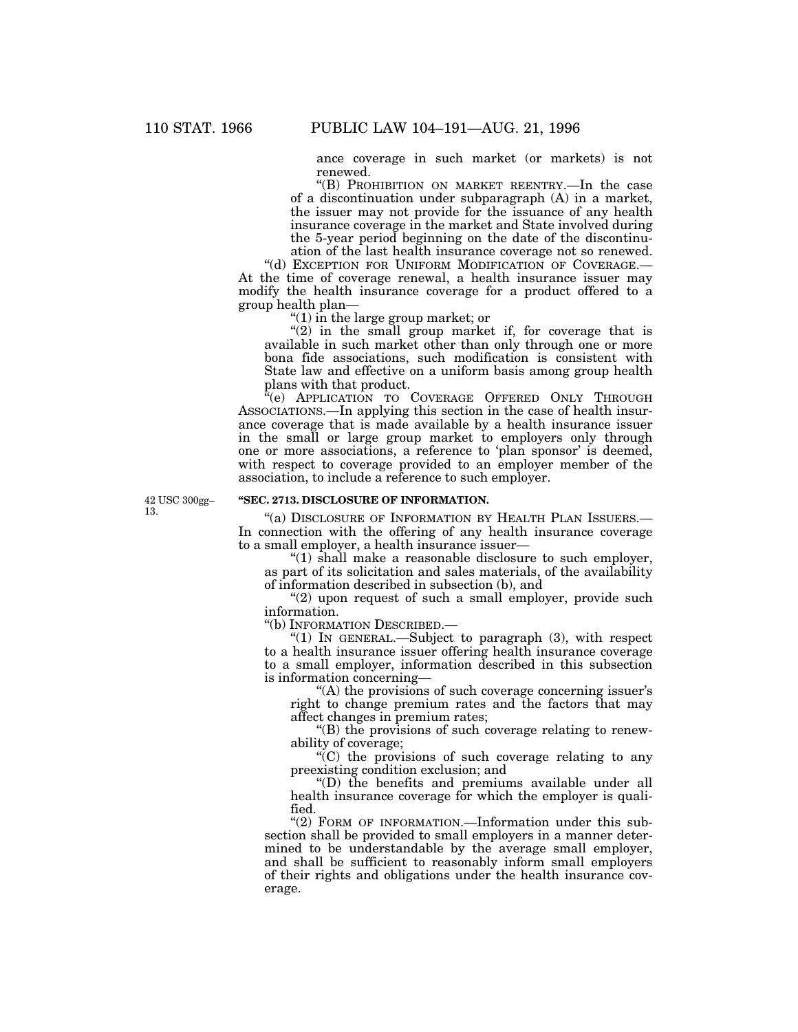ance coverage in such market (or markets) is not renewed.

''(B) PROHIBITION ON MARKET REENTRY.—In the case of a discontinuation under subparagraph (A) in a market, the issuer may not provide for the issuance of any health insurance coverage in the market and State involved during the 5-year period beginning on the date of the discontinuation of the last health insurance coverage not so renewed.

"(d) EXCEPTION FOR UNIFORM MODIFICATION OF COVERAGE.-At the time of coverage renewal, a health insurance issuer may modify the health insurance coverage for a product offered to a group health plan—

''(1) in the large group market; or

"(2) in the small group market if, for coverage that is available in such market other than only through one or more bona fide associations, such modification is consistent with State law and effective on a uniform basis among group health plans with that product.

''(e) APPLICATION TO COVERAGE OFFERED ONLY THROUGH ASSOCIATIONS.—In applying this section in the case of health insurance coverage that is made available by a health insurance issuer in the small or large group market to employers only through one or more associations, a reference to 'plan sponsor' is deemed, with respect to coverage provided to an employer member of the association, to include a reference to such employer.

42 USC 300gg– 13.

# **''SEC. 2713. DISCLOSURE OF INFORMATION.**

"(a) DISCLOSURE OF INFORMATION BY HEALTH PLAN ISSUERS.— In connection with the offering of any health insurance coverage to a small employer, a health insurance issuer—

''(1) shall make a reasonable disclosure to such employer, as part of its solicitation and sales materials, of the availability of information described in subsection (b), and

 $(2)$  upon request of such a small employer, provide such information.

''(b) INFORMATION DESCRIBED.—

''(1) IN GENERAL.—Subject to paragraph (3), with respect to a health insurance issuer offering health insurance coverage to a small employer, information described in this subsection is information concerning—

 $(A)$  the provisions of such coverage concerning issuer's right to change premium rates and the factors that may affect changes in premium rates;

''(B) the provisions of such coverage relating to renewability of coverage;

''(C) the provisions of such coverage relating to any preexisting condition exclusion; and

''(D) the benefits and premiums available under all health insurance coverage for which the employer is qualified.

"(2) FORM OF INFORMATION.—Information under this subsection shall be provided to small employers in a manner determined to be understandable by the average small employer, and shall be sufficient to reasonably inform small employers of their rights and obligations under the health insurance coverage.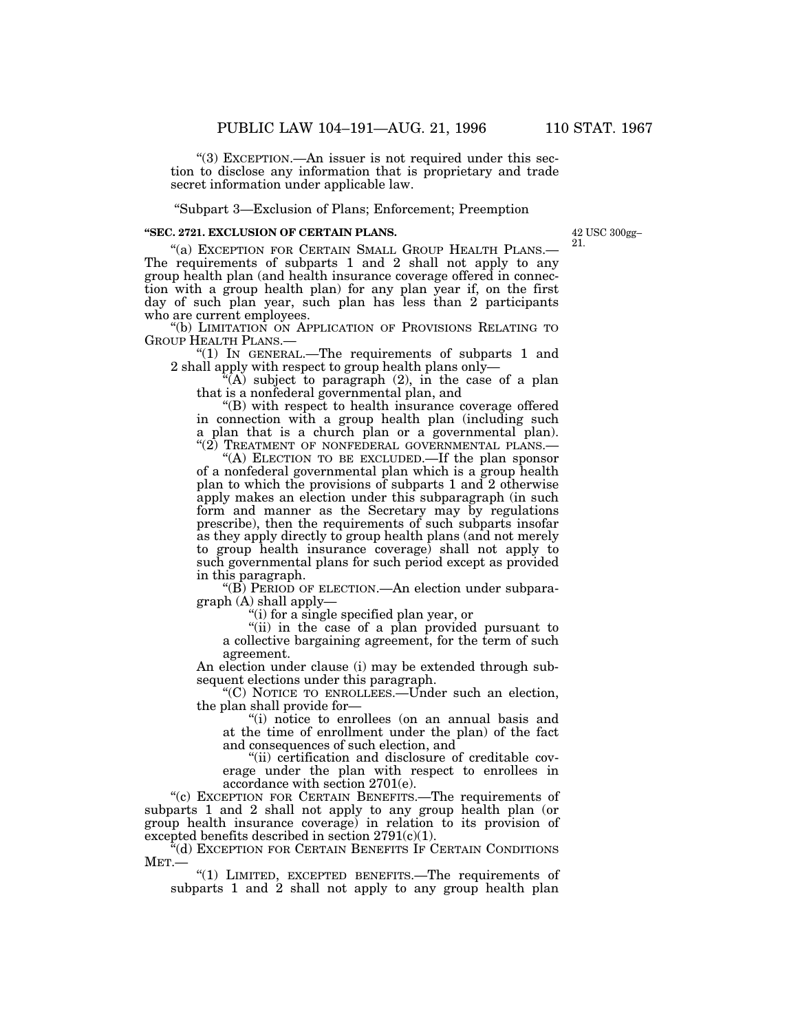"(3) EXCEPTION.—An issuer is not required under this section to disclose any information that is proprietary and trade secret information under applicable law.

# ''Subpart 3—Exclusion of Plans; Enforcement; Preemption

#### **''SEC. 2721. EXCLUSION OF CERTAIN PLANS.**

42 USC 300gg– 21.

''(a) EXCEPTION FOR CERTAIN SMALL GROUP HEALTH PLANS.— The requirements of subparts 1 and 2 shall not apply to any group health plan (and health insurance coverage offered in connection with a group health plan) for any plan year if, on the first day of such plan year, such plan has less than 2 participants who are current employees.

''(b) LIMITATION ON APPLICATION OF PROVISIONS RELATING TO GROUP HEALTH PLANS.—

"(1) IN GENERAL.—The requirements of subparts 1 and 2 shall apply with respect to group health plans only—

 $(A)$  subject to paragraph  $(2)$ , in the case of a plan that is a nonfederal governmental plan, and

''(B) with respect to health insurance coverage offered in connection with a group health plan (including such a plan that is a church plan or a governmental plan). "(2) TREATMENT OF NONFEDERAL GOVERNMENTAL PLANS.-

"(A) ELECTION TO BE EXCLUDED.—If the plan sponsor of a nonfederal governmental plan which is a group health plan to which the provisions of subparts 1 and 2 otherwise apply makes an election under this subparagraph (in such form and manner as the Secretary may by regulations prescribe), then the requirements of such subparts insofar as they apply directly to group health plans (and not merely to group health insurance coverage) shall not apply to such governmental plans for such period except as provided in this paragraph.

''(B) PERIOD OF ELECTION.—An election under subparagraph (A) shall apply—

''(i) for a single specified plan year, or

''(ii) in the case of a plan provided pursuant to a collective bargaining agreement, for the term of such agreement.

An election under clause (i) may be extended through subsequent elections under this paragraph.

"(C) NOTICE TO ENROLLEES.—Under such an election, the plan shall provide for—

''(i) notice to enrollees (on an annual basis and at the time of enrollment under the plan) of the fact and consequences of such election, and

"(ii) certification and disclosure of creditable coverage under the plan with respect to enrollees in accordance with section 2701(e).

''(c) EXCEPTION FOR CERTAIN BENEFITS.—The requirements of subparts 1 and 2 shall not apply to any group health plan (or group health insurance coverage) in relation to its provision of excepted benefits described in section 2791(c)(1).

''(d) EXCEPTION FOR CERTAIN BENEFITS IF CERTAIN CONDITIONS MET.—

"(1) LIMITED, EXCEPTED BENEFITS.-The requirements of subparts 1 and 2 shall not apply to any group health plan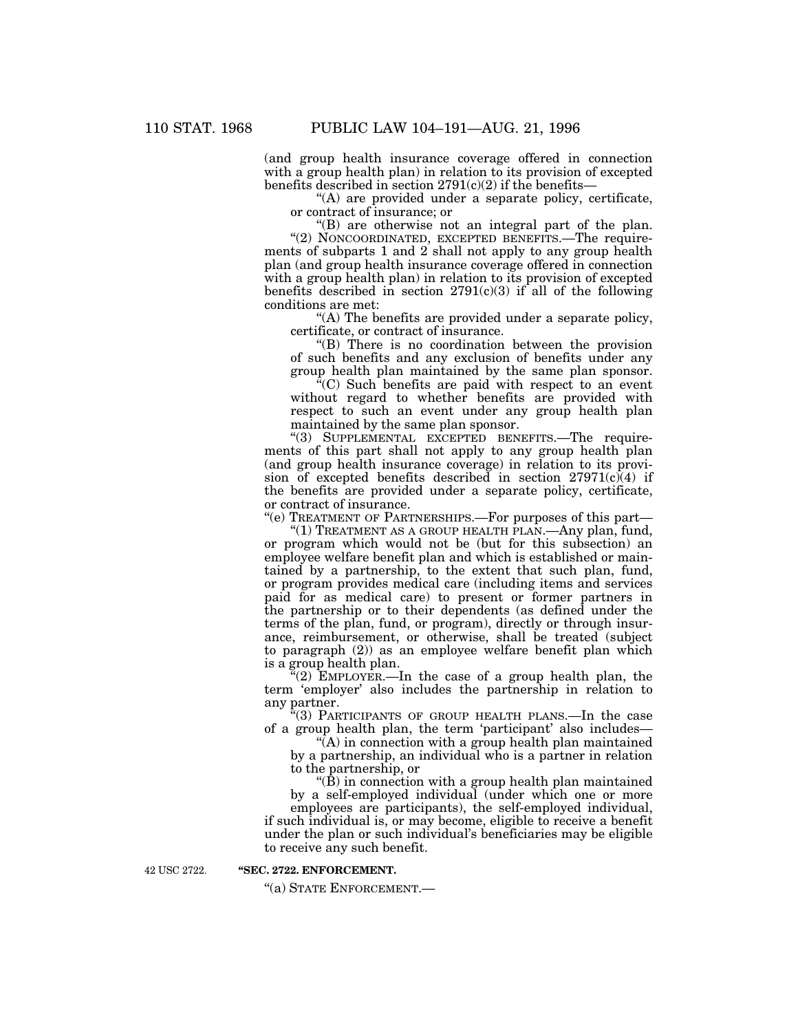(and group health insurance coverage offered in connection with a group health plan) in relation to its provision of excepted benefits described in section  $2791(c)(2)$  if the benefits—

''(A) are provided under a separate policy, certificate, or contract of insurance; or

''(B) are otherwise not an integral part of the plan.

"(2) NONCOORDINATED, EXCEPTED BENEFITS.—The requirements of subparts 1 and 2 shall not apply to any group health plan (and group health insurance coverage offered in connection with a group health plan) in relation to its provision of excepted benefits described in section  $2791(c)(3)$  if all of the following conditions are met:

''(A) The benefits are provided under a separate policy, certificate, or contract of insurance.

''(B) There is no coordination between the provision of such benefits and any exclusion of benefits under any group health plan maintained by the same plan sponsor.

 $\sqrt{C}$  Such benefits are paid with respect to an event without regard to whether benefits are provided with respect to such an event under any group health plan maintained by the same plan sponsor.

''(3) SUPPLEMENTAL EXCEPTED BENEFITS.—The requirements of this part shall not apply to any group health plan (and group health insurance coverage) in relation to its provision of excepted benefits described in section  $27971(c)(4)$  if the benefits are provided under a separate policy, certificate, or contract of insurance.

''(e) TREATMENT OF PARTNERSHIPS.—For purposes of this part—

"(1) TREATMENT AS A GROUP HEALTH PLAN.—Any plan, fund, or program which would not be (but for this subsection) an employee welfare benefit plan and which is established or maintained by a partnership, to the extent that such plan, fund, or program provides medical care (including items and services paid for as medical care) to present or former partners in the partnership or to their dependents (as defined under the terms of the plan, fund, or program), directly or through insurance, reimbursement, or otherwise, shall be treated (subject to paragraph (2)) as an employee welfare benefit plan which is a group health plan.

"(2) EMPLOYER.—In the case of a group health plan, the term 'employer' also includes the partnership in relation to any partner.

''(3) PARTICIPANTS OF GROUP HEALTH PLANS.—In the case of a group health plan, the term 'participant' also includes—

 $\sqrt{\rm A}$ ) in connection with a group health plan maintained by a partnership, an individual who is a partner in relation to the partnership, or

 $\mathrm{``}(\dot{B})$  in connection with a group health plan maintained

by a self-employed individual (under which one or more employees are participants), the self-employed individual, if such individual is, or may become, eligible to receive a benefit under the plan or such individual's beneficiaries may be eligible to receive any such benefit.

42 USC 2722.

# **''SEC. 2722. ENFORCEMENT.**

''(a) STATE ENFORCEMENT.—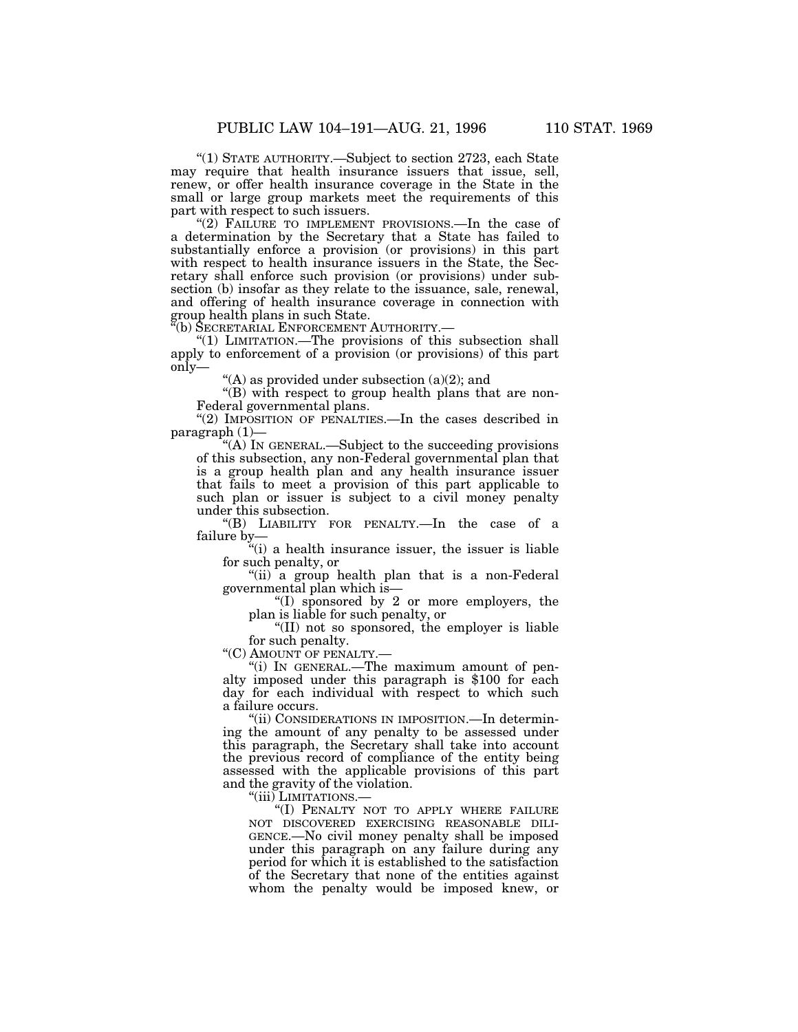''(1) STATE AUTHORITY.—Subject to section 2723, each State may require that health insurance issuers that issue, sell, renew, or offer health insurance coverage in the State in the small or large group markets meet the requirements of this part with respect to such issuers.

"(2) FAILURE TO IMPLEMENT PROVISIONS.—In the case of a determination by the Secretary that a State has failed to substantially enforce a provision (or provisions) in this part with respect to health insurance issuers in the State, the Secretary shall enforce such provision (or provisions) under subsection (b) insofar as they relate to the issuance, sale, renewal, and offering of health insurance coverage in connection with group health plans in such State.

''(b) SECRETARIAL ENFORCEMENT AUTHORITY.—

"(1) LIMITATION.—The provisions of this subsection shall apply to enforcement of a provision (or provisions) of this part only—

"(A) as provided under subsection  $(a)(2)$ ; and

''(B) with respect to group health plans that are non-Federal governmental plans.

''(2) IMPOSITION OF PENALTIES.—In the cases described in paragraph (1)—

''(A) IN GENERAL.—Subject to the succeeding provisions of this subsection, any non-Federal governmental plan that is a group health plan and any health insurance issuer that fails to meet a provision of this part applicable to such plan or issuer is subject to a civil money penalty under this subsection.

''(B) LIABILITY FOR PENALTY.—In the case of a failure by—

"(i) a health insurance issuer, the issuer is liable for such penalty, or

"(ii) a group health plan that is a non-Federal governmental plan which is—

''(I) sponsored by 2 or more employers, the plan is liable for such penalty, or

''(II) not so sponsored, the employer is liable for such penalty.

''(C) AMOUNT OF PENALTY.—

''(i) IN GENERAL.—The maximum amount of penalty imposed under this paragraph is \$100 for each day for each individual with respect to which such a failure occurs.

''(ii) CONSIDERATIONS IN IMPOSITION.—In determining the amount of any penalty to be assessed under this paragraph, the Secretary shall take into account the previous record of compliance of the entity being assessed with the applicable provisions of this part and the gravity of the violation.

''(iii) LIMITATIONS.—

''(I) PENALTY NOT TO APPLY WHERE FAILURE NOT DISCOVERED EXERCISING REASONABLE DILI-GENCE.—No civil money penalty shall be imposed under this paragraph on any failure during any period for which it is established to the satisfaction of the Secretary that none of the entities against whom the penalty would be imposed knew, or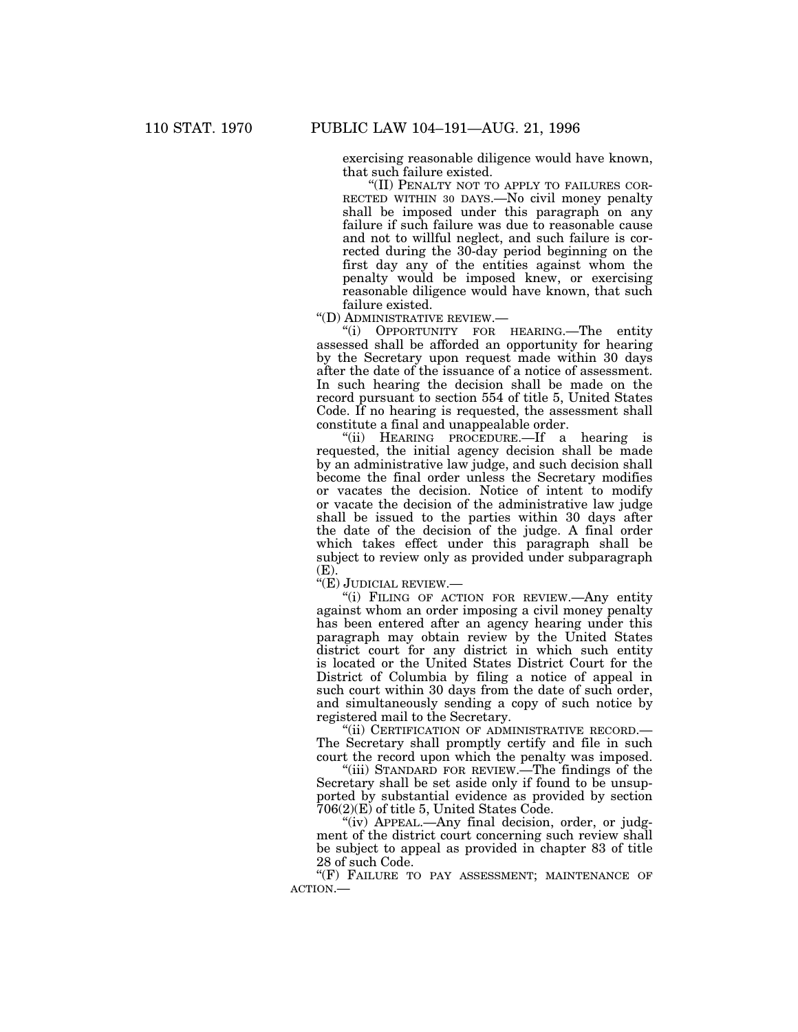exercising reasonable diligence would have known, that such failure existed.

''(II) PENALTY NOT TO APPLY TO FAILURES COR-RECTED WITHIN 30 DAYS.—No civil money penalty shall be imposed under this paragraph on any failure if such failure was due to reasonable cause and not to willful neglect, and such failure is corrected during the 30-day period beginning on the first day any of the entities against whom the penalty would be imposed knew, or exercising reasonable diligence would have known, that such failure existed.

''(D) ADMINISTRATIVE REVIEW.—

''(i) OPPORTUNITY FOR HEARING.—The entity assessed shall be afforded an opportunity for hearing by the Secretary upon request made within 30 days after the date of the issuance of a notice of assessment. In such hearing the decision shall be made on the record pursuant to section 554 of title 5, United States Code. If no hearing is requested, the assessment shall constitute a final and unappealable order.

''(ii) HEARING PROCEDURE.—If a hearing is requested, the initial agency decision shall be made by an administrative law judge, and such decision shall become the final order unless the Secretary modifies or vacates the decision. Notice of intent to modify or vacate the decision of the administrative law judge shall be issued to the parties within 30 days after the date of the decision of the judge. A final order which takes effect under this paragraph shall be subject to review only as provided under subparagraph (E).

''(E) JUDICIAL REVIEW.—

''(i) FILING OF ACTION FOR REVIEW.—Any entity against whom an order imposing a civil money penalty has been entered after an agency hearing under this paragraph may obtain review by the United States district court for any district in which such entity is located or the United States District Court for the District of Columbia by filing a notice of appeal in such court within 30 days from the date of such order, and simultaneously sending a copy of such notice by registered mail to the Secretary.

"(ii) CERTIFICATION OF ADMINISTRATIVE RECORD.-The Secretary shall promptly certify and file in such court the record upon which the penalty was imposed.

''(iii) STANDARD FOR REVIEW.—The findings of the Secretary shall be set aside only if found to be unsupported by substantial evidence as provided by section 706(2)(E) of title 5, United States Code.

"(iv) APPEAL.—Any final decision, order, or judgment of the district court concerning such review shall be subject to appeal as provided in chapter 83 of title 28 of such Code.

"(F) FAILURE TO PAY ASSESSMENT; MAINTENANCE OF ACTION.—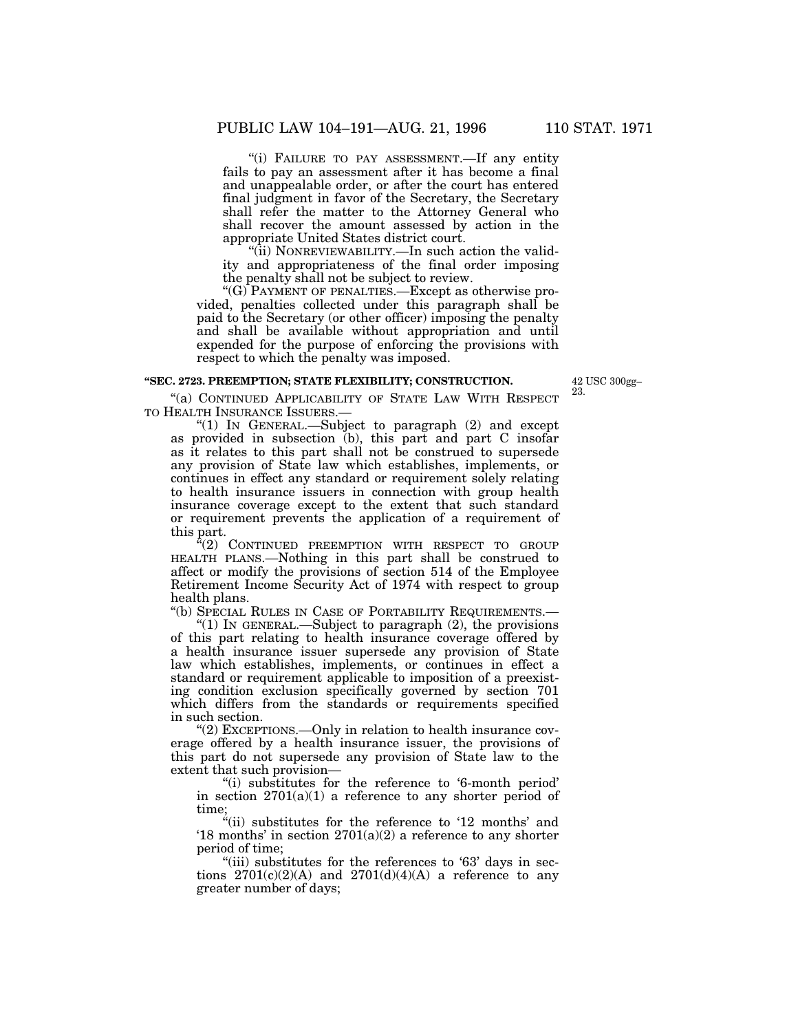''(i) FAILURE TO PAY ASSESSMENT.—If any entity fails to pay an assessment after it has become a final and unappealable order, or after the court has entered final judgment in favor of the Secretary, the Secretary shall refer the matter to the Attorney General who shall recover the amount assessed by action in the appropriate United States district court.

"(ii) NONREVIEWABILITY.—In such action the validity and appropriateness of the final order imposing the penalty shall not be subject to review.

''(G) PAYMENT OF PENALTIES.—Except as otherwise provided, penalties collected under this paragraph shall be paid to the Secretary (or other officer) imposing the penalty and shall be available without appropriation and until expended for the purpose of enforcing the provisions with respect to which the penalty was imposed.

### **''SEC. 2723. PREEMPTION; STATE FLEXIBILITY; CONSTRUCTION.**

42 USC 300gg– 23.

(a) CONTINUED APPLICABILITY OF STATE LAW WITH RESPECT TO HEALTH INSURANCE ISSUERS.—

"(1) In GENERAL.—Subject to paragraph (2) and except as provided in subsection (b), this part and part C insofar as it relates to this part shall not be construed to supersede any provision of State law which establishes, implements, or continues in effect any standard or requirement solely relating to health insurance issuers in connection with group health insurance coverage except to the extent that such standard or requirement prevents the application of a requirement of this part.

''(2) CONTINUED PREEMPTION WITH RESPECT TO GROUP HEALTH PLANS.—Nothing in this part shall be construed to affect or modify the provisions of section 514 of the Employee Retirement Income Security Act of 1974 with respect to group health plans.

"(b) SPECIAL RULES IN CASE OF PORTABILITY REQUIREMENTS.—

"(1) In GENERAL.—Subject to paragraph  $(2)$ , the provisions of this part relating to health insurance coverage offered by a health insurance issuer supersede any provision of State law which establishes, implements, or continues in effect a standard or requirement applicable to imposition of a preexisting condition exclusion specifically governed by section 701 which differs from the standards or requirements specified in such section.

''(2) EXCEPTIONS.—Only in relation to health insurance coverage offered by a health insurance issuer, the provisions of this part do not supersede any provision of State law to the extent that such provision—

''(i) substitutes for the reference to '6-month period' in section  $2701(a)(1)$  a reference to any shorter period of time;

''(ii) substitutes for the reference to '12 months' and '18 months' in section  $2701(a)(2)$  a reference to any shorter period of time;

''(iii) substitutes for the references to '63' days in sections  $2701(c)(2)(A)$  and  $2701(d)(4)(A)$  a reference to any greater number of days;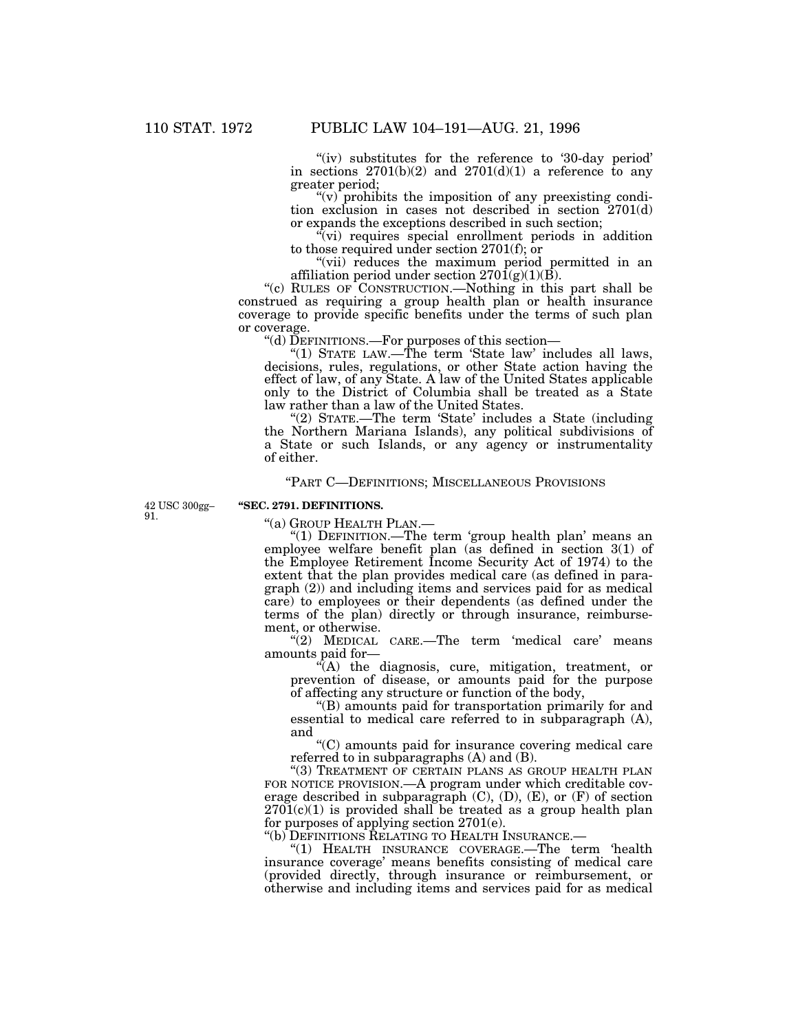"(iv) substitutes for the reference to '30-day period' in sections  $2701(b)(2)$  and  $2701(d)(1)$  a reference to any greater period;

 $(v)$  prohibits the imposition of any preexisting condition exclusion in cases not described in section 2701(d) or expands the exceptions described in such section;

''(vi) requires special enrollment periods in addition to those required under section 2701(f); or

"(vii) reduces the maximum period permitted in an affiliation period under section  $270\overline{1}\left(g\right)(1)(\overline{B})$ .

"(c) RULES OF CONSTRUCTION.—Nothing in this part shall be construed as requiring a group health plan or health insurance coverage to provide specific benefits under the terms of such plan or coverage.

''(d) DEFINITIONS.—For purposes of this section—

"(1) STATE LAW.—The term 'State law' includes all laws, decisions, rules, regulations, or other State action having the effect of law, of any State. A law of the United States applicable only to the District of Columbia shall be treated as a State law rather than a law of the United States.

''(2) STATE.—The term 'State' includes a State (including the Northern Mariana Islands), any political subdivisions of a State or such Islands, or any agency or instrumentality of either.

''PART C—DEFINITIONS; MISCELLANEOUS PROVISIONS

42 USC 300gg– 91.

# **''SEC. 2791. DEFINITIONS.**

''(a) GROUP HEALTH PLAN.—

"(1) DEFINITION.—The term 'group health plan' means an employee welfare benefit plan (as defined in section 3(1) of the Employee Retirement Income Security Act of 1974) to the extent that the plan provides medical care (as defined in paragraph (2)) and including items and services paid for as medical care) to employees or their dependents (as defined under the terms of the plan) directly or through insurance, reimbursement, or otherwise.

 $\frac{1}{2}$  MEDICAL CARE.—The term 'medical care' means amounts paid for—

''(A) the diagnosis, cure, mitigation, treatment, or prevention of disease, or amounts paid for the purpose of affecting any structure or function of the body,

''(B) amounts paid for transportation primarily for and essential to medical care referred to in subparagraph (A), and

''(C) amounts paid for insurance covering medical care referred to in subparagraphs (A) and (B).

''(3) TREATMENT OF CERTAIN PLANS AS GROUP HEALTH PLAN FOR NOTICE PROVISION.—A program under which creditable coverage described in subparagraph (C), (D), (E), or (F) of section  $2701(c)(1)$  is provided shall be treated as a group health plan for purposes of applying section 2701(e).

''(b) DEFINITIONS RELATING TO HEALTH INSURANCE.—

''(1) HEALTH INSURANCE COVERAGE.—The term 'health insurance coverage' means benefits consisting of medical care (provided directly, through insurance or reimbursement, or otherwise and including items and services paid for as medical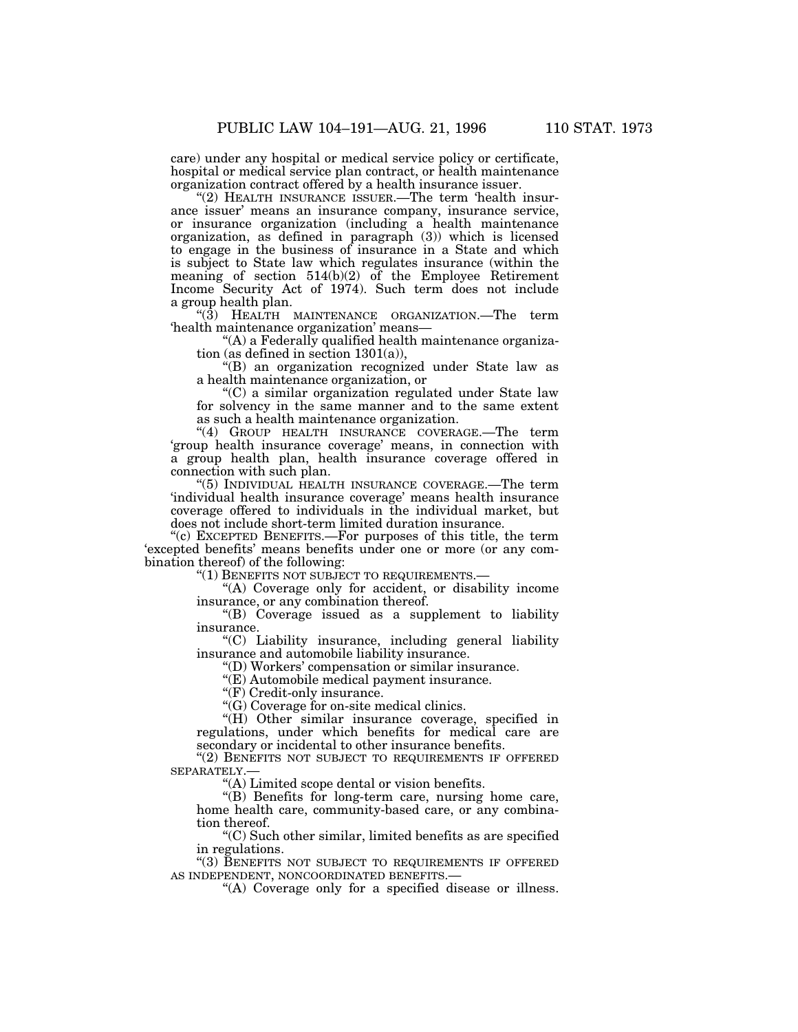care) under any hospital or medical service policy or certificate, hospital or medical service plan contract, or health maintenance organization contract offered by a health insurance issuer.

''(2) HEALTH INSURANCE ISSUER.—The term 'health insurance issuer' means an insurance company, insurance service, or insurance organization (including a health maintenance organization, as defined in paragraph (3)) which is licensed to engage in the business of insurance in a State and which is subject to State law which regulates insurance (within the meaning of section 514(b)(2) of the Employee Retirement Income Security Act of 1974). Such term does not include a group health plan.

''(3) HEALTH MAINTENANCE ORGANIZATION.—The term 'health maintenance organization' means—

''(A) a Federally qualified health maintenance organization (as defined in section 1301(a)),

''(B) an organization recognized under State law as a health maintenance organization, or

''(C) a similar organization regulated under State law for solvency in the same manner and to the same extent as such a health maintenance organization.

"(4) GROUP HEALTH INSURANCE COVERAGE.—The term 'group health insurance coverage' means, in connection with a group health plan, health insurance coverage offered in connection with such plan.

''(5) INDIVIDUAL HEALTH INSURANCE COVERAGE.—The term 'individual health insurance coverage' means health insurance coverage offered to individuals in the individual market, but does not include short-term limited duration insurance.

''(c) EXCEPTED BENEFITS.—For purposes of this title, the term 'excepted benefits' means benefits under one or more (or any combination thereof) of the following:

"(1) BENEFITS NOT SUBJECT TO REQUIREMENTS.-

''(A) Coverage only for accident, or disability income insurance, or any combination thereof.

''(B) Coverage issued as a supplement to liability insurance.

''(C) Liability insurance, including general liability insurance and automobile liability insurance.

''(D) Workers' compensation or similar insurance.

''(E) Automobile medical payment insurance.

''(F) Credit-only insurance.

''(G) Coverage for on-site medical clinics.

"(H) Other similar insurance coverage, specified in regulations, under which benefits for medical care are secondary or incidental to other insurance benefits.

"(2) BENEFITS NOT SUBJECT TO REQUIREMENTS IF OFFERED SEPARATELY.—

''(A) Limited scope dental or vision benefits.

''(B) Benefits for long-term care, nursing home care, home health care, community-based care, or any combination thereof.

''(C) Such other similar, limited benefits as are specified in regulations.

"(3) BENEFITS NOT SUBJECT TO REQUIREMENTS IF OFFERED AS INDEPENDENT, NONCOORDINATED BENEFITS.—

"(A) Coverage only for a specified disease or illness.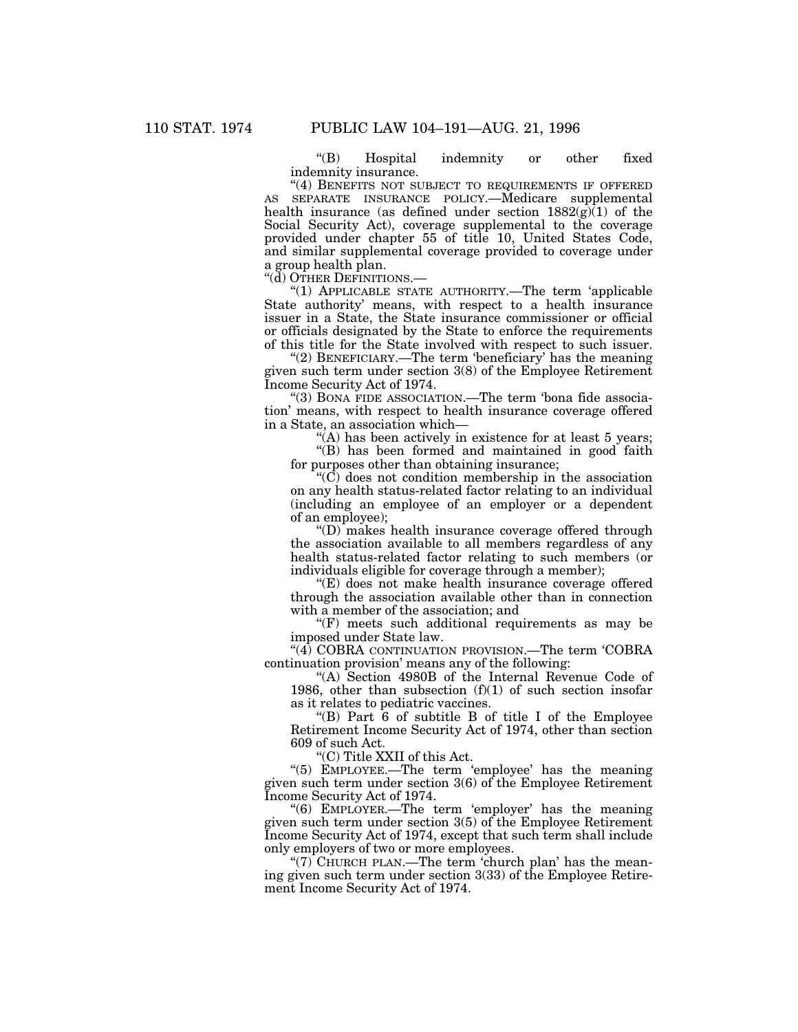''(B) Hospital indemnity or other fixed indemnity insurance.

"(4) BENEFITS NOT SUBJECT TO REQUIREMENTS IF OFFERED AS SEPARATE INSURANCE POLICY.—Medicare supplemental health insurance (as defined under section  $1882(\hat{g})\hat{1}$ ) of the Social Security Act), coverage supplemental to the coverage provided under chapter 55 of title 10, United States Code, and similar supplemental coverage provided to coverage under a group health plan.

''(d) OTHER DEFINITIONS.—

"(1) APPLICABLE STATE AUTHORITY.—The term 'applicable State authority' means, with respect to a health insurance issuer in a State, the State insurance commissioner or official or officials designated by the State to enforce the requirements of this title for the State involved with respect to such issuer.

"(2) BENEFICIARY.—The term 'beneficiary' has the meaning given such term under section 3(8) of the Employee Retirement Income Security Act of 1974.

''(3) BONA FIDE ASSOCIATION.—The term 'bona fide association' means, with respect to health insurance coverage offered in a State, an association which—

 $!(A)$  has been actively in existence for at least 5 years; ''(B) has been formed and maintained in good faith for purposes other than obtaining insurance;

''(C) does not condition membership in the association on any health status-related factor relating to an individual (including an employee of an employer or a dependent of an employee);

 $\mathrm{``(D)}$  makes health insurance coverage offered through the association available to all members regardless of any health status-related factor relating to such members (or individuals eligible for coverage through a member);

"(E) does not make health insurance coverage offered through the association available other than in connection with a member of the association; and

''(F) meets such additional requirements as may be imposed under State law.

''(4) COBRA CONTINUATION PROVISION.—The term 'COBRA continuation provision' means any of the following:

''(A) Section 4980B of the Internal Revenue Code of 1986, other than subsection  $(f)(1)$  of such section insofar as it relates to pediatric vaccines.

"(B) Part  $\tilde{6}$  of subtitle B of title I of the Employee Retirement Income Security Act of 1974, other than section 609 of such Act.

''(C) Title XXII of this Act.

''(5) EMPLOYEE.—The term 'employee' has the meaning given such term under section 3(6) of the Employee Retirement Income Security Act of 1974.

"(6) EMPLOYER.—The term 'employer' has the meaning given such term under section 3(5) of the Employee Retirement Income Security Act of 1974, except that such term shall include only employers of two or more employees.

"(7) CHURCH PLAN.—The term 'church plan' has the meaning given such term under section 3(33) of the Employee Retirement Income Security Act of 1974.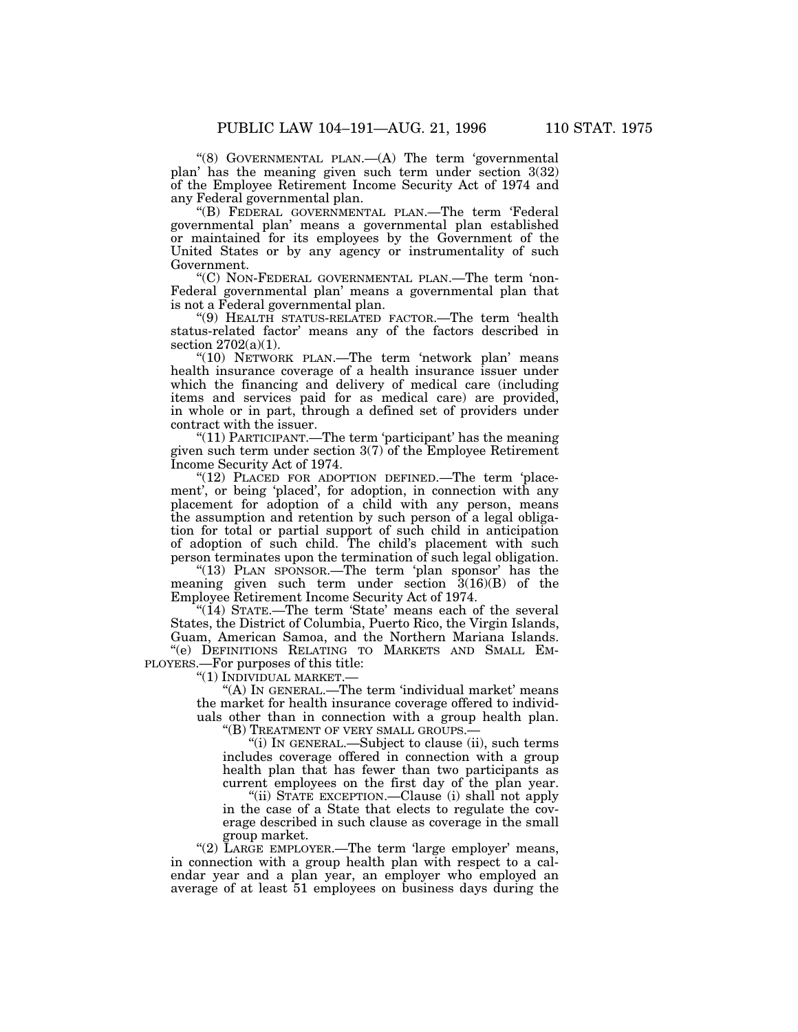''(8) GOVERNMENTAL PLAN.—(A) The term 'governmental

plan' has the meaning given such term under section 3(32) of the Employee Retirement Income Security Act of 1974 and any Federal governmental plan.

''(B) FEDERAL GOVERNMENTAL PLAN.—The term 'Federal governmental plan' means a governmental plan established or maintained for its employees by the Government of the United States or by any agency or instrumentality of such Government.

''(C) NON-FEDERAL GOVERNMENTAL PLAN.—The term 'non-Federal governmental plan' means a governmental plan that is not a Federal governmental plan.

''(9) HEALTH STATUS-RELATED FACTOR.—The term 'health status-related factor' means any of the factors described in section 2702(a)(1).

"(10) NETWORK PLAN.—The term 'network plan' means health insurance coverage of a health insurance issuer under which the financing and delivery of medical care (including items and services paid for as medical care) are provided, in whole or in part, through a defined set of providers under contract with the issuer.

" $(11)$  PARTICIPANT.—The term 'participant' has the meaning given such term under section  $3(7)$  of the Employee Retirement Income Security Act of 1974.

" $(12)$  PLACED FOR ADOPTION DEFINED.—The term 'placement', or being 'placed', for adoption, in connection with any placement for adoption of a child with any person, means the assumption and retention by such person of a legal obligation for total or partial support of such child in anticipation of adoption of such child. The child's placement with such person terminates upon the termination of such legal obligation.

"(13) PLAN SPONSOR.—The term 'plan sponsor' has the meaning given such term under section 3(16)(B) of the Employee Retirement Income Security Act of 1974.

" $(14)$  STATE.—The term 'State' means each of the several States, the District of Columbia, Puerto Rico, the Virgin Islands, Guam, American Samoa, and the Northern Mariana Islands. ''(e) DEFINITIONS RELATING TO MARKETS AND SMALL EM-

PLOYERS.—For purposes of this title:

"(1) INDIVIDUAL MARKET.-

''(A) IN GENERAL.—The term 'individual market' means the market for health insurance coverage offered to individuals other than in connection with a group health plan. "(B) TREATMENT OF VERY SMALL GROUPS.-

''(i) IN GENERAL.—Subject to clause (ii), such terms includes coverage offered in connection with a group health plan that has fewer than two participants as current employees on the first day of the plan year.

"(ii) STATE EXCEPTION.—Clause (i) shall not apply in the case of a State that elects to regulate the coverage described in such clause as coverage in the small group market.

"(2) LARGE EMPLOYER.—The term 'large employer' means, in connection with a group health plan with respect to a calendar year and a plan year, an employer who employed an average of at least 51 employees on business days during the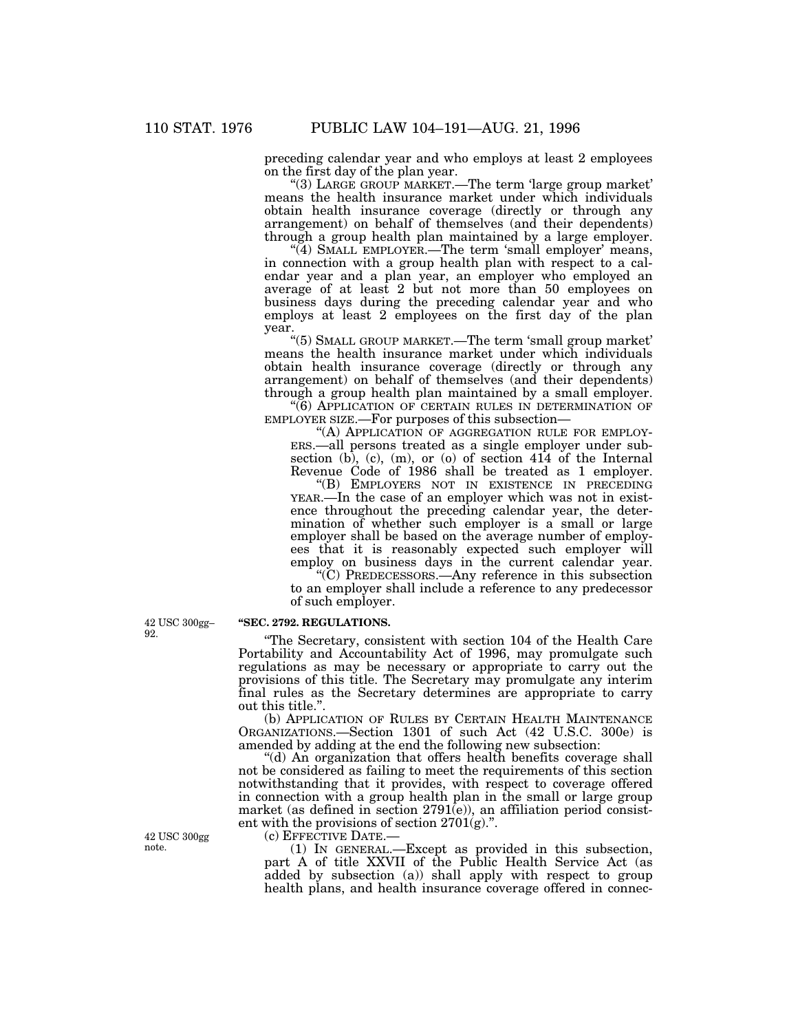preceding calendar year and who employs at least 2 employees on the first day of the plan year.

''(3) LARGE GROUP MARKET.—The term 'large group market' means the health insurance market under which individuals obtain health insurance coverage (directly or through any arrangement) on behalf of themselves (and their dependents) through a group health plan maintained by a large employer.

"(4) SMALL EMPLOYER.—The term 'small employer' means, in connection with a group health plan with respect to a calendar year and a plan year, an employer who employed an average of at least 2 but not more than 50 employees on business days during the preceding calendar year and who employs at least 2 employees on the first day of the plan year.

''(5) SMALL GROUP MARKET.—The term 'small group market' means the health insurance market under which individuals obtain health insurance coverage (directly or through any arrangement) on behalf of themselves (and their dependents) through a group health plan maintained by a small employer.

''(6) APPLICATION OF CERTAIN RULES IN DETERMINATION OF EMPLOYER SIZE.—For purposes of this subsection—

''(A) APPLICATION OF AGGREGATION RULE FOR EMPLOY-ERS.—all persons treated as a single employer under subsection (b), (c), (m), or (o) of section  $414$  of the Internal Revenue Code of 1986 shall be treated as 1 employer.

''(B) EMPLOYERS NOT IN EXISTENCE IN PRECEDING YEAR.—In the case of an employer which was not in existence throughout the preceding calendar year, the determination of whether such employer is a small or large employer shall be based on the average number of employees that it is reasonably expected such employer will employ on business days in the current calendar year.

''(C) PREDECESSORS.—Any reference in this subsection to an employer shall include a reference to any predecessor of such employer.

# **''SEC. 2792. REGULATIONS.**

''The Secretary, consistent with section 104 of the Health Care Portability and Accountability Act of 1996, may promulgate such regulations as may be necessary or appropriate to carry out the provisions of this title. The Secretary may promulgate any interim final rules as the Secretary determines are appropriate to carry out this title.''.

(b) APPLICATION OF RULES BY CERTAIN HEALTH MAINTENANCE ORGANIZATIONS.—Section 1301 of such Act (42 U.S.C. 300e) is amended by adding at the end the following new subsection:

''(d) An organization that offers health benefits coverage shall not be considered as failing to meet the requirements of this section notwithstanding that it provides, with respect to coverage offered in connection with a group health plan in the small or large group market (as defined in section 2791(e)), an affiliation period consistent with the provisions of section 2701(g).''.

(c) EFFECTIVE DATE.—

(1) IN GENERAL.—Except as provided in this subsection, part A of title XXVII of the Public Health Service Act (as added by subsection (a)) shall apply with respect to group health plans, and health insurance coverage offered in connec-

42 USC 300gg– 92.

42 USC 300gg note.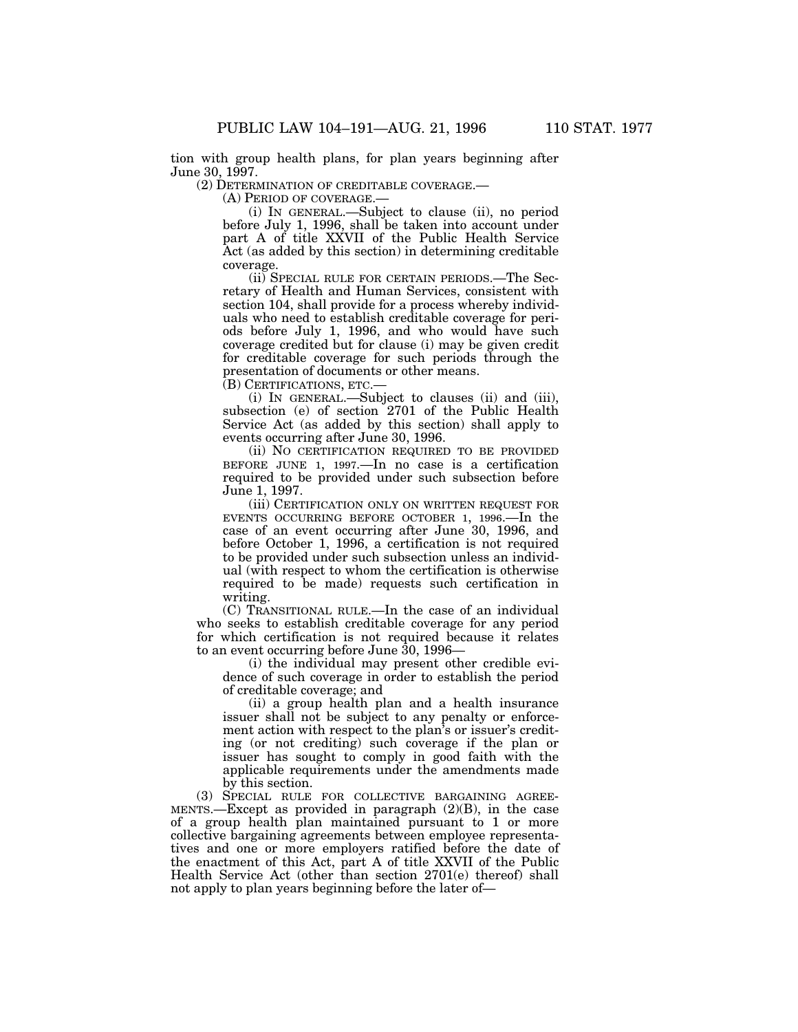tion with group health plans, for plan years beginning after June 30, 1997.

(2) DETERMINATION OF CREDITABLE COVERAGE.—

(A) PERIOD OF COVERAGE.—

(i) IN GENERAL.—Subject to clause (ii), no period before July 1, 1996, shall be taken into account under part A of title XXVII of the Public Health Service Act (as added by this section) in determining creditable coverage.

(ii) SPECIAL RULE FOR CERTAIN PERIODS.—The Secretary of Health and Human Services, consistent with section 104, shall provide for a process whereby individuals who need to establish creditable coverage for periods before July 1, 1996, and who would have such coverage credited but for clause (i) may be given credit for creditable coverage for such periods through the presentation of documents or other means.

(B) CERTIFICATIONS, ETC.—

(i) IN GENERAL.—Subject to clauses (ii) and (iii), subsection (e) of section 2701 of the Public Health Service Act (as added by this section) shall apply to events occurring after June 30, 1996.

(ii) NO CERTIFICATION REQUIRED TO BE PROVIDED BEFORE JUNE 1, 1997.—In no case is a certification required to be provided under such subsection before June 1, 1997.

(iii) CERTIFICATION ONLY ON WRITTEN REQUEST FOR EVENTS OCCURRING BEFORE OCTOBER 1, 1996.—In the case of an event occurring after June 30, 1996, and before October 1, 1996, a certification is not required to be provided under such subsection unless an individual (with respect to whom the certification is otherwise required to be made) requests such certification in writing.

(C) TRANSITIONAL RULE.—In the case of an individual who seeks to establish creditable coverage for any period for which certification is not required because it relates to an event occurring before June 30, 1996—

(i) the individual may present other credible evidence of such coverage in order to establish the period of creditable coverage; and

(ii) a group health plan and a health insurance issuer shall not be subject to any penalty or enforcement action with respect to the plan's or issuer's crediting (or not crediting) such coverage if the plan or issuer has sought to comply in good faith with the applicable requirements under the amendments made by this section.

(3) SPECIAL RULE FOR COLLECTIVE BARGAINING AGREE-MENTS.—Except as provided in paragraph (2)(B), in the case of a group health plan maintained pursuant to 1 or more collective bargaining agreements between employee representatives and one or more employers ratified before the date of the enactment of this Act, part A of title XXVII of the Public Health Service Act (other than section 2701(e) thereof) shall not apply to plan years beginning before the later of—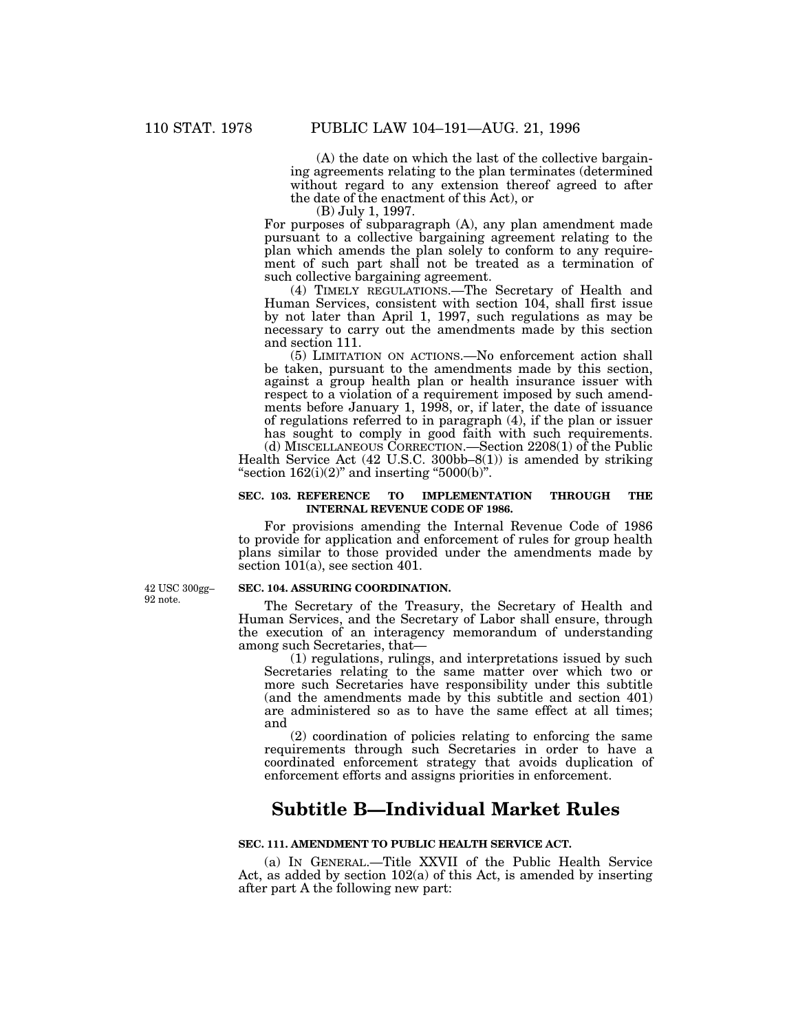(A) the date on which the last of the collective bargaining agreements relating to the plan terminates (determined without regard to any extension thereof agreed to after the date of the enactment of this Act), or

(B) July 1, 1997.

For purposes of subparagraph (A), any plan amendment made pursuant to a collective bargaining agreement relating to the plan which amends the plan solely to conform to any requirement of such part shall not be treated as a termination of such collective bargaining agreement.

(4) TIMELY REGULATIONS.—The Secretary of Health and Human Services, consistent with section 104, shall first issue by not later than April 1, 1997, such regulations as may be necessary to carry out the amendments made by this section and section 111.

(5) LIMITATION ON ACTIONS.—No enforcement action shall be taken, pursuant to the amendments made by this section, against a group health plan or health insurance issuer with respect to a violation of a requirement imposed by such amendments before January 1, 1998, or, if later, the date of issuance of regulations referred to in paragraph (4), if the plan or issuer has sought to comply in good faith with such requirements.

(d) MISCELLANEOUS CORRECTION.—Section 2208(1) of the Public Health Service Act (42 U.S.C. 300bb–8(1)) is amended by striking "section  $162(i)(2)$ " and inserting "5000(b)".

# **SEC. 103. REFERENCE TO IMPLEMENTATION THROUGH THE INTERNAL REVENUE CODE OF 1986.**

For provisions amending the Internal Revenue Code of 1986 to provide for application and enforcement of rules for group health plans similar to those provided under the amendments made by section 101(a), see section 401.

42 USC 300gg– 92 note.

### **SEC. 104. ASSURING COORDINATION.**

The Secretary of the Treasury, the Secretary of Health and Human Services, and the Secretary of Labor shall ensure, through the execution of an interagency memorandum of understanding among such Secretaries, that—

(1) regulations, rulings, and interpretations issued by such Secretaries relating to the same matter over which two or more such Secretaries have responsibility under this subtitle (and the amendments made by this subtitle and section 401) are administered so as to have the same effect at all times; and

(2) coordination of policies relating to enforcing the same requirements through such Secretaries in order to have a coordinated enforcement strategy that avoids duplication of enforcement efforts and assigns priorities in enforcement.

# **Subtitle B—Individual Market Rules**

# **SEC. 111. AMENDMENT TO PUBLIC HEALTH SERVICE ACT.**

(a) IN GENERAL.—Title XXVII of the Public Health Service Act, as added by section 102(a) of this Act, is amended by inserting after part A the following new part: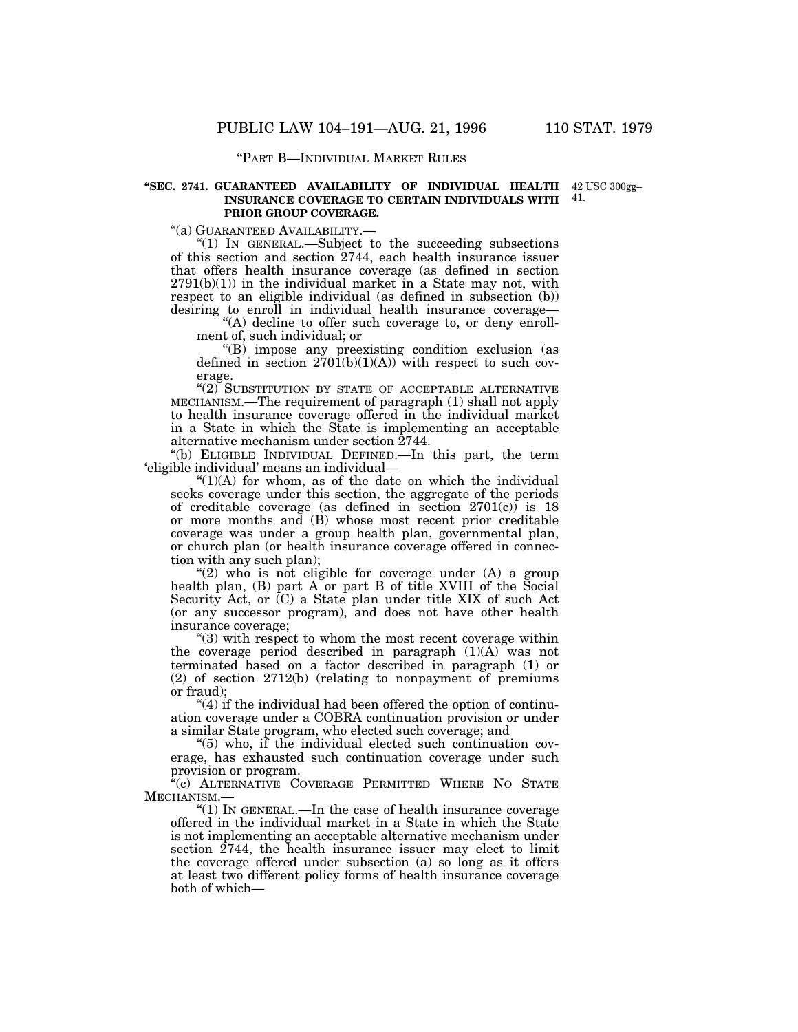# ''PART B—INDIVIDUAL MARKET RULES

#### **''SEC. 2741. GUARANTEED AVAILABILITY OF INDIVIDUAL HEALTH** 42 USC 300gg– **INSURANCE COVERAGE TO CERTAIN INDIVIDUALS WITH** 41.**PRIOR GROUP COVERAGE.**

''(a) GUARANTEED AVAILABILITY.—

''(1) IN GENERAL.—Subject to the succeeding subsections of this section and section 2744, each health insurance issuer that offers health insurance coverage (as defined in section  $2791(b)(1)$  in the individual market in a State may not, with respect to an eligible individual (as defined in subsection (b)) desiring to enroll in individual health insurance coverage—

"(A) decline to offer such coverage to, or deny enrollment of, such individual; or

''(B) impose any preexisting condition exclusion (as defined in section  $270I(b)(1)(A)$  with respect to such coverage.

"(2) SUBSTITUTION BY STATE OF ACCEPTABLE ALTERNATIVE MECHANISM.—The requirement of paragraph (1) shall not apply to health insurance coverage offered in the individual market in a State in which the State is implementing an acceptable alternative mechanism under section 2744.

''(b) ELIGIBLE INDIVIDUAL DEFINED.—In this part, the term 'eligible individual' means an individual—

 $''(1)(A)$  for whom, as of the date on which the individual seeks coverage under this section, the aggregate of the periods of creditable coverage (as defined in section  $2701(c)$ ) is 18 or more months and (B) whose most recent prior creditable coverage was under a group health plan, governmental plan, or church plan (or health insurance coverage offered in connection with any such plan);

"(2) who is not eligible for coverage under (A) a group health plan, (B) part A or part B of title XVIII of the Social Security Act, or (C) a State plan under title XIX of such Act (or any successor program), and does not have other health insurance coverage;

"(3) with respect to whom the most recent coverage within the coverage period described in paragraph (1)(A) was not terminated based on a factor described in paragraph (1) or (2) of section 2712(b) (relating to nonpayment of premiums or fraud);

 $(4)$  if the individual had been offered the option of continuation coverage under a COBRA continuation provision or under a similar State program, who elected such coverage; and

''(5) who, if the individual elected such continuation coverage, has exhausted such continuation coverage under such provision or program.

<sup>'(c)</sup> ALTERNATIVE COVERAGE PERMITTED WHERE NO STATE MECHANISM.

''(1) IN GENERAL.—In the case of health insurance coverage offered in the individual market in a State in which the State is not implementing an acceptable alternative mechanism under section 2744, the health insurance issuer may elect to limit the coverage offered under subsection (a) so long as it offers at least two different policy forms of health insurance coverage both of which—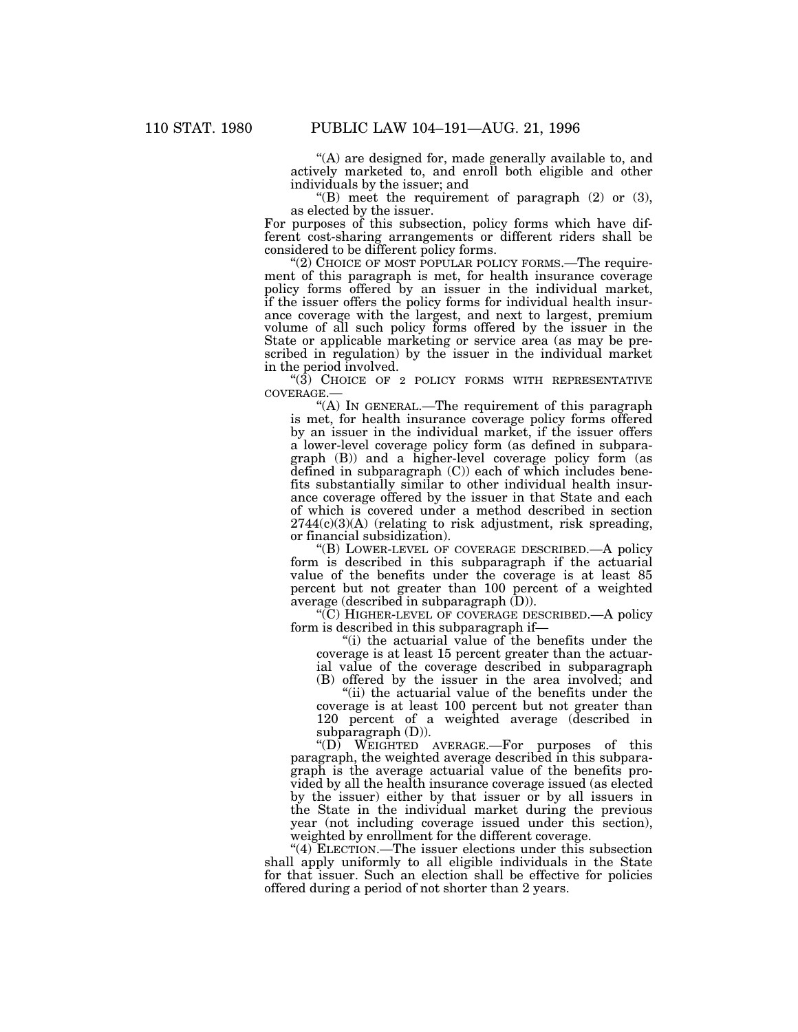''(A) are designed for, made generally available to, and actively marketed to, and enroll both eligible and other individuals by the issuer; and

"(B) meet the requirement of paragraph  $(2)$  or  $(3)$ , as elected by the issuer.

For purposes of this subsection, policy forms which have different cost-sharing arrangements or different riders shall be considered to be different policy forms.

"(2) CHOICE OF MOST POPULAR POLICY FORMS.—The requirement of this paragraph is met, for health insurance coverage policy forms offered by an issuer in the individual market, if the issuer offers the policy forms for individual health insurance coverage with the largest, and next to largest, premium volume of all such policy forms offered by the issuer in the State or applicable marketing or service area (as may be prescribed in regulation) by the issuer in the individual market in the period involved.

" $(3)$  CHOICE OF 2 POLICY FORMS WITH REPRESENTATIVE COVERAGE.—

"(A) In GENERAL.—The requirement of this paragraph is met, for health insurance coverage policy forms offered by an issuer in the individual market, if the issuer offers a lower-level coverage policy form (as defined in subparagraph (B)) and a higher-level coverage policy form (as defined in subparagraph (C)) each of which includes benefits substantially similar to other individual health insurance coverage offered by the issuer in that State and each of which is covered under a method described in section  $2744(c)(3)(A)$  (relating to risk adjustment, risk spreading, or financial subsidization).

''(B) LOWER-LEVEL OF COVERAGE DESCRIBED.—A policy form is described in this subparagraph if the actuarial value of the benefits under the coverage is at least 85 percent but not greater than 100 percent of a weighted average (described in subparagraph (D)).

''(C) HIGHER-LEVEL OF COVERAGE DESCRIBED.—A policy form is described in this subparagraph if—

"(i) the actuarial value of the benefits under the coverage is at least 15 percent greater than the actuar-

ial value of the coverage described in subparagraph (B) offered by the issuer in the area involved; and

"(ii) the actuarial value of the benefits under the coverage is at least 100 percent but not greater than 120 percent of a weighted average (described in subparagraph  $(D)$ ).

''(D) WEIGHTED AVERAGE.—For purposes of this paragraph, the weighted average described in this subparagraph is the average actuarial value of the benefits provided by all the health insurance coverage issued (as elected by the issuer) either by that issuer or by all issuers in the State in the individual market during the previous year (not including coverage issued under this section), weighted by enrollment for the different coverage.

''(4) ELECTION.—The issuer elections under this subsection shall apply uniformly to all eligible individuals in the State for that issuer. Such an election shall be effective for policies offered during a period of not shorter than 2 years.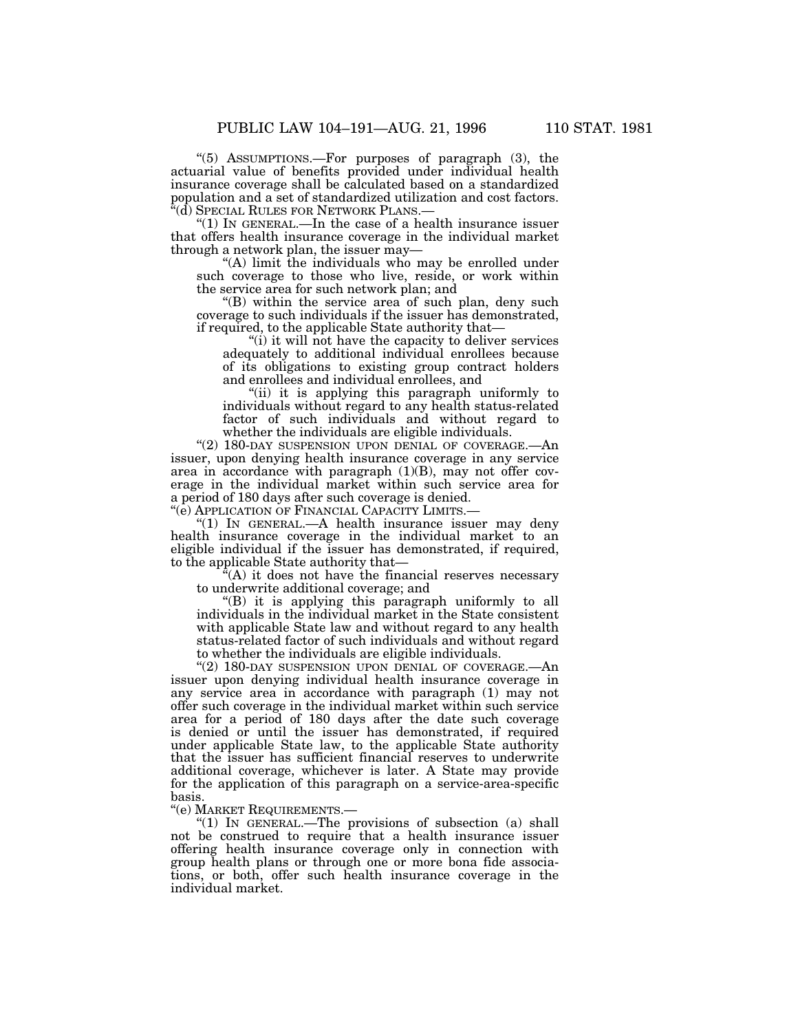''(5) ASSUMPTIONS.—For purposes of paragraph (3), the actuarial value of benefits provided under individual health insurance coverage shall be calculated based on a standardized population and a set of standardized utilization and cost factors. ''(d) SPECIAL RULES FOR NETWORK PLANS.—

" $(1)$  In GENERAL.—In the case of a health insurance issuer that offers health insurance coverage in the individual market through a network plan, the issuer may—

''(A) limit the individuals who may be enrolled under such coverage to those who live, reside, or work within the service area for such network plan; and

''(B) within the service area of such plan, deny such coverage to such individuals if the issuer has demonstrated, if required, to the applicable State authority that—

"(i) it will not have the capacity to deliver services adequately to additional individual enrollees because of its obligations to existing group contract holders and enrollees and individual enrollees, and

''(ii) it is applying this paragraph uniformly to individuals without regard to any health status-related factor of such individuals and without regard to whether the individuals are eligible individuals.

"(2) 180-DAY SUSPENSION UPON DENIAL OF COVERAGE.- An issuer, upon denying health insurance coverage in any service area in accordance with paragraph (1)(B), may not offer coverage in the individual market within such service area for a period of 180 days after such coverage is denied.

''(e) APPLICATION OF FINANCIAL CAPACITY LIMITS.—

''(1) IN GENERAL.—A health insurance issuer may deny health insurance coverage in the individual market to an eligible individual if the issuer has demonstrated, if required, to the applicable State authority that—

 $\ddot{H}$  (A) it does not have the financial reserves necessary to underwrite additional coverage; and

''(B) it is applying this paragraph uniformly to all individuals in the individual market in the State consistent with applicable State law and without regard to any health status-related factor of such individuals and without regard to whether the individuals are eligible individuals.

"(2) 180-DAY SUSPENSION UPON DENIAL OF COVERAGE.- An issuer upon denying individual health insurance coverage in any service area in accordance with paragraph (1) may not offer such coverage in the individual market within such service area for a period of 180 days after the date such coverage is denied or until the issuer has demonstrated, if required under applicable State law, to the applicable State authority that the issuer has sufficient financial reserves to underwrite additional coverage, whichever is later. A State may provide for the application of this paragraph on a service-area-specific basis.

''(e) MARKET REQUIREMENTS.—

"(1) IN GENERAL.—The provisions of subsection (a) shall not be construed to require that a health insurance issuer offering health insurance coverage only in connection with group health plans or through one or more bona fide associations, or both, offer such health insurance coverage in the individual market.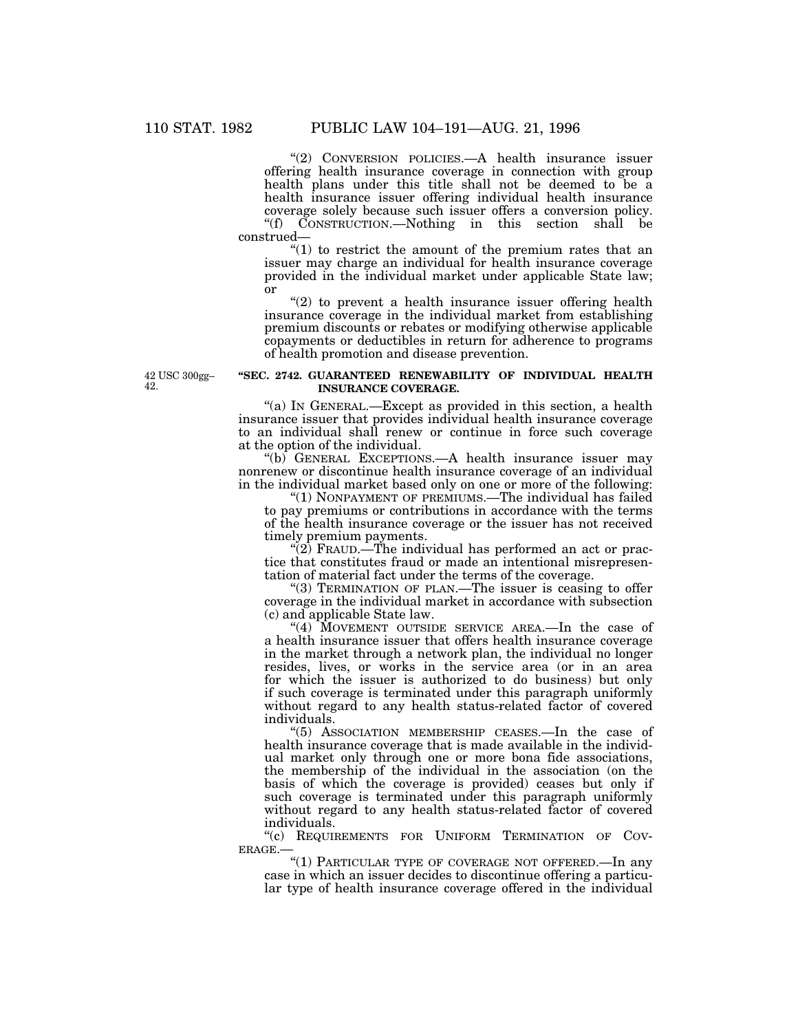''(2) CONVERSION POLICIES.—A health insurance issuer offering health insurance coverage in connection with group health plans under this title shall not be deemed to be a health insurance issuer offering individual health insurance coverage solely because such issuer offers a conversion policy. ''(f) CONSTRUCTION.—Nothing in this section shall be

construed— " $(1)$  to restrict the amount of the premium rates that an

issuer may charge an individual for health insurance coverage provided in the individual market under applicable State law; or

 $(2)$  to prevent a health insurance issuer offering health insurance coverage in the individual market from establishing premium discounts or rebates or modifying otherwise applicable copayments or deductibles in return for adherence to programs of health promotion and disease prevention.

42 USC 300gg– 42.

### **''SEC. 2742. GUARANTEED RENEWABILITY OF INDIVIDUAL HEALTH INSURANCE COVERAGE.**

''(a) IN GENERAL.—Except as provided in this section, a health insurance issuer that provides individual health insurance coverage to an individual shall renew or continue in force such coverage at the option of the individual.

''(b) GENERAL EXCEPTIONS.—A health insurance issuer may nonrenew or discontinue health insurance coverage of an individual in the individual market based only on one or more of the following:

"(1) NONPAYMENT OF PREMIUMS.—The individual has failed to pay premiums or contributions in accordance with the terms of the health insurance coverage or the issuer has not received timely premium payments.

" $(2)$  Fraud.—The individual has performed an act or practice that constitutes fraud or made an intentional misrepresentation of material fact under the terms of the coverage.

"(3) TERMINATION OF PLAN.—The issuer is ceasing to offer coverage in the individual market in accordance with subsection (c) and applicable State law.

"(4) MOVEMENT OUTSIDE SERVICE AREA.—In the case of a health insurance issuer that offers health insurance coverage in the market through a network plan, the individual no longer resides, lives, or works in the service area (or in an area for which the issuer is authorized to do business) but only if such coverage is terminated under this paragraph uniformly without regard to any health status-related factor of covered individuals.

''(5) ASSOCIATION MEMBERSHIP CEASES.—In the case of health insurance coverage that is made available in the individual market only through one or more bona fide associations, the membership of the individual in the association (on the basis of which the coverage is provided) ceases but only if such coverage is terminated under this paragraph uniformly without regard to any health status-related factor of covered individuals.

''(c) REQUIREMENTS FOR UNIFORM TERMINATION OF COV-ERAGE.—

''(1) PARTICULAR TYPE OF COVERAGE NOT OFFERED.—In any case in which an issuer decides to discontinue offering a particular type of health insurance coverage offered in the individual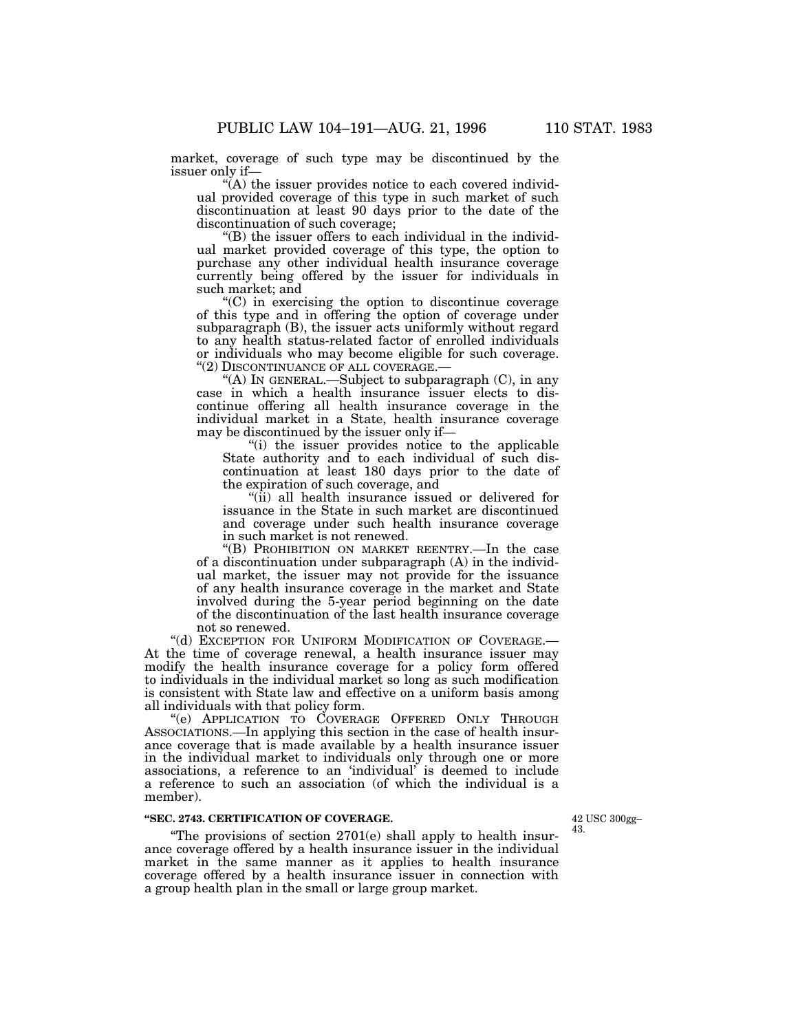market, coverage of such type may be discontinued by the issuer only if—

 $\tilde{A}$ ) the issuer provides notice to each covered individual provided coverage of this type in such market of such discontinuation at least 90 days prior to the date of the discontinuation of such coverage;

''(B) the issuer offers to each individual in the individual market provided coverage of this type, the option to purchase any other individual health insurance coverage currently being offered by the issuer for individuals in such market; and

''(C) in exercising the option to discontinue coverage of this type and in offering the option of coverage under subparagraph (B), the issuer acts uniformly without regard to any health status-related factor of enrolled individuals or individuals who may become eligible for such coverage. ''(2) DISCONTINUANCE OF ALL COVERAGE.—

"(A) In GENERAL.—Subject to subparagraph  $(C)$ , in any case in which a health insurance issuer elects to discontinue offering all health insurance coverage in the individual market in a State, health insurance coverage may be discontinued by the issuer only if—

''(i) the issuer provides notice to the applicable State authority and to each individual of such discontinuation at least 180 days prior to the date of the expiration of such coverage, and

''(ii) all health insurance issued or delivered for issuance in the State in such market are discontinued and coverage under such health insurance coverage in such market is not renewed.

''(B) PROHIBITION ON MARKET REENTRY.—In the case of a discontinuation under subparagraph (A) in the individual market, the issuer may not provide for the issuance of any health insurance coverage in the market and State involved during the 5-year period beginning on the date of the discontinuation of the last health insurance coverage not so renewed.

''(d) EXCEPTION FOR UNIFORM MODIFICATION OF COVERAGE.— At the time of coverage renewal, a health insurance issuer may modify the health insurance coverage for a policy form offered to individuals in the individual market so long as such modification is consistent with State law and effective on a uniform basis among all individuals with that policy form.

''(e) APPLICATION TO COVERAGE OFFERED ONLY THROUGH ASSOCIATIONS.—In applying this section in the case of health insurance coverage that is made available by a health insurance issuer in the individual market to individuals only through one or more associations, a reference to an 'individual' is deemed to include a reference to such an association (of which the individual is a member).

### **''SEC. 2743. CERTIFICATION OF COVERAGE.**

''The provisions of section 2701(e) shall apply to health insurance coverage offered by a health insurance issuer in the individual market in the same manner as it applies to health insurance coverage offered by a health insurance issuer in connection with a group health plan in the small or large group market.

42 USC 300gg– 43.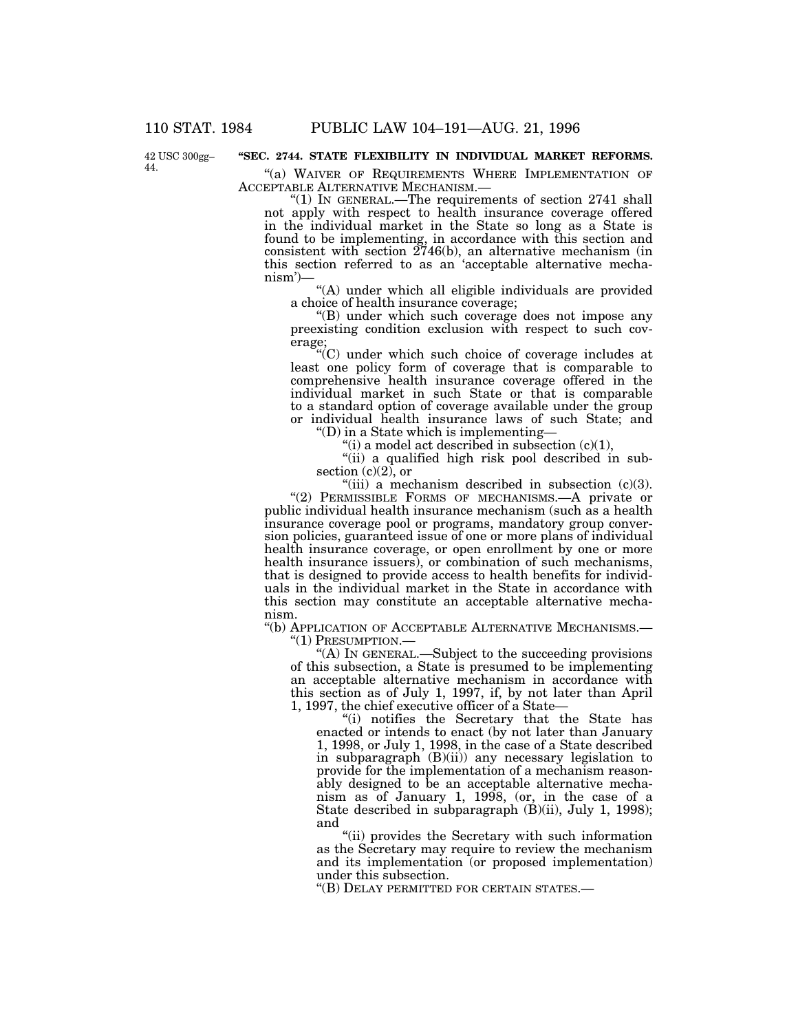42 USC 300gg– 44.

**''SEC. 2744. STATE FLEXIBILITY IN INDIVIDUAL MARKET REFORMS.**

"(a) WAIVER OF REQUIREMENTS WHERE IMPLEMENTATION OF ACCEPTABLE ALTERNATIVE MECHANISM.—

"(1) IN GENERAL.—The requirements of section  $2741$  shall not apply with respect to health insurance coverage offered in the individual market in the State so long as a State is found to be implementing, in accordance with this section and consistent with section 2746(b), an alternative mechanism (in this section referred to as an 'acceptable alternative mechanism')—

"(A) under which all eligible individuals are provided a choice of health insurance coverage;

''(B) under which such coverage does not impose any preexisting condition exclusion with respect to such coverage;

''(C) under which such choice of coverage includes at least one policy form of coverage that is comparable to comprehensive health insurance coverage offered in the individual market in such State or that is comparable to a standard option of coverage available under the group or individual health insurance laws of such State; and  $f(D)$  in a State which is implementing—

"(i) a model act described in subsection  $(c)(1)$ ,

''(ii) a qualified high risk pool described in subsection  $(c)(2)$ , or

"(iii) a mechanism described in subsection  $(c)(3)$ .

''(2) PERMISSIBLE FORMS OF MECHANISMS.—A private or public individual health insurance mechanism (such as a health insurance coverage pool or programs, mandatory group conversion policies, guaranteed issue of one or more plans of individual health insurance coverage, or open enrollment by one or more health insurance issuers), or combination of such mechanisms, that is designed to provide access to health benefits for individuals in the individual market in the State in accordance with this section may constitute an acceptable alternative mechanism.

''(b) APPLICATION OF ACCEPTABLE ALTERNATIVE MECHANISMS.— ''(1) PRESUMPTION.—

(A) IN GENERAL.—Subject to the succeeding provisions of this subsection, a State is presumed to be implementing an acceptable alternative mechanism in accordance with this section as of July 1, 1997, if, by not later than April 1, 1997, the chief executive officer of a State—

''(i) notifies the Secretary that the State has enacted or intends to enact (by not later than January 1, 1998, or July 1, 1998, in the case of a State described in subparagraph (B)(ii)) any necessary legislation to provide for the implementation of a mechanism reasonably designed to be an acceptable alternative mechanism as of January 1, 1998, (or, in the case of a State described in subparagraph  $(\dot{B})(ii)$ , July 1, 1998); and

''(ii) provides the Secretary with such information as the Secretary may require to review the mechanism and its implementation (or proposed implementation) under this subsection.

''(B) DELAY PERMITTED FOR CERTAIN STATES.—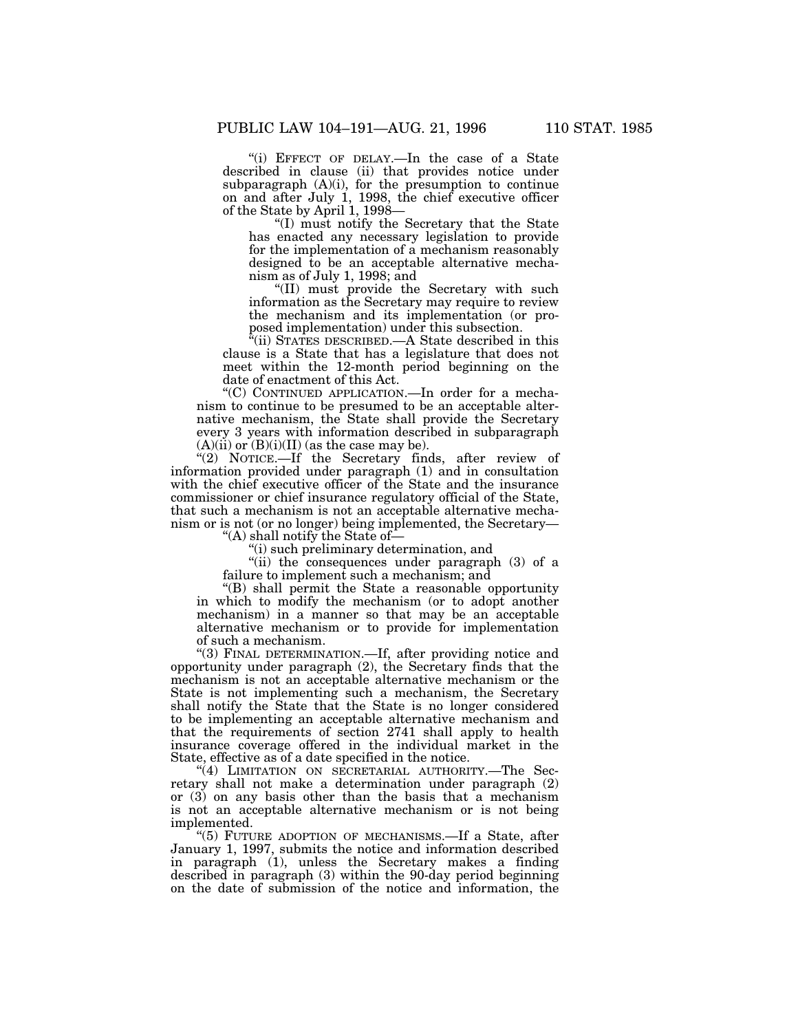''(i) EFFECT OF DELAY.—In the case of a State described in clause (ii) that provides notice under subparagraph (A)(i), for the presumption to continue on and after July 1, 1998, the chief executive officer of the State by April 1, 1998—

''(I) must notify the Secretary that the State has enacted any necessary legislation to provide for the implementation of a mechanism reasonably designed to be an acceptable alternative mechanism as of July 1, 1998; and

''(II) must provide the Secretary with such information as the Secretary may require to review the mechanism and its implementation (or proposed implementation) under this subsection.

 $\mathbf{F}$ (ii) STATES DESCRIBED.—A State described in this clause is a State that has a legislature that does not meet within the 12-month period beginning on the date of enactment of this Act.

''(C) CONTINUED APPLICATION.—In order for a mechanism to continue to be presumed to be an acceptable alternative mechanism, the State shall provide the Secretary every 3 years with information described in subparagraph  $(A)(ii)$  or  $(B)(i)(II)$  (as the case may be).

"(2) NOTICE.—If the Secretary finds, after review of information provided under paragraph (1) and in consultation with the chief executive officer of the State and the insurance commissioner or chief insurance regulatory official of the State, that such a mechanism is not an acceptable alternative mechanism or is not (or no longer) being implemented, the Secretary—

''(A) shall notify the State of—

''(i) such preliminary determination, and

"(ii) the consequences under paragraph (3) of a failure to implement such a mechanism; and

''(B) shall permit the State a reasonable opportunity in which to modify the mechanism (or to adopt another mechanism) in a manner so that may be an acceptable alternative mechanism or to provide for implementation of such a mechanism.

''(3) FINAL DETERMINATION.—If, after providing notice and opportunity under paragraph (2), the Secretary finds that the mechanism is not an acceptable alternative mechanism or the State is not implementing such a mechanism, the Secretary shall notify the State that the State is no longer considered to be implementing an acceptable alternative mechanism and that the requirements of section 2741 shall apply to health insurance coverage offered in the individual market in the State, effective as of a date specified in the notice.

"(4) LIMITATION ON SECRETARIAL AUTHORITY.—The Secretary shall not make a determination under paragraph (2) or (3) on any basis other than the basis that a mechanism is not an acceptable alternative mechanism or is not being implemented.

''(5) FUTURE ADOPTION OF MECHANISMS.—If a State, after January 1, 1997, submits the notice and information described in paragraph (1), unless the Secretary makes a finding described in paragraph (3) within the 90-day period beginning on the date of submission of the notice and information, the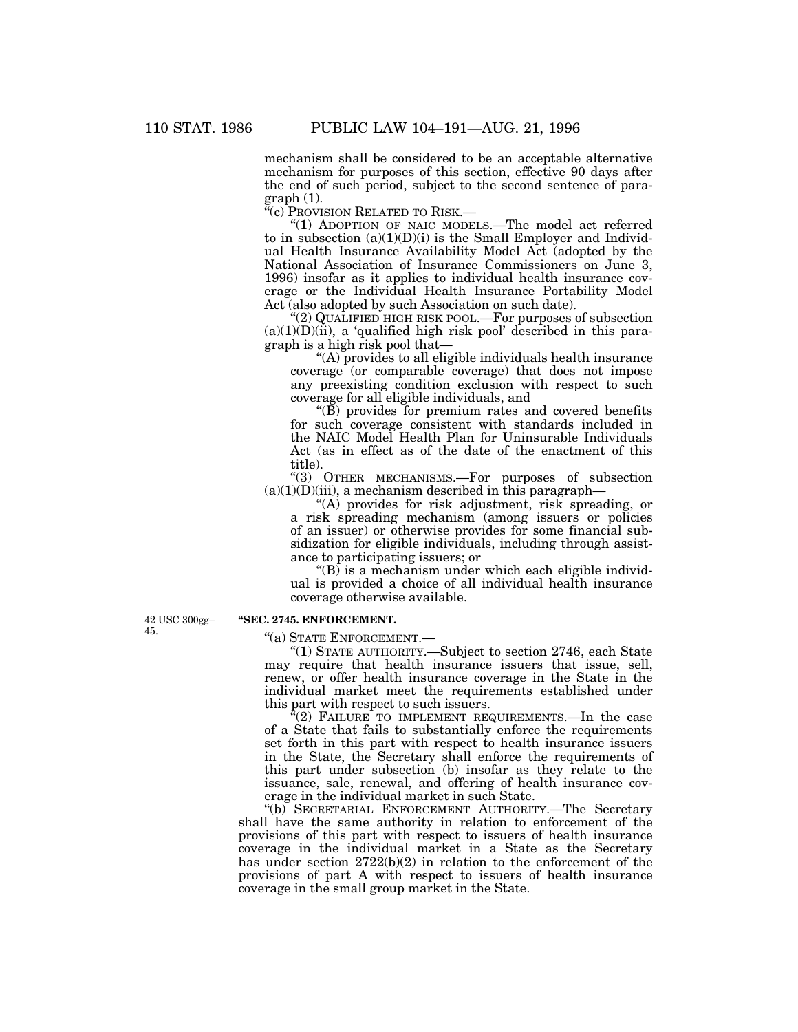mechanism shall be considered to be an acceptable alternative mechanism for purposes of this section, effective 90 days after the end of such period, subject to the second sentence of paragraph (1).

''(c) PROVISION RELATED TO RISK.—

"(1) ADOPTION OF NAIC MODELS.—The model act referred to in subsection  $(a)(1)(D)(i)$  is the Small Employer and Individual Health Insurance Availability Model Act (adopted by the National Association of Insurance Commissioners on June 3, 1996) insofar as it applies to individual health insurance coverage or the Individual Health Insurance Portability Model Act (also adopted by such Association on such date).

''(2) QUALIFIED HIGH RISK POOL.—For purposes of subsection  $(a)(1)(D)(ii)$ , a 'qualified high risk pool' described in this paragraph is a high risk pool that—

''(A) provides to all eligible individuals health insurance coverage (or comparable coverage) that does not impose any preexisting condition exclusion with respect to such coverage for all eligible individuals, and

 $\mathrm{H}(\overline{\mathbf{B}})$  provides for premium rates and covered benefits for such coverage consistent with standards included in the NAIC Model Health Plan for Uninsurable Individuals Act (as in effect as of the date of the enactment of this title).

''(3) OTHER MECHANISMS.—For purposes of subsection  $(a)(1)(D)(iii)$ , a mechanism described in this paragraph—

"(A) provides for risk adjustment, risk spreading, or a risk spreading mechanism (among issuers or policies of an issuer) or otherwise provides for some financial subsidization for eligible individuals, including through assistance to participating issuers; or

''(B) is a mechanism under which each eligible individual is provided a choice of all individual health insurance coverage otherwise available.

42 USC 300gg– 45.

### **''SEC. 2745. ENFORCEMENT.**

''(a) STATE ENFORCEMENT.—

''(1) STATE AUTHORITY.—Subject to section 2746, each State may require that health insurance issuers that issue, sell, renew, or offer health insurance coverage in the State in the individual market meet the requirements established under this part with respect to such issuers.

 $f(2)$  FAILURE TO IMPLEMENT REQUIREMENTS.—In the case of a State that fails to substantially enforce the requirements set forth in this part with respect to health insurance issuers in the State, the Secretary shall enforce the requirements of this part under subsection (b) insofar as they relate to the issuance, sale, renewal, and offering of health insurance coverage in the individual market in such State.

"(b) SECRETARIAL ENFORCEMENT AUTHORITY.—The Secretary shall have the same authority in relation to enforcement of the provisions of this part with respect to issuers of health insurance coverage in the individual market in a State as the Secretary has under section 2722(b)(2) in relation to the enforcement of the provisions of part A with respect to issuers of health insurance coverage in the small group market in the State.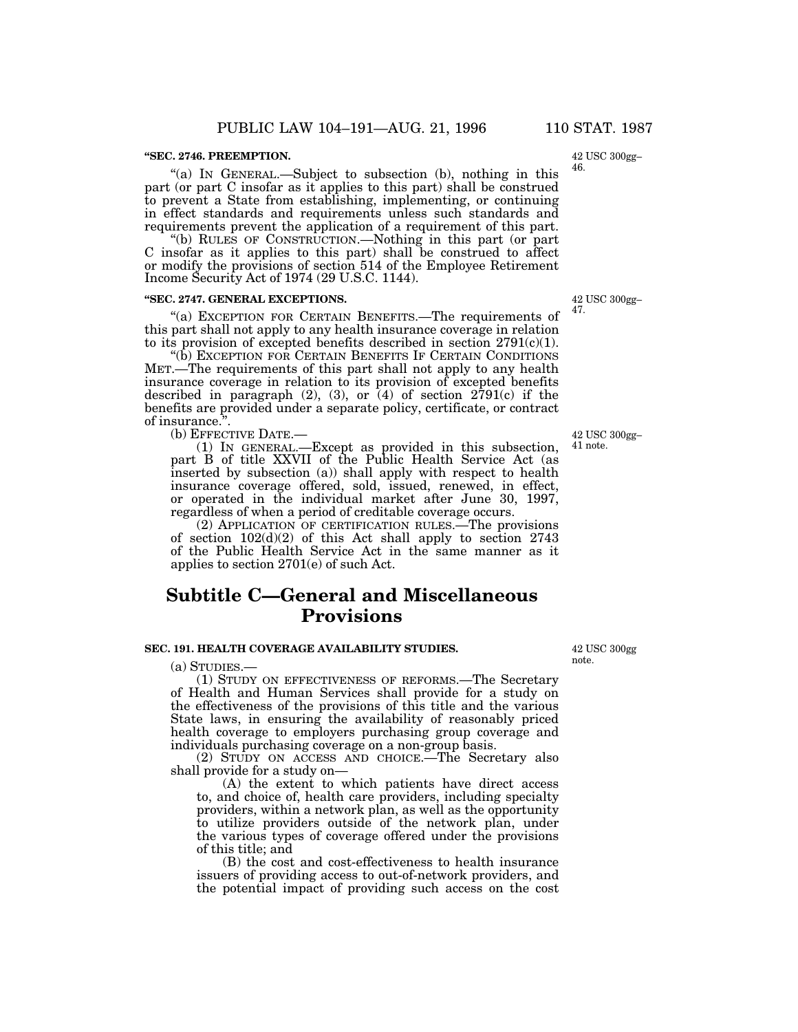# **''SEC. 2746. PREEMPTION.**

42 USC 300gg– 46.

''(a) IN GENERAL.—Subject to subsection (b), nothing in this part (or part C insofar as it applies to this part) shall be construed to prevent a State from establishing, implementing, or continuing in effect standards and requirements unless such standards and requirements prevent the application of a requirement of this part. ''(b) RULES OF CONSTRUCTION.—Nothing in this part (or part

C insofar as it applies to this part) shall be construed to affect or modify the provisions of section 514 of the Employee Retirement Income Security Act of 1974 (29 U.S.C. 1144).

### **''SEC. 2747. GENERAL EXCEPTIONS.**

"(a) EXCEPTION FOR CERTAIN BENEFITS.—The requirements of this part shall not apply to any health insurance coverage in relation to its provision of excepted benefits described in section  $2791(c)(1)$ .

''(b) EXCEPTION FOR CERTAIN BENEFITS IF CERTAIN CONDITIONS MET.—The requirements of this part shall not apply to any health insurance coverage in relation to its provision of excepted benefits described in paragraph  $(2)$ ,  $(3)$ , or  $(4)$  of section  $2791(c)$  if the benefits are provided under a separate policy, certificate, or contract of insurance."

(b) EFFECTIVE DATE.—

(1) IN GENERAL.—Except as provided in this subsection, part B of title XXVII of the Public Health Service Act (as inserted by subsection (a)) shall apply with respect to health insurance coverage offered, sold, issued, renewed, in effect, or operated in the individual market after June 30, 1997, regardless of when a period of creditable coverage occurs.

(2) APPLICATION OF CERTIFICATION RULES.—The provisions of section 102(d)(2) of this Act shall apply to section 2743 of the Public Health Service Act in the same manner as it applies to section 2701(e) of such Act.

# **Subtitle C—General and Miscellaneous Provisions**

### **SEC. 191. HEALTH COVERAGE AVAILABILITY STUDIES.**

(a) STUDIES.—

(1) STUDY ON EFFECTIVENESS OF REFORMS.—The Secretary of Health and Human Services shall provide for a study on the effectiveness of the provisions of this title and the various State laws, in ensuring the availability of reasonably priced health coverage to employers purchasing group coverage and individuals purchasing coverage on a non-group basis.

(2) STUDY ON ACCESS AND CHOICE.—The Secretary also shall provide for a study on—

(A) the extent to which patients have direct access to, and choice of, health care providers, including specialty providers, within a network plan, as well as the opportunity to utilize providers outside of the network plan, under the various types of coverage offered under the provisions of this title; and

(B) the cost and cost-effectiveness to health insurance issuers of providing access to out-of-network providers, and the potential impact of providing such access on the cost

42 USC 300gg note.

42 USC 300gg– 47.

42 USC 300gg– 41 note.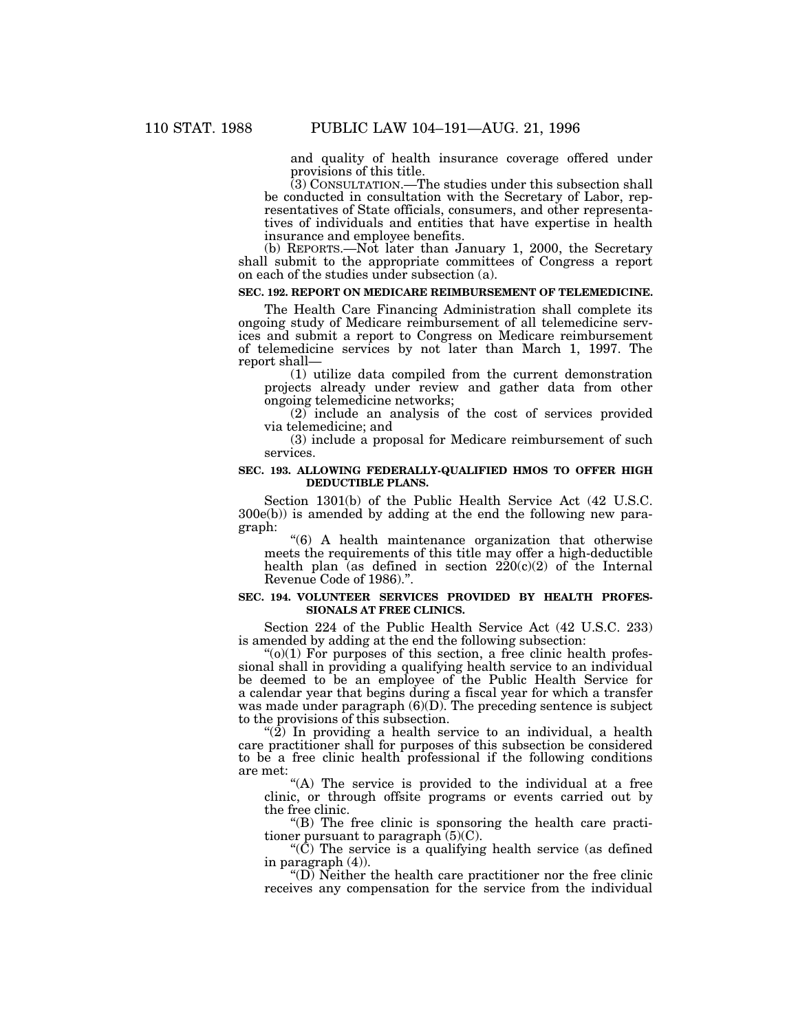and quality of health insurance coverage offered under provisions of this title.

(3) CONSULTATION.—The studies under this subsection shall be conducted in consultation with the Secretary of Labor, representatives of State officials, consumers, and other representatives of individuals and entities that have expertise in health insurance and employee benefits.

(b) REPORTS.—Not later than January 1, 2000, the Secretary shall submit to the appropriate committees of Congress a report on each of the studies under subsection (a).

### **SEC. 192. REPORT ON MEDICARE REIMBURSEMENT OF TELEMEDICINE.**

The Health Care Financing Administration shall complete its ongoing study of Medicare reimbursement of all telemedicine services and submit a report to Congress on Medicare reimbursement of telemedicine services by not later than March 1, 1997. The report shall—

(1) utilize data compiled from the current demonstration projects already under review and gather data from other ongoing telemedicine networks;

(2) include an analysis of the cost of services provided via telemedicine; and

(3) include a proposal for Medicare reimbursement of such services.

### **SEC. 193. ALLOWING FEDERALLY-QUALIFIED HMOS TO OFFER HIGH DEDUCTIBLE PLANS.**

Section 1301(b) of the Public Health Service Act (42 U.S.C. 300e(b)) is amended by adding at the end the following new paragraph:

''(6) A health maintenance organization that otherwise meets the requirements of this title may offer a high-deductible health plan (as defined in section  $220(c)(2)$  of the Internal Revenue Code of 1986).''.

# **SEC. 194. VOLUNTEER SERVICES PROVIDED BY HEALTH PROFES-SIONALS AT FREE CLINICS.**

Section 224 of the Public Health Service Act (42 U.S.C. 233) is amended by adding at the end the following subsection:

 $(v(0)(1)$  For purposes of this section, a free clinic health professional shall in providing a qualifying health service to an individual be deemed to be an employee of the Public Health Service for a calendar year that begins during a fiscal year for which a transfer was made under paragraph (6)(D). The preceding sentence is subject to the provisions of this subsection.

" $(2)$  In providing a health service to an individual, a health care practitioner shall for purposes of this subsection be considered to be a free clinic health professional if the following conditions are met:

"(A) The service is provided to the individual at a free clinic, or through offsite programs or events carried out by the free clinic.

''(B) The free clinic is sponsoring the health care practitioner pursuant to paragraph  $(5)(C)$ .

" $(\tilde{C})$  The service is a qualifying health service (as defined in paragraph (4)).

''(D) Neither the health care practitioner nor the free clinic receives any compensation for the service from the individual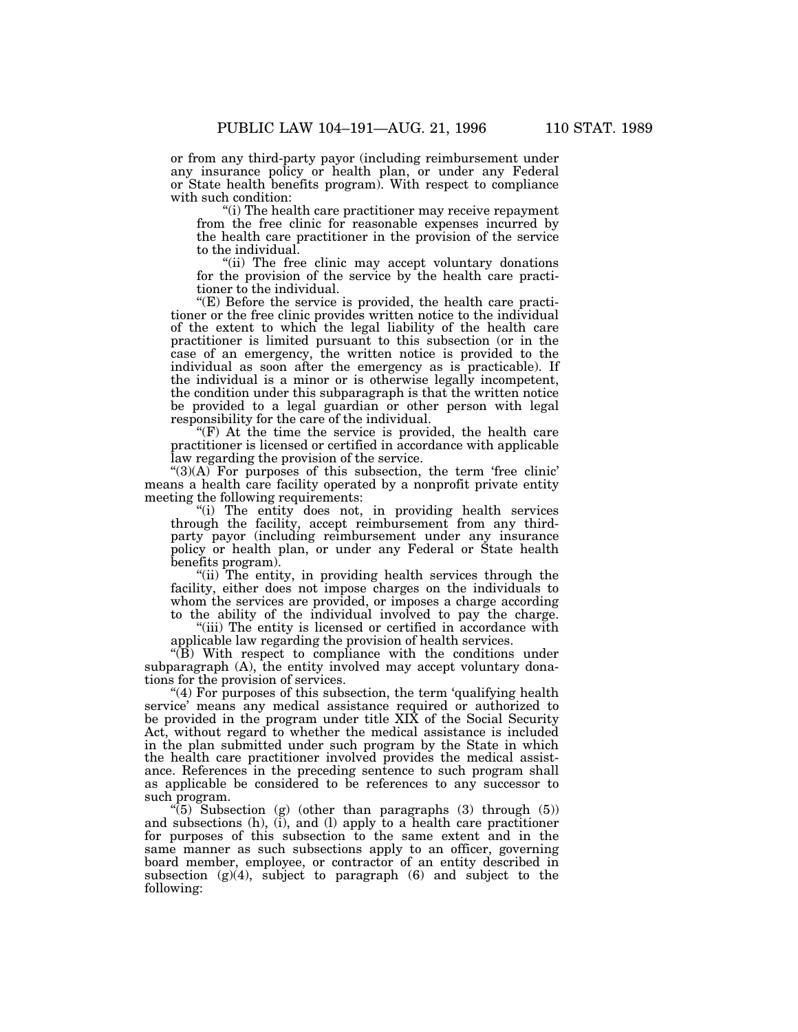or from any third-party payor (including reimbursement under any insurance policy or health plan, or under any Federal or State health benefits program). With respect to compliance with such condition:

''(i) The health care practitioner may receive repayment from the free clinic for reasonable expenses incurred by the health care practitioner in the provision of the service to the individual.

"(ii) The free clinic may accept voluntary donations" for the provision of the service by the health care practitioner to the individual.

''(E) Before the service is provided, the health care practitioner or the free clinic provides written notice to the individual of the extent to which the legal liability of the health care practitioner is limited pursuant to this subsection (or in the case of an emergency, the written notice is provided to the individual as soon after the emergency as is practicable). If the individual is a minor or is otherwise legally incompetent, the condition under this subparagraph is that the written notice be provided to a legal guardian or other person with legal responsibility for the care of the individual.

" $(F)$  At the time the service is provided, the health care practitioner is licensed or certified in accordance with applicable law regarding the provision of the service.

" $(3)(A)$  For purposes of this subsection, the term 'free clinic' means a health care facility operated by a nonprofit private entity meeting the following requirements:

"(i) The entity does not, in providing health services through the facility, accept reimbursement from any thirdparty payor (including reimbursement under any insurance policy or health plan, or under any Federal or State health benefits program).

"(ii) The entity, in providing health services through the facility, either does not impose charges on the individuals to whom the services are provided, or imposes a charge according to the ability of the individual involved to pay the charge.

"(iii) The entity is licensed or certified in accordance with applicable law regarding the provision of health services.

"(B) With respect to compliance with the conditions under subparagraph (A), the entity involved may accept voluntary donations for the provision of services.

"(4) For purposes of this subsection, the term 'qualifying health service' means any medical assistance required or authorized to be provided in the program under title XIX of the Social Security Act, without regard to whether the medical assistance is included in the plan submitted under such program by the State in which the health care practitioner involved provides the medical assistance. References in the preceding sentence to such program shall as applicable be considered to be references to any successor to such program.

" $(5)$  Subsection (g) (other than paragraphs (3) through (5)) and subsections (h), (i), and (l) apply to a health care practitioner for purposes of this subsection to the same extent and in the same manner as such subsections apply to an officer, governing board member, employee, or contractor of an entity described in subsection  $(g)(4)$ , subject to paragraph  $(6)$  and subject to the following: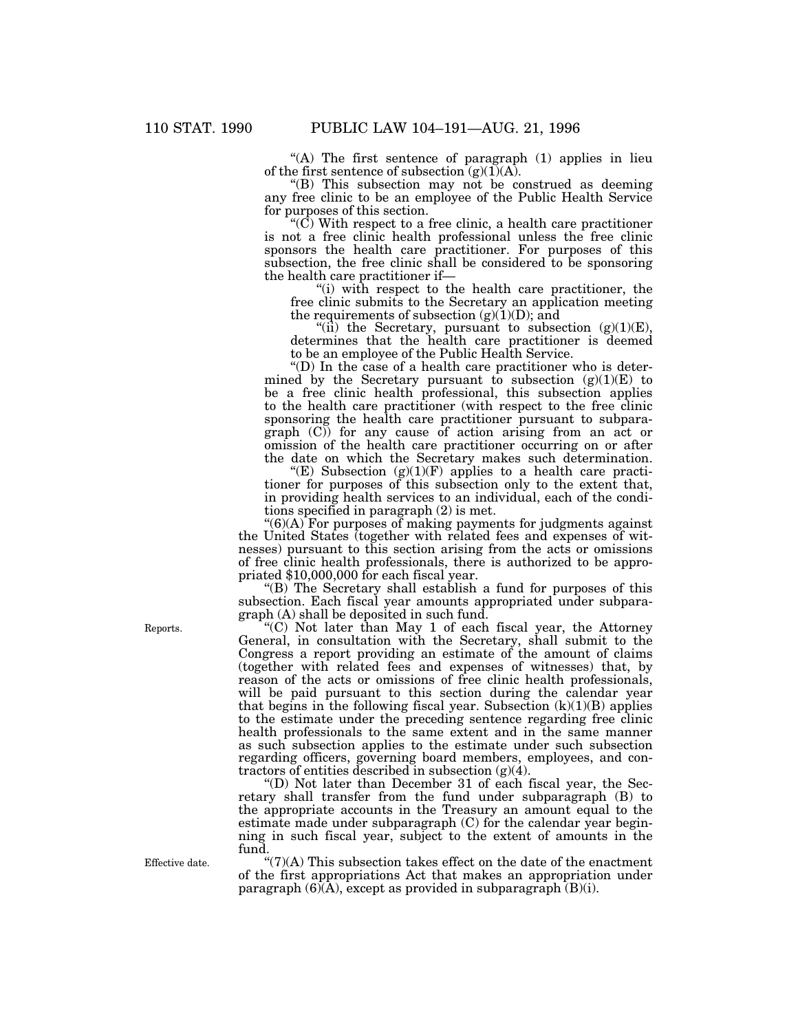"(A) The first sentence of paragraph (1) applies in lieu of the first sentence of subsection  $(g)(1)(A)$ .

''(B) This subsection may not be construed as deeming any free clinic to be an employee of the Public Health Service for purposes of this section.

" $(\overline{C})$  With respect to a free clinic, a health care practitioner is not a free clinic health professional unless the free clinic sponsors the health care practitioner. For purposes of this subsection, the free clinic shall be considered to be sponsoring the health care practitioner if—

''(i) with respect to the health care practitioner, the free clinic submits to the Secretary an application meeting the requirements of subsection  $(g)(1)(D)$ ; and

"(ii) the Secretary, pursuant to subsection  $(g)(1)(E)$ , determines that the health care practitioner is deemed to be an employee of the Public Health Service.

''(D) In the case of a health care practitioner who is determined by the Secretary pursuant to subsection  $(g)(1)(E)$  to be a free clinic health professional, this subsection applies to the health care practitioner (with respect to the free clinic sponsoring the health care practitioner pursuant to subparagraph (C)) for any cause of action arising from an act or omission of the health care practitioner occurring on or after the date on which the Secretary makes such determination.

"(E) Subsection  $(g)(1)(F)$  applies to a health care practitioner for purposes of this subsection only to the extent that, in providing health services to an individual, each of the conditions specified in paragraph (2) is met.

 $"(6)(A)$  For purposes of making payments for judgments against the United States (together with related fees and expenses of witnesses) pursuant to this section arising from the acts or omissions of free clinic health professionals, there is authorized to be appropriated \$10,000,000 for each fiscal year.

''(B) The Secretary shall establish a fund for purposes of this subsection. Each fiscal year amounts appropriated under subparagraph (A) shall be deposited in such fund.

''(C) Not later than May 1 of each fiscal year, the Attorney General, in consultation with the Secretary, shall submit to the Congress a report providing an estimate of the amount of claims (together with related fees and expenses of witnesses) that, by reason of the acts or omissions of free clinic health professionals, will be paid pursuant to this section during the calendar year that begins in the following fiscal year. Subsection  $(k)(1)(B)$  applies to the estimate under the preceding sentence regarding free clinic health professionals to the same extent and in the same manner as such subsection applies to the estimate under such subsection regarding officers, governing board members, employees, and contractors of entities described in subsection  $(g)(4)$ .

''(D) Not later than December 31 of each fiscal year, the Secretary shall transfer from the fund under subparagraph (B) to the appropriate accounts in the Treasury an amount equal to the estimate made under subparagraph  $(C)$  for the calendar year beginning in such fiscal year, subject to the extent of amounts in the fund.

" $(7)(A)$  This subsection takes effect on the date of the enactment of the first appropriations Act that makes an appropriation under paragraph  $(6)(\overline{A})$ , except as provided in subparagraph  $(B)(i)$ .

Reports.

Effective date.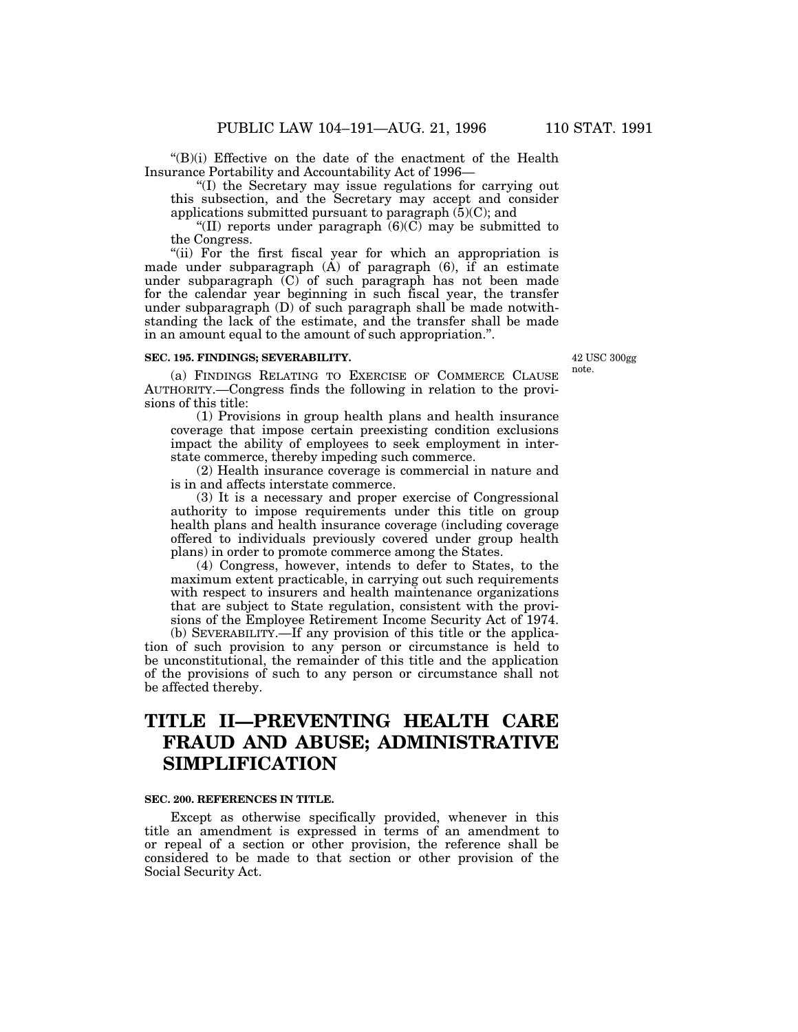$f(B)(i)$  Effective on the date of the enactment of the Health Insurance Portability and Accountability Act of 1996—

''(I) the Secretary may issue regulations for carrying out this subsection, and the Secretary may accept and consider applications submitted pursuant to paragraph  $(5)(C)$ ; and

"(II) reports under paragraph  $(6)(C)$  may be submitted to the Congress.

"(ii) For the first fiscal year for which an appropriation is made under subparagraph (A) of paragraph (6), if an estimate under subparagraph (C) of such paragraph has not been made for the calendar year beginning in such fiscal year, the transfer under subparagraph (D) of such paragraph shall be made notwithstanding the lack of the estimate, and the transfer shall be made in an amount equal to the amount of such appropriation.''.

# **SEC. 195. FINDINGS; SEVERABILITY.**

42 USC 300gg note.

(a) FINDINGS RELATING TO EXERCISE OF COMMERCE CLAUSE AUTHORITY.—Congress finds the following in relation to the provisions of this title:

(1) Provisions in group health plans and health insurance coverage that impose certain preexisting condition exclusions impact the ability of employees to seek employment in interstate commerce, thereby impeding such commerce.

(2) Health insurance coverage is commercial in nature and is in and affects interstate commerce.

(3) It is a necessary and proper exercise of Congressional authority to impose requirements under this title on group health plans and health insurance coverage (including coverage offered to individuals previously covered under group health plans) in order to promote commerce among the States.

(4) Congress, however, intends to defer to States, to the maximum extent practicable, in carrying out such requirements with respect to insurers and health maintenance organizations that are subject to State regulation, consistent with the provisions of the Employee Retirement Income Security Act of 1974.

(b) SEVERABILITY.—If any provision of this title or the application of such provision to any person or circumstance is held to be unconstitutional, the remainder of this title and the application of the provisions of such to any person or circumstance shall not be affected thereby.

# **TITLE II—PREVENTING HEALTH CARE FRAUD AND ABUSE; ADMINISTRATIVE SIMPLIFICATION**

### **SEC. 200. REFERENCES IN TITLE.**

Except as otherwise specifically provided, whenever in this title an amendment is expressed in terms of an amendment to or repeal of a section or other provision, the reference shall be considered to be made to that section or other provision of the Social Security Act.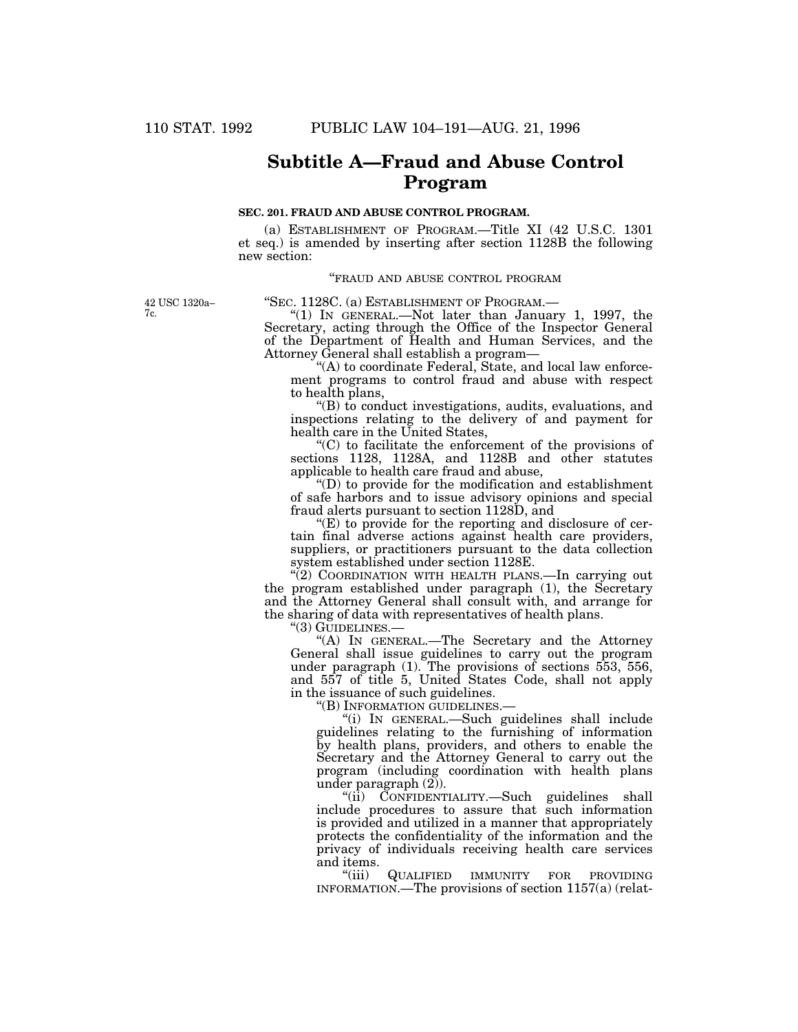# **Subtitle A—Fraud and Abuse Control Program**

### **SEC. 201. FRAUD AND ABUSE CONTROL PROGRAM.**

(a) ESTABLISHMENT OF PROGRAM.—Title XI (42 U.S.C. 1301 et seq.) is amended by inserting after section 1128B the following new section:

### ''FRAUD AND ABUSE CONTROL PROGRAM

42 USC 1320a– 7c.

''SEC. 1128C. (a) ESTABLISHMENT OF PROGRAM.—

"(1) IN GENERAL.—Not later than January 1, 1997, the Secretary, acting through the Office of the Inspector General of the Department of Health and Human Services, and the Attorney General shall establish a program—

''(A) to coordinate Federal, State, and local law enforcement programs to control fraud and abuse with respect to health plans,

''(B) to conduct investigations, audits, evaluations, and inspections relating to the delivery of and payment for health care in the United States,

''(C) to facilitate the enforcement of the provisions of sections 1128, 1128A, and 1128B and other statutes applicable to health care fraud and abuse,

''(D) to provide for the modification and establishment of safe harbors and to issue advisory opinions and special fraud alerts pursuant to section 1128D, and

 $E(E)$  to provide for the reporting and disclosure of certain final adverse actions against health care providers, suppliers, or practitioners pursuant to the data collection system established under section 1128E.

"(2) COORDINATION WITH HEALTH PLANS.—In carrying out the program established under paragraph (1), the Secretary and the Attorney General shall consult with, and arrange for the sharing of data with representatives of health plans.

''(3) GUIDELINES.—

''(A) IN GENERAL.—The Secretary and the Attorney General shall issue guidelines to carry out the program under paragraph (1). The provisions of sections 553, 556, and 557 of title 5, United States Code, shall not apply in the issuance of such guidelines.

''(B) INFORMATION GUIDELINES.—

''(i) IN GENERAL.—Such guidelines shall include guidelines relating to the furnishing of information by health plans, providers, and others to enable the Secretary and the Attorney General to carry out the program (including coordination with health plans under paragraph (2)).

''(ii) CONFIDENTIALITY.—Such guidelines shall include procedures to assure that such information is provided and utilized in a manner that appropriately protects the confidentiality of the information and the privacy of individuals receiving health care services and items.

''(iii) QUALIFIED IMMUNITY FOR PROVIDING INFORMATION.—The provisions of section 1157(a) (relat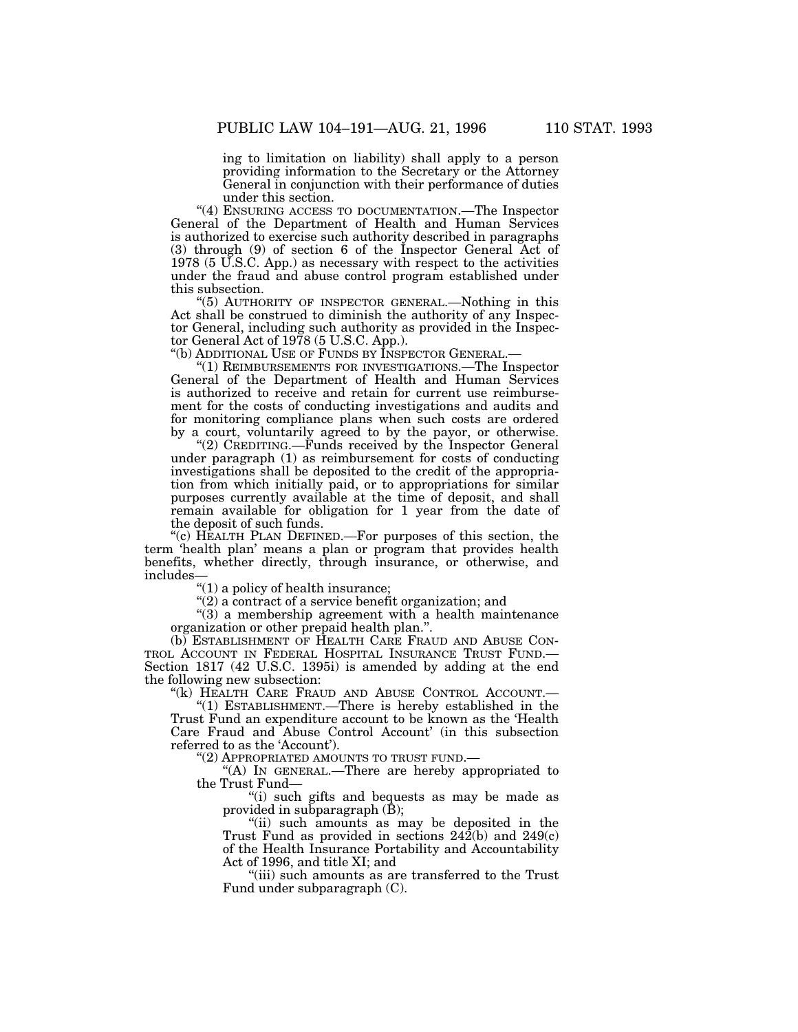ing to limitation on liability) shall apply to a person providing information to the Secretary or the Attorney General in conjunction with their performance of duties under this section.

''(4) ENSURING ACCESS TO DOCUMENTATION.—The Inspector General of the Department of Health and Human Services is authorized to exercise such authority described in paragraphs (3) through (9) of section 6 of the Inspector General Act of 1978 (5 U.S.C. App.) as necessary with respect to the activities under the fraud and abuse control program established under this subsection.

''(5) AUTHORITY OF INSPECTOR GENERAL.—Nothing in this Act shall be construed to diminish the authority of any Inspector General, including such authority as provided in the Inspector General Act of 1978 (5 U.S.C. App.).

''(b) ADDITIONAL USE OF FUNDS BY INSPECTOR GENERAL.—

''(1) REIMBURSEMENTS FOR INVESTIGATIONS.—The Inspector General of the Department of Health and Human Services is authorized to receive and retain for current use reimbursement for the costs of conducting investigations and audits and for monitoring compliance plans when such costs are ordered by a court, voluntarily agreed to by the payor, or otherwise.

"(2) CREDITING.—Funds received by the Inspector General under paragraph (1) as reimbursement for costs of conducting investigations shall be deposited to the credit of the appropriation from which initially paid, or to appropriations for similar purposes currently available at the time of deposit, and shall remain available for obligation for 1 year from the date of the deposit of such funds.

"(c)  $H_{\text{EALTH}}$  PLAN DEFINED.—For purposes of this section, the term 'health plan' means a plan or program that provides health benefits, whether directly, through insurance, or otherwise, and includes—

''(1) a policy of health insurance;

 $''(2)$  a contract of a service benefit organization; and

" $(3)$  a membership agreement with a health maintenance organization or other prepaid health plan.''.

(b) ESTABLISHMENT OF HEALTH CARE FRAUD AND ABUSE CON-TROL ACCOUNT IN FEDERAL HOSPITAL INSURANCE TRUST FUND.— Section 1817 (42 U.S.C. 1395i) is amended by adding at the end the following new subsection:

"(k) HEALTH CARE FRAUD AND ABUSE CONTROL ACCOUNT.-

"(1) ESTABLISHMENT.—There is hereby established in the Trust Fund an expenditure account to be known as the 'Health Care Fraud and Abuse Control Account' (in this subsection referred to as the 'Account').

''(2) APPROPRIATED AMOUNTS TO TRUST FUND.—

''(A) IN GENERAL.—There are hereby appropriated to the Trust Fund—

''(i) such gifts and bequests as may be made as provided in subparagraph (B);

"(ii) such amounts as may be deposited in the Trust Fund as provided in sections  $242(b)$  and  $249(c)$ of the Health Insurance Portability and Accountability Act of 1996, and title XI; and

"(iii) such amounts as are transferred to the Trust Fund under subparagraph (C).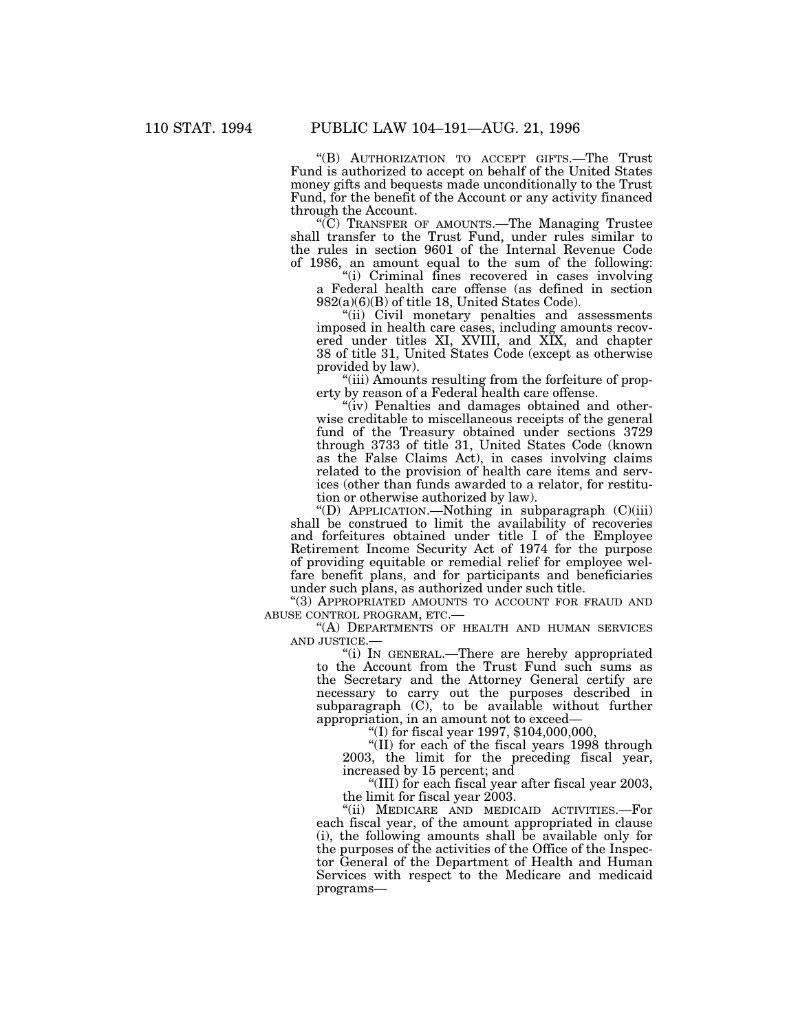''(B) AUTHORIZATION TO ACCEPT GIFTS.—The Trust Fund is authorized to accept on behalf of the United States money gifts and bequests made unconditionally to the Trust Fund, for the benefit of the Account or any activity financed through the Account.

''(C) TRANSFER OF AMOUNTS.—The Managing Trustee shall transfer to the Trust Fund, under rules similar to the rules in section 9601 of the Internal Revenue Code of 1986, an amount equal to the sum of the following:

(i) Criminal fines recovered in cases involving a Federal health care offense (as defined in section 982(a)(6)(B) of title 18, United States Code).

''(ii) Civil monetary penalties and assessments imposed in health care cases, including amounts recovered under titles XI, XVIII, and XIX, and chapter 38 of title 31, United States Code (except as otherwise provided by law).

"(iii) Amounts resulting from the forfeiture of property by reason of a Federal health care offense.

"(iv) Penalties and damages obtained and otherwise creditable to miscellaneous receipts of the general fund of the Treasury obtained under sections 3729 through 3733 of title 31, United States Code (known as the False Claims Act), in cases involving claims related to the provision of health care items and services (other than funds awarded to a relator, for restitution or otherwise authorized by law).

''(D) APPLICATION.—Nothing in subparagraph (C)(iii) shall be construed to limit the availability of recoveries and forfeitures obtained under title I of the Employee Retirement Income Security Act of 1974 for the purpose of providing equitable or remedial relief for employee welfare benefit plans, and for participants and beneficiaries under such plans, as authorized under such title.

''(3) APPROPRIATED AMOUNTS TO ACCOUNT FOR FRAUD AND ABUSE CONTROL PROGRAM, ETC.—

''(A) DEPARTMENTS OF HEALTH AND HUMAN SERVICES AND JUSTICE.—

''(i) IN GENERAL.—There are hereby appropriated to the Account from the Trust Fund such sums as the Secretary and the Attorney General certify are necessary to carry out the purposes described in subparagraph (C), to be available without further appropriation, in an amount not to exceed—

''(I) for fiscal year 1997, \$104,000,000,

''(II) for each of the fiscal years 1998 through 2003, the limit for the preceding fiscal year, increased by 15 percent; and

''(III) for each fiscal year after fiscal year 2003, the limit for fiscal year 2003.

''(ii) MEDICARE AND MEDICAID ACTIVITIES.—For each fiscal year, of the amount appropriated in clause (i), the following amounts shall be available only for the purposes of the activities of the Office of the Inspector General of the Department of Health and Human Services with respect to the Medicare and medicaid programs—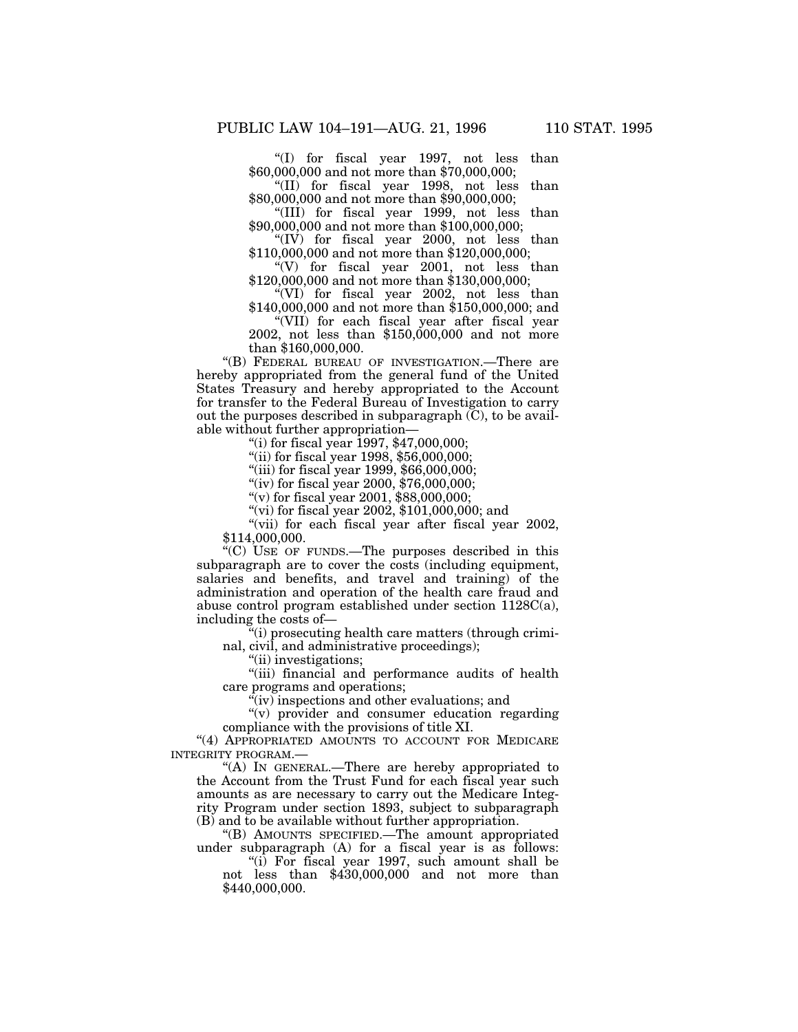''(I) for fiscal year 1997, not less than \$60,000,000 and not more than \$70,000,000;

''(II) for fiscal year 1998, not less than \$80,000,000 and not more than \$90,000,000;

''(III) for fiscal year 1999, not less than \$90,000,000 and not more than \$100,000,000;

"(IV) for fiscal year 2000, not less than \$110,000,000 and not more than \$120,000,000;

''(V) for fiscal year 2001, not less than \$120,000,000 and not more than \$130,000,000;

''(VI) for fiscal year 2002, not less than \$140,000,000 and not more than \$150,000,000; and

''(VII) for each fiscal year after fiscal year 2002, not less than \$150,000,000 and not more than \$160,000,000.

''(B) FEDERAL BUREAU OF INVESTIGATION.—There are hereby appropriated from the general fund of the United States Treasury and hereby appropriated to the Account for transfer to the Federal Bureau of Investigation to carry out the purposes described in subparagraph  $(C)$ , to be available without further appropriation—

"(i) for fiscal year  $1997, $47,000,000;$ 

''(ii) for fiscal year 1998, \$56,000,000;

''(iii) for fiscal year 1999, \$66,000,000;

''(iv) for fiscal year 2000, \$76,000,000;

''(v) for fiscal year 2001, \$88,000,000;

"(vi) for fiscal year 2002, \$101,000,000; and

"(vii) for each fiscal year after fiscal year 2002, \$114,000,000.

''(C) USE OF FUNDS.—The purposes described in this subparagraph are to cover the costs (including equipment, salaries and benefits, and travel and training) of the administration and operation of the health care fraud and abuse control program established under section 1128C(a), including the costs of—

 $\hat{f}(i)$  prosecuting health care matters (through criminal, civil, and administrative proceedings);

''(ii) investigations;

"(iii) financial and performance audits of health care programs and operations;

''(iv) inspections and other evaluations; and

"(v) provider and consumer education regarding compliance with the provisions of title XI.

"(4) APPROPRIATED AMOUNTS TO ACCOUNT FOR MEDICARE INTEGRITY PROGRAM.—

"(A) IN GENERAL.—There are hereby appropriated to the Account from the Trust Fund for each fiscal year such amounts as are necessary to carry out the Medicare Integrity Program under section 1893, subject to subparagraph (B) and to be available without further appropriation.

''(B) AMOUNTS SPECIFIED.—The amount appropriated under subparagraph (A) for a fiscal year is as follows:

"(i) For fiscal year 1997, such amount shall be not less than \$430,000,000 and not more than \$440,000,000.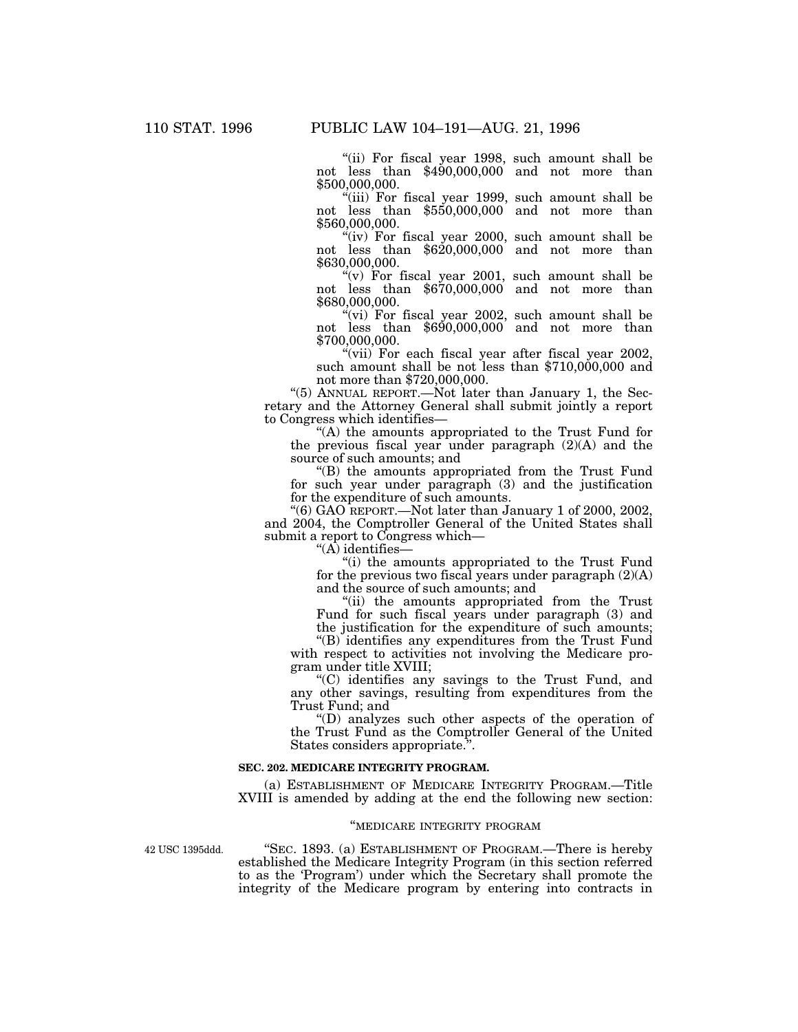''(ii) For fiscal year 1998, such amount shall be not less than \$490,000,000 and not more than \$500,000,000.

"(iii) For fiscal year 1999, such amount shall be not less than \$550,000,000 and not more than \$560,000,000.

"(iv) For fiscal year 2000, such amount shall be not less than \$620,000,000 and not more than \$630,000,000.

''(v) For fiscal year 2001, such amount shall be not less than \$670,000,000 and not more than \$680,000,000.

''(vi) For fiscal year 2002, such amount shall be not less than \$690,000,000 and not more than \$700,000,000.

"(vii) For each fiscal year after fiscal year 2002, such amount shall be not less than \$710,000,000 and not more than \$720,000,000.

"(5) ANNUAL REPORT.—Not later than January 1, the Secretary and the Attorney General shall submit jointly a report to Congress which identifies—

"(A) the amounts appropriated to the Trust Fund for the previous fiscal year under paragraph (2)(A) and the source of such amounts; and

''(B) the amounts appropriated from the Trust Fund for such year under paragraph (3) and the justification for the expenditure of such amounts.

''(6) GAO REPORT.—Not later than January 1 of 2000, 2002, and 2004, the Comptroller General of the United States shall submit a report to Congress which—

"(A) identifies-

''(i) the amounts appropriated to the Trust Fund for the previous two fiscal years under paragraph  $(2)(A)$ and the source of such amounts; and

''(ii) the amounts appropriated from the Trust Fund for such fiscal years under paragraph (3) and the justification for the expenditure of such amounts;

''(B) identifies any expenditures from the Trust Fund with respect to activities not involving the Medicare program under title XVIII;

''(C) identifies any savings to the Trust Fund, and any other savings, resulting from expenditures from the Trust Fund; and

''(D) analyzes such other aspects of the operation of the Trust Fund as the Comptroller General of the United States considers appropriate.''.

# **SEC. 202. MEDICARE INTEGRITY PROGRAM.**

(a) ESTABLISHMENT OF MEDICARE INTEGRITY PROGRAM.—Title XVIII is amended by adding at the end the following new section:

### ''MEDICARE INTEGRITY PROGRAM

42 USC 1395ddd.

''SEC. 1893. (a) ESTABLISHMENT OF PROGRAM.—There is hereby established the Medicare Integrity Program (in this section referred to as the 'Program') under which the Secretary shall promote the integrity of the Medicare program by entering into contracts in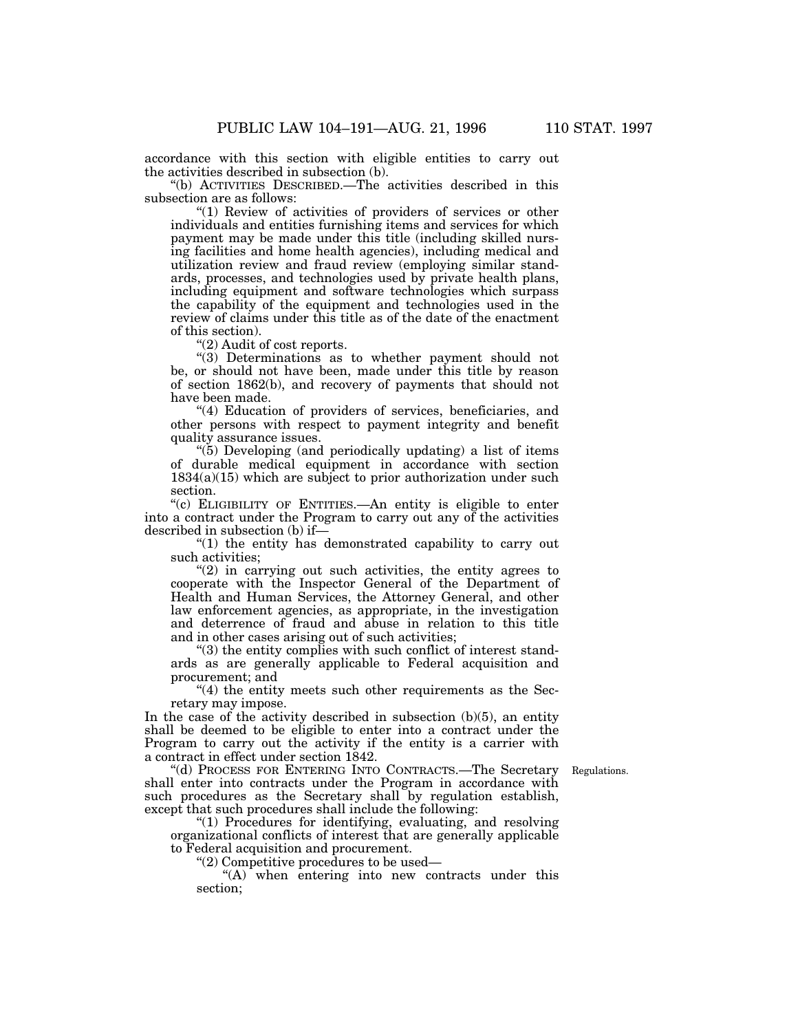accordance with this section with eligible entities to carry out the activities described in subsection (b).

''(b) ACTIVITIES DESCRIBED.—The activities described in this subsection are as follows:

"(1) Review of activities of providers of services or other individuals and entities furnishing items and services for which payment may be made under this title (including skilled nursing facilities and home health agencies), including medical and utilization review and fraud review (employing similar standards, processes, and technologies used by private health plans, including equipment and software technologies which surpass the capability of the equipment and technologies used in the review of claims under this title as of the date of the enactment of this section).

''(2) Audit of cost reports.

''(3) Determinations as to whether payment should not be, or should not have been, made under this title by reason of section 1862(b), and recovery of payments that should not have been made.

"(4) Education of providers of services, beneficiaries, and other persons with respect to payment integrity and benefit quality assurance issues.

" $(5)$  Developing (and periodically updating) a list of items of durable medical equipment in accordance with section  $1834(a)(15)$  which are subject to prior authorization under such section.

"(c) ELIGIBILITY OF ENTITIES.—An entity is eligible to enter into a contract under the Program to carry out any of the activities described in subsection (b) if—

''(1) the entity has demonstrated capability to carry out such activities;

 $(2)$  in carrying out such activities, the entity agrees to cooperate with the Inspector General of the Department of Health and Human Services, the Attorney General, and other law enforcement agencies, as appropriate, in the investigation and deterrence of fraud and abuse in relation to this title and in other cases arising out of such activities;

''(3) the entity complies with such conflict of interest standards as are generally applicable to Federal acquisition and procurement; and

"(4) the entity meets such other requirements as the Secretary may impose.

In the case of the activity described in subsection  $(b)(5)$ , an entity shall be deemed to be eligible to enter into a contract under the Program to carry out the activity if the entity is a carrier with a contract in effect under section 1842.

Regulations.

''(d) PROCESS FOR ENTERING INTO CONTRACTS.—The Secretary shall enter into contracts under the Program in accordance with such procedures as the Secretary shall by regulation establish, except that such procedures shall include the following:

''(1) Procedures for identifying, evaluating, and resolving organizational conflicts of interest that are generally applicable to Federal acquisition and procurement.

''(2) Competitive procedures to be used—

"(A) when entering into new contracts under this section;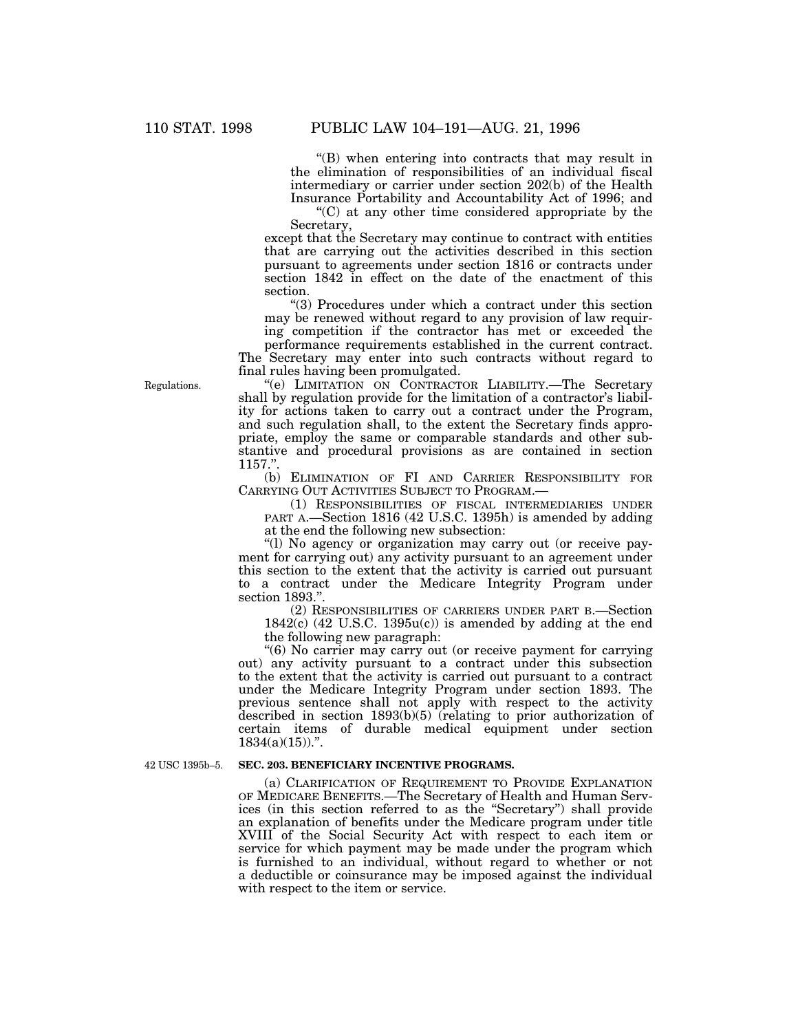''(B) when entering into contracts that may result in the elimination of responsibilities of an individual fiscal intermediary or carrier under section 202(b) of the Health Insurance Portability and Accountability Act of 1996; and

''(C) at any other time considered appropriate by the Secretary,

except that the Secretary may continue to contract with entities that are carrying out the activities described in this section pursuant to agreements under section 1816 or contracts under section 1842 in effect on the date of the enactment of this section.

''(3) Procedures under which a contract under this section may be renewed without regard to any provision of law requiring competition if the contractor has met or exceeded the

performance requirements established in the current contract. The Secretary may enter into such contracts without regard to final rules having been promulgated.

''(e) LIMITATION ON CONTRACTOR LIABILITY.—The Secretary shall by regulation provide for the limitation of a contractor's liability for actions taken to carry out a contract under the Program, and such regulation shall, to the extent the Secretary finds appropriate, employ the same or comparable standards and other substantive and procedural provisions as are contained in section 1157.''.

(b) ELIMINATION OF FI AND CARRIER RESPONSIBILITY FOR CARRYING OUT ACTIVITIES SUBJECT TO PROGRAM.—

(1) RESPONSIBILITIES OF FISCAL INTERMEDIARIES UNDER PART A.—Section 1816 (42 U.S.C. 1395h) is amended by adding at the end the following new subsection:

''(l) No agency or organization may carry out (or receive payment for carrying out) any activity pursuant to an agreement under this section to the extent that the activity is carried out pursuant to a contract under the Medicare Integrity Program under section 1893."

(2) RESPONSIBILITIES OF CARRIERS UNDER PART B.—Section  $1842(c)$  (42 U.S.C.  $1395u(c)$ ) is amended by adding at the end the following new paragraph:

''(6) No carrier may carry out (or receive payment for carrying out) any activity pursuant to a contract under this subsection to the extent that the activity is carried out pursuant to a contract under the Medicare Integrity Program under section 1893. The previous sentence shall not apply with respect to the activity described in section 1893(b)(5) (relating to prior authorization of certain items of durable medical equipment under section  $1834(a)(15)$ .".

42 USC 1395b–5.

# **SEC. 203. BENEFICIARY INCENTIVE PROGRAMS.**

(a) CLARIFICATION OF REQUIREMENT TO PROVIDE EXPLANATION OF MEDICARE BENEFITS.—The Secretary of Health and Human Services (in this section referred to as the ''Secretary'') shall provide an explanation of benefits under the Medicare program under title XVIII of the Social Security Act with respect to each item or service for which payment may be made under the program which is furnished to an individual, without regard to whether or not a deductible or coinsurance may be imposed against the individual with respect to the item or service.

Regulations.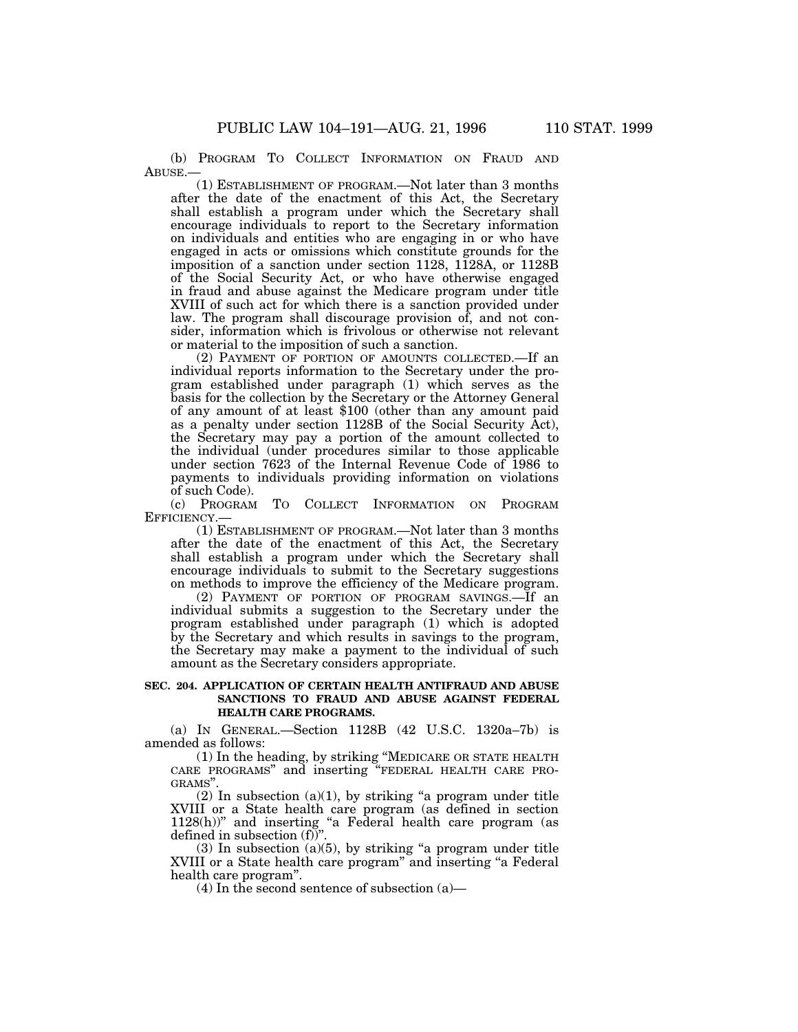(b) PROGRAM TO COLLECT INFORMATION ON FRAUD AND ABUSE.—

(1) ESTABLISHMENT OF PROGRAM.—Not later than 3 months after the date of the enactment of this Act, the Secretary shall establish a program under which the Secretary shall encourage individuals to report to the Secretary information on individuals and entities who are engaging in or who have engaged in acts or omissions which constitute grounds for the imposition of a sanction under section 1128, 1128A, or 1128B of the Social Security Act, or who have otherwise engaged in fraud and abuse against the Medicare program under title XVIII of such act for which there is a sanction provided under law. The program shall discourage provision of, and not consider, information which is frivolous or otherwise not relevant or material to the imposition of such a sanction.

(2) PAYMENT OF PORTION OF AMOUNTS COLLECTED.—If an individual reports information to the Secretary under the program established under paragraph (1) which serves as the basis for the collection by the Secretary or the Attorney General of any amount of at least \$100 (other than any amount paid as a penalty under section 1128B of the Social Security Act), the Secretary may pay a portion of the amount collected to the individual (under procedures similar to those applicable under section 7623 of the Internal Revenue Code of 1986 to payments to individuals providing information on violations of such Code).

(c) PROGRAM TO COLLECT INFORMATION ON PROGRAM EFFICIENCY.—

(1) ESTABLISHMENT OF PROGRAM.—Not later than 3 months after the date of the enactment of this Act, the Secretary shall establish a program under which the Secretary shall encourage individuals to submit to the Secretary suggestions on methods to improve the efficiency of the Medicare program.

(2) PAYMENT OF PORTION OF PROGRAM SAVINGS.—If an individual submits a suggestion to the Secretary under the program established under paragraph (1) which is adopted by the Secretary and which results in savings to the program, the Secretary may make a payment to the individual of such amount as the Secretary considers appropriate.

# **SEC. 204. APPLICATION OF CERTAIN HEALTH ANTIFRAUD AND ABUSE SANCTIONS TO FRAUD AND ABUSE AGAINST FEDERAL HEALTH CARE PROGRAMS.**

(a) IN GENERAL.—Section 1128B (42 U.S.C. 1320a–7b) is amended as follows:

(1) In the heading, by striking ''MEDICARE OR STATE HEALTH CARE PROGRAMS'' and inserting ''FEDERAL HEALTH CARE PRO-GRAMS''.

 $(2)$  In subsection  $(a)(1)$ , by striking "a program under title XVIII or a State health care program (as defined in section 1128(h))" and inserting "a Federal health care program (as defined in subsection (f)".

 $(3)$  In subsection  $(a)(5)$ , by striking "a program under title XVIII or a State health care program" and inserting "a Federal health care program''.

(4) In the second sentence of subsection (a)—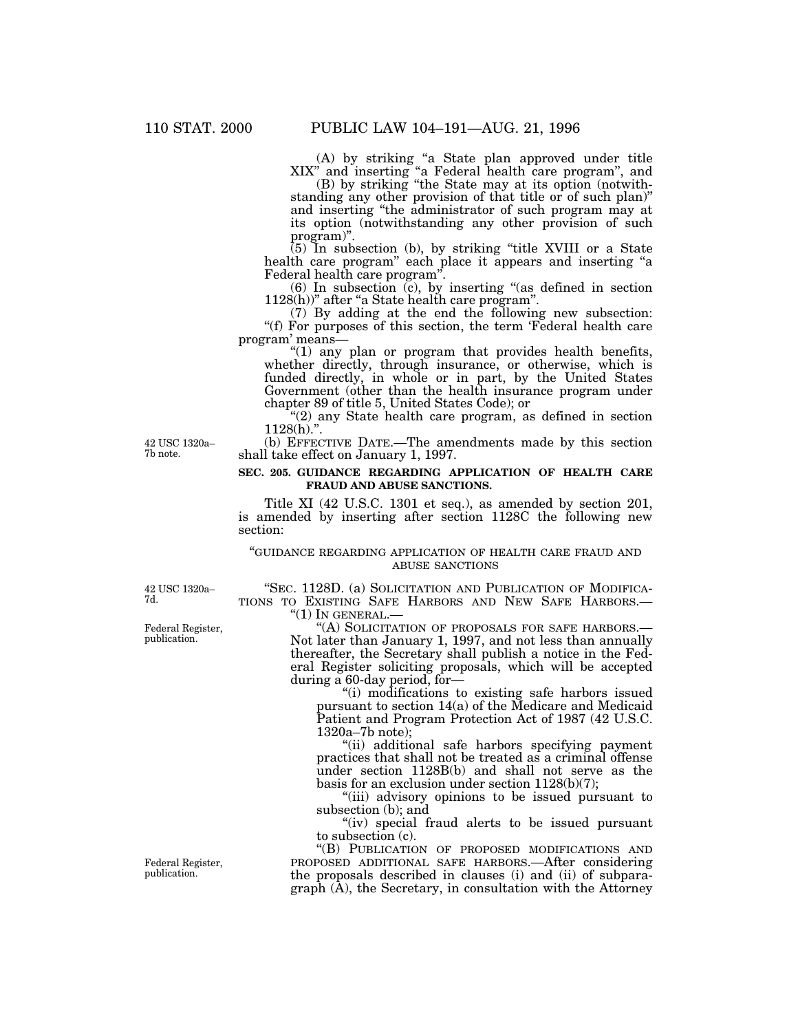(A) by striking ''a State plan approved under title XIX'' and inserting ''a Federal health care program'', and

(B) by striking ''the State may at its option (notwithstanding any other provision of that title or of such plan)'' and inserting ''the administrator of such program may at its option (notwithstanding any other provision of such program)''.

(5) In subsection (b), by striking ''title XVIII or a State health care program'' each place it appears and inserting ''a Federal health care program''.

(6) In subsection (c), by inserting ''(as defined in section  $1128(h)$ " after "a State health care program".

(7) By adding at the end the following new subsection: ''(f) For purposes of this section, the term 'Federal health care program' means—

"(1) any plan or program that provides health benefits, whether directly, through insurance, or otherwise, which is funded directly, in whole or in part, by the United States Government (other than the health insurance program under chapter 89 of title 5, United States Code); or

"(2) any State health care program, as defined in section  $1128(h)$ .".

(b) EFFECTIVE DATE.—The amendments made by this section shall take effect on January 1, 1997.

# **SEC. 205. GUIDANCE REGARDING APPLICATION OF HEALTH CARE FRAUD AND ABUSE SANCTIONS.**

Title XI (42 U.S.C. 1301 et seq.), as amended by section 201, is amended by inserting after section 1128C the following new section:

# ''GUIDANCE REGARDING APPLICATION OF HEALTH CARE FRAUD AND ABUSE SANCTIONS

42 USC 1320a–

"SEC. 1128D. (a) SOLICITATION AND PUBLICATION OF MODIFICA-TIONS TO EXISTING SAFE HARBORS AND NEW SAFE HARBORS.—  $"(1)$  In GENERAL. $-$ 

> ''(A) SOLICITATION OF PROPOSALS FOR SAFE HARBORS.— Not later than January 1, 1997, and not less than annually thereafter, the Secretary shall publish a notice in the Federal Register soliciting proposals, which will be accepted during a 60-day period, for—

''(i) modifications to existing safe harbors issued pursuant to section 14(a) of the Medicare and Medicaid Patient and Program Protection Act of 1987 (42 U.S.C. 1320a–7b note);

''(ii) additional safe harbors specifying payment practices that shall not be treated as a criminal offense under section 1128B(b) and shall not serve as the basis for an exclusion under section  $1128(b)(7)$ ;

"(iii) advisory opinions to be issued pursuant to subsection (b); and

"(iv) special fraud alerts to be issued pursuant to subsection (c).

''(B) PUBLICATION OF PROPOSED MODIFICATIONS AND PROPOSED ADDITIONAL SAFE HARBORS.—After considering the proposals described in clauses (i) and (ii) of subparagraph (A), the Secretary, in consultation with the Attorney

7d.

42 USC 1320a– 7b note.

Federal Register, publication.

Federal Register, publication.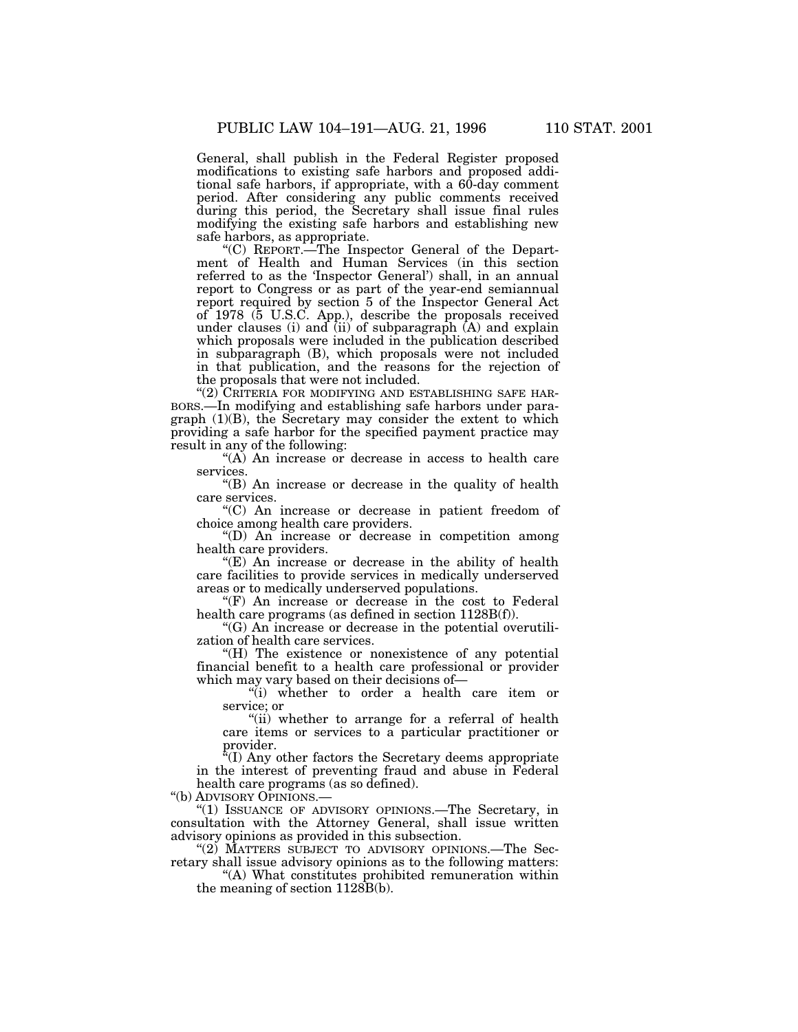General, shall publish in the Federal Register proposed modifications to existing safe harbors and proposed additional safe harbors, if appropriate, with a 60-day comment period. After considering any public comments received during this period, the Secretary shall issue final rules modifying the existing safe harbors and establishing new safe harbors, as appropriate.

''(C) REPORT.—The Inspector General of the Department of Health and Human Services (in this section referred to as the 'Inspector General') shall, in an annual report to Congress or as part of the year-end semiannual report required by section 5 of the Inspector General Act of 1978 (5 U.S.C. App.), describe the proposals received under clauses (i) and  $(iii)$  of subparagraph  $(A)$  and explain which proposals were included in the publication described in subparagraph (B), which proposals were not included in that publication, and the reasons for the rejection of the proposals that were not included.

"(2) CRITERIA FOR MODIFYING AND ESTABLISHING SAFE HAR-BORS.—In modifying and establishing safe harbors under paragraph  $(1)(B)$ , the Secretary may consider the extent to which providing a safe harbor for the specified payment practice may result in any of the following:

"(A) An increase or decrease in access to health care services.

''(B) An increase or decrease in the quality of health care services.

''(C) An increase or decrease in patient freedom of choice among health care providers.

''(D) An increase or decrease in competition among health care providers.

"(E) An increase or decrease in the ability of health care facilities to provide services in medically underserved areas or to medically underserved populations.

''(F) An increase or decrease in the cost to Federal health care programs (as defined in section 1128B(f)).

''(G) An increase or decrease in the potential overutilization of health care services.

''(H) The existence or nonexistence of any potential financial benefit to a health care professional or provider which may vary based on their decisions of—

''(i) whether to order a health care item or service; or

"(ii) whether to arrange for a referral of health" care items or services to a particular practitioner or provider.

''(I) Any other factors the Secretary deems appropriate in the interest of preventing fraud and abuse in Federal health care programs (as so defined).

''(b) ADVISORY OPINIONS.—

''(1) ISSUANCE OF ADVISORY OPINIONS.—The Secretary, in consultation with the Attorney General, shall issue written advisory opinions as provided in this subsection.

"(2) MATTERS SUBJECT TO ADVISORY OPINIONS.—The Secretary shall issue advisory opinions as to the following matters:

''(A) What constitutes prohibited remuneration within the meaning of section 1128B(b).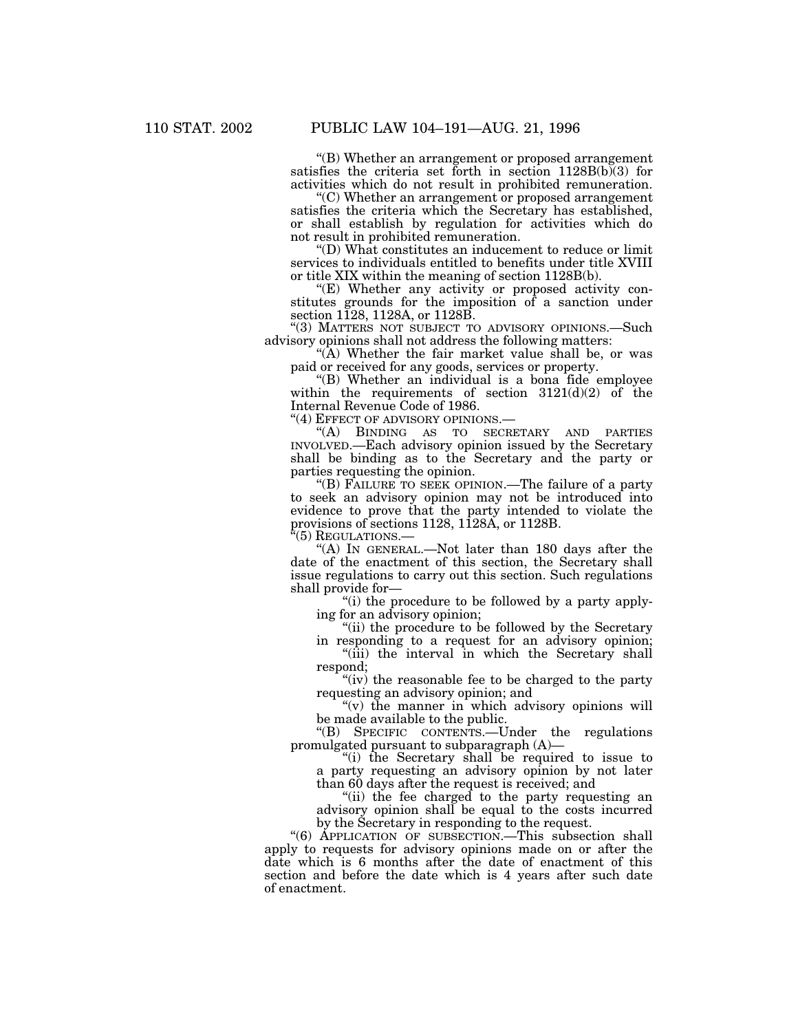''(B) Whether an arrangement or proposed arrangement satisfies the criteria set forth in section  $1128B(b)(3)$  for activities which do not result in prohibited remuneration.

''(C) Whether an arrangement or proposed arrangement satisfies the criteria which the Secretary has established, or shall establish by regulation for activities which do not result in prohibited remuneration.

''(D) What constitutes an inducement to reduce or limit services to individuals entitled to benefits under title XVIII or title XIX within the meaning of section 1128B(b).

"(E) Whether any activity or proposed activity constitutes grounds for the imposition of a sanction under section 1128, 1128A, or 1128B.

"(3) MATTERS NOT SUBJECT TO ADVISORY OPINIONS.—Such advisory opinions shall not address the following matters:

"( $\hat{A}$ ) Whether the fair market value shall be, or was paid or received for any goods, services or property.

''(B) Whether an individual is a bona fide employee within the requirements of section  $3121(d)(2)$  of the Internal Revenue Code of 1986.

"(4) EFFECT OF ADVISORY OPINIONS.-

''(A) BINDING AS TO SECRETARY AND PARTIES INVOLVED.—Each advisory opinion issued by the Secretary shall be binding as to the Secretary and the party or parties requesting the opinion.

''(B) FAILURE TO SEEK OPINION.—The failure of a party to seek an advisory opinion may not be introduced into evidence to prove that the party intended to violate the provisions of sections 1128, 1128A, or 1128B.

 $\cdot\cdot$ (5) Regulations.—

"(A) In GENERAL.—Not later than 180 days after the date of the enactment of this section, the Secretary shall issue regulations to carry out this section. Such regulations shall provide for—

''(i) the procedure to be followed by a party applying for an advisory opinion;

''(ii) the procedure to be followed by the Secretary in responding to a request for an advisory opinion;

"(iii) the interval in which the Secretary shall respond;

" $(iv)$  the reasonable fee to be charged to the party requesting an advisory opinion; and

"(v) the manner in which advisory opinions will be made available to the public.

''(B) SPECIFIC CONTENTS.—Under the regulations promulgated pursuant to subparagraph (A)—

"(i) the Secretary shall be required to issue to a party requesting an advisory opinion by not later than 60 days after the request is received; and

''(ii) the fee charged to the party requesting an advisory opinion shall be equal to the costs incurred by the Secretary in responding to the request.

"(6) APPLICATION OF SUBSECTION.—This subsection shall apply to requests for advisory opinions made on or after the date which is 6 months after the date of enactment of this section and before the date which is 4 years after such date of enactment.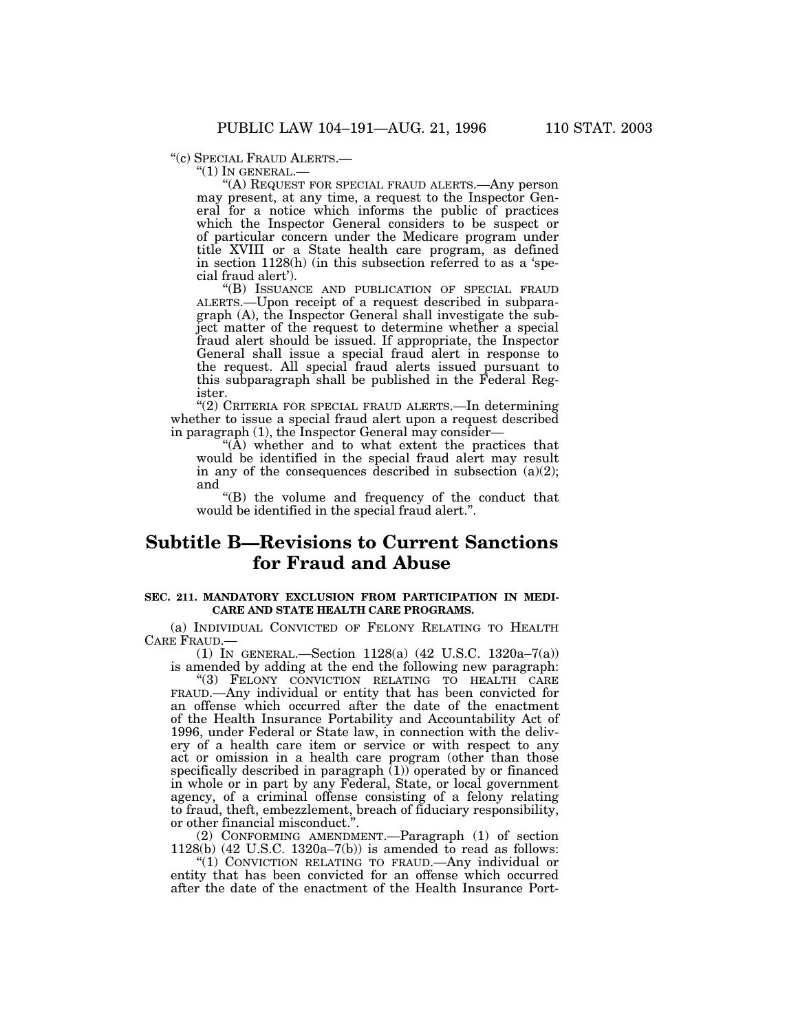''(c) SPECIAL FRAUD ALERTS.— ''(1) IN GENERAL.— ''(A) REQUEST FOR SPECIAL FRAUD ALERTS.—Any person may present, at any time, a request to the Inspector General for a notice which informs the public of practices which the Inspector General considers to be suspect or of particular concern under the Medicare program under title XVIII or a State health care program, as defined in section 1128(h) (in this subsection referred to as a 'special fraud alert').

''(B) ISSUANCE AND PUBLICATION OF SPECIAL FRAUD ALERTS.—Upon receipt of a request described in subparagraph (A), the Inspector General shall investigate the subject matter of the request to determine whether a special fraud alert should be issued. If appropriate, the Inspector General shall issue a special fraud alert in response to the request. All special fraud alerts issued pursuant to this subparagraph shall be published in the Federal Register.

''(2) CRITERIA FOR SPECIAL FRAUD ALERTS.—In determining whether to issue a special fraud alert upon a request described in paragraph (1), the Inspector General may consider—

''(A) whether and to what extent the practices that would be identified in the special fraud alert may result in any of the consequences described in subsection  $(a)(2)$ ; and

''(B) the volume and frequency of the conduct that would be identified in the special fraud alert.''.

# **Subtitle B—Revisions to Current Sanctions for Fraud and Abuse**

# **SEC. 211. MANDATORY EXCLUSION FROM PARTICIPATION IN MEDI-CARE AND STATE HEALTH CARE PROGRAMS.**

(a) INDIVIDUAL CONVICTED OF FELONY RELATING TO HEALTH CARE FRAUD.—

(1) IN GENERAL.—Section 1128(a) (42 U.S.C. 1320a–7(a)) is amended by adding at the end the following new paragraph:

''(3) FELONY CONVICTION RELATING TO HEALTH CARE FRAUD.—Any individual or entity that has been convicted for an offense which occurred after the date of the enactment of the Health Insurance Portability and Accountability Act of 1996, under Federal or State law, in connection with the delivery of a health care item or service or with respect to any act or omission in a health care program (other than those specifically described in paragraph  $(1)$ ) operated by or financed in whole or in part by any Federal, State, or local government agency, of a criminal offense consisting of a felony relating to fraud, theft, embezzlement, breach of fiduciary responsibility, or other financial misconduct.''.

(2) CONFORMING AMENDMENT.—Paragraph (1) of section 1128(b)  $(42 \text{ U.S.C. } 1320a-7(b))$  is amended to read as follows:

''(1) CONVICTION RELATING TO FRAUD.—Any individual or entity that has been convicted for an offense which occurred after the date of the enactment of the Health Insurance Port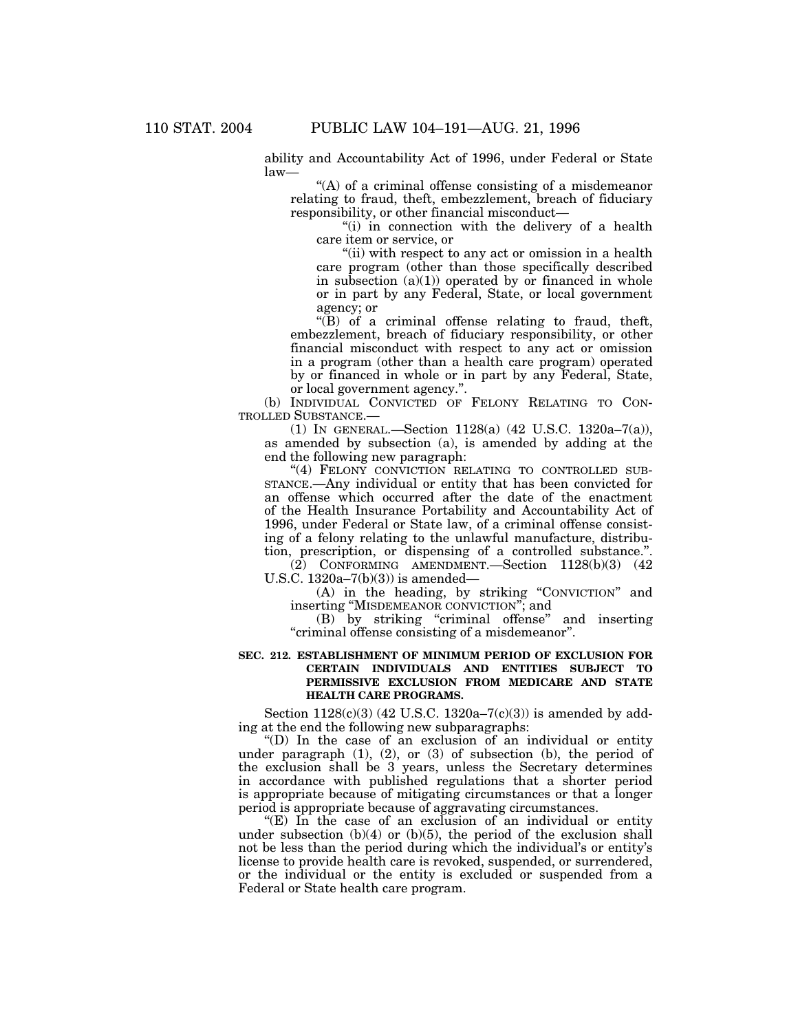ability and Accountability Act of 1996, under Federal or State law—

''(A) of a criminal offense consisting of a misdemeanor relating to fraud, theft, embezzlement, breach of fiduciary responsibility, or other financial misconduct—

"(i) in connection with the delivery of a health" care item or service, or

''(ii) with respect to any act or omission in a health care program (other than those specifically described in subsection  $(a)(1)$  operated by or financed in whole or in part by any Federal, State, or local government agency; or

 $\sqrt{\text{B}}$  of a criminal offense relating to fraud, theft, embezzlement, breach of fiduciary responsibility, or other financial misconduct with respect to any act or omission in a program (other than a health care program) operated by or financed in whole or in part by any Federal, State, or local government agency.''.

(b) INDIVIDUAL CONVICTED OF FELONY RELATING TO CON-TROLLED SUBSTANCE.—

(1) IN GENERAL.—Section 1128(a) (42 U.S.C. 1320a–7(a)), as amended by subsection (a), is amended by adding at the end the following new paragraph:

"(4) FELONY CONVICTION RELATING TO CONTROLLED SUB-STANCE.—Any individual or entity that has been convicted for an offense which occurred after the date of the enactment of the Health Insurance Portability and Accountability Act of 1996, under Federal or State law, of a criminal offense consisting of a felony relating to the unlawful manufacture, distribution, prescription, or dispensing of a controlled substance.''.

(2) CONFORMING AMENDMENT.—Section 1128(b)(3) (42 U.S.C. 1320a–7(b)(3)) is amended—

(A) in the heading, by striking "CONVICTION" and inserting ''MISDEMEANOR CONVICTION''; and

(B) by striking "criminal offense" and inserting ''criminal offense consisting of a misdemeanor''.

# **SEC. 212. ESTABLISHMENT OF MINIMUM PERIOD OF EXCLUSION FOR CERTAIN INDIVIDUALS AND ENTITIES SUBJECT TO PERMISSIVE EXCLUSION FROM MEDICARE AND STATE HEALTH CARE PROGRAMS.**

Section  $1128(c)(3)$  (42 U.S.C. 1320a–7(c)(3)) is amended by adding at the end the following new subparagraphs:

''(D) In the case of an exclusion of an individual or entity under paragraph (1), (2), or (3) of subsection (b), the period of the exclusion shall be 3 years, unless the Secretary determines in accordance with published regulations that a shorter period is appropriate because of mitigating circumstances or that a longer period is appropriate because of aggravating circumstances.

''(E) In the case of an exclusion of an individual or entity under subsection  $(b)(4)$  or  $(b)(5)$ , the period of the exclusion shall not be less than the period during which the individual's or entity's license to provide health care is revoked, suspended, or surrendered, or the individual or the entity is excluded or suspended from a Federal or State health care program.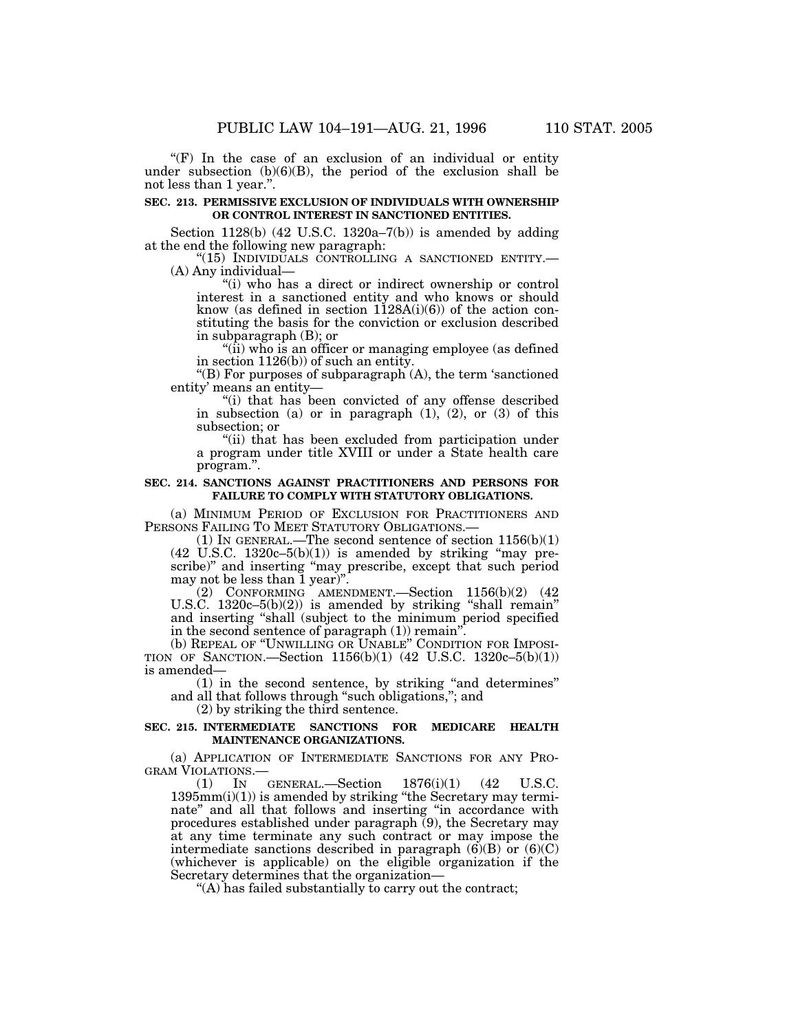"(F) In the case of an exclusion of an individual or entity under subsection  $(b)(6)(B)$ , the period of the exclusion shall be not less than 1 year.".

### **SEC. 213. PERMISSIVE EXCLUSION OF INDIVIDUALS WITH OWNERSHIP OR CONTROL INTEREST IN SANCTIONED ENTITIES.**

Section  $1128(b)$  (42 U.S.C. 1320a–7(b)) is amended by adding at the end the following new paragraph:

"(15) INDIVIDUALS CONTROLLING A SANCTIONED ENTITY.— (A) Any individual—

''(i) who has a direct or indirect ownership or control interest in a sanctioned entity and who knows or should know (as defined in section  $1128A(i)(6)$ ) of the action constituting the basis for the conviction or exclusion described in subparagraph (B); or

''(ii) who is an officer or managing employee (as defined in section 1126(b)) of such an entity.

"(B) For purposes of subparagraph  $(A)$ , the term 'sanctioned entity' means an entity—

"(i) that has been convicted of any offense described in subsection (a) or in paragraph  $(1)$ ,  $(2)$ , or  $(3)$  of this subsection; or

"(ii) that has been excluded from participation under a program under title XVIII or under a State health care program.''.

# **SEC. 214. SANCTIONS AGAINST PRACTITIONERS AND PERSONS FOR FAILURE TO COMPLY WITH STATUTORY OBLIGATIONS.**

(a) MINIMUM PERIOD OF EXCLUSION FOR PRACTITIONERS AND PERSONS FAILING TO MEET STATUTORY OBLIGATIONS.—

(1) In GENERAL.—The second sentence of section  $1156(b)(1)$  $(42 \text{ U.S.C. } 1320c-5(b)(1))$  is amended by striking "may prescribe)'' and inserting ''may prescribe, except that such period may not be less than 1 year)''.

(2) CONFORMING AMENDMENT.—Section 1156(b)(2) (42 U.S.C. 1320c-5(b)(2)) is amended by striking "shall remain" and inserting ''shall (subject to the minimum period specified in the second sentence of paragraph  $(1)$  remain"

(b) REPEAL OF ''UNWILLING OR UNABLE'' CONDITION FOR IMPOSI- TION OF SANCTION.—Section 1156(b)(1) (42 U.S.C. 1320c–5(b)(1)) is amended—

(1) in the second sentence, by striking ''and determines'' and all that follows through ''such obligations,''; and

(2) by striking the third sentence.

# **SEC. 215. INTERMEDIATE SANCTIONS FOR MEDICARE HEALTH MAINTENANCE ORGANIZATIONS.**

(a) APPLICATION OF INTERMEDIATE SANCTIONS FOR ANY PRO-GRAM VIOLATIONS.—

(1) IN GENERAL.—Section 1876(i)(1) (42 U.S.C.  $1395mm(i)(1)$  is amended by striking "the Secretary may terminate'' and all that follows and inserting ''in accordance with procedures established under paragraph (9), the Secretary may at any time terminate any such contract or may impose the intermediate sanctions described in paragraph  $(6)(B)$  or  $(6)(C)$ (whichever is applicable) on the eligible organization if the Secretary determines that the organization—

''(A) has failed substantially to carry out the contract;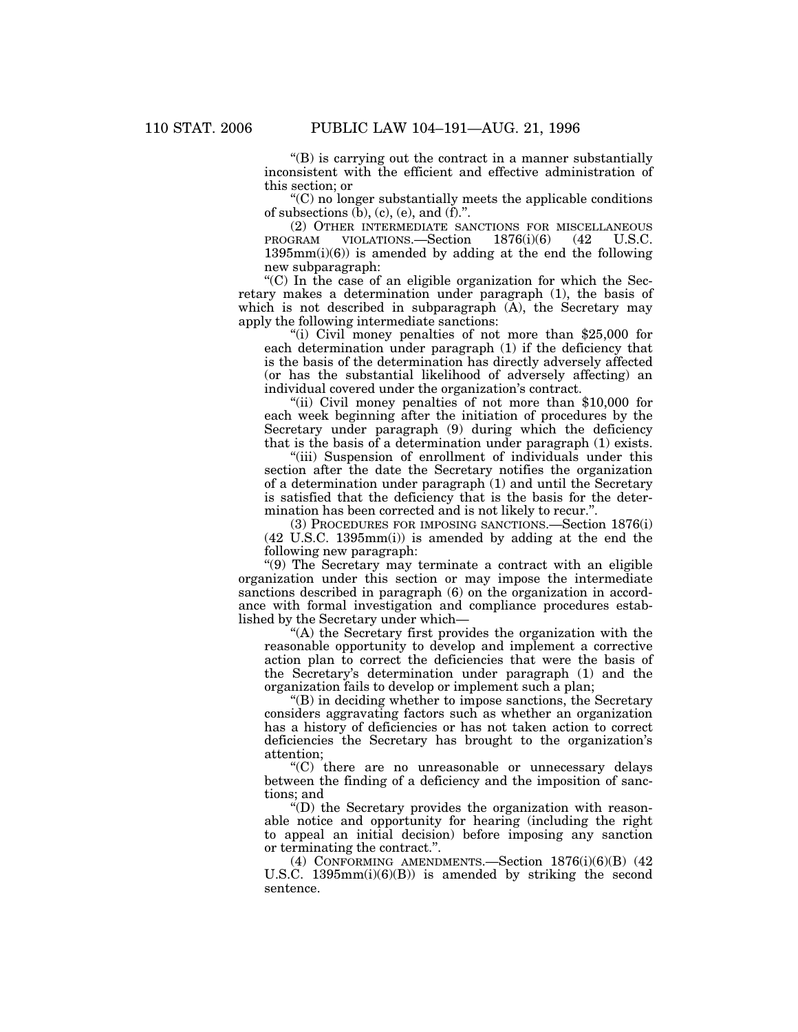''(B) is carrying out the contract in a manner substantially inconsistent with the efficient and effective administration of this section; or

''(C) no longer substantially meets the applicable conditions of subsections  $(b)$ ,  $(c)$ ,  $(e)$ , and  $(f)$ .".

(2) OTHER INTERMEDIATE SANCTIONS FOR MISCELLANEOUS PROGRAM VIOLATIONS.—Section 1876(i)(6) (42 U.S.C.  $1395mm(i)(6)$  is amended by adding at the end the following new subparagraph:

''(C) In the case of an eligible organization for which the Secretary makes a determination under paragraph (1), the basis of which is not described in subparagraph  $(A)$ , the Secretary may apply the following intermediate sanctions:

''(i) Civil money penalties of not more than \$25,000 for each determination under paragraph (1) if the deficiency that is the basis of the determination has directly adversely affected (or has the substantial likelihood of adversely affecting) an individual covered under the organization's contract.

"(ii) Civil money penalties of not more than \$10,000 for each week beginning after the initiation of procedures by the Secretary under paragraph (9) during which the deficiency that is the basis of a determination under paragraph (1) exists.

''(iii) Suspension of enrollment of individuals under this section after the date the Secretary notifies the organization of a determination under paragraph (1) and until the Secretary is satisfied that the deficiency that is the basis for the determination has been corrected and is not likely to recur.''.

(3) PROCEDURES FOR IMPOSING SANCTIONS.—Section 1876(i) (42 U.S.C. 1395mm(i)) is amended by adding at the end the following new paragraph:

''(9) The Secretary may terminate a contract with an eligible organization under this section or may impose the intermediate sanctions described in paragraph (6) on the organization in accordance with formal investigation and compliance procedures established by the Secretary under which—

''(A) the Secretary first provides the organization with the reasonable opportunity to develop and implement a corrective action plan to correct the deficiencies that were the basis of the Secretary's determination under paragraph (1) and the organization fails to develop or implement such a plan;

''(B) in deciding whether to impose sanctions, the Secretary considers aggravating factors such as whether an organization has a history of deficiencies or has not taken action to correct deficiencies the Secretary has brought to the organization's attention;

''(C) there are no unreasonable or unnecessary delays between the finding of a deficiency and the imposition of sanctions; and

''(D) the Secretary provides the organization with reasonable notice and opportunity for hearing (including the right to appeal an initial decision) before imposing any sanction or terminating the contract.''.

(4) CONFORMING AMENDMENTS.—Section 1876(i)(6)(B) (42 U.S.C. 1395mm(i)(6)(B)) is amended by striking the second sentence.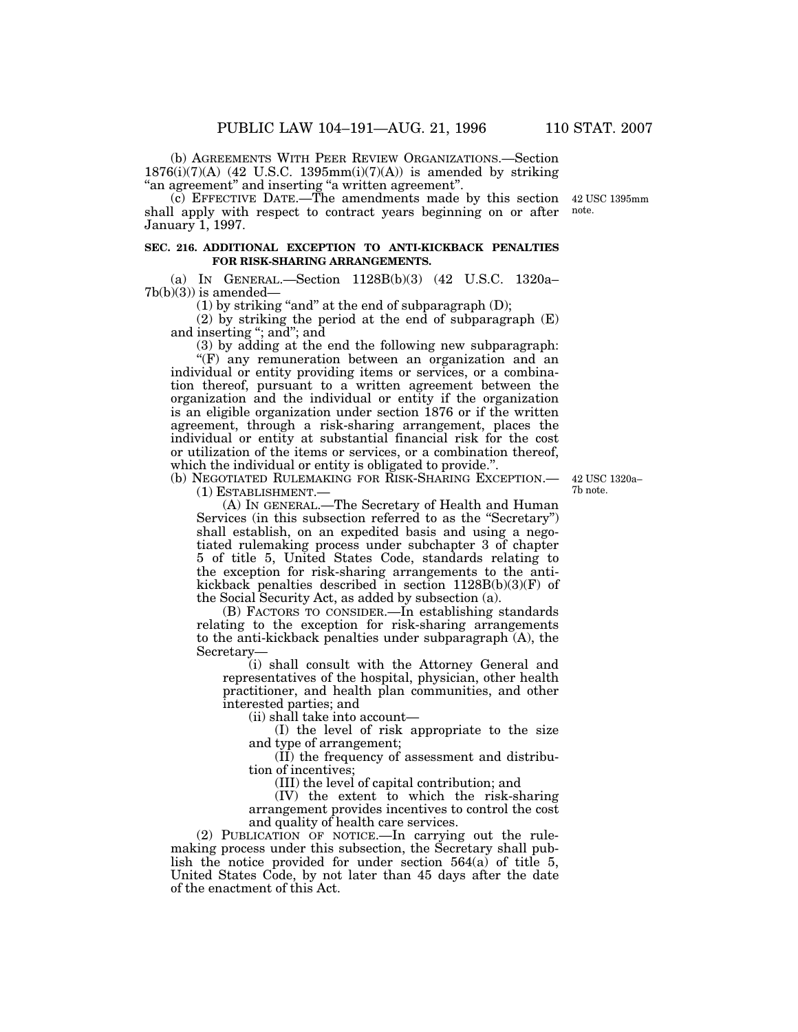(b) AGREEMENTS WITH PEER REVIEW ORGANIZATIONS.—Section

 $1876(i)(7)(A)$  (42 U.S.C. 1395mm $(i)(7)(A)$ ) is amended by striking "an agreement" and inserting "a written agreement".

(c) EFFECTIVE DATE.—The amendments made by this section 42 USC 1395mm shall apply with respect to contract years beginning on or after January 1, 1997.

# **SEC. 216. ADDITIONAL EXCEPTION TO ANTI-KICKBACK PENALTIES FOR RISK-SHARING ARRANGEMENTS.**

(a) IN GENERAL.—Section 1128B(b)(3) (42 U.S.C. 1320a–  $7b(b)(3)$  is amended—

(1) by striking ''and'' at the end of subparagraph (D);

(2) by striking the period at the end of subparagraph (E) and inserting ''; and''; and

(3) by adding at the end the following new subparagraph: ''(F) any remuneration between an organization and an

individual or entity providing items or services, or a combination thereof, pursuant to a written agreement between the organization and the individual or entity if the organization is an eligible organization under section 1876 or if the written agreement, through a risk-sharing arrangement, places the individual or entity at substantial financial risk for the cost or utilization of the items or services, or a combination thereof, which the individual or entity is obligated to provide.''.

(b) NEGOTIATED RULEMAKING FOR RISK-SHARING EXCEPTION.— (1) ESTABLISHMENT.—

(A) IN GENERAL.—The Secretary of Health and Human Services (in this subsection referred to as the "Secretary") shall establish, on an expedited basis and using a negotiated rulemaking process under subchapter 3 of chapter 5 of title 5, United States Code, standards relating to the exception for risk-sharing arrangements to the antikickback penalties described in section 1128B(b)(3)(F) of the Social Security Act, as added by subsection (a).

(B) FACTORS TO CONSIDER.—In establishing standards relating to the exception for risk-sharing arrangements to the anti-kickback penalties under subparagraph (A), the Secretary—

(i) shall consult with the Attorney General and representatives of the hospital, physician, other health practitioner, and health plan communities, and other interested parties; and

(ii) shall take into account—

(I) the level of risk appropriate to the size and type of arrangement;

(II) the frequency of assessment and distribution of incentives;

(III) the level of capital contribution; and

(IV) the extent to which the risk-sharing arrangement provides incentives to control the cost and quality of health care services.

(2) PUBLICATION OF NOTICE.—In carrying out the rulemaking process under this subsection, the Secretary shall publish the notice provided for under section 564(a) of title 5, United States Code, by not later than 45 days after the date of the enactment of this Act.

42 USC 1320a– 7b note.

note.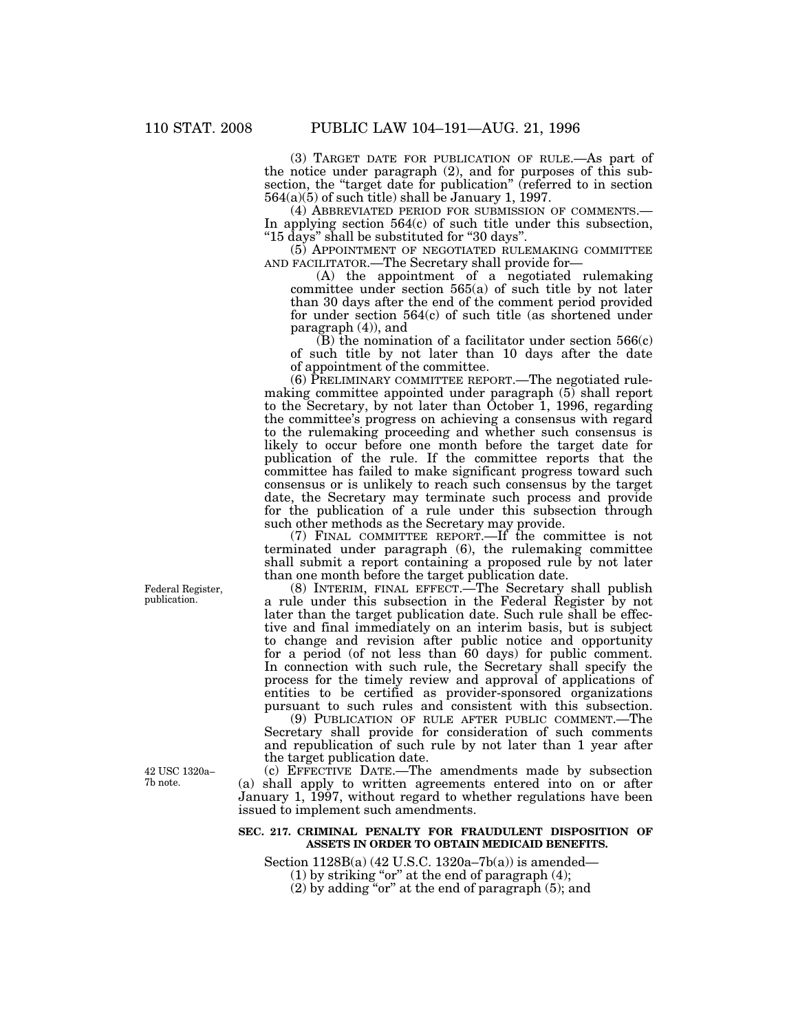(3) TARGET DATE FOR PUBLICATION OF RULE.—As part of the notice under paragraph (2), and for purposes of this subsection, the "target date for publication" (referred to in section  $564(a)(5)$  of such title) shall be January 1, 1997.

(4) ABBREVIATED PERIOD FOR SUBMISSION OF COMMENTS.— In applying section 564(c) of such title under this subsection, ''15 days'' shall be substituted for ''30 days''.

(5) APPOINTMENT OF NEGOTIATED RULEMAKING COMMITTEE AND FACILITATOR.—The Secretary shall provide for—

(A) the appointment of a negotiated rulemaking committee under section 565(a) of such title by not later than 30 days after the end of the comment period provided for under section 564(c) of such title (as shortened under paragraph (4)), and

 $(B)$  the nomination of a facilitator under section 566 $(c)$ of such title by not later than 10 days after the date of appointment of the committee.

(6) PRELIMINARY COMMITTEE REPORT.—The negotiated rulemaking committee appointed under paragraph (5) shall report to the Secretary, by not later than October 1, 1996, regarding the committee's progress on achieving a consensus with regard to the rulemaking proceeding and whether such consensus is likely to occur before one month before the target date for publication of the rule. If the committee reports that the committee has failed to make significant progress toward such consensus or is unlikely to reach such consensus by the target date, the Secretary may terminate such process and provide for the publication of a rule under this subsection through such other methods as the Secretary may provide.

(7) FINAL COMMITTEE REPORT.—If the committee is not terminated under paragraph (6), the rulemaking committee shall submit a report containing a proposed rule by not later than one month before the target publication date.

(8) INTERIM, FINAL EFFECT.—The Secretary shall publish a rule under this subsection in the Federal Register by not later than the target publication date. Such rule shall be effective and final immediately on an interim basis, but is subject to change and revision after public notice and opportunity for a period (of not less than 60 days) for public comment. In connection with such rule, the Secretary shall specify the process for the timely review and approval of applications of entities to be certified as provider-sponsored organizations pursuant to such rules and consistent with this subsection.

(9) PUBLICATION OF RULE AFTER PUBLIC COMMENT.—The Secretary shall provide for consideration of such comments and republication of such rule by not later than 1 year after the target publication date.

(c) EFFECTIVE DATE.—The amendments made by subsection (a) shall apply to written agreements entered into on or after January 1, 1997, without regard to whether regulations have been issued to implement such amendments.

### **SEC. 217. CRIMINAL PENALTY FOR FRAUDULENT DISPOSITION OF ASSETS IN ORDER TO OBTAIN MEDICAID BENEFITS.**

Section 1128B(a) (42 U.S.C. 1320a–7b(a)) is amended—

 $(1)$  by striking "or" at the end of paragraph  $(4)$ ;

(2) by adding ''or'' at the end of paragraph (5); and

Federal Register, publication.

42 USC 1320a– 7b note.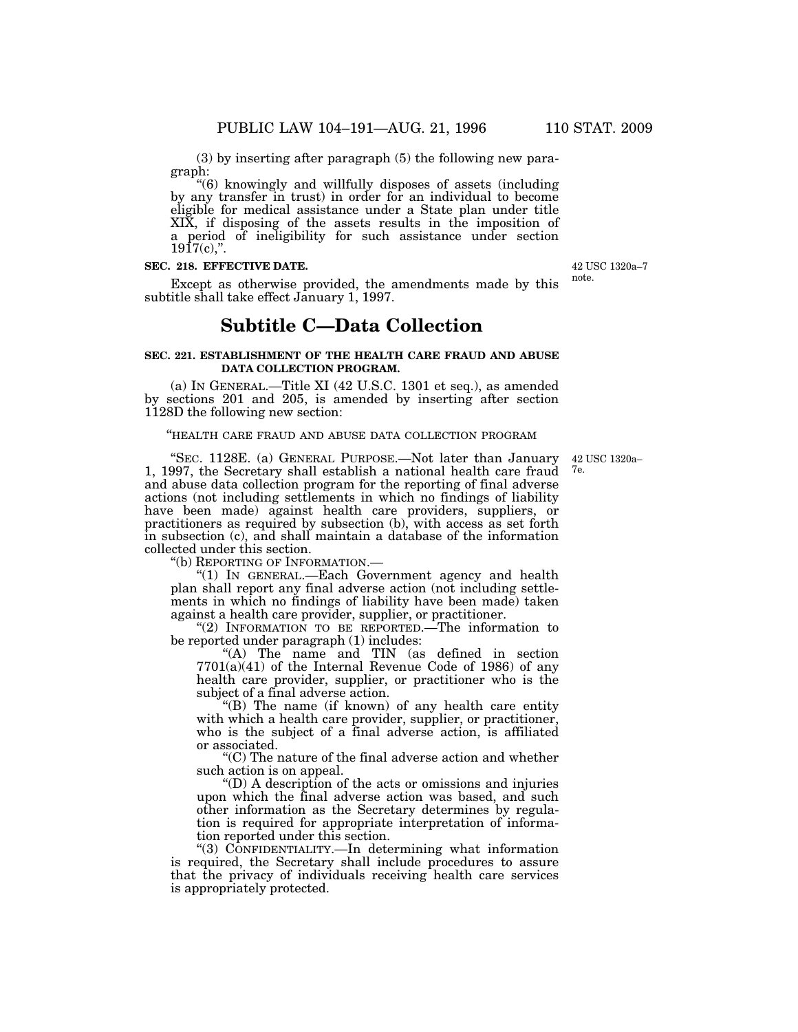(3) by inserting after paragraph (5) the following new paragraph:

''(6) knowingly and willfully disposes of assets (including by any transfer in trust) in order for an individual to become eligible for medical assistance under a State plan under title XIX, if disposing of the assets results in the imposition of a period of ineligibility for such assistance under section  $1917(c)$ ,".

# **SEC. 218. EFFECTIVE DATE.**

Except as otherwise provided, the amendments made by this subtitle shall take effect January 1, 1997.

# **Subtitle C—Data Collection**

### **SEC. 221. ESTABLISHMENT OF THE HEALTH CARE FRAUD AND ABUSE DATA COLLECTION PROGRAM.**

(a) IN GENERAL.—Title XI (42 U.S.C. 1301 et seq.), as amended by sections 201 and 205, is amended by inserting after section 1128D the following new section:

# ''HEALTH CARE FRAUD AND ABUSE DATA COLLECTION PROGRAM

''SEC. 1128E. (a) GENERAL PURPOSE.—Not later than January 1, 1997, the Secretary shall establish a national health care fraud and abuse data collection program for the reporting of final adverse actions (not including settlements in which no findings of liability have been made) against health care providers, suppliers, or practitioners as required by subsection (b), with access as set forth in subsection (c), and shall maintain a database of the information collected under this section.

''(b) REPORTING OF INFORMATION.—

''(1) IN GENERAL.—Each Government agency and health plan shall report any final adverse action (not including settlements in which no findings of liability have been made) taken against a health care provider, supplier, or practitioner.

"(2) INFORMATION TO BE REPORTED.—The information to be reported under paragraph (1) includes:

''(A) The name and TIN (as defined in section  $7701(a)(41)$  of the Internal Revenue Code of 1986) of any health care provider, supplier, or practitioner who is the subject of a final adverse action.

''(B) The name (if known) of any health care entity with which a health care provider, supplier, or practitioner, who is the subject of a final adverse action, is affiliated or associated.

''(C) The nature of the final adverse action and whether such action is on appeal.

''(D) A description of the acts or omissions and injuries upon which the final adverse action was based, and such other information as the Secretary determines by regulation is required for appropriate interpretation of information reported under this section.

''(3) CONFIDENTIALITY.—In determining what information is required, the Secretary shall include procedures to assure that the privacy of individuals receiving health care services is appropriately protected.

42 USC 1320a–7 note.

42 USC 1320a– 7e.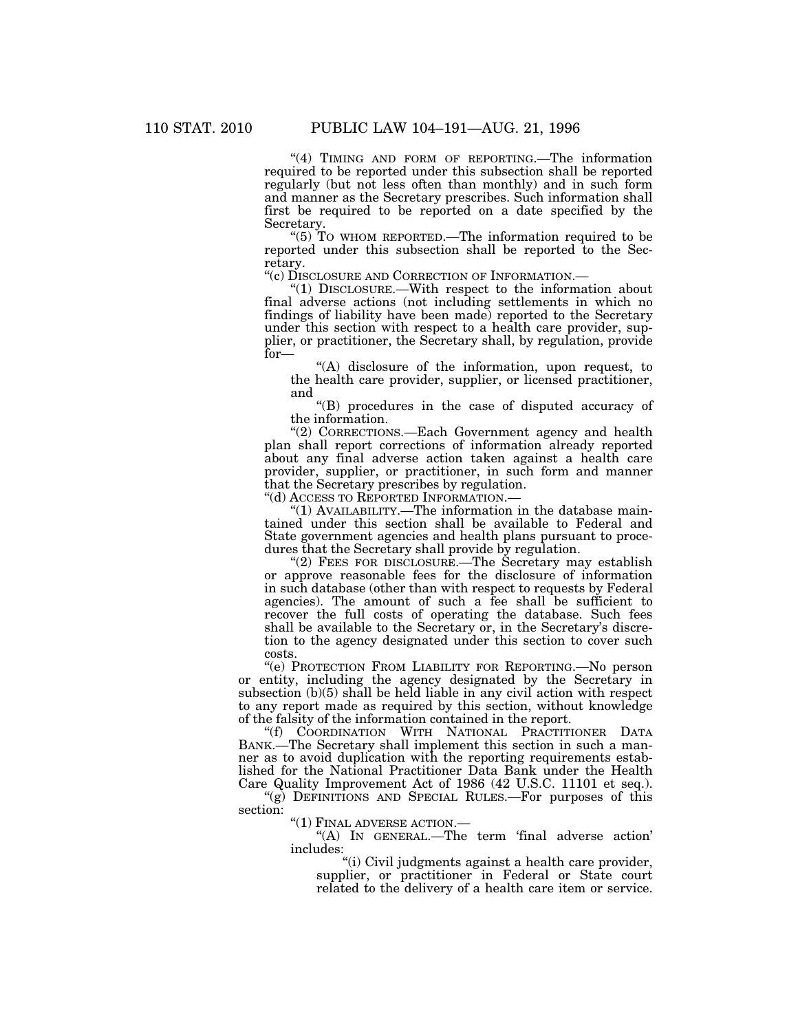"(4) TIMING AND FORM OF REPORTING.—The information required to be reported under this subsection shall be reported regularly (but not less often than monthly) and in such form and manner as the Secretary prescribes. Such information shall first be required to be reported on a date specified by the Secretary.

''(5) TO WHOM REPORTED.—The information required to be reported under this subsection shall be reported to the Secretary.

''(c) DISCLOSURE AND CORRECTION OF INFORMATION.—

''(1) DISCLOSURE.—With respect to the information about final adverse actions (not including settlements in which no findings of liability have been made) reported to the Secretary under this section with respect to a health care provider, supplier, or practitioner, the Secretary shall, by regulation, provide for—

''(A) disclosure of the information, upon request, to the health care provider, supplier, or licensed practitioner, and

''(B) procedures in the case of disputed accuracy of the information.

''(2) CORRECTIONS.—Each Government agency and health plan shall report corrections of information already reported about any final adverse action taken against a health care provider, supplier, or practitioner, in such form and manner that the Secretary prescribes by regulation.

''(d) ACCESS TO REPORTED INFORMATION.—

''(1) AVAILABILITY.—The information in the database maintained under this section shall be available to Federal and State government agencies and health plans pursuant to procedures that the Secretary shall provide by regulation.

"(2) FEES FOR DISCLOSURE.—The Secretary may establish or approve reasonable fees for the disclosure of information in such database (other than with respect to requests by Federal agencies). The amount of such a fee shall be sufficient to recover the full costs of operating the database. Such fees shall be available to the Secretary or, in the Secretary's discretion to the agency designated under this section to cover such costs.

''(e) PROTECTION FROM LIABILITY FOR REPORTING.—No person or entity, including the agency designated by the Secretary in subsection (b)(5) shall be held liable in any civil action with respect to any report made as required by this section, without knowledge of the falsity of the information contained in the report.

''(f) COORDINATION WITH NATIONAL PRACTITIONER DATA BANK.—The Secretary shall implement this section in such a manner as to avoid duplication with the reporting requirements established for the National Practitioner Data Bank under the Health Care Quality Improvement Act of 1986 (42 U.S.C. 11101 et seq.). " $(g)$  DEFINITIONS AND SPECIAL RULES.—For purposes of this section:

''(1) FINAL ADVERSE ACTION.—

"(A) In GENERAL.—The term 'final adverse action' includes:

''(i) Civil judgments against a health care provider, supplier, or practitioner in Federal or State court related to the delivery of a health care item or service.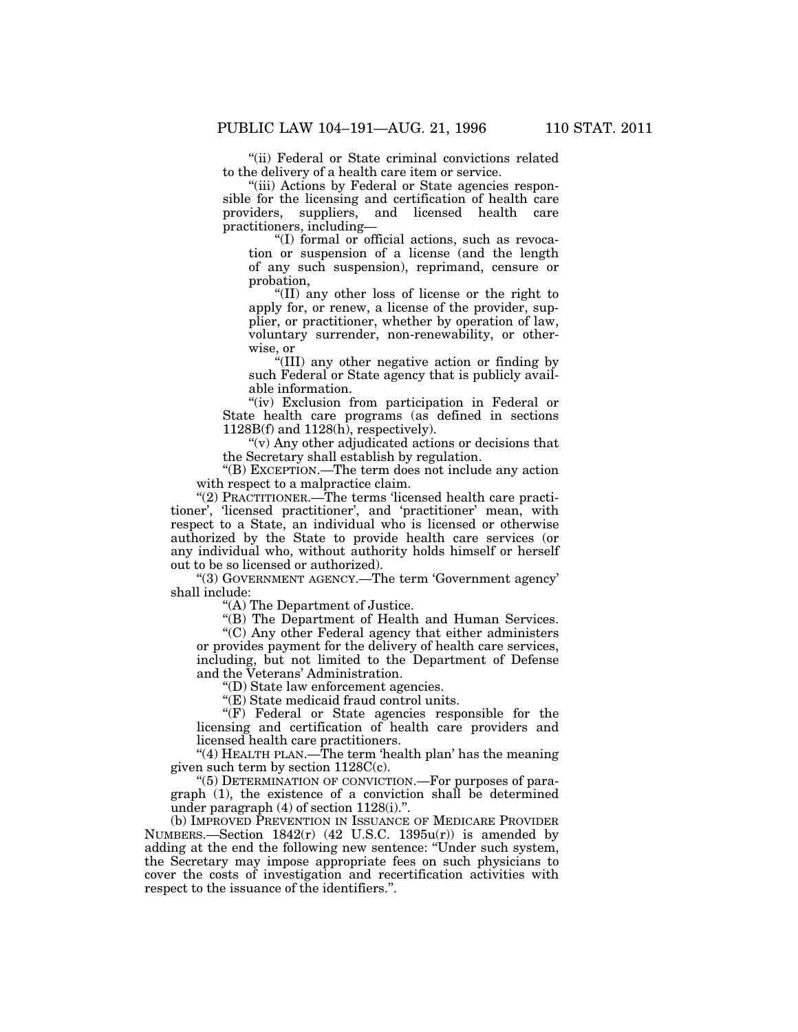"(ii) Federal or State criminal convictions related to the delivery of a health care item or service.

"(iii) Actions by Federal or State agencies responsible for the licensing and certification of health care providers, suppliers, and licensed health care practitioners, including—

''(I) formal or official actions, such as revocation or suspension of a license (and the length of any such suspension), reprimand, censure or probation,

''(II) any other loss of license or the right to apply for, or renew, a license of the provider, supplier, or practitioner, whether by operation of law, voluntary surrender, non-renewability, or otherwise, or

''(III) any other negative action or finding by such Federal or State agency that is publicly available information.

"(iv) Exclusion from participation in Federal or State health care programs (as defined in sections 1128B(f) and 1128(h), respectively).

 $''(v)$  Any other adjudicated actions or decisions that the Secretary shall establish by regulation.

''(B) EXCEPTION.—The term does not include any action with respect to a malpractice claim.

''(2) PRACTITIONER.—The terms 'licensed health care practitioner', 'licensed practitioner', and 'practitioner' mean, with respect to a State, an individual who is licensed or otherwise authorized by the State to provide health care services (or any individual who, without authority holds himself or herself out to be so licensed or authorized).

''(3) GOVERNMENT AGENCY.—The term 'Government agency' shall include:

''(A) The Department of Justice.

"(B) The Department of Health and Human Services.

''(C) Any other Federal agency that either administers or provides payment for the delivery of health care services, including, but not limited to the Department of Defense and the Veterans' Administration.

''(D) State law enforcement agencies.

''(E) State medicaid fraud control units.

"(F) Federal or State agencies responsible for the licensing and certification of health care providers and licensed health care practitioners.

"(4) HEALTH PLAN.—The term 'health plan' has the meaning given such term by section 1128C(c).

''(5) DETERMINATION OF CONVICTION.—For purposes of paragraph (1), the existence of a conviction shall be determined under paragraph (4) of section 1128(i).''.

(b) IMPROVED PREVENTION IN ISSUANCE OF MEDICARE PROVIDER NUMBERS.—Section 1842(r) (42 U.S.C. 1395u(r)) is amended by adding at the end the following new sentence: ''Under such system, the Secretary may impose appropriate fees on such physicians to cover the costs of investigation and recertification activities with respect to the issuance of the identifiers.''.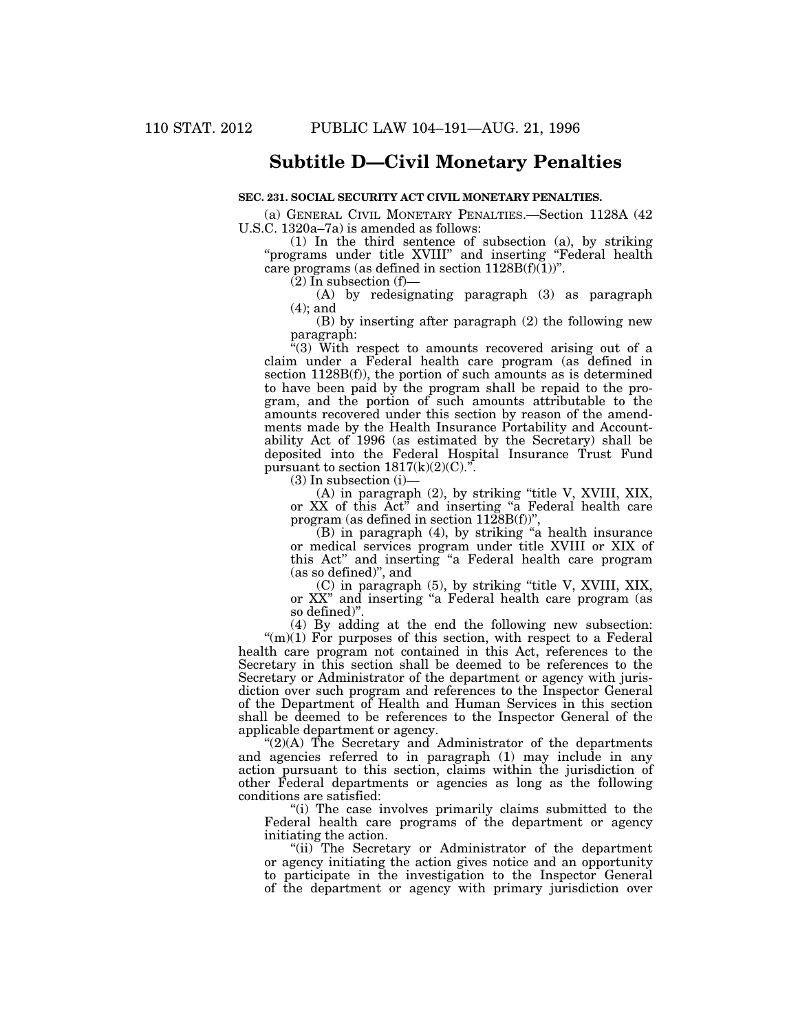# **Subtitle D—Civil Monetary Penalties**

# **SEC. 231. SOCIAL SECURITY ACT CIVIL MONETARY PENALTIES.**

(a) GENERAL CIVIL MONETARY PENALTIES.—Section 1128A (42 U.S.C. 1320a–7a) is amended as follows:

(1) In the third sentence of subsection (a), by striking "programs under title XVIII" and inserting "Federal health care programs (as defined in section  $1128B(f)(1)$ ".

 $(2)$  In subsection  $(f)$ —

(A) by redesignating paragraph (3) as paragraph (4); and

(B) by inserting after paragraph (2) the following new paragraph:

 $\sqrt{6}$ (3) With respect to amounts recovered arising out of a claim under a Federal health care program (as defined in section 1128B(f)), the portion of such amounts as is determined to have been paid by the program shall be repaid to the program, and the portion of such amounts attributable to the amounts recovered under this section by reason of the amendments made by the Health Insurance Portability and Accountability Act of 1996 (as estimated by the Secretary) shall be deposited into the Federal Hospital Insurance Trust Fund pursuant to section  $1817(k)(2)(C)$ .".

 $(3)$  In subsection  $(i)$ 

(A) in paragraph (2), by striking "title V, XVIII, XIX, or XX of this Act'' and inserting ''a Federal health care program (as defined in section  $1128B(f)$ )",

(B) in paragraph (4), by striking ''a health insurance or medical services program under title XVIII or XIX of this Act'' and inserting ''a Federal health care program (as so defined)'', and

(C) in paragraph (5), by striking ''title V, XVIII, XIX, or XX'' and inserting ''a Federal health care program (as so defined)"

(4) By adding at the end the following new subsection: " $(m)(1)$  For purposes of this section, with respect to a Federal health care program not contained in this Act, references to the Secretary in this section shall be deemed to be references to the Secretary or Administrator of the department or agency with jurisdiction over such program and references to the Inspector General of the Department of Health and Human Services in this section shall be deemed to be references to the Inspector General of the applicable department or agency.

" $(2)(A)$  The Secretary and Administrator of the departments and agencies referred to in paragraph (1) may include in any action pursuant to this section, claims within the jurisdiction of other Federal departments or agencies as long as the following conditions are satisfied:

"(i) The case involves primarily claims submitted to the Federal health care programs of the department or agency initiating the action.

''(ii) The Secretary or Administrator of the department or agency initiating the action gives notice and an opportunity to participate in the investigation to the Inspector General of the department or agency with primary jurisdiction over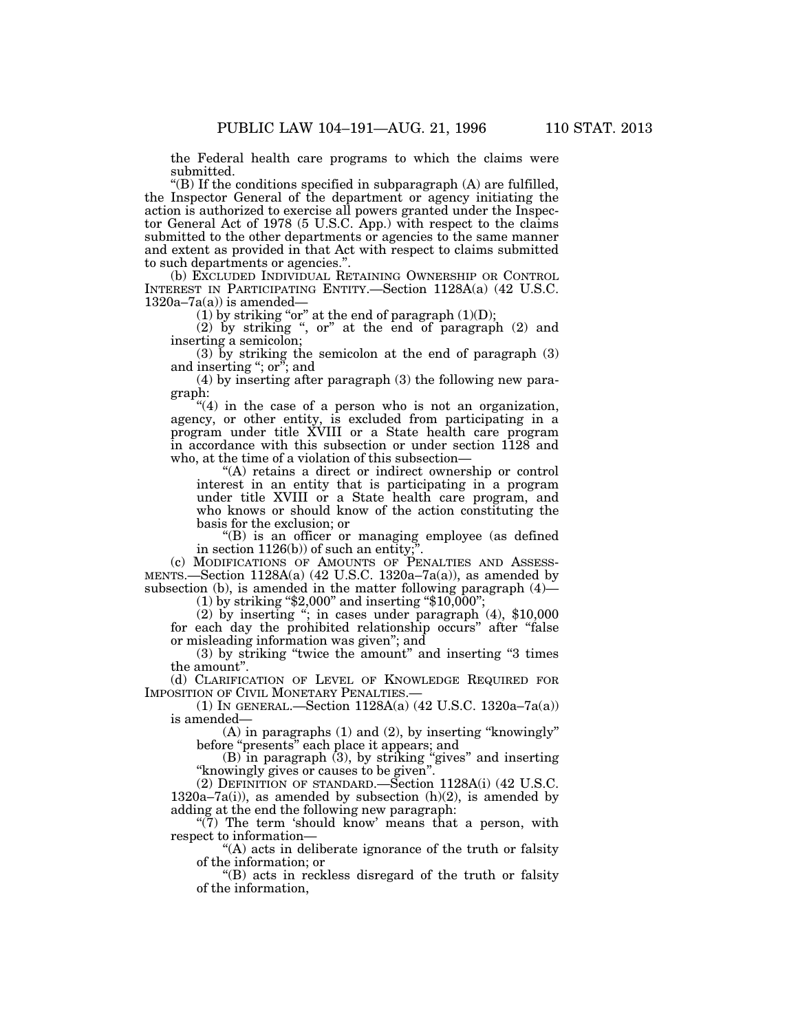the Federal health care programs to which the claims were submitted.

''(B) If the conditions specified in subparagraph (A) are fulfilled, the Inspector General of the department or agency initiating the action is authorized to exercise all powers granted under the Inspector General Act of 1978 (5 U.S.C. App.) with respect to the claims submitted to the other departments or agencies to the same manner and extent as provided in that Act with respect to claims submitted to such departments or agencies.''.

(b) EXCLUDED INDIVIDUAL RETAINING OWNERSHIP OR CONTROL INTEREST IN PARTICIPATING ENTITY.—Section 1128A(a) (42 U.S.C.  $1320a-7a(a)$  is amended-

(1) by striking "or" at the end of paragraph  $(1)(D)$ ;

(2) by striking '', or'' at the end of paragraph (2) and inserting a semicolon;

(3) by striking the semicolon at the end of paragraph (3) and inserting ''; or''; and

(4) by inserting after paragraph (3) the following new paragraph:

" $(4)$  in the case of a person who is not an organization, agency, or other entity, is excluded from participating in a program under title XVIII or a State health care program in accordance with this subsection or under section 1128 and who, at the time of a violation of this subsection—

"(A) retains a direct or indirect ownership or control interest in an entity that is participating in a program under title XVIII or a State health care program, and who knows or should know of the action constituting the basis for the exclusion; or

''(B) is an officer or managing employee (as defined in section  $1126(b)$  of such an entity;

(c) MODIFICATIONS OF AMOUNTS OF PENALTIES AND ASSESS-MENTS.—Section 1128A(a) (42 U.S.C. 1320a–7a(a)), as amended by subsection (b), is amended in the matter following paragraph (4)–

(1) by striking ''\$2,000'' and inserting ''\$10,000'';

(2) by inserting ''; in cases under paragraph (4), \$10,000 for each day the prohibited relationship occurs" after "false or misleading information was given''; and

(3) by striking ''twice the amount'' and inserting ''3 times the amount''.

(d) CLARIFICATION OF LEVEL OF KNOWLEDGE REQUIRED FOR IMPOSITION OF CIVIL MONETARY PENALTIES.—

(1) IN GENERAL.—Section 1128A(a) (42 U.S.C. 1320a–7a(a)) is amended—

(A) in paragraphs (1) and (2), by inserting ''knowingly'' before ''presents'' each place it appears; and

(B) in paragraph (3), by striking ''gives'' and inserting ''knowingly gives or causes to be given''.

(2) DEFINITION OF STANDARD.—Section 1128A(i) (42 U.S.C. 1320a–7a(i)), as amended by subsection  $(h)(2)$ , is amended by adding at the end the following new paragraph:

" $(7)$  The term 'should know' means that a person, with respect to information—

''(A) acts in deliberate ignorance of the truth or falsity of the information; or

''(B) acts in reckless disregard of the truth or falsity of the information,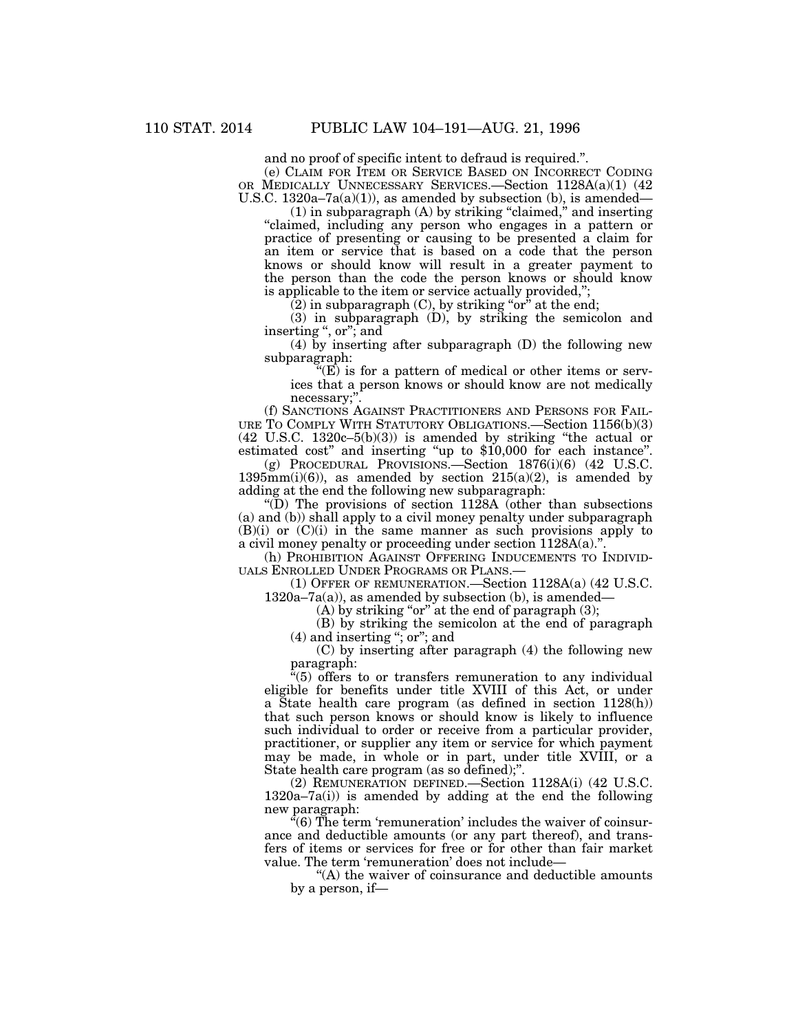and no proof of specific intent to defraud is required.''.

(e) CLAIM FOR ITEM OR SERVICE BASED ON INCORRECT CODING OR MEDICALLY UNNECESSARY SERVICES.—Section 1128A(a)(1) (42 U.S.C. 1320a–7a(a)(1)), as amended by subsection (b), is amended—

 $(1)$  in subparagraph  $(A)$  by striking "claimed," and inserting ''claimed, including any person who engages in a pattern or practice of presenting or causing to be presented a claim for an item or service that is based on a code that the person knows or should know will result in a greater payment to the person than the code the person knows or should know is applicable to the item or service actually provided,'';

 $(2)$  in subparagraph  $(C)$ , by striking "or" at the end;

(3) in subparagraph (D), by striking the semicolon and inserting '', or''; and

(4) by inserting after subparagraph (D) the following new subparagraph:

 $E(E)$  is for a pattern of medical or other items or services that a person knows or should know are not medically necessary;

(f) SANCTIONS AGAINST PRACTITIONERS AND PERSONS FOR FAIL-URE TO COMPLY WITH STATUTORY OBLIGATIONS.—Section 1156(b)(3)  $(42 \text{ U.S.C. } 1320c-5(b)(3))$  is amended by striking "the actual or estimated cost" and inserting "up to \$10,000 for each instance".

(g) PROCEDURAL PROVISIONS.—Section 1876(i)(6) (42 U.S.C.  $1395mm(i)(6)$ , as amended by section  $215(a)(2)$ , is amended by adding at the end the following new subparagraph:

''(D) The provisions of section 1128A (other than subsections (a) and (b)) shall apply to a civil money penalty under subparagraph (B)(i) or (C)(i) in the same manner as such provisions apply to a civil money penalty or proceeding under section 1128A(a).''.

(h) PROHIBITION AGAINST OFFERING INDUCEMENTS TO INDIVID-UALS ENROLLED UNDER PROGRAMS OR PLANS.—

(1) OFFER OF REMUNERATION.—Section 1128A(a) (42 U.S.C.  $1320a-7a(a)$ , as amended by subsection (b), is amended—

(A) by striking "or" at the end of paragraph  $(3)$ ;

(B) by striking the semicolon at the end of paragraph (4) and inserting ''; or''; and

(C) by inserting after paragraph (4) the following new paragraph:

''(5) offers to or transfers remuneration to any individual eligible for benefits under title XVIII of this Act, or under a State health care program (as defined in section 1128(h)) that such person knows or should know is likely to influence such individual to order or receive from a particular provider, practitioner, or supplier any item or service for which payment may be made, in whole or in part, under title XVIII, or a State health care program (as so defined);''.

(2) REMUNERATION DEFINED.—Section 1128A(i) (42 U.S.C. 1320a–7a(i)) is amended by adding at the end the following new paragraph:

 $\mathcal{F}(6)$  The term 'remuneration' includes the waiver of coinsurance and deductible amounts (or any part thereof), and transfers of items or services for free or for other than fair market value. The term 'remuneration' does not include—

"(A) the waiver of coinsurance and deductible amounts by a person, if—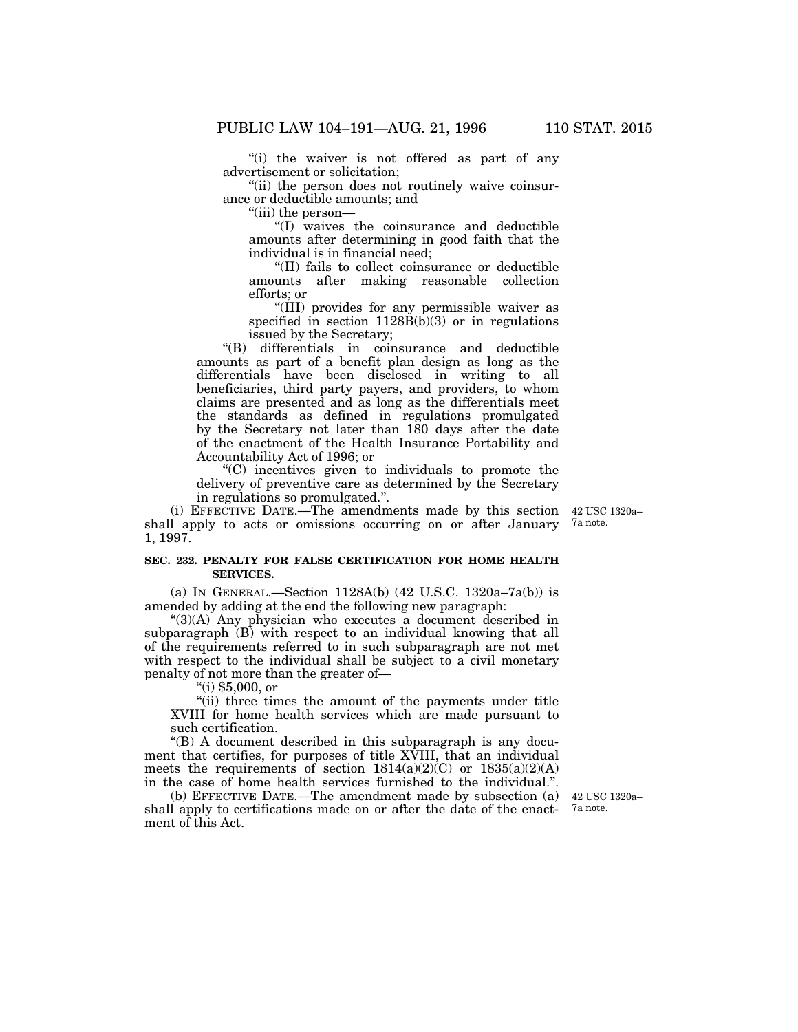"(i) the waiver is not offered as part of any advertisement or solicitation;

"(ii) the person does not routinely waive coinsurance or deductible amounts; and

''(iii) the person—

''(I) waives the coinsurance and deductible amounts after determining in good faith that the individual is in financial need;

''(II) fails to collect coinsurance or deductible amounts after making reasonable collection efforts; or

''(III) provides for any permissible waiver as specified in section  $1128B(b)(3)$  or in regulations issued by the Secretary;

''(B) differentials in coinsurance and deductible amounts as part of a benefit plan design as long as the differentials have been disclosed in writing to all beneficiaries, third party payers, and providers, to whom claims are presented and as long as the differentials meet the standards as defined in regulations promulgated by the Secretary not later than 180 days after the date of the enactment of the Health Insurance Portability and Accountability Act of 1996; or

''(C) incentives given to individuals to promote the delivery of preventive care as determined by the Secretary in regulations so promulgated.''.

(i) EFFECTIVE DATE.—The amendments made by this section 42 USC 1320a– shall apply to acts or omissions occurring on or after January 1, 1997.

# **SEC. 232. PENALTY FOR FALSE CERTIFICATION FOR HOME HEALTH SERVICES.**

(a) IN GENERAL.—Section 1128A(b) (42 U.S.C. 1320a–7a(b)) is amended by adding at the end the following new paragraph:

''(3)(A) Any physician who executes a document described in subparagraph (B) with respect to an individual knowing that all of the requirements referred to in such subparagraph are not met with respect to the individual shall be subject to a civil monetary penalty of not more than the greater of—

''(i) \$5,000, or

"(ii) three times the amount of the payments under title XVIII for home health services which are made pursuant to such certification.

''(B) A document described in this subparagraph is any document that certifies, for purposes of title XVIII, that an individual meets the requirements of section 1814(a)(2)(C) or 1835(a)(2)(A) in the case of home health services furnished to the individual.''.

(b) EFFECTIVE DATE.—The amendment made by subsection (a) shall apply to certifications made on or after the date of the enactment of this Act.

42 USC 1320a– 7a note.

7a note.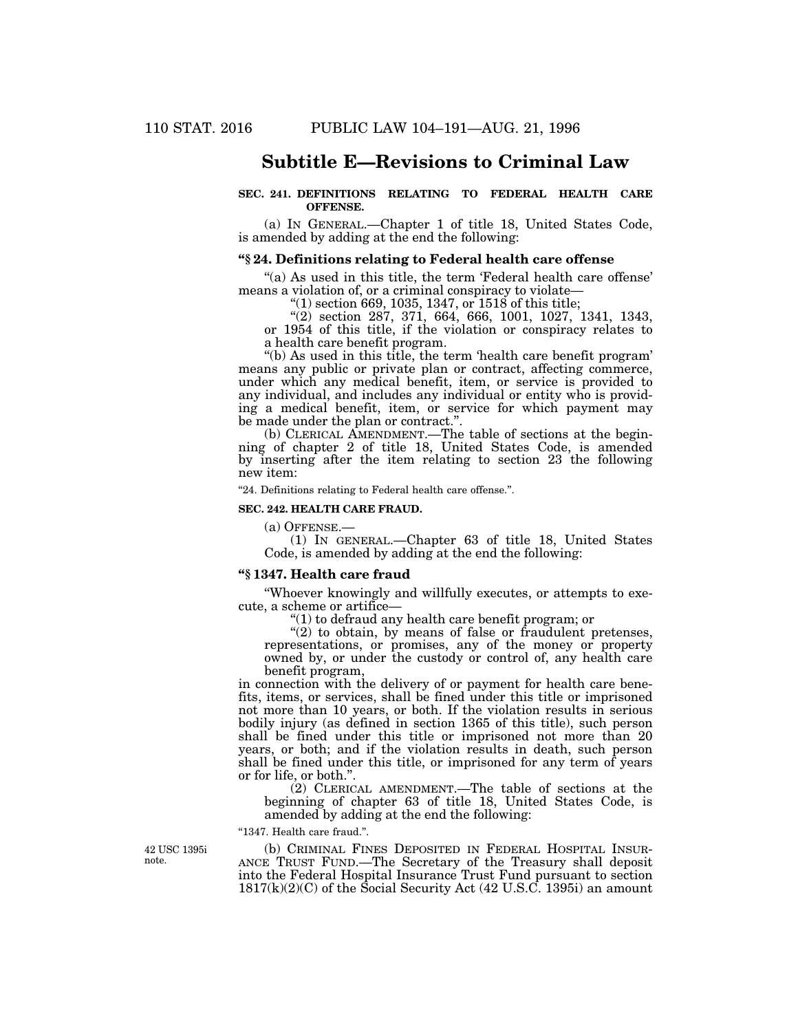# **Subtitle E—Revisions to Criminal Law**

# **SEC. 241. DEFINITIONS RELATING TO FEDERAL HEALTH CARE OFFENSE.**

(a) IN GENERAL.—Chapter 1 of title 18, United States Code, is amended by adding at the end the following:

# **''§ 24. Definitions relating to Federal health care offense**

"(a) As used in this title, the term 'Federal health care offense' means a violation of, or a criminal conspiracy to violate—

"(1) section 669, 1035, 1347, or  $1518$  of this title;

''(2) section 287, 371, 664, 666, 1001, 1027, 1341, 1343, or 1954 of this title, if the violation or conspiracy relates to a health care benefit program.

''(b) As used in this title, the term 'health care benefit program' means any public or private plan or contract, affecting commerce, under which any medical benefit, item, or service is provided to any individual, and includes any individual or entity who is providing a medical benefit, item, or service for which payment may be made under the plan or contract.''.

(b) CLERICAL AMENDMENT.—The table of sections at the beginning of chapter 2 of title 18, United States Code, is amended by inserting after the item relating to section 23 the following new item:

''24. Definitions relating to Federal health care offense.''.

# **SEC. 242. HEALTH CARE FRAUD.**

(a) OFFENSE.— (1) IN GENERAL.—Chapter 63 of title 18, United States Code, is amended by adding at the end the following:

### **''§ 1347. Health care fraud**

''Whoever knowingly and willfully executes, or attempts to execute, a scheme or artifice—

''(1) to defraud any health care benefit program; or

 $'(2)$  to obtain, by means of false or fraudulent pretenses, representations, or promises, any of the money or property owned by, or under the custody or control of, any health care benefit program,

in connection with the delivery of or payment for health care benefits, items, or services, shall be fined under this title or imprisoned not more than 10 years, or both. If the violation results in serious bodily injury (as defined in section 1365 of this title), such person shall be fined under this title or imprisoned not more than 20 years, or both; and if the violation results in death, such person shall be fined under this title, or imprisoned for any term of years or for life, or both.''.

(2) CLERICAL AMENDMENT.—The table of sections at the beginning of chapter 63 of title 18, United States Code, is amended by adding at the end the following:

''1347. Health care fraud.''.

42 USC 1395i note.

(b) CRIMINAL FINES DEPOSITED IN FEDERAL HOSPITAL INSUR-ANCE TRUST FUND.—The Secretary of the Treasury shall deposit into the Federal Hospital Insurance Trust Fund pursuant to section  $1817(k)(2)(C)$  of the Social Security Act (42 U.S.C. 1395i) an amount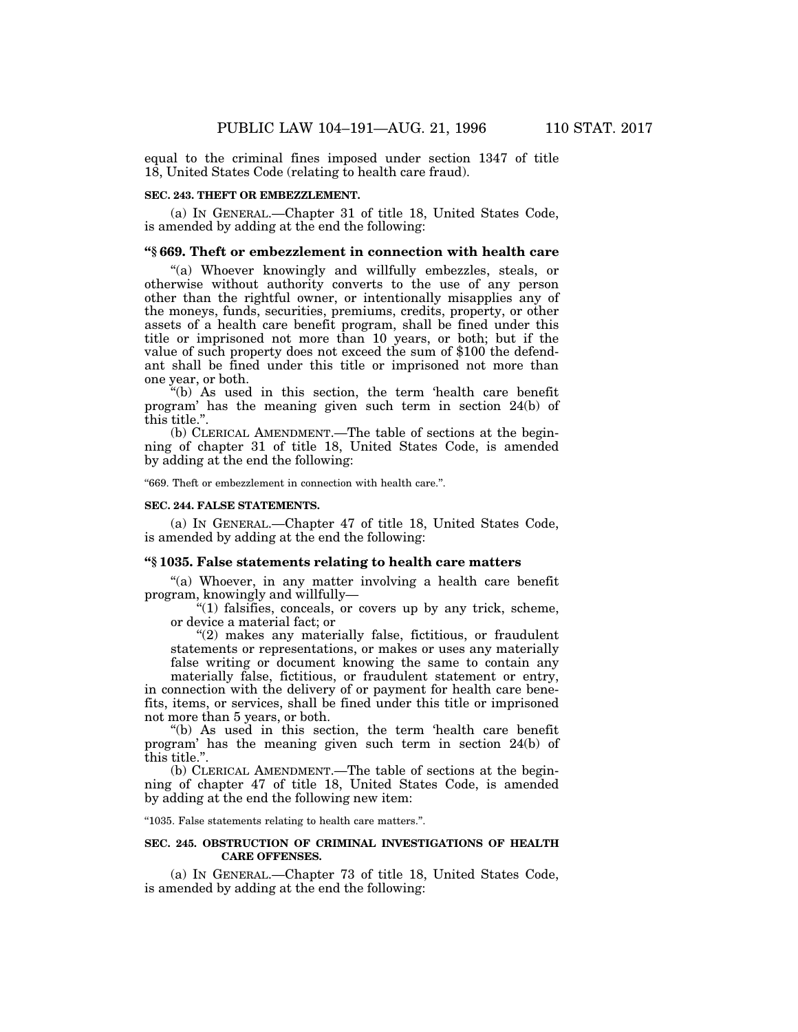equal to the criminal fines imposed under section 1347 of title 18, United States Code (relating to health care fraud).

### **SEC. 243. THEFT OR EMBEZZLEMENT.**

(a) IN GENERAL.—Chapter 31 of title 18, United States Code, is amended by adding at the end the following:

# **''§ 669. Theft or embezzlement in connection with health care**

''(a) Whoever knowingly and willfully embezzles, steals, or otherwise without authority converts to the use of any person other than the rightful owner, or intentionally misapplies any of the moneys, funds, securities, premiums, credits, property, or other assets of a health care benefit program, shall be fined under this title or imprisoned not more than 10 years, or both; but if the value of such property does not exceed the sum of \$100 the defendant shall be fined under this title or imprisoned not more than one year, or both.

''(b) As used in this section, the term 'health care benefit program' has the meaning given such term in section 24(b) of this title.''.

(b) CLERICAL AMENDMENT.—The table of sections at the beginning of chapter 31 of title 18, United States Code, is amended by adding at the end the following:

''669. Theft or embezzlement in connection with health care.''.

#### **SEC. 244. FALSE STATEMENTS.**

(a) IN GENERAL.—Chapter 47 of title 18, United States Code, is amended by adding at the end the following:

# **''§ 1035. False statements relating to health care matters**

''(a) Whoever, in any matter involving a health care benefit program, knowingly and willfully—

"(1) falsifies, conceals, or covers up by any trick, scheme, or device a material fact; or

"(2) makes any materially false, fictitious, or fraudulent statements or representations, or makes or uses any materially false writing or document knowing the same to contain any

materially false, fictitious, or fraudulent statement or entry, in connection with the delivery of or payment for health care benefits, items, or services, shall be fined under this title or imprisoned not more than 5 years, or both.

''(b) As used in this section, the term 'health care benefit program' has the meaning given such term in section 24(b) of this title.''.

(b) CLERICAL AMENDMENT.—The table of sections at the beginning of chapter 47 of title 18, United States Code, is amended by adding at the end the following new item:

''1035. False statements relating to health care matters.''.

### **SEC. 245. OBSTRUCTION OF CRIMINAL INVESTIGATIONS OF HEALTH CARE OFFENSES.**

(a) IN GENERAL.—Chapter 73 of title 18, United States Code, is amended by adding at the end the following: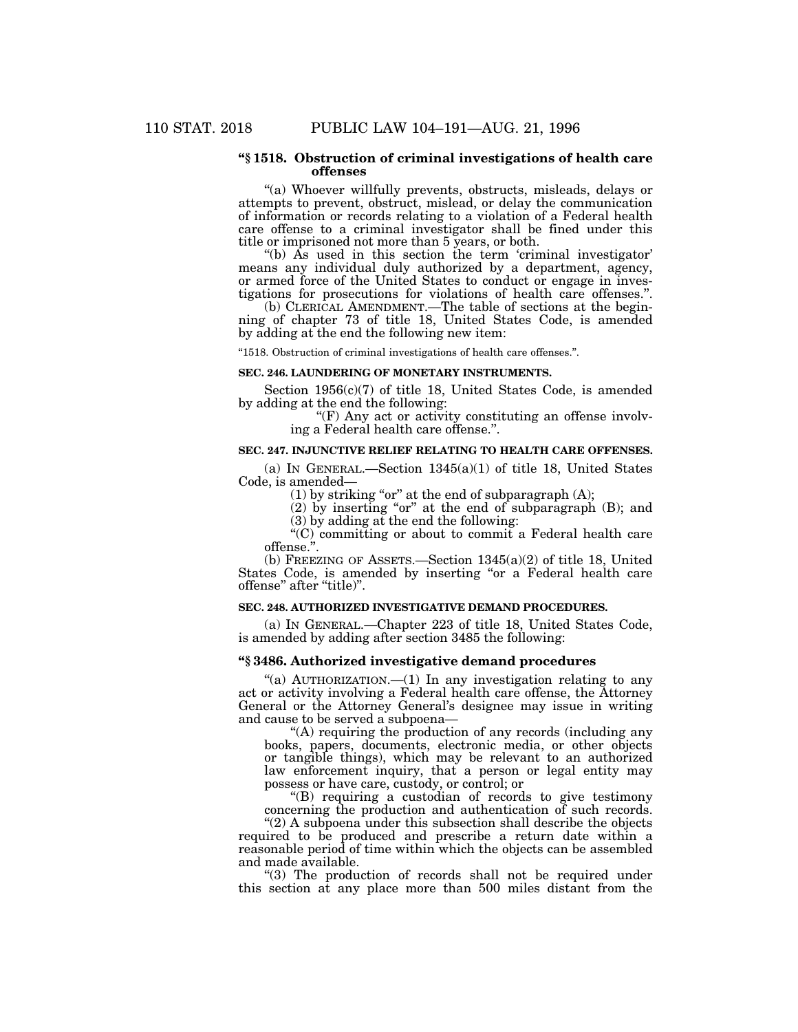### **''§ 1518. Obstruction of criminal investigations of health care offenses**

''(a) Whoever willfully prevents, obstructs, misleads, delays or attempts to prevent, obstruct, mislead, or delay the communication of information or records relating to a violation of a Federal health care offense to a criminal investigator shall be fined under this title or imprisoned not more than 5 years, or both.

"(b) As used in this section the term 'criminal investigator' means any individual duly authorized by a department, agency, or armed force of the United States to conduct or engage in investigations for prosecutions for violations of health care offenses.''.

(b) CLERICAL AMENDMENT.—The table of sections at the beginning of chapter 73 of title 18, United States Code, is amended by adding at the end the following new item:

''1518. Obstruction of criminal investigations of health care offenses.''.

### **SEC. 246. LAUNDERING OF MONETARY INSTRUMENTS.**

Section 1956(c)(7) of title 18, United States Code, is amended by adding at the end the following:

"(F) Any act or activity constituting an offense involving a Federal health care offense.''.

### **SEC. 247. INJUNCTIVE RELIEF RELATING TO HEALTH CARE OFFENSES.**

(a) IN GENERAL.—Section  $1345(a)(1)$  of title 18, United States Code, is amended—

(1) by striking "or" at the end of subparagraph  $(A)$ ;

(2) by inserting "or" at the end of subparagraph (B); and (3) by adding at the end the following:

 $(C)$  committing or about to commit a Federal health care offense.''.

(b) FREEZING OF ASSETS.—Section 1345(a)(2) of title 18, United States Code, is amended by inserting "or a Federal health care offense'' after ''title)''.

### **SEC. 248. AUTHORIZED INVESTIGATIVE DEMAND PROCEDURES.**

(a) IN GENERAL.—Chapter 223 of title 18, United States Code, is amended by adding after section 3485 the following:

### **''§ 3486. Authorized investigative demand procedures**

"(a) AUTHORIZATION.— $(1)$  In any investigation relating to any act or activity involving a Federal health care offense, the Attorney General or the Attorney General's designee may issue in writing and cause to be served a subpoena—

''(A) requiring the production of any records (including any books, papers, documents, electronic media, or other objects or tangible things), which may be relevant to an authorized law enforcement inquiry, that a person or legal entity may possess or have care, custody, or control; or

''(B) requiring a custodian of records to give testimony concerning the production and authentication of such records.

"(2) A subpoena under this subsection shall describe the objects" required to be produced and prescribe a return date within a reasonable period of time within which the objects can be assembled and made available.

''(3) The production of records shall not be required under this section at any place more than 500 miles distant from the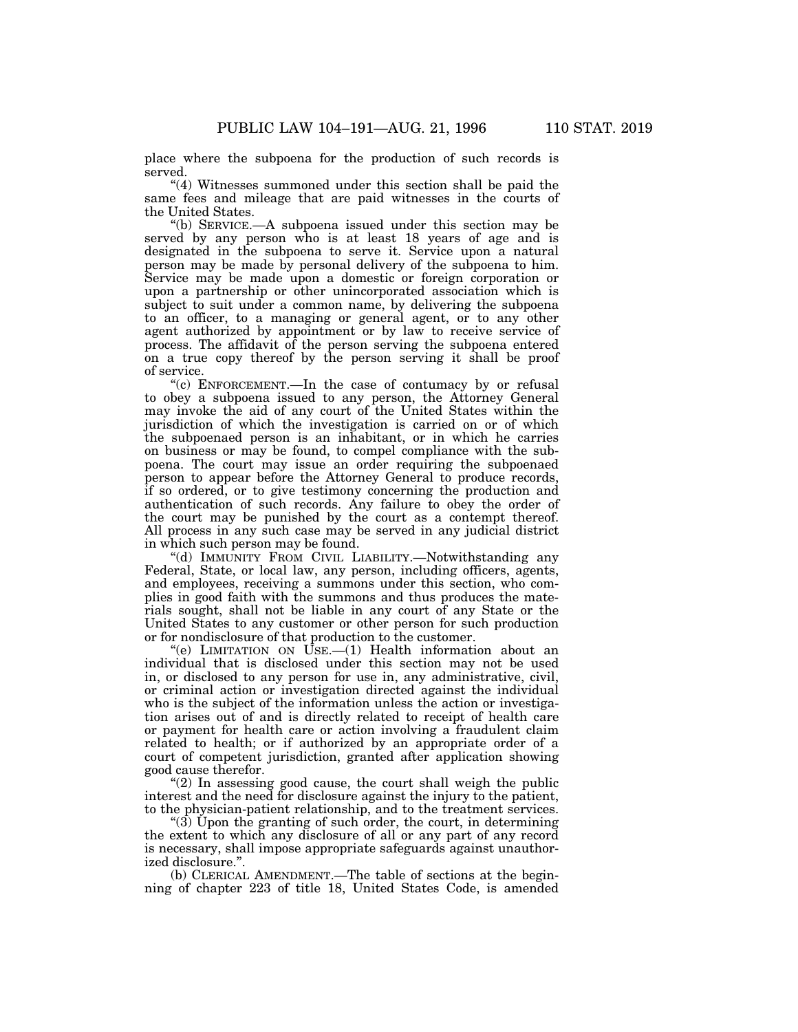place where the subpoena for the production of such records is served.

''(4) Witnesses summoned under this section shall be paid the same fees and mileage that are paid witnesses in the courts of the United States.

''(b) SERVICE.—A subpoena issued under this section may be served by any person who is at least 18 years of age and is designated in the subpoena to serve it. Service upon a natural person may be made by personal delivery of the subpoena to him. Service may be made upon a domestic or foreign corporation or upon a partnership or other unincorporated association which is subject to suit under a common name, by delivering the subpoena to an officer, to a managing or general agent, or to any other agent authorized by appointment or by law to receive service of process. The affidavit of the person serving the subpoena entered on a true copy thereof by the person serving it shall be proof of service.

"(c) ENFORCEMENT.—In the case of contumacy by or refusal to obey a subpoena issued to any person, the Attorney General may invoke the aid of any court of the United States within the jurisdiction of which the investigation is carried on or of which the subpoenaed person is an inhabitant, or in which he carries on business or may be found, to compel compliance with the subpoena. The court may issue an order requiring the subpoenaed person to appear before the Attorney General to produce records, if so ordered, or to give testimony concerning the production and authentication of such records. Any failure to obey the order of the court may be punished by the court as a contempt thereof. All process in any such case may be served in any judicial district in which such person may be found.

"(d) IMMUNITY FROM CIVIL LIABILITY.—Notwithstanding any Federal, State, or local law, any person, including officers, agents, and employees, receiving a summons under this section, who complies in good faith with the summons and thus produces the materials sought, shall not be liable in any court of any State or the United States to any customer or other person for such production or for nondisclosure of that production to the customer.

''(e) LIMITATION ON USE.—(1) Health information about an individual that is disclosed under this section may not be used in, or disclosed to any person for use in, any administrative, civil, or criminal action or investigation directed against the individual who is the subject of the information unless the action or investigation arises out of and is directly related to receipt of health care or payment for health care or action involving a fraudulent claim related to health; or if authorized by an appropriate order of a court of competent jurisdiction, granted after application showing good cause therefor.

"(2) In assessing good cause, the court shall weigh the public interest and the need for disclosure against the injury to the patient, to the physician-patient relationship, and to the treatment services.

" $(3)$  Upon the granting of such order, the court, in determining the extent to which any disclosure of all or any part of any record is necessary, shall impose appropriate safeguards against unauthorized disclosure.''.

(b) CLERICAL AMENDMENT.—The table of sections at the beginning of chapter 223 of title 18, United States Code, is amended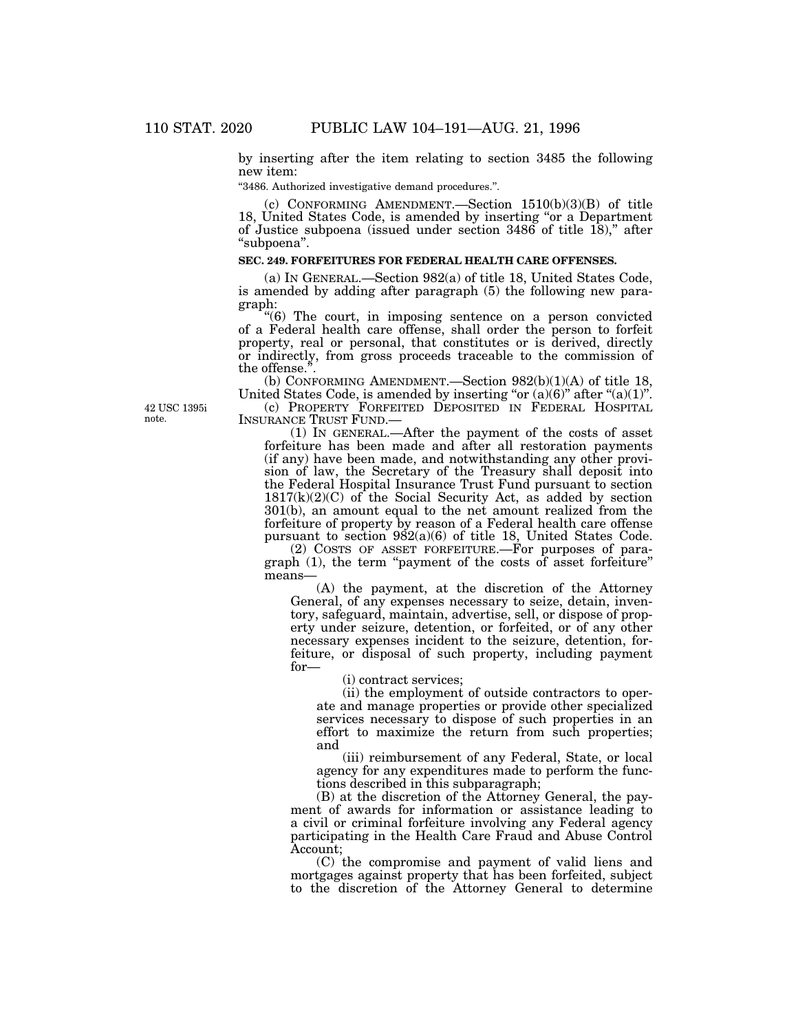by inserting after the item relating to section 3485 the following new item:

''3486. Authorized investigative demand procedures.''.

(c) CONFORMING AMENDMENT.—Section 1510(b)(3)(B) of title 18, United States Code, is amended by inserting ''or a Department of Justice subpoena (issued under section 3486 of title 18)," after ''subpoena''.

#### **SEC. 249. FORFEITURES FOR FEDERAL HEALTH CARE OFFENSES.**

(a) IN GENERAL.—Section 982(a) of title 18, United States Code, is amended by adding after paragraph (5) the following new paragraph:

''(6) The court, in imposing sentence on a person convicted of a Federal health care offense, shall order the person to forfeit property, real or personal, that constitutes or is derived, directly or indirectly, from gross proceeds traceable to the commission of the offense.''.

(b) CONFORMING AMENDMENT.—Section 982(b)(1)(A) of title 18, United States Code, is amended by inserting "or  $(a)(6)$ " after " $(a)(1)$ ".

(c) PROPERTY FORFEITED DEPOSITED IN FEDERAL HOSPITAL INSURANCE TRUST FUND.— (1) IN GENERAL.—After the payment of the costs of asset

forfeiture has been made and after all restoration payments (if any) have been made, and notwithstanding any other provision of law, the Secretary of the Treasury shall deposit into the Federal Hospital Insurance Trust Fund pursuant to section  $1817(k)(2)(C)$  of the Social Security Act, as added by section 301(b), an amount equal to the net amount realized from the forfeiture of property by reason of a Federal health care offense pursuant to section 982(a)(6) of title 18, United States Code.

(2) COSTS OF ASSET FORFEITURE.—For purposes of paragraph (1), the term ''payment of the costs of asset forfeiture'' means—

(A) the payment, at the discretion of the Attorney General, of any expenses necessary to seize, detain, inventory, safeguard, maintain, advertise, sell, or dispose of property under seizure, detention, or forfeited, or of any other necessary expenses incident to the seizure, detention, forfeiture, or disposal of such property, including payment for—

(i) contract services;

(ii) the employment of outside contractors to operate and manage properties or provide other specialized services necessary to dispose of such properties in an effort to maximize the return from such properties; and

(iii) reimbursement of any Federal, State, or local agency for any expenditures made to perform the functions described in this subparagraph;

(B) at the discretion of the Attorney General, the payment of awards for information or assistance leading to a civil or criminal forfeiture involving any Federal agency participating in the Health Care Fraud and Abuse Control Account;

(C) the compromise and payment of valid liens and mortgages against property that has been forfeited, subject to the discretion of the Attorney General to determine

42 USC 1395i note.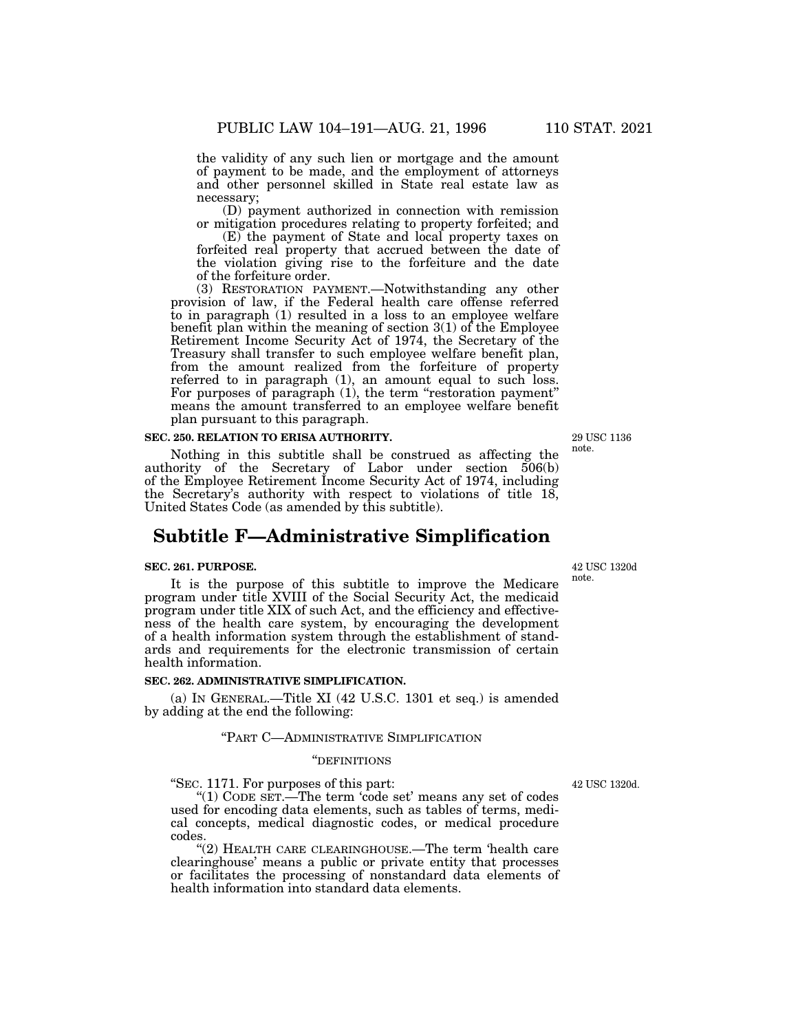the validity of any such lien or mortgage and the amount of payment to be made, and the employment of attorneys and other personnel skilled in State real estate law as necessary;

(D) payment authorized in connection with remission or mitigation procedures relating to property forfeited; and

(E) the payment of State and local property taxes on forfeited real property that accrued between the date of the violation giving rise to the forfeiture and the date of the forfeiture order.

(3) RESTORATION PAYMENT.—Notwithstanding any other provision of law, if the Federal health care offense referred to in paragraph (1) resulted in a loss to an employee welfare benefit plan within the meaning of section 3(1) of the Employee Retirement Income Security Act of 1974, the Secretary of the Treasury shall transfer to such employee welfare benefit plan, from the amount realized from the forfeiture of property referred to in paragraph (1), an amount equal to such loss. For purposes of paragraph (1), the term "restoration payment" means the amount transferred to an employee welfare benefit plan pursuant to this paragraph.

### **SEC. 250. RELATION TO ERISA AUTHORITY.**

Nothing in this subtitle shall be construed as affecting the authority of the Secretary of Labor under section 506(b) of the Employee Retirement Income Security Act of 1974, including the Secretary's authority with respect to violations of title 18, United States Code (as amended by this subtitle).

# **Subtitle F—Administrative Simplification**

# **SEC. 261. PURPOSE.**

It is the purpose of this subtitle to improve the Medicare program under title XVIII of the Social Security Act, the medicaid program under title XIX of such Act, and the efficiency and effectiveness of the health care system, by encouraging the development of a health information system through the establishment of standards and requirements for the electronic transmission of certain health information.

# **SEC. 262. ADMINISTRATIVE SIMPLIFICATION.**

(a) IN GENERAL.—Title XI (42 U.S.C. 1301 et seq.) is amended by adding at the end the following:

# ''PART C—ADMINISTRATIVE SIMPLIFICATION

### ''DEFINITIONS

''SEC. 1171. For purposes of this part:

"(1) CODE  $\text{SET}$ . The term 'code set' means any set of codes used for encoding data elements, such as tables of terms, medical concepts, medical diagnostic codes, or medical procedure codes.

''(2) HEALTH CARE CLEARINGHOUSE.—The term 'health care clearinghouse' means a public or private entity that processes or facilitates the processing of nonstandard data elements of health information into standard data elements.

42 USC 1320d note.

29 USC 1136 note.

42 USC 1320d.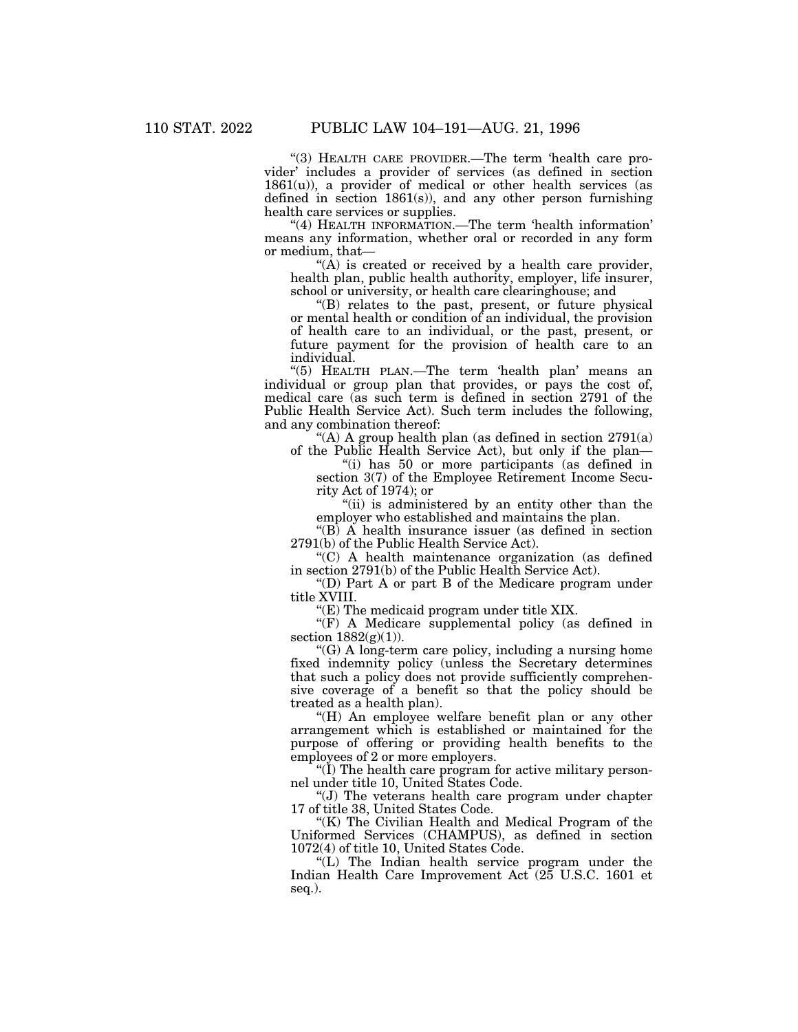''(3) HEALTH CARE PROVIDER.—The term 'health care provider' includes a provider of services (as defined in section  $1861(u)$ , a provider of medical or other health services (as defined in section 1861(s)), and any other person furnishing health care services or supplies.

"(4) HEALTH INFORMATION.—The term 'health information' means any information, whether oral or recorded in any form or medium, that—

 $(A)$  is created or received by a health care provider, health plan, public health authority, employer, life insurer, school or university, or health care clearinghouse; and

''(B) relates to the past, present, or future physical or mental health or condition of an individual, the provision of health care to an individual, or the past, present, or future payment for the provision of health care to an individual.

''(5) HEALTH PLAN.—The term 'health plan' means an individual or group plan that provides, or pays the cost of, medical care (as such term is defined in section 2791 of the Public Health Service Act). Such term includes the following, and any combination thereof:

"(A) A group health plan (as defined in section  $2791(a)$ of the Public Health Service Act), but only if the plan—

''(i) has 50 or more participants (as defined in section 3(7) of the Employee Retirement Income Security Act of 1974); or

''(ii) is administered by an entity other than the employer who established and maintains the plan.

" $(B)$  A health insurance issuer (as defined in section 2791(b) of the Public Health Service Act).

''(C) A health maintenance organization (as defined in section 2791(b) of the Public Health Service Act).

''(D) Part A or part B of the Medicare program under title XVIII.

''(E) The medicaid program under title XIX.

''(F) A Medicare supplemental policy (as defined in section 1882(g)(1)).

''(G) A long-term care policy, including a nursing home fixed indemnity policy (unless the Secretary determines that such a policy does not provide sufficiently comprehensive coverage of a benefit so that the policy should be treated as a health plan).

"(H) An employee welfare benefit plan or any other arrangement which is established or maintained for the purpose of offering or providing health benefits to the employees of 2 or more employers.

''(I) The health care program for active military personnel under title 10, United States Code.

''(J) The veterans health care program under chapter 17 of title 38, United States Code.

"(K) The Civilian Health and Medical Program of the Uniformed Services (CHAMPUS), as defined in section 1072(4) of title 10, United States Code.

''(L) The Indian health service program under the Indian Health Care Improvement Act (25 U.S.C. 1601 et seq.).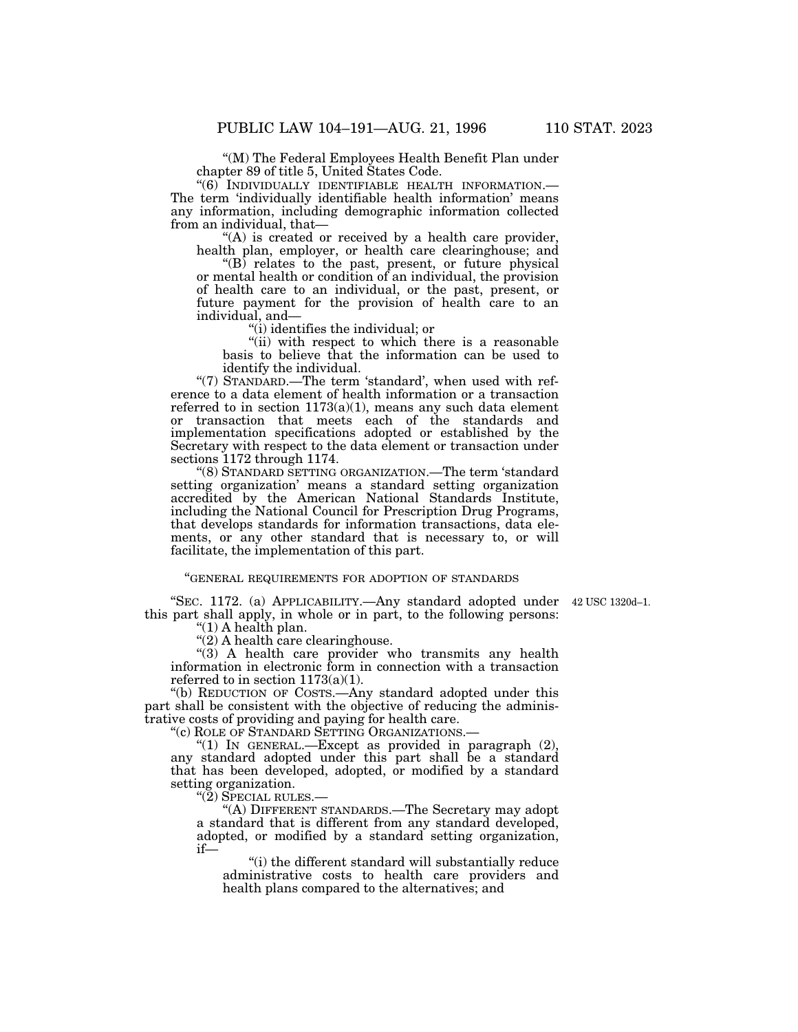''(M) The Federal Employees Health Benefit Plan under chapter 89 of title 5, United States Code.

''(6) INDIVIDUALLY IDENTIFIABLE HEALTH INFORMATION.— The term 'individually identifiable health information' means any information, including demographic information collected from an individual, that—

 $f(A)$  is created or received by a health care provider, health plan, employer, or health care clearinghouse; and

 $\mathrm{``(B)}$  relates to the past, present, or future physical or mental health or condition of an individual, the provision of health care to an individual, or the past, present, or future payment for the provision of health care to an individual, and—

''(i) identifies the individual; or

''(ii) with respect to which there is a reasonable basis to believe that the information can be used to identify the individual.

"(7) STANDARD.—The term 'standard', when used with reference to a data element of health information or a transaction referred to in section  $1173(a)(1)$ , means any such data element or transaction that meets each of the standards and implementation specifications adopted or established by the Secretary with respect to the data element or transaction under sections 1172 through 1174.

''(8) STANDARD SETTING ORGANIZATION.—The term 'standard setting organization' means a standard setting organization accredited by the American National Standards Institute, including the National Council for Prescription Drug Programs, that develops standards for information transactions, data elements, or any other standard that is necessary to, or will facilitate, the implementation of this part.

### ''GENERAL REQUIREMENTS FOR ADOPTION OF STANDARDS

''SEC. 1172. (a) APPLICABILITY.—Any standard adopted under 42 USC 1320d–1.this part shall apply, in whole or in part, to the following persons:

''(1) A health plan.

''(2) A health care clearinghouse.

"(3) A health care provider who transmits any health information in electronic form in connection with a transaction referred to in section 1173(a)(1).

''(b) REDUCTION OF COSTS.—Any standard adopted under this part shall be consistent with the objective of reducing the administrative costs of providing and paying for health care.

''(c) ROLE OF STANDARD SETTING ORGANIZATIONS.—

"(1) In GENERAL.—Except as provided in paragraph (2), any standard adopted under this part shall be a standard that has been developed, adopted, or modified by a standard setting organization.

''(2) SPECIAL RULES.—

''(A) DIFFERENT STANDARDS.—The Secretary may adopt a standard that is different from any standard developed, adopted, or modified by a standard setting organization, if—

''(i) the different standard will substantially reduce administrative costs to health care providers and health plans compared to the alternatives; and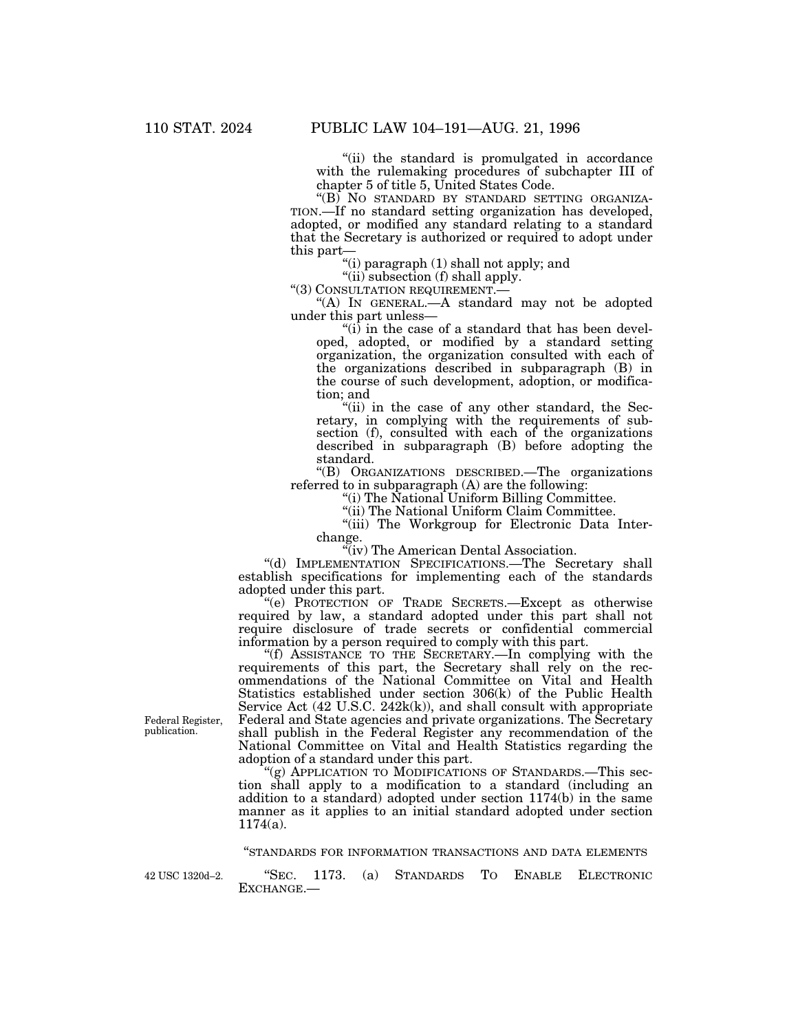''(ii) the standard is promulgated in accordance with the rulemaking procedures of subchapter III of chapter 5 of title 5, United States Code.

"(B) NO STANDARD BY STANDARD SETTING ORGANIZA-TION.—If no standard setting organization has developed, adopted, or modified any standard relating to a standard that the Secretary is authorized or required to adopt under this part—

''(i) paragraph (1) shall not apply; and

"(ii) subsection (f) shall apply.<br>"(3) CONSULTATION REQUIREMENT.—

 $(A)$  In GENERAL.—A standard may not be adopted under this part unless—

" $(i)$  in the case of a standard that has been developed, adopted, or modified by a standard setting organization, the organization consulted with each of the organizations described in subparagraph (B) in the course of such development, adoption, or modification; and

"(ii) in the case of any other standard, the Secretary, in complying with the requirements of subsection (f), consulted with each of the organizations described in subparagraph (B) before adopting the standard.

''(B) ORGANIZATIONS DESCRIBED.—The organizations referred to in subparagraph (A) are the following:

''(i) The National Uniform Billing Committee.

''(ii) The National Uniform Claim Committee.

"(iii) The Workgroup for Electronic Data Interchange.

''(iv) The American Dental Association.

''(d) IMPLEMENTATION SPECIFICATIONS.—The Secretary shall establish specifications for implementing each of the standards adopted under this part.

''(e) PROTECTION OF TRADE SECRETS.—Except as otherwise required by law, a standard adopted under this part shall not require disclosure of trade secrets or confidential commercial information by a person required to comply with this part.

''(f) ASSISTANCE TO THE SECRETARY.—In complying with the requirements of this part, the Secretary shall rely on the recommendations of the National Committee on Vital and Health Statistics established under section 306(k) of the Public Health Service Act (42 U.S.C. 242k(k)), and shall consult with appropriate Federal and State agencies and private organizations. The Secretary shall publish in the Federal Register any recommendation of the National Committee on Vital and Health Statistics regarding the adoption of a standard under this part.

"(g) APPLICATION TO MODIFICATIONS OF STANDARDS.—This section shall apply to a modification to a standard (including an addition to a standard) adopted under section 1174(b) in the same manner as it applies to an initial standard adopted under section 1174(a).

''STANDARDS FOR INFORMATION TRANSACTIONS AND DATA ELEMENTS

42 USC 1320d–2.

''SEC. 1173. (a) STANDARDS TO ENABLE ELECTRONIC EXCHANGE.—

Federal Register, publication.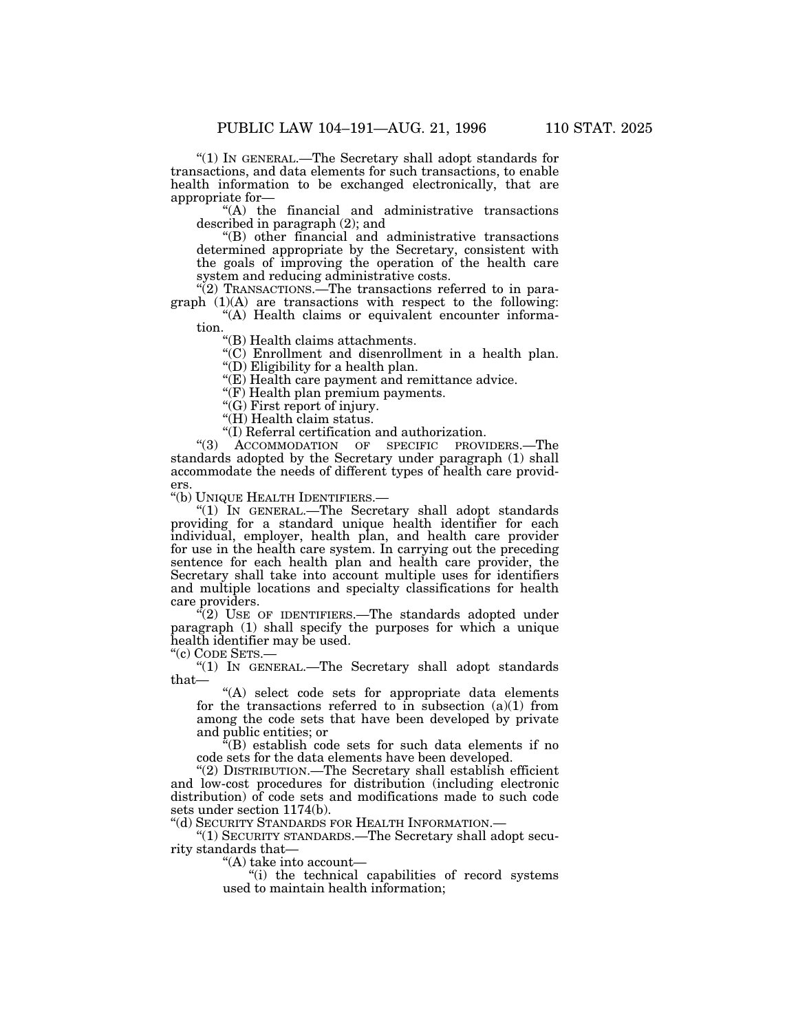''(1) IN GENERAL.—The Secretary shall adopt standards for transactions, and data elements for such transactions, to enable health information to be exchanged electronically, that are appropriate for—

"(A) the financial and administrative transactions" described in paragraph (2); and

''(B) other financial and administrative transactions determined appropriate by the Secretary, consistent with the goals of improving the operation of the health care system and reducing administrative costs.

"(2) TRANSACTIONS.—The transactions referred to in paragraph  $(1)(A)$  are transactions with respect to the following:

 $f(A)$  Health claims or equivalent encounter information.

''(B) Health claims attachments.

''(C) Enrollment and disenrollment in a health plan.

''(D) Eligibility for a health plan.

''(E) Health care payment and remittance advice.

''(F) Health plan premium payments.

''(G) First report of injury.

"(H) Health claim status.

''(I) Referral certification and authorization.

ACCOMMODATION OF SPECIFIC PROVIDERS.-The standards adopted by the Secretary under paragraph (1) shall accommodate the needs of different types of health care providers.

''(b) UNIQUE HEALTH IDENTIFIERS.—

"(1) IN GENERAL.—The Secretary shall adopt standards providing for a standard unique health identifier for each individual, employer, health plan, and health care provider for use in the health care system. In carrying out the preceding sentence for each health plan and health care provider, the Secretary shall take into account multiple uses for identifiers and multiple locations and specialty classifications for health care providers.

"(2) USE OF IDENTIFIERS.—The standards adopted under paragraph (1) shall specify the purposes for which a unique health identifier may be used.

''(c) CODE SETS.—

''(1) IN GENERAL.—The Secretary shall adopt standards that—

''(A) select code sets for appropriate data elements for the transactions referred to in subsection  $(a)(1)$  from among the code sets that have been developed by private and public entities; or

''(B) establish code sets for such data elements if no code sets for the data elements have been developed.

''(2) DISTRIBUTION.—The Secretary shall establish efficient and low-cost procedures for distribution (including electronic distribution) of code sets and modifications made to such code sets under section 1174(b).

''(d) SECURITY STANDARDS FOR HEALTH INFORMATION.—

''(1) SECURITY STANDARDS.—The Secretary shall adopt security standards that—

''(A) take into account—

"(i) the technical capabilities of record systems" used to maintain health information;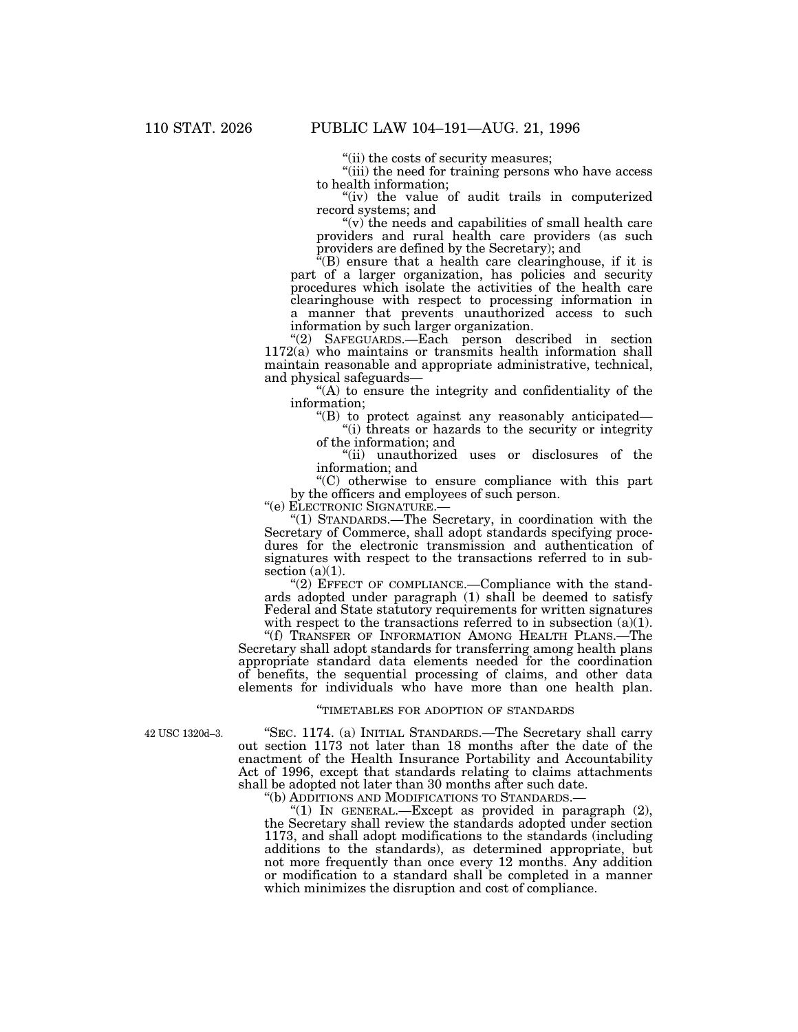"(ii) the costs of security measures;

"(iii) the need for training persons who have access to health information;

"(iv) the value of audit trails in computerized record systems; and

" $(v)$  the needs and capabilities of small health care providers and rural health care providers (as such providers are defined by the Secretary); and

 $\sqrt{H(B)}$  ensure that a health care clearinghouse, if it is part of a larger organization, has policies and security procedures which isolate the activities of the health care clearinghouse with respect to processing information in a manner that prevents unauthorized access to such information by such larger organization.

''(2) SAFEGUARDS.—Each person described in section 1172(a) who maintains or transmits health information shall maintain reasonable and appropriate administrative, technical, and physical safeguards—

''(A) to ensure the integrity and confidentiality of the information;

''(B) to protect against any reasonably anticipated— ''(i) threats or hazards to the security or integrity of the information; and

''(ii) unauthorized uses or disclosures of the information; and

''(C) otherwise to ensure compliance with this part by the officers and employees of such person.<br>"(e) ELECTRONIC SIGNATURE.—

" $(1)$  STANDARDS.—The Secretary, in coordination with the Secretary of Commerce, shall adopt standards specifying procedures for the electronic transmission and authentication of signatures with respect to the transactions referred to in subsection  $(a)(1)$ .

 $f(2)$  EFFECT OF COMPLIANCE.—Compliance with the standards adopted under paragraph (1) shall be deemed to satisfy Federal and State statutory requirements for written signatures with respect to the transactions referred to in subsection  $(a)(1)$ .

''(f) TRANSFER OF INFORMATION AMONG HEALTH PLANS.—The Secretary shall adopt standards for transferring among health plans appropriate standard data elements needed for the coordination of benefits, the sequential processing of claims, and other data elements for individuals who have more than one health plan.

# ''TIMETABLES FOR ADOPTION OF STANDARDS

42 USC 1320d–3.

''SEC. 1174. (a) INITIAL STANDARDS.—The Secretary shall carry out section 1173 not later than 18 months after the date of the enactment of the Health Insurance Portability and Accountability Act of 1996, except that standards relating to claims attachments shall be adopted not later than 30 months after such date.<br>"(b) ADDITIONS AND MODIFICATIONS TO STANDARDS.—

''(b) ADDITIONS AND MODIFICATIONS TO STANDARDS.— ''(1) IN GENERAL.—Except as provided in paragraph (2), the Secretary shall review the standards adopted under section 1173, and shall adopt modifications to the standards (including additions to the standards), as determined appropriate, but not more frequently than once every 12 months. Any addition or modification to a standard shall be completed in a manner which minimizes the disruption and cost of compliance.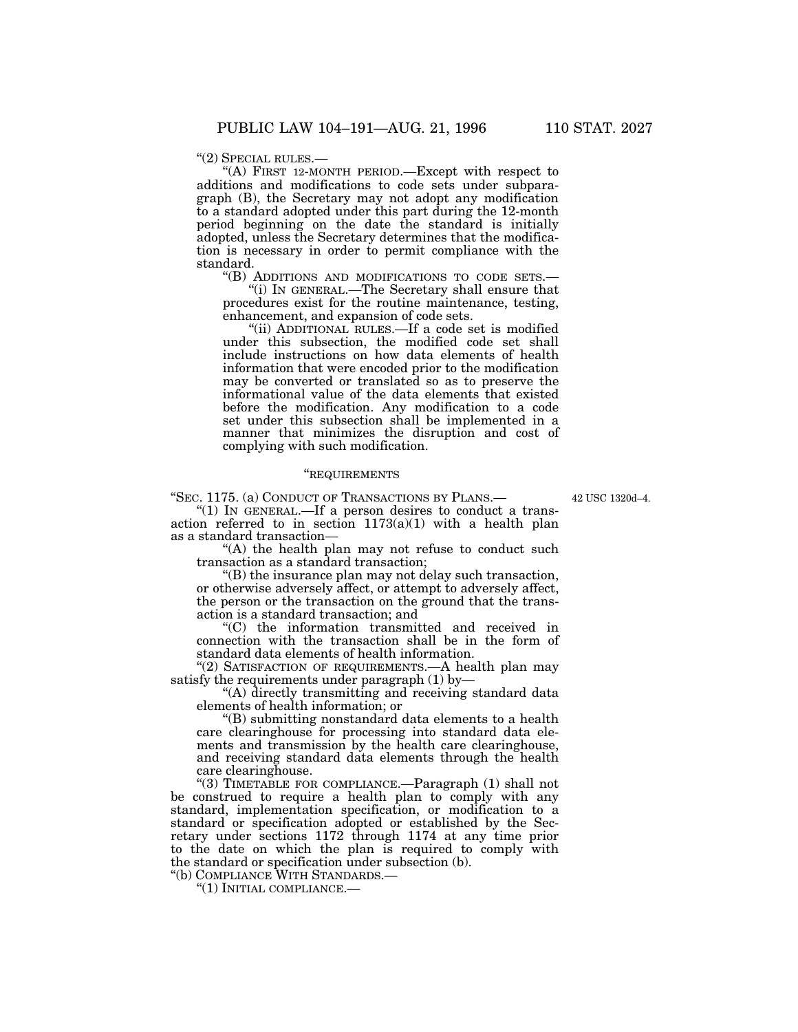''(2) SPECIAL RULES.—

''(A) FIRST 12-MONTH PERIOD.—Except with respect to additions and modifications to code sets under subparagraph (B), the Secretary may not adopt any modification to a standard adopted under this part during the 12-month period beginning on the date the standard is initially adopted, unless the Secretary determines that the modification is necessary in order to permit compliance with the standard.

''(B) ADDITIONS AND MODIFICATIONS TO CODE SETS.— ''(i) IN GENERAL.—The Secretary shall ensure that

procedures exist for the routine maintenance, testing, enhancement, and expansion of code sets.

''(ii) ADDITIONAL RULES.—If a code set is modified under this subsection, the modified code set shall include instructions on how data elements of health information that were encoded prior to the modification may be converted or translated so as to preserve the informational value of the data elements that existed before the modification. Any modification to a code set under this subsection shall be implemented in a manner that minimizes the disruption and cost of complying with such modification.

### ''REQUIREMENTS

''SEC. 1175. (a) CONDUCT OF TRANSACTIONS BY PLANS.—

42 USC 1320d–4.

" $(1)$  In GENERAL.—If a person desires to conduct a transaction referred to in section  $1173(a)(1)$  with a health plan as a standard transaction—

"(A) the health plan may not refuse to conduct such transaction as a standard transaction;

''(B) the insurance plan may not delay such transaction, or otherwise adversely affect, or attempt to adversely affect, the person or the transaction on the ground that the transaction is a standard transaction; and

''(C) the information transmitted and received in connection with the transaction shall be in the form of standard data elements of health information.

"(2) SATISFACTION OF REQUIREMENTS.- A health plan may satisfy the requirements under paragraph (1) by—

"(A) directly transmitting and receiving standard data elements of health information; or

''(B) submitting nonstandard data elements to a health care clearinghouse for processing into standard data elements and transmission by the health care clearinghouse, and receiving standard data elements through the health care clearinghouse.

''(3) TIMETABLE FOR COMPLIANCE.—Paragraph (1) shall not be construed to require a health plan to comply with any standard, implementation specification, or modification to a standard or specification adopted or established by the Secretary under sections 1172 through 1174 at any time prior to the date on which the plan is required to comply with the standard or specification under subsection (b). ''(b) COMPLIANCE WITH STANDARDS.—

''(1) INITIAL COMPLIANCE.—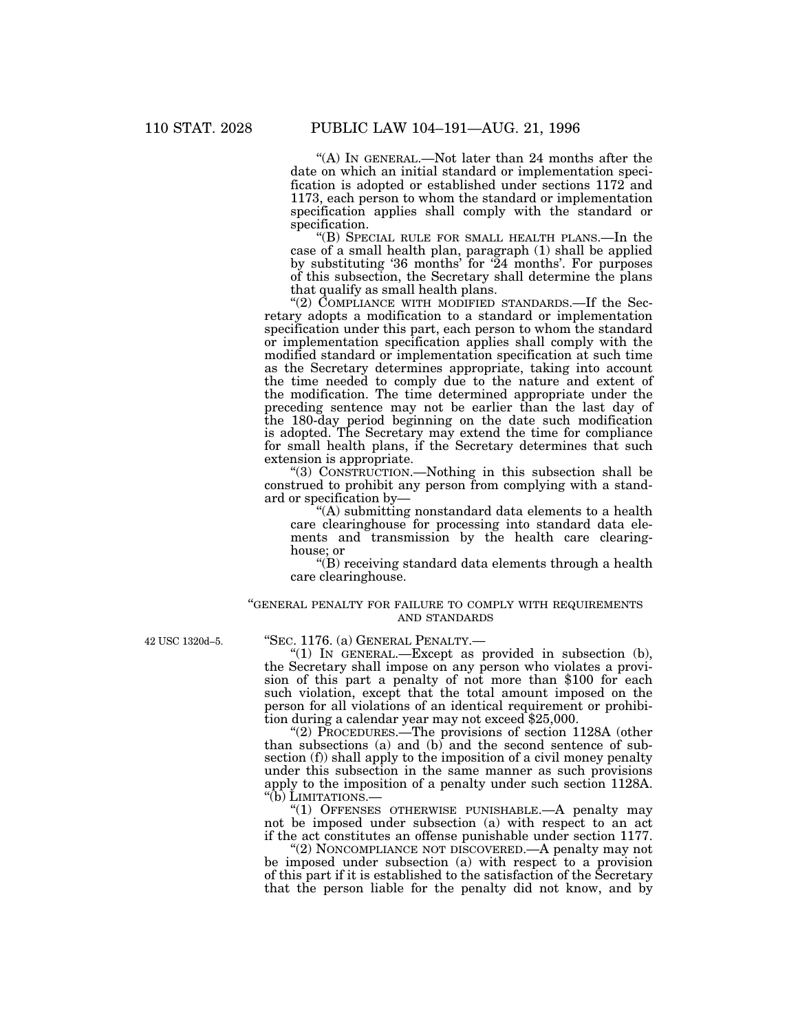"(A) In GENERAL.—Not later than 24 months after the date on which an initial standard or implementation specification is adopted or established under sections 1172 and 1173, each person to whom the standard or implementation specification applies shall comply with the standard or specification.

''(B) SPECIAL RULE FOR SMALL HEALTH PLANS.—In the case of a small health plan, paragraph (1) shall be applied by substituting '36 months' for '24 months'. For purposes of this subsection, the Secretary shall determine the plans that qualify as small health plans.

"(2) COMPLIANCE WITH MODIFIED STANDARDS.—If the Secretary adopts a modification to a standard or implementation specification under this part, each person to whom the standard or implementation specification applies shall comply with the modified standard or implementation specification at such time as the Secretary determines appropriate, taking into account the time needed to comply due to the nature and extent of the modification. The time determined appropriate under the preceding sentence may not be earlier than the last day of the 180-day period beginning on the date such modification is adopted. The Secretary may extend the time for compliance for small health plans, if the Secretary determines that such extension is appropriate.

''(3) CONSTRUCTION.—Nothing in this subsection shall be construed to prohibit any person from complying with a standard or specification by—

''(A) submitting nonstandard data elements to a health care clearinghouse for processing into standard data elements and transmission by the health care clearinghouse; or

''(B) receiving standard data elements through a health care clearinghouse.

### ''GENERAL PENALTY FOR FAILURE TO COMPLY WITH REQUIREMENTS AND STANDARDS

42 USC 1320d–5.

''SEC. 1176. (a) GENERAL PENALTY.—

 $(1)$  In GENERAL.—Except as provided in subsection (b), the Secretary shall impose on any person who violates a provision of this part a penalty of not more than \$100 for each such violation, except that the total amount imposed on the person for all violations of an identical requirement or prohibition during a calendar year may not exceed \$25,000.

"(2) PROCEDURES.—The provisions of section 1128A (other than subsections (a) and  $(b)$  and the second sentence of subsection (f)) shall apply to the imposition of a civil money penalty under this subsection in the same manner as such provisions apply to the imposition of a penalty under such section 1128A. ''(b) LIMITATIONS.—

''(1) OFFENSES OTHERWISE PUNISHABLE.—A penalty may not be imposed under subsection (a) with respect to an act if the act constitutes an offense punishable under section 1177.

''(2) NONCOMPLIANCE NOT DISCOVERED.—A penalty may not be imposed under subsection (a) with respect to a provision of this part if it is established to the satisfaction of the Secretary that the person liable for the penalty did not know, and by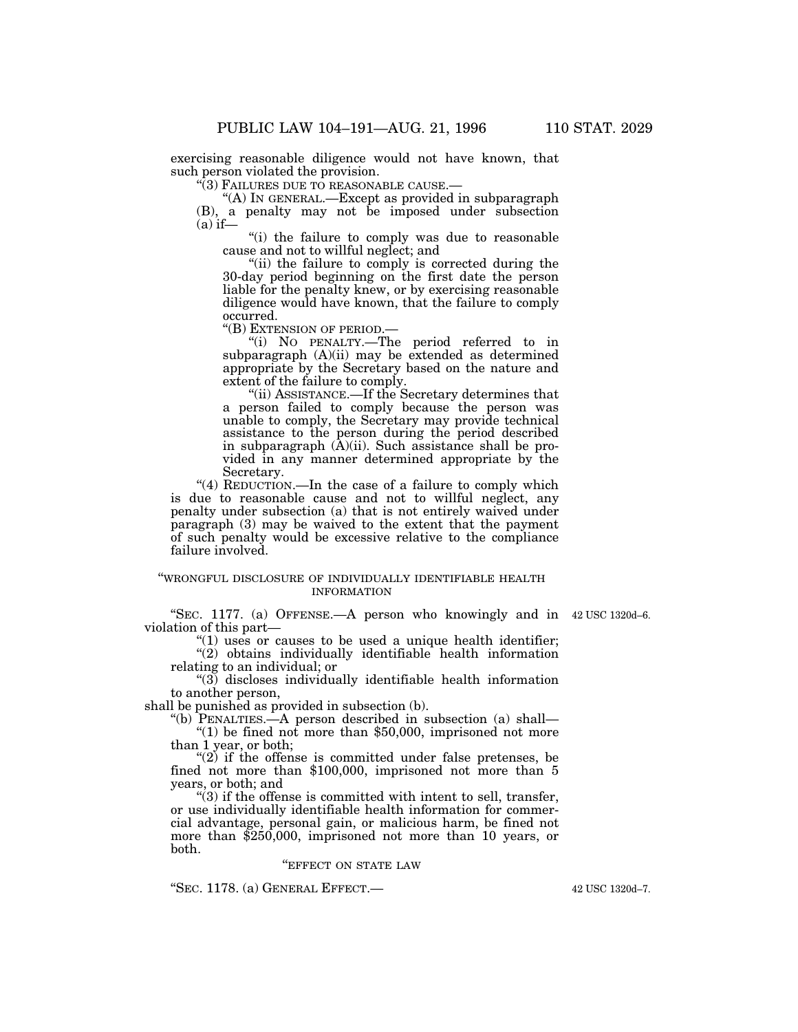exercising reasonable diligence would not have known, that such person violated the provision.

''(3) FAILURES DUE TO REASONABLE CAUSE.—

''(A) IN GENERAL.—Except as provided in subparagraph (B), a penalty may not be imposed under subsection  $(a)$  if—

''(i) the failure to comply was due to reasonable cause and not to willful neglect; and

"(ii) the failure to comply is corrected during the 30-day period beginning on the first date the person liable for the penalty knew, or by exercising reasonable diligence would have known, that the failure to comply occurred.<br>"(B) Extension of period.—

"(i) NO PENALTY.—The period referred to in subparagraph (A)(ii) may be extended as determined appropriate by the Secretary based on the nature and extent of the failure to comply.

''(ii) ASSISTANCE.—If the Secretary determines that a person failed to comply because the person was unable to comply, the Secretary may provide technical assistance to the person during the period described in subparagraph (A)(ii). Such assistance shall be provided in any manner determined appropriate by the Secretary.

"(4) REDUCTION.—In the case of a failure to comply which is due to reasonable cause and not to willful neglect, any penalty under subsection (a) that is not entirely waived under paragraph (3) may be waived to the extent that the payment of such penalty would be excessive relative to the compliance failure involved.

### ''WRONGFUL DISCLOSURE OF INDIVIDUALLY IDENTIFIABLE HEALTH INFORMATION

''SEC. 1177. (a) OFFENSE.—A person who knowingly and in 42 USC 1320d–6.violation of this part—

" $(1)$  uses or causes to be used a unique health identifier; ''(2) obtains individually identifiable health information relating to an individual; or

''(3) discloses individually identifiable health information to another person,

shall be punished as provided in subsection (b).

''(b) PENALTIES.—A person described in subsection (a) shall— " $(1)$  be fined not more than \$50,000, imprisoned not more than 1 year, or both;

 $(2)$  if the offense is committed under false pretenses, be fined not more than \$100,000, imprisoned not more than 5 years, or both; and

 $''(3)$  if the offense is committed with intent to sell, transfer, or use individually identifiable health information for commercial advantage, personal gain, or malicious harm, be fined not more than \$250,000, imprisoned not more than 10 years, or both.

# ''EFFECT ON STATE LAW

''SEC. 1178. (a) GENERAL EFFECT.— 42 USC 1320d–7.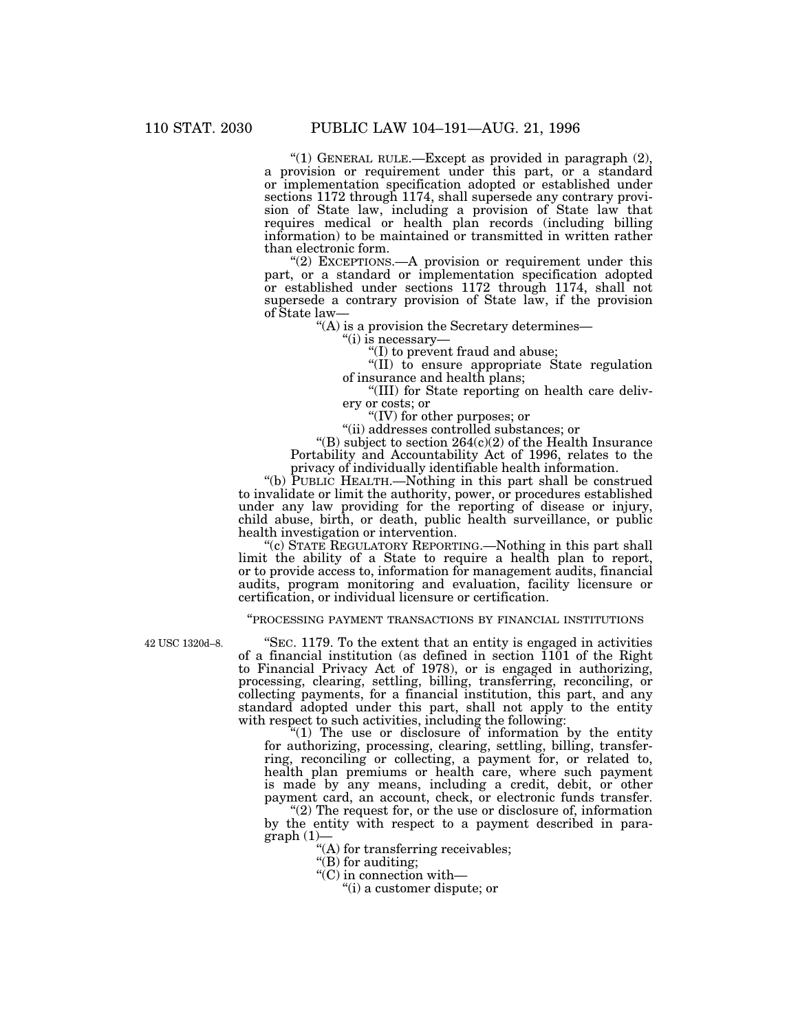"(1) GENERAL RULE.—Except as provided in paragraph (2), a provision or requirement under this part, or a standard or implementation specification adopted or established under sections 1172 through 1174, shall supersede any contrary provision of State law, including a provision of State law that requires medical or health plan records (including billing information) to be maintained or transmitted in written rather than electronic form.

''(2) EXCEPTIONS.—A provision or requirement under this part, or a standard or implementation specification adopted or established under sections 1172 through 1174, shall not supersede a contrary provision of State law, if the provision of State law—

''(A) is a provision the Secretary determines—

"(i) is necessary-

''(I) to prevent fraud and abuse;

''(II) to ensure appropriate State regulation of insurance and health plans;

''(III) for State reporting on health care delivery or costs; or

''(IV) for other purposes; or

''(ii) addresses controlled substances; or

"(B) subject to section  $264(c)(2)$  of the Health Insurance Portability and Accountability Act of 1996, relates to the privacy of individually identifiable health information.

''(b) PUBLIC HEALTH.—Nothing in this part shall be construed to invalidate or limit the authority, power, or procedures established under any law providing for the reporting of disease or injury, child abuse, birth, or death, public health surveillance, or public health investigation or intervention.

"(c) STATE REGULATORY REPORTING.—Nothing in this part shall limit the ability of a State to require a health plan to report, or to provide access to, information for management audits, financial audits, program monitoring and evaluation, facility licensure or certification, or individual licensure or certification.

### ''PROCESSING PAYMENT TRANSACTIONS BY FINANCIAL INSTITUTIONS

42 USC 1320d–8.

''SEC. 1179. To the extent that an entity is engaged in activities of a financial institution (as defined in section 1101 of the Right to Financial Privacy Act of 1978), or is engaged in authorizing, processing, clearing, settling, billing, transferring, reconciling, or collecting payments, for a financial institution, this part, and any standard adopted under this part, shall not apply to the entity with respect to such activities, including the following:

 $f''(1)$  The use or disclosure of information by the entity for authorizing, processing, clearing, settling, billing, transferring, reconciling or collecting, a payment for, or related to, health plan premiums or health care, where such payment is made by any means, including a credit, debit, or other payment card, an account, check, or electronic funds transfer.

" $(2)$  The request for, or the use or disclosure of, information by the entity with respect to a payment described in para $graph(1)$ -

''(A) for transferring receivables;

''(B) for auditing;

''(C) in connection with—

''(i) a customer dispute; or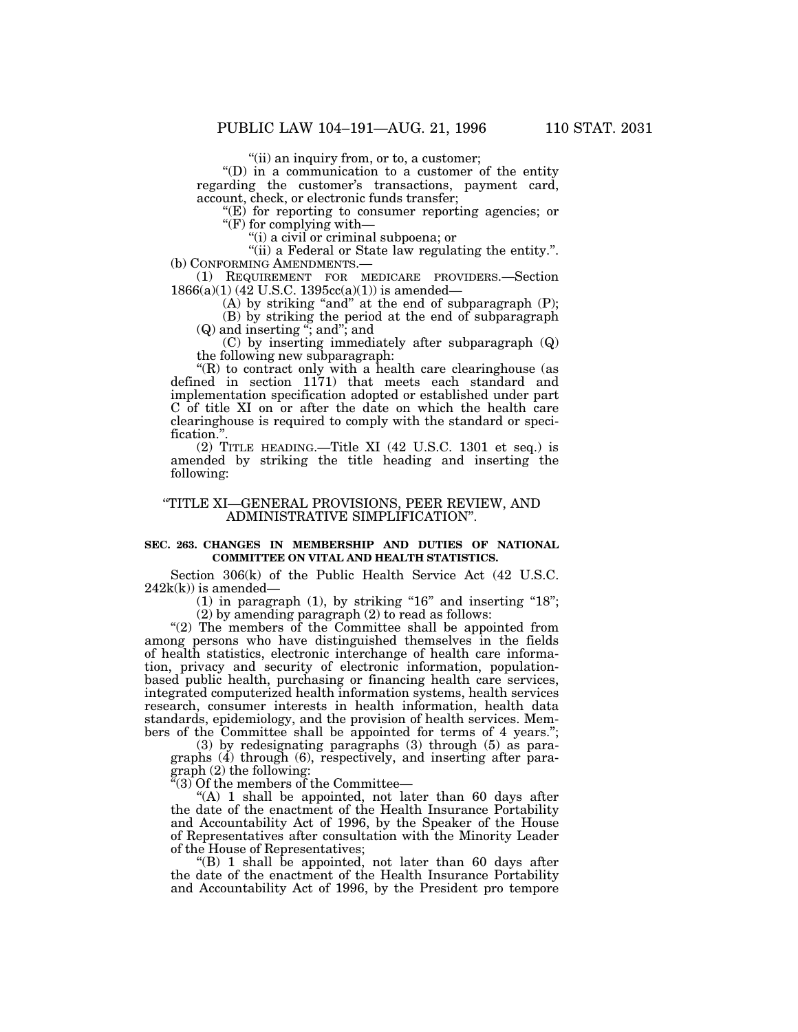"(ii) an inquiry from, or to, a customer;

''(D) in a communication to a customer of the entity regarding the customer's transactions, payment card, account, check, or electronic funds transfer;

''(E) for reporting to consumer reporting agencies; or " $(F)$  for complying with—

''(i) a civil or criminal subpoena; or

"(ii) a Federal or State law regulating the entity.". (b) CONFORMING AMENDMENTS.—

(1) REQUIREMENT FOR MEDICARE PROVIDERS.—Section  $1866(a)(1)$  (42 U.S.C. 1395cc(a)(1)) is amended–

(A) by striking "and" at the end of subparagraph (P);

(B) by striking the period at the end of subparagraph (Q) and inserting "; and"; and

(C) by inserting immediately after subparagraph (Q) the following new subparagraph:

 $f(R)$  to contract only with a health care clearinghouse (as defined in section 1171) that meets each standard and implementation specification adopted or established under part C of title XI on or after the date on which the health care clearinghouse is required to comply with the standard or specification."

(2) TITLE HEADING.—Title XI (42 U.S.C. 1301 et seq.) is amended by striking the title heading and inserting the following:

# ''TITLE XI—GENERAL PROVISIONS, PEER REVIEW, AND ADMINISTRATIVE SIMPLIFICATION''.

### **SEC. 263. CHANGES IN MEMBERSHIP AND DUTIES OF NATIONAL COMMITTEE ON VITAL AND HEALTH STATISTICS.**

Section 306(k) of the Public Health Service Act (42 U.S.C.  $242k(k)$  is amended—

 $(1)$  in paragraph  $(1)$ , by striking "16" and inserting "18";

(2) by amending paragraph (2) to read as follows:

"(2) The members of the Committee shall be appointed from among persons who have distinguished themselves in the fields of health statistics, electronic interchange of health care information, privacy and security of electronic information, populationbased public health, purchasing or financing health care services, integrated computerized health information systems, health services research, consumer interests in health information, health data standards, epidemiology, and the provision of health services. Members of the Committee shall be appointed for terms of 4 years.'';

(3) by redesignating paragraphs (3) through (5) as paragraphs (4) through (6), respectively, and inserting after paragraph (2) the following:

''(3) Of the members of the Committee—

"(A) 1 shall be appointed, not later than 60 days after the date of the enactment of the Health Insurance Portability and Accountability Act of 1996, by the Speaker of the House of Representatives after consultation with the Minority Leader of the House of Representatives;

''(B) 1 shall be appointed, not later than 60 days after the date of the enactment of the Health Insurance Portability and Accountability Act of 1996, by the President pro tempore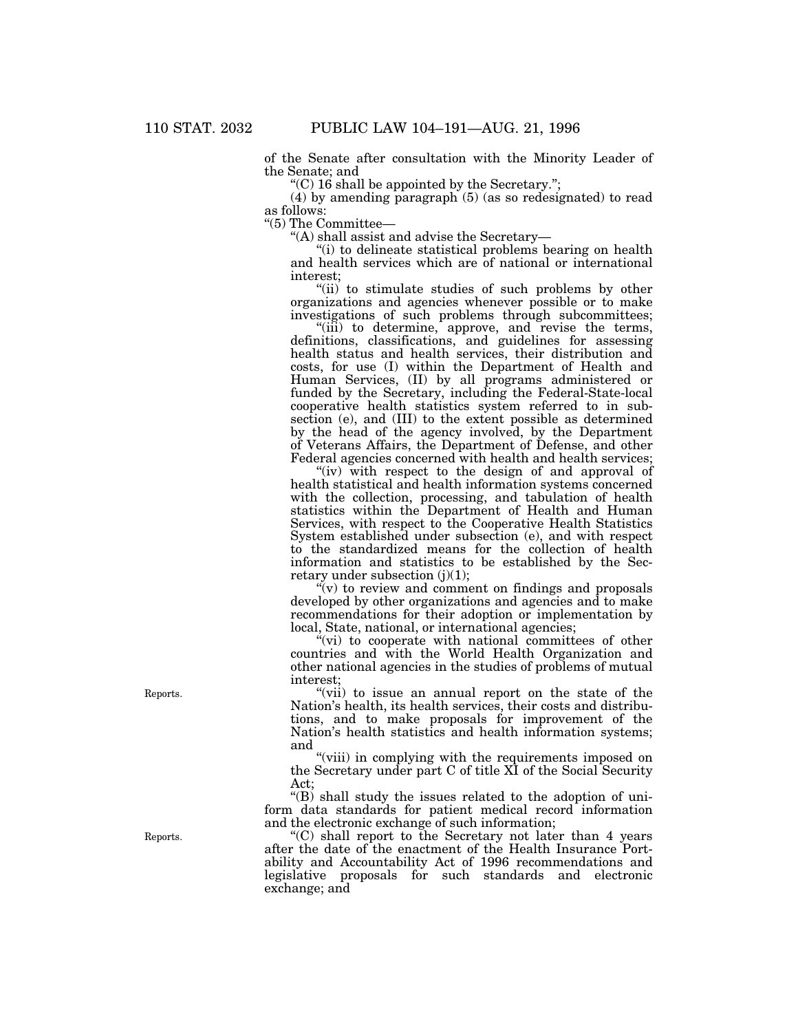of the Senate after consultation with the Minority Leader of the Senate; and

"(C)  $16$  shall be appointed by the Secretary.";

(4) by amending paragraph (5) (as so redesignated) to read as follows:

''(5) The Committee—

''(A) shall assist and advise the Secretary—

''(i) to delineate statistical problems bearing on health and health services which are of national or international interest;

"(ii) to stimulate studies of such problems by other organizations and agencies whenever possible or to make investigations of such problems through subcommittees;

"(iii) to determine, approve, and revise the terms, definitions, classifications, and guidelines for assessing health status and health services, their distribution and costs, for use (I) within the Department of Health and Human Services, (II) by all programs administered or funded by the Secretary, including the Federal-State-local cooperative health statistics system referred to in subsection (e), and (III) to the extent possible as determined by the head of the agency involved, by the Department of Veterans Affairs, the Department of Defense, and other Federal agencies concerned with health and health services;

"(iv) with respect to the design of and approval of health statistical and health information systems concerned with the collection, processing, and tabulation of health statistics within the Department of Health and Human Services, with respect to the Cooperative Health Statistics System established under subsection (e), and with respect to the standardized means for the collection of health information and statistics to be established by the Secretary under subsection (j)(1);

 $\tilde{f}(v)$  to review and comment on findings and proposals developed by other organizations and agencies and to make recommendations for their adoption or implementation by local, State, national, or international agencies;

"(vi) to cooperate with national committees of other countries and with the World Health Organization and other national agencies in the studies of problems of mutual interest;

"(vii) to issue an annual report on the state of the Nation's health, its health services, their costs and distributions, and to make proposals for improvement of the Nation's health statistics and health information systems; and

"(viii) in complying with the requirements imposed on the Secretary under part C of title XI of the Social Security Act;

" $(B)$  shall study the issues related to the adoption of uniform data standards for patient medical record information and the electronic exchange of such information;

''(C) shall report to the Secretary not later than 4 years after the date of the enactment of the Health Insurance Portability and Accountability Act of 1996 recommendations and legislative proposals for such standards and electronic exchange; and

Reports.

Reports.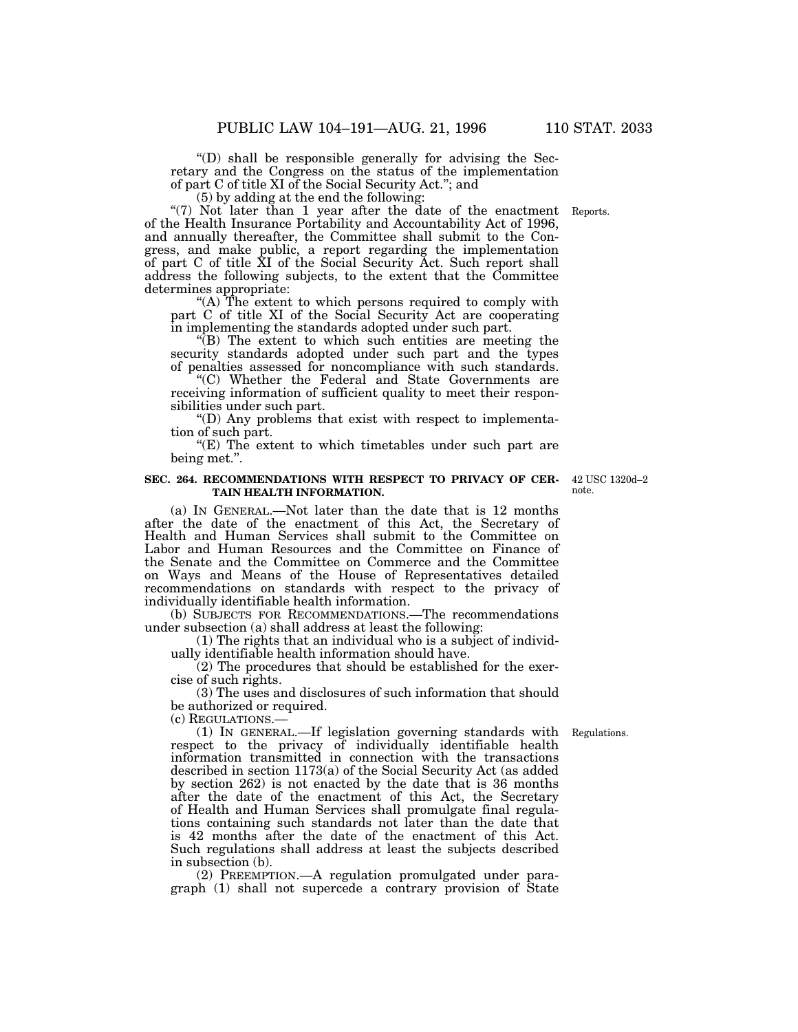''(D) shall be responsible generally for advising the Secretary and the Congress on the status of the implementation of part C of title XI of the Social Security Act.''; and

(5) by adding at the end the following:

"(7) Not later than 1 year after the date of the enactment Reports. of the Health Insurance Portability and Accountability Act of 1996, and annually thereafter, the Committee shall submit to the Congress, and make public, a report regarding the implementation of part C of title XI of the Social Security Act. Such report shall address the following subjects, to the extent that the Committee determines appropriate:

"(A) The extent to which persons required to comply with part C of title XI of the Social Security Act are cooperating in implementing the standards adopted under such part.

 $\sqrt{\ }$ (B) The extent to which such entities are meeting the security standards adopted under such part and the types of penalties assessed for noncompliance with such standards.

''(C) Whether the Federal and State Governments are receiving information of sufficient quality to meet their responsibilities under such part.

''(D) Any problems that exist with respect to implementation of such part.

"(E) The extent to which timetables under such part are being met.''.

# **SEC. 264. RECOMMENDATIONS WITH RESPECT TO PRIVACY OF CER-TAIN HEALTH INFORMATION.**

(a) IN GENERAL.—Not later than the date that is 12 months after the date of the enactment of this Act, the Secretary of Health and Human Services shall submit to the Committee on Labor and Human Resources and the Committee on Finance of the Senate and the Committee on Commerce and the Committee on Ways and Means of the House of Representatives detailed recommendations on standards with respect to the privacy of individually identifiable health information.

(b) SUBJECTS FOR RECOMMENDATIONS.—The recommendations under subsection (a) shall address at least the following:

(1) The rights that an individual who is a subject of individually identifiable health information should have.

(2) The procedures that should be established for the exercise of such rights.

(3) The uses and disclosures of such information that should be authorized or required.

(c) REGULATIONS.—

(1) IN GENERAL.—If legislation governing standards with Regulations. respect to the privacy of individually identifiable health information transmitted in connection with the transactions described in section 1173(a) of the Social Security Act (as added by section 262) is not enacted by the date that is 36 months after the date of the enactment of this Act, the Secretary of Health and Human Services shall promulgate final regulations containing such standards not later than the date that is 42 months after the date of the enactment of this Act. Such regulations shall address at least the subjects described in subsection (b).

(2) PREEMPTION.—A regulation promulgated under paragraph (1) shall not supercede a contrary provision of State

42 USC 1320d–2 note.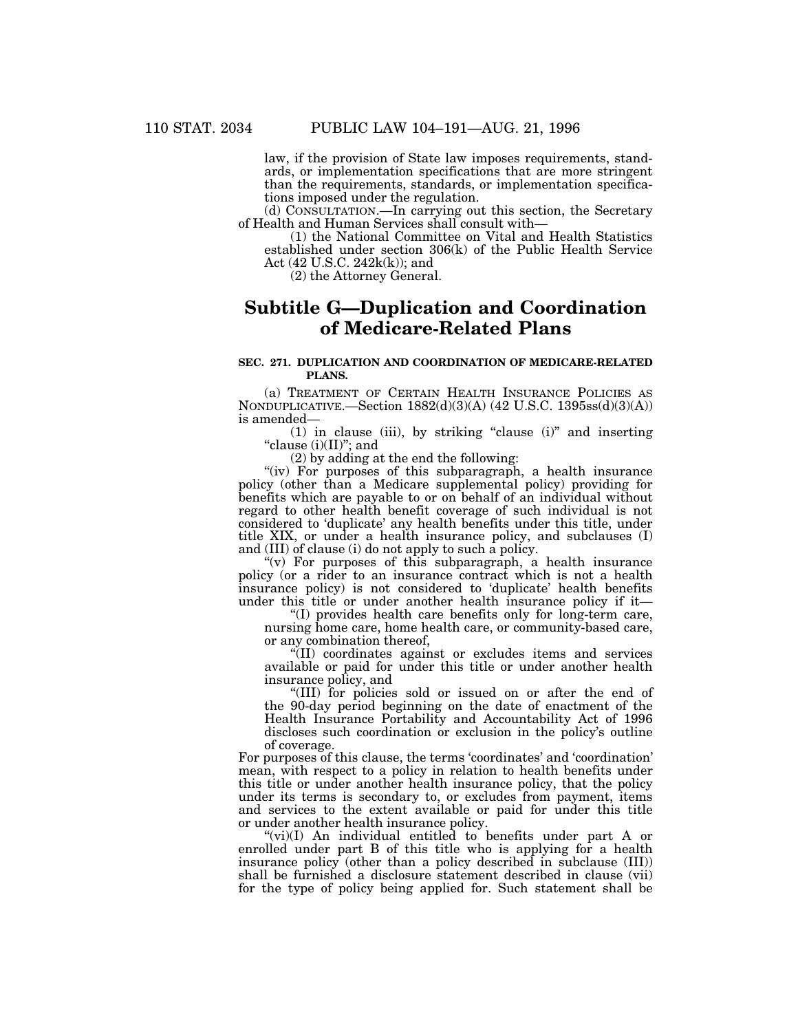law, if the provision of State law imposes requirements, standards, or implementation specifications that are more stringent than the requirements, standards, or implementation specifications imposed under the regulation.

(d) CONSULTATION.—In carrying out this section, the Secretary of Health and Human Services shall consult with—

(1) the National Committee on Vital and Health Statistics established under section 306(k) of the Public Health Service Act (42 U.S.C. 242k(k)); and

(2) the Attorney General.

# **Subtitle G—Duplication and Coordination of Medicare-Related Plans**

# **SEC. 271. DUPLICATION AND COORDINATION OF MEDICARE-RELATED PLANS.**

(a) TREATMENT OF CERTAIN HEALTH INSURANCE POLICIES AS NONDUPLICATIVE.—Section  $1882(d)(3)(A)$  (42 U.S.C.  $1395ss(d)(3)(A)$ ) is amended—

 $(1)$  in clause (iii), by striking "clause (i)" and inserting "clause (i)(II)"; and

(2) by adding at the end the following:

"(iv) For purposes of this subparagraph, a health insurance policy (other than a Medicare supplemental policy) providing for benefits which are payable to or on behalf of an individual without regard to other health benefit coverage of such individual is not considered to 'duplicate' any health benefits under this title, under title XIX, or under a health insurance policy, and subclauses (I) and (III) of clause (i) do not apply to such a policy.

"(v) For purposes of this subparagraph, a health insurance policy (or a rider to an insurance contract which is not a health insurance policy) is not considered to 'duplicate' health benefits under this title or under another health insurance policy if it—

''(I) provides health care benefits only for long-term care, nursing home care, home health care, or community-based care, or any combination thereof,

''(II) coordinates against or excludes items and services available or paid for under this title or under another health insurance policy, and

''(III) for policies sold or issued on or after the end of the 90-day period beginning on the date of enactment of the Health Insurance Portability and Accountability Act of 1996 discloses such coordination or exclusion in the policy's outline of coverage.

For purposes of this clause, the terms 'coordinates' and 'coordination' mean, with respect to a policy in relation to health benefits under this title or under another health insurance policy, that the policy under its terms is secondary to, or excludes from payment, items and services to the extent available or paid for under this title or under another health insurance policy.

 $(vi)(I)$  An individual entitled to benefits under part A or enrolled under part B of this title who is applying for a health insurance policy (other than a policy described in subclause (III)) shall be furnished a disclosure statement described in clause (vii) for the type of policy being applied for. Such statement shall be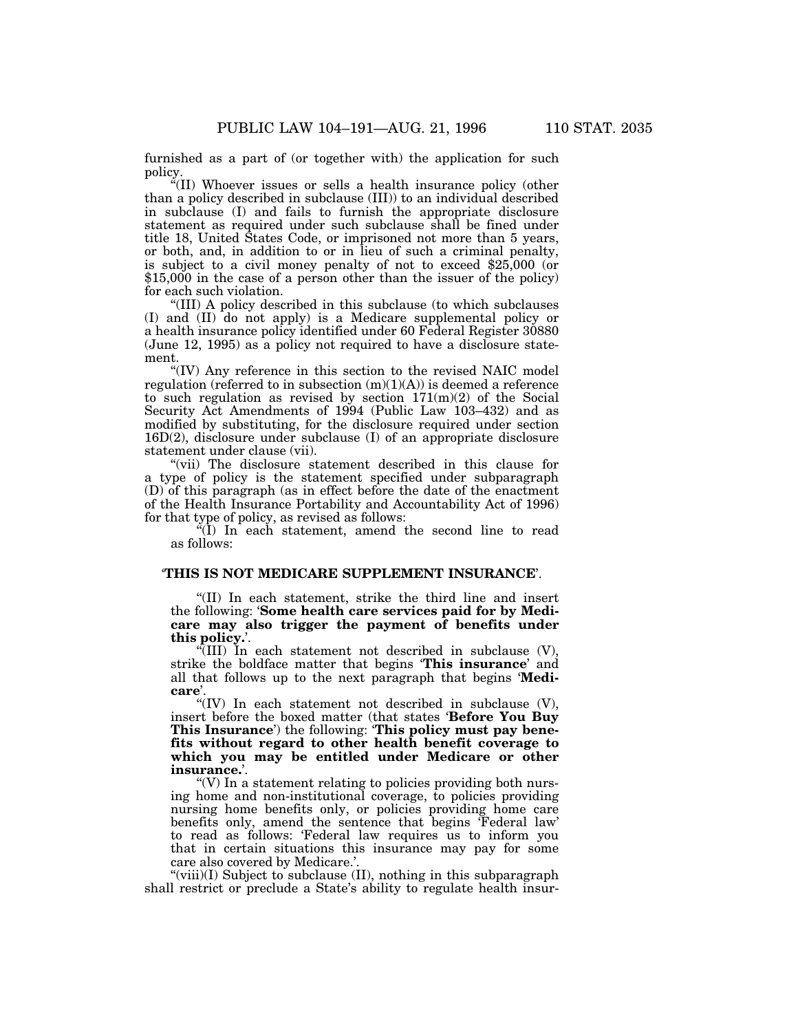furnished as a part of (or together with) the application for such policy.

''(II) Whoever issues or sells a health insurance policy (other than a policy described in subclause (III)) to an individual described in subclause (I) and fails to furnish the appropriate disclosure statement as required under such subclause shall be fined under title 18, United States Code, or imprisoned not more than 5 years, or both, and, in addition to or in lieu of such a criminal penalty, is subject to a civil money penalty of not to exceed \$25,000 (or \$15,000 in the case of a person other than the issuer of the policy) for each such violation.

''(III) A policy described in this subclause (to which subclauses (I) and (II) do not apply) is a Medicare supplemental policy or a health insurance policy identified under 60 Federal Register 30880 (June 12, 1995) as a policy not required to have a disclosure statement.

"(IV) Any reference in this section to the revised NAIC model regulation (referred to in subsection  $(m)(1)(A)$ ) is deemed a reference to such regulation as revised by section  $171(m)(2)$  of the Social Security Act Amendments of 1994 (Public Law 103–432) and as modified by substituting, for the disclosure required under section 16D(2), disclosure under subclause (I) of an appropriate disclosure statement under clause (vii).

"(vii) The disclosure statement described in this clause for a type of policy is the statement specified under subparagraph (D) of this paragraph (as in effect before the date of the enactment of the Health Insurance Portability and Accountability Act of 1996) for that type of policy, as revised as follows:

''(I) In each statement, amend the second line to read as follows:

# '**THIS IS NOT MEDICARE SUPPLEMENT INSURANCE**'.

''(II) In each statement, strike the third line and insert the following: '**Some health care services paid for by Medicare may also trigger the payment of benefits under this policy.**'.

''(III) In each statement not described in subclause (V), strike the boldface matter that begins '**This insurance**' and all that follows up to the next paragraph that begins '**Medicare**'.

''(IV) In each statement not described in subclause (V), insert before the boxed matter (that states '**Before You Buy This Insurance**') the following: '**This policy must pay benefits without regard to other health benefit coverage to which you may be entitled under Medicare or other insurance.**'.

"(V) In a statement relating to policies providing both nursing home and non-institutional coverage, to policies providing nursing home benefits only, or policies providing home care benefits only, amend the sentence that begins 'Federal law' to read as follows: 'Federal law requires us to inform you that in certain situations this insurance may pay for some care also covered by Medicare.'.

"(viii)(I) Subject to subclause (II), nothing in this subparagraph shall restrict or preclude a State's ability to regulate health insur-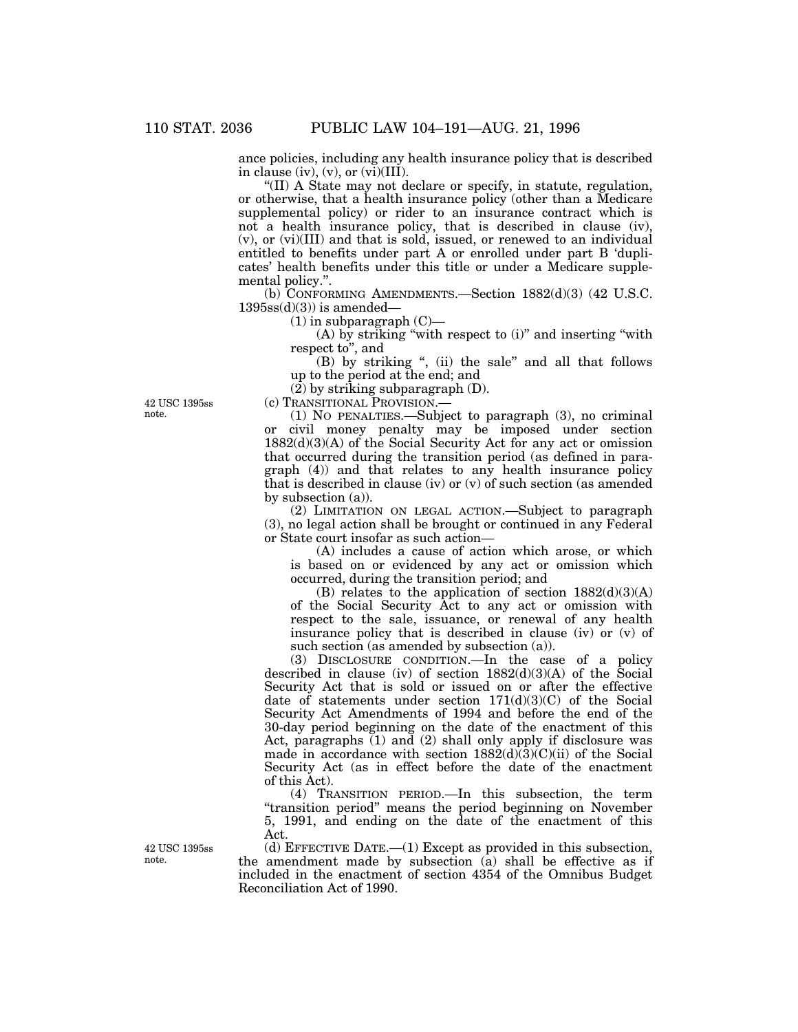ance policies, including any health insurance policy that is described in clause (iv), (v), or (vi)(III).

''(II) A State may not declare or specify, in statute, regulation, or otherwise, that a health insurance policy (other than a Medicare supplemental policy) or rider to an insurance contract which is not a health insurance policy, that is described in clause (iv), (v), or (vi)(III) and that is sold, issued, or renewed to an individual entitled to benefits under part A or enrolled under part B 'duplicates' health benefits under this title or under a Medicare supplemental policy.''.

(b) CONFORMING AMENDMENTS.—Section 1882(d)(3) (42 U.S.C.  $1395ss(d)(3)$ ) is amended-

(1) in subparagraph (C)—

 $(A)$  by striking "with respect to  $(i)$ " and inserting "with respect to'', and

(B) by striking ", (ii) the sale" and all that follows up to the period at the end; and

 $(2)$  by striking subparagraph  $(D)$ .

(c) TRANSITIONAL PROVISION.—

(1) NO PENALTIES.—Subject to paragraph (3), no criminal or civil money penalty may be imposed under section  $1882(d)(3)(A)$  of the Social Security Act for any act or omission that occurred during the transition period (as defined in paragraph (4)) and that relates to any health insurance policy that is described in clause (iv) or (v) of such section (as amended by subsection (a)).

(2) LIMITATION ON LEGAL ACTION.—Subject to paragraph (3), no legal action shall be brought or continued in any Federal or State court insofar as such action—

(A) includes a cause of action which arose, or which is based on or evidenced by any act or omission which occurred, during the transition period; and

(B) relates to the application of section  $1882(d)(3)(A)$ of the Social Security Act to any act or omission with respect to the sale, issuance, or renewal of any health insurance policy that is described in clause (iv) or (v) of such section (as amended by subsection (a)).

(3) DISCLOSURE CONDITION.—In the case of a policy described in clause (iv) of section 1882(d)(3)(A) of the Social Security Act that is sold or issued on or after the effective date of statements under section 171(d)(3)(C) of the Social Security Act Amendments of 1994 and before the end of the 30-day period beginning on the date of the enactment of this Act, paragraphs  $(1)$  and  $(2)$  shall only apply if disclosure was made in accordance with section  $1882(d)\overline{(3)}(C)(ii)$  of the Social Security Act (as in effect before the date of the enactment of this Act).

(4) TRANSITION PERIOD.—In this subsection, the term ''transition period'' means the period beginning on November 5, 1991, and ending on the date of the enactment of this Act.

(d) EFFECTIVE DATE.—(1) Except as provided in this subsection, the amendment made by subsection (a) shall be effective as if included in the enactment of section 4354 of the Omnibus Budget Reconciliation Act of 1990.

42 USC 1395ss note.

42 USC 1395ss note.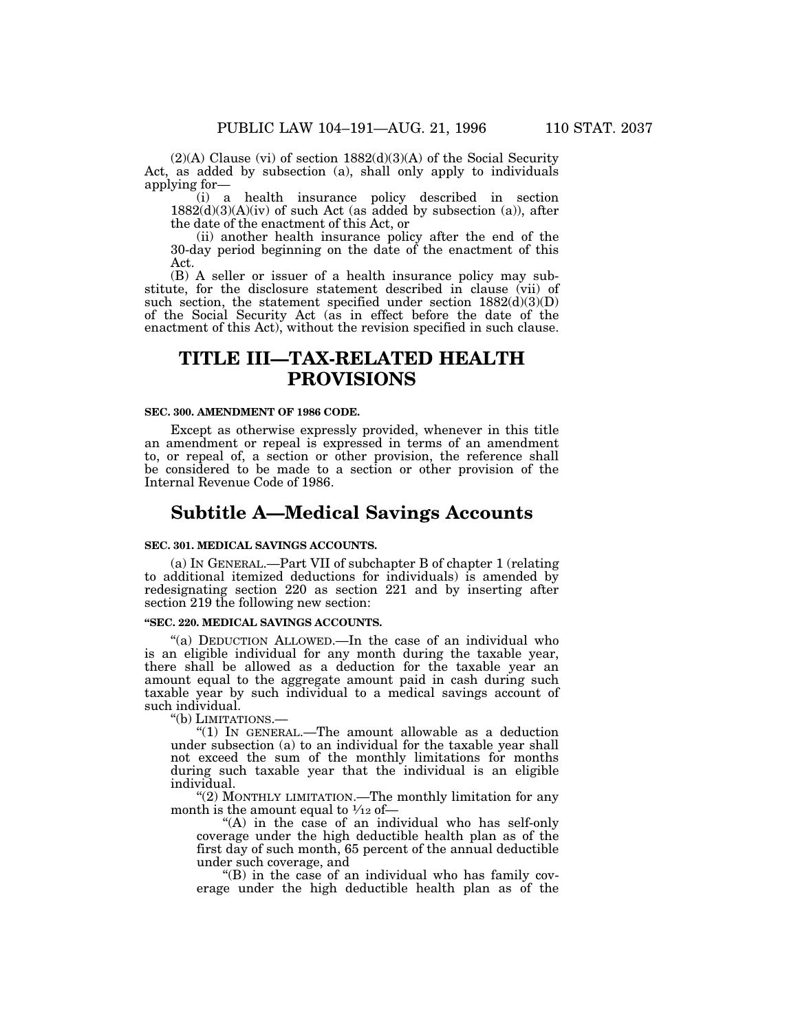$(2)(A)$  Clause (vi) of section 1882 $(d)(3)(A)$  of the Social Security Act, as added by subsection (a), shall only apply to individuals applying for—

(i) a health insurance policy described in section  $1882(d)(3)(A)(iv)$  of such Act (as added by subsection (a)), after the date of the enactment of this Act, or

(ii) another health insurance policy after the end of the 30-day period beginning on the date of the enactment of this Act.

(B) A seller or issuer of a health insurance policy may substitute, for the disclosure statement described in clause (vii) of such section, the statement specified under section  $1882(d)(3)(D)$ of the Social Security Act (as in effect before the date of the enactment of this Act), without the revision specified in such clause.

# **TITLE III—TAX-RELATED HEALTH PROVISIONS**

#### **SEC. 300. AMENDMENT OF 1986 CODE.**

Except as otherwise expressly provided, whenever in this title an amendment or repeal is expressed in terms of an amendment to, or repeal of, a section or other provision, the reference shall be considered to be made to a section or other provision of the Internal Revenue Code of 1986.

# **Subtitle A—Medical Savings Accounts**

# **SEC. 301. MEDICAL SAVINGS ACCOUNTS.**

(a) IN GENERAL.—Part VII of subchapter B of chapter 1 (relating to additional itemized deductions for individuals) is amended by redesignating section 220 as section 221 and by inserting after section 219 the following new section:

# **''SEC. 220. MEDICAL SAVINGS ACCOUNTS.**

"(a) DEDUCTION ALLOWED.—In the case of an individual who is an eligible individual for any month during the taxable year, there shall be allowed as a deduction for the taxable year an amount equal to the aggregate amount paid in cash during such taxable year by such individual to a medical savings account of such individual.

''(b) LIMITATIONS.—

''(1) IN GENERAL.—The amount allowable as a deduction under subsection (a) to an individual for the taxable year shall not exceed the sum of the monthly limitations for months during such taxable year that the individual is an eligible individual.

"(2) MONTHLY LIMITATION.—The monthly limitation for any month is the amount equal to  $\frac{1}{12}$  of-

"(A) in the case of an individual who has self-only coverage under the high deductible health plan as of the first day of such month, 65 percent of the annual deductible under such coverage, and

''(B) in the case of an individual who has family coverage under the high deductible health plan as of the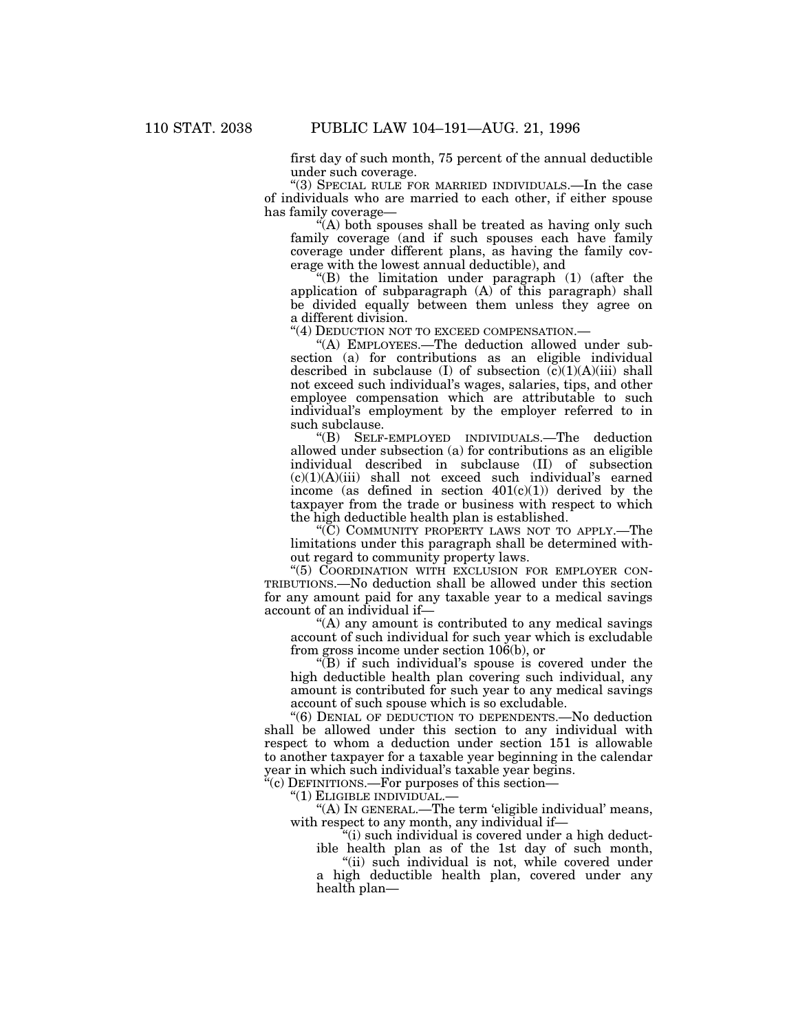first day of such month, 75 percent of the annual deductible under such coverage.

''(3) SPECIAL RULE FOR MARRIED INDIVIDUALS.—In the case of individuals who are married to each other, if either spouse has family coverage—

 $\mathcal{H}(A)$  both spouses shall be treated as having only such family coverage (and if such spouses each have family coverage under different plans, as having the family coverage with the lowest annual deductible), and

 $'(B)$  the limitation under paragraph  $(1)$  (after the application of subparagraph (A) of this paragraph) shall be divided equally between them unless they agree on a different division.

"(4) DEDUCTION NOT TO EXCEED COMPENSATION.-

''(A) EMPLOYEES.—The deduction allowed under subsection (a) for contributions as an eligible individual described in subclause (I) of subsection  $(c)(1)(A)(iii)$  shall not exceed such individual's wages, salaries, tips, and other employee compensation which are attributable to such individual's employment by the employer referred to in such subclause.

''(B) SELF-EMPLOYED INDIVIDUALS.—The deduction allowed under subsection (a) for contributions as an eligible individual described in subclause (II) of subsection  $(c)(1)(A)(iii)$  shall not exceed such individual's earned income (as defined in section  $401(c)(1)$ ) derived by the taxpayer from the trade or business with respect to which the high deductible health plan is established.

"(C) COMMUNITY PROPERTY LAWS NOT TO APPLY.—The limitations under this paragraph shall be determined without regard to community property laws.

''(5) COORDINATION WITH EXCLUSION FOR EMPLOYER CON-TRIBUTIONS.—No deduction shall be allowed under this section for any amount paid for any taxable year to a medical savings account of an individual if—

''(A) any amount is contributed to any medical savings account of such individual for such year which is excludable from gross income under section 106(b), or

''(B) if such individual's spouse is covered under the high deductible health plan covering such individual, any amount is contributed for such year to any medical savings account of such spouse which is so excludable.

''(6) DENIAL OF DEDUCTION TO DEPENDENTS.—No deduction shall be allowed under this section to any individual with respect to whom a deduction under section 151 is allowable to another taxpayer for a taxable year beginning in the calendar year in which such individual's taxable year begins.

''(c) DEFINITIONS.—For purposes of this section—

''(1) ELIGIBLE INDIVIDUAL.—

"(A) IN GENERAL.—The term 'eligible individual' means, with respect to any month, any individual if—

''(i) such individual is covered under a high deductible health plan as of the 1st day of such month,

"(ii) such individual is not, while covered under

a high deductible health plan, covered under any health plan—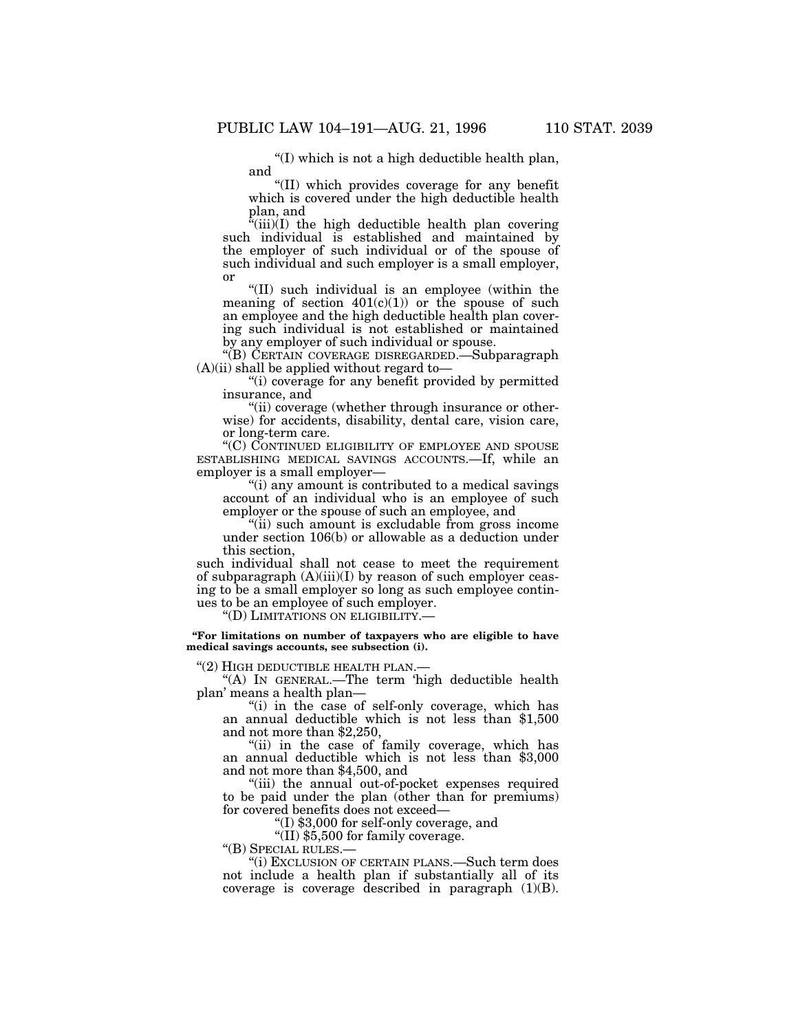''(I) which is not a high deductible health plan, and

''(II) which provides coverage for any benefit which is covered under the high deductible health plan, and

''(iii)(I) the high deductible health plan covering such individual is established and maintained by the employer of such individual or of the spouse of such individual and such employer is a small employer, or

''(II) such individual is an employee (within the meaning of section  $401(c)(1)$  or the spouse of such an employee and the high deductible health plan covering such individual is not established or maintained by any employer of such individual or spouse.

''(B) CERTAIN COVERAGE DISREGARDED.—Subparagraph  $(A)(ii)$  shall be applied without regard to-

''(i) coverage for any benefit provided by permitted insurance, and

"(ii) coverage (whether through insurance or otherwise) for accidents, disability, dental care, vision care, or long-term care.

''(C) CONTINUED ELIGIBILITY OF EMPLOYEE AND SPOUSE ESTABLISHING MEDICAL SAVINGS ACCOUNTS.—If, while an employer is a small employer—

''(i) any amount is contributed to a medical savings account of an individual who is an employee of such employer or the spouse of such an employee, and

"(ii) such amount is excludable from gross income under section 106(b) or allowable as a deduction under this section,

such individual shall not cease to meet the requirement of subparagraph  $(A)(iii)(I)$  by reason of such employer ceasing to be a small employer so long as such employee continues to be an employee of such employer.

''(D) LIMITATIONS ON ELIGIBILITY.—

**''For limitations on number of taxpayers who are eligible to have medical savings accounts, see subsection (i).**

''(2) HIGH DEDUCTIBLE HEALTH PLAN.—

''(A) IN GENERAL.—The term 'high deductible health plan' means a health plan—

"(i) in the case of self-only coverage, which has an annual deductible which is not less than \$1,500 and not more than \$2,250,

"(ii) in the case of family coverage, which has an annual deductible which is not less than \$3,000 and not more than \$4,500, and

''(iii) the annual out-of-pocket expenses required to be paid under the plan (other than for premiums) for covered benefits does not exceed—

''(I) \$3,000 for self-only coverage, and

''(II) \$5,500 for family coverage.

''(B) SPECIAL RULES.—

''(i) EXCLUSION OF CERTAIN PLANS.—Such term does not include a health plan if substantially all of its coverage is coverage described in paragraph (1)(B).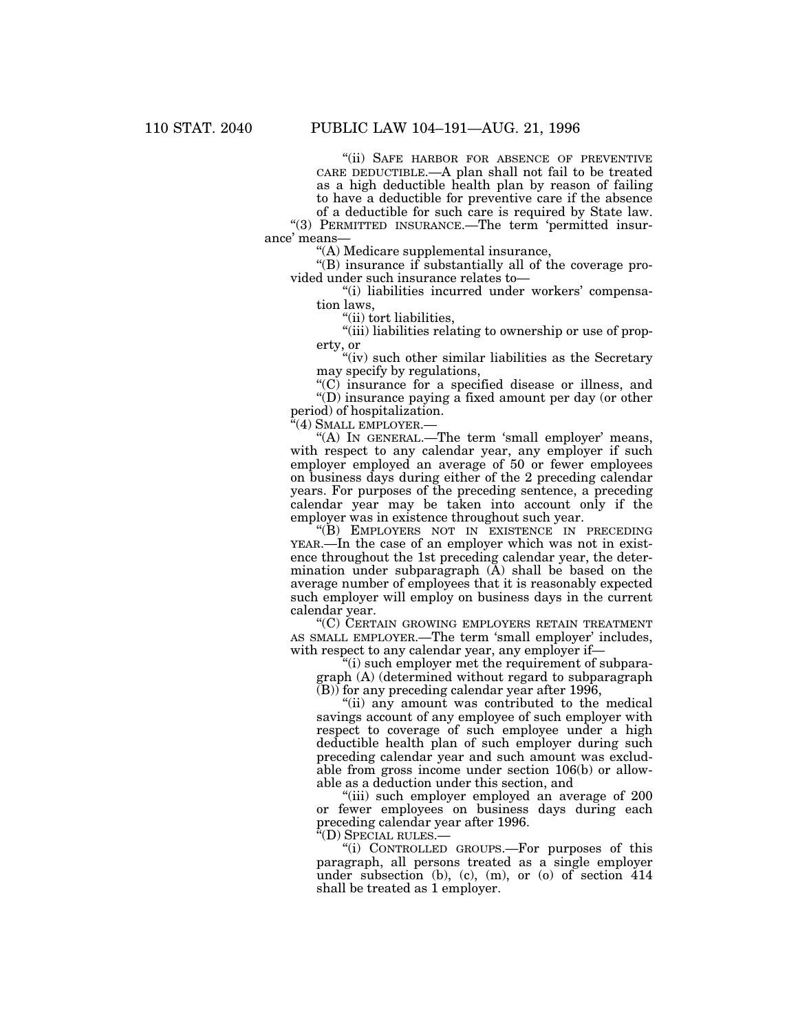"(ii) SAFE HARBOR FOR ABSENCE OF PREVENTIVE CARE DEDUCTIBLE.—A plan shall not fail to be treated as a high deductible health plan by reason of failing to have a deductible for preventive care if the absence of a deductible for such care is required by State law. "(3) PERMITTED INSURANCE.—The term 'permitted insur-

ance' means—

''(A) Medicare supplemental insurance,

" $(B)$  insurance if substantially all of the coverage provided under such insurance relates to—

''(i) liabilities incurred under workers' compensation laws,

"(ii) tort liabilities,

"(iii) liabilities relating to ownership or use of property, or

"(iv) such other similar liabilities as the Secretary may specify by regulations,

"(C) insurance for a specified disease or illness, and ''(D) insurance paying a fixed amount per day (or other period) of hospitalization.

 $f^2(4)$  Small employer.

"(A) IN GENERAL.—The term 'small employer' means, with respect to any calendar year, any employer if such employer employed an average of 50 or fewer employees on business days during either of the 2 preceding calendar years. For purposes of the preceding sentence, a preceding calendar year may be taken into account only if the employer was in existence throughout such year.

"(B) EMPLOYERS NOT IN EXISTENCE IN PRECEDING YEAR.—In the case of an employer which was not in existence throughout the 1st preceding calendar year, the determination under subparagraph (A) shall be based on the average number of employees that it is reasonably expected such employer will employ on business days in the current calendar year.

''(C) CERTAIN GROWING EMPLOYERS RETAIN TREATMENT AS SMALL EMPLOYER.—The term 'small employer' includes, with respect to any calendar year, any employer if—

''(i) such employer met the requirement of subparagraph (A) (determined without regard to subparagraph (B)) for any preceding calendar year after 1996,

"(ii) any amount was contributed to the medical savings account of any employee of such employer with respect to coverage of such employee under a high deductible health plan of such employer during such preceding calendar year and such amount was excludable from gross income under section 106(b) or allowable as a deduction under this section, and

"(iii) such employer employed an average of 200 or fewer employees on business days during each preceding calendar year after 1996.

''(D) SPECIAL RULES.—

''(i) CONTROLLED GROUPS.—For purposes of this paragraph, all persons treated as a single employer under subsection (b), (c), (m), or (o) of section 414 shall be treated as 1 employer.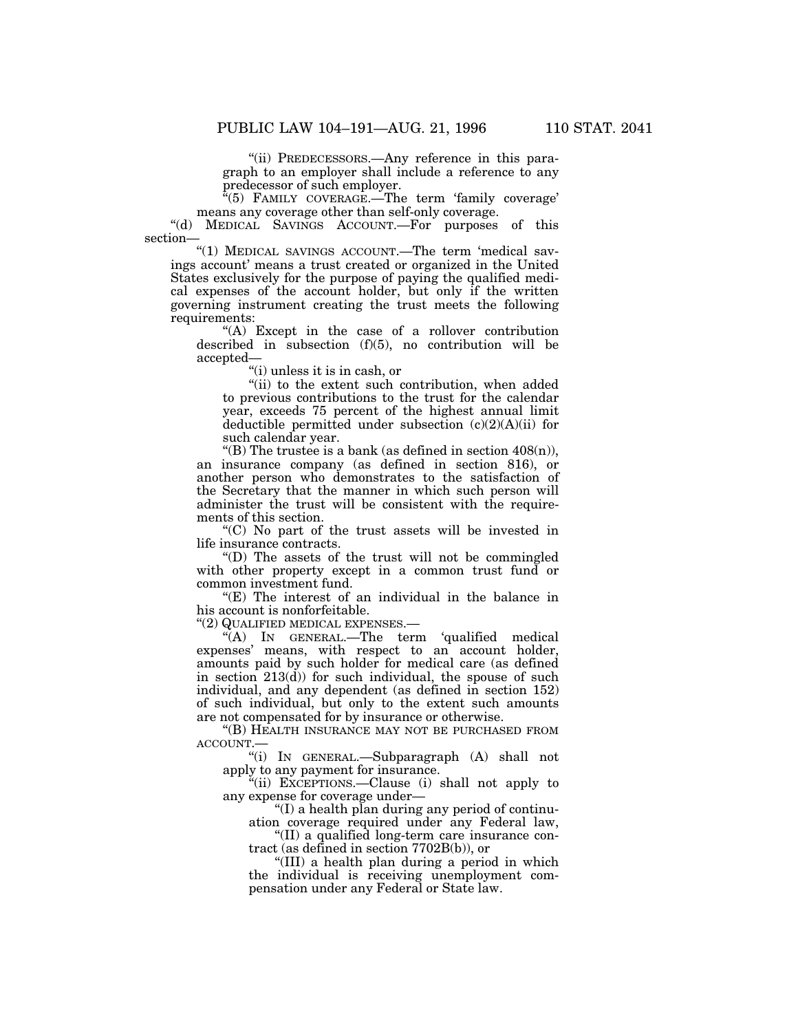''(ii) PREDECESSORS.—Any reference in this paragraph to an employer shall include a reference to any predecessor of such employer.

"(5) FAMILY COVERAGE.—The term 'family coverage' means any coverage other than self-only coverage.

''(d) MEDICAL SAVINGS ACCOUNT.—For purposes of this section—

''(1) MEDICAL SAVINGS ACCOUNT.—The term 'medical savings account' means a trust created or organized in the United States exclusively for the purpose of paying the qualified medical expenses of the account holder, but only if the written governing instrument creating the trust meets the following requirements:

"(A) Except in the case of a rollover contribution described in subsection (f)(5), no contribution will be accepted—

''(i) unless it is in cash, or

''(ii) to the extent such contribution, when added to previous contributions to the trust for the calendar year, exceeds 75 percent of the highest annual limit deductible permitted under subsection  $(c)(2)(A)(ii)$  for such calendar year.

"(B) The trustee is a bank (as defined in section  $408(n)$ ), an insurance company (as defined in section 816), or another person who demonstrates to the satisfaction of the Secretary that the manner in which such person will administer the trust will be consistent with the requirements of this section.

''(C) No part of the trust assets will be invested in life insurance contracts.

''(D) The assets of the trust will not be commingled with other property except in a common trust fund or common investment fund.

''(E) The interest of an individual in the balance in his account is nonforfeitable.

''(2) QUALIFIED MEDICAL EXPENSES.—

"(A) In GENERAL.—The term 'qualified medical expenses' means, with respect to an account holder, amounts paid by such holder for medical care (as defined in section 213(d)) for such individual, the spouse of such individual, and any dependent (as defined in section 152) of such individual, but only to the extent such amounts are not compensated for by insurance or otherwise.

''(B) HEALTH INSURANCE MAY NOT BE PURCHASED FROM ACCOUNT.—

''(i) IN GENERAL.—Subparagraph (A) shall not apply to any payment for insurance.

''(ii) EXCEPTIONS.—Clause (i) shall not apply to any expense for coverage under—

''(I) a health plan during any period of continuation coverage required under any Federal law,

''(II) a qualified long-term care insurance contract (as defined in section 7702B(b)), or

''(III) a health plan during a period in which the individual is receiving unemployment compensation under any Federal or State law.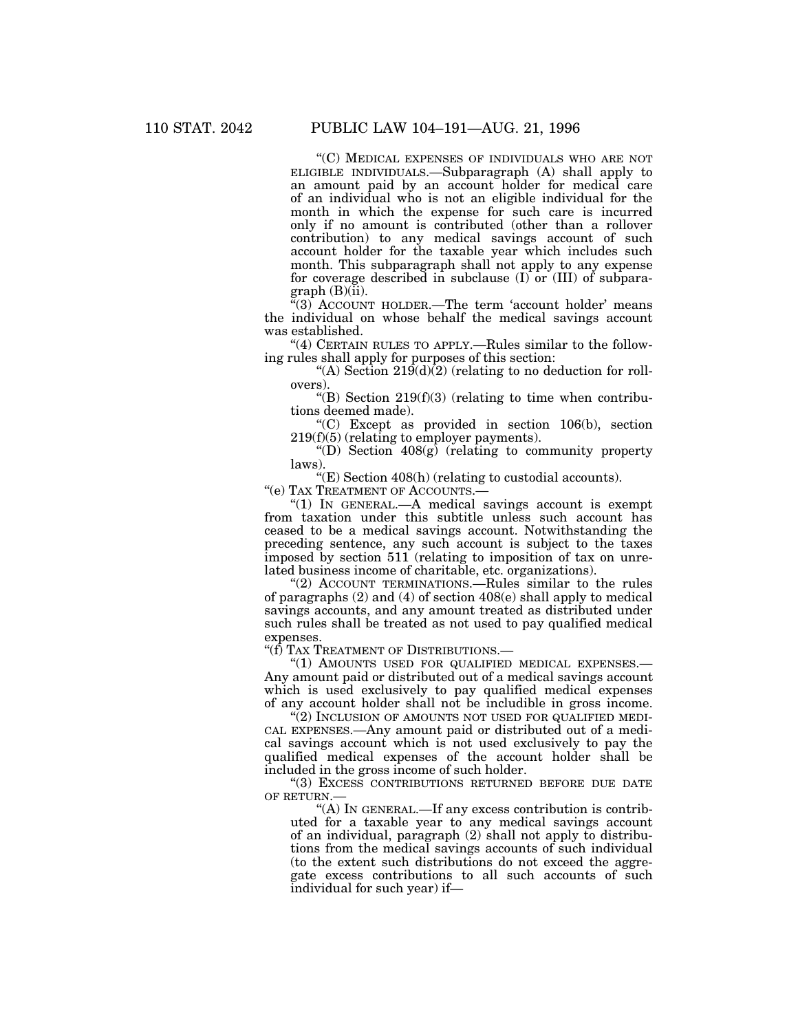''(C) MEDICAL EXPENSES OF INDIVIDUALS WHO ARE NOT ELIGIBLE INDIVIDUALS.—Subparagraph (A) shall apply to an amount paid by an account holder for medical care of an individual who is not an eligible individual for the month in which the expense for such care is incurred only if no amount is contributed (other than a rollover contribution) to any medical savings account of such account holder for the taxable year which includes such month. This subparagraph shall not apply to any expense for coverage described in subclause (I) or (III) of subparagraph (B)(ii).

"(3) ACCOUNT HOLDER.—The term 'account holder' means the individual on whose behalf the medical savings account was established.

"(4) CERTAIN RULES TO APPLY.—Rules similar to the following rules shall apply for purposes of this section:

"(A) Section  $219(d)\overline{(2)}$  (relating to no deduction for rollovers).

"(B) Section  $219(f)(3)$  (relating to time when contributions deemed made).

''(C) Except as provided in section 106(b), section 219(f)(5) (relating to employer payments).

"(D) Section  $408(g)$  (relating to community property laws).

"(E) Section 408(h) (relating to custodial accounts).

''(e) TAX TREATMENT OF ACCOUNTS.—

" $(1)$  In GENERAL.—A medical savings account is exempt from taxation under this subtitle unless such account has ceased to be a medical savings account. Notwithstanding the preceding sentence, any such account is subject to the taxes imposed by section 511 (relating to imposition of tax on unrelated business income of charitable, etc. organizations).

"(2) ACCOUNT TERMINATIONS.—Rules similar to the rules of paragraphs (2) and (4) of section 408(e) shall apply to medical savings accounts, and any amount treated as distributed under such rules shall be treated as not used to pay qualified medical expenses.

"(f) TAX TREATMENT OF DISTRIBUTIONS.—

"(1) AMOUNTS USED FOR QUALIFIED MEDICAL EXPENSES.— Any amount paid or distributed out of a medical savings account which is used exclusively to pay qualified medical expenses of any account holder shall not be includible in gross income.

"(2) INCLUSION OF AMOUNTS NOT USED FOR QUALIFIED MEDI-CAL EXPENSES.—Any amount paid or distributed out of a medical savings account which is not used exclusively to pay the qualified medical expenses of the account holder shall be included in the gross income of such holder.

''(3) EXCESS CONTRIBUTIONS RETURNED BEFORE DUE DATE OF RETURN.

''(A) IN GENERAL.—If any excess contribution is contributed for a taxable year to any medical savings account of an individual, paragraph (2) shall not apply to distributions from the medical savings accounts of such individual (to the extent such distributions do not exceed the aggregate excess contributions to all such accounts of such individual for such year) if—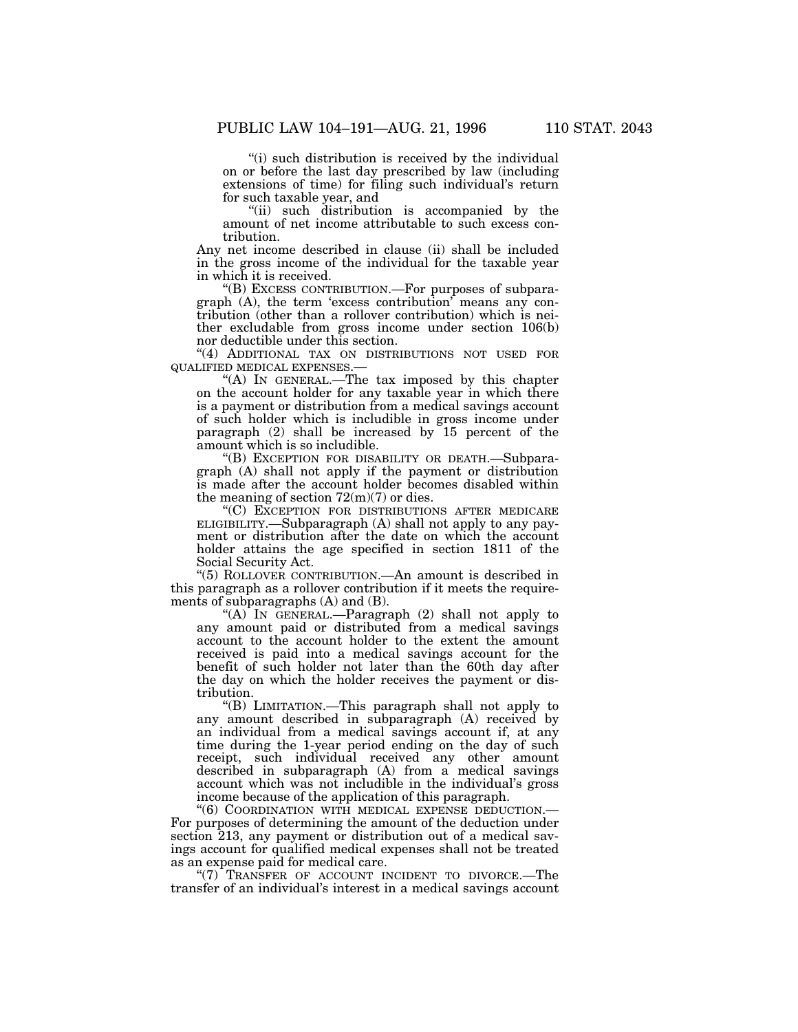"(i) such distribution is received by the individual on or before the last day prescribed by law (including extensions of time) for filing such individual's return for such taxable year, and

''(ii) such distribution is accompanied by the amount of net income attributable to such excess contribution.

Any net income described in clause (ii) shall be included in the gross income of the individual for the taxable year in which it is received.

''(B) EXCESS CONTRIBUTION.—For purposes of subparagraph (A), the term 'excess contribution' means any contribution (other than a rollover contribution) which is neither excludable from gross income under section 106(b) nor deductible under this section.

"(4) ADDITIONAL TAX ON DISTRIBUTIONS NOT USED FOR QUALIFIED MEDICAL EXPENSES.—

''(A) IN GENERAL.—The tax imposed by this chapter on the account holder for any taxable year in which there is a payment or distribution from a medical savings account of such holder which is includible in gross income under paragraph (2) shall be increased by 15 percent of the amount which is so includible.

''(B) EXCEPTION FOR DISABILITY OR DEATH.—Subparagraph (A) shall not apply if the payment or distribution is made after the account holder becomes disabled within the meaning of section  $72(m)(7)$  or dies.

''(C) EXCEPTION FOR DISTRIBUTIONS AFTER MEDICARE ELIGIBILITY.—Subparagraph (A) shall not apply to any payment or distribution after the date on which the account holder attains the age specified in section 1811 of the Social Security Act.

''(5) ROLLOVER CONTRIBUTION.—An amount is described in this paragraph as a rollover contribution if it meets the requirements of subparagraphs (A) and (B).

"(A) IN GENERAL.—Paragraph  $(2)$  shall not apply to any amount paid or distributed from a medical savings account to the account holder to the extent the amount received is paid into a medical savings account for the benefit of such holder not later than the 60th day after the day on which the holder receives the payment or distribution.

''(B) LIMITATION.—This paragraph shall not apply to any amount described in subparagraph (A) received by an individual from a medical savings account if, at any time during the 1-year period ending on the day of such receipt, such individual received any other amount described in subparagraph (A) from a medical savings account which was not includible in the individual's gross income because of the application of this paragraph.

''(6) COORDINATION WITH MEDICAL EXPENSE DEDUCTION.— For purposes of determining the amount of the deduction under section 213, any payment or distribution out of a medical savings account for qualified medical expenses shall not be treated as an expense paid for medical care.

"(7) TRANSFER OF ACCOUNT INCIDENT TO DIVORCE.—The transfer of an individual's interest in a medical savings account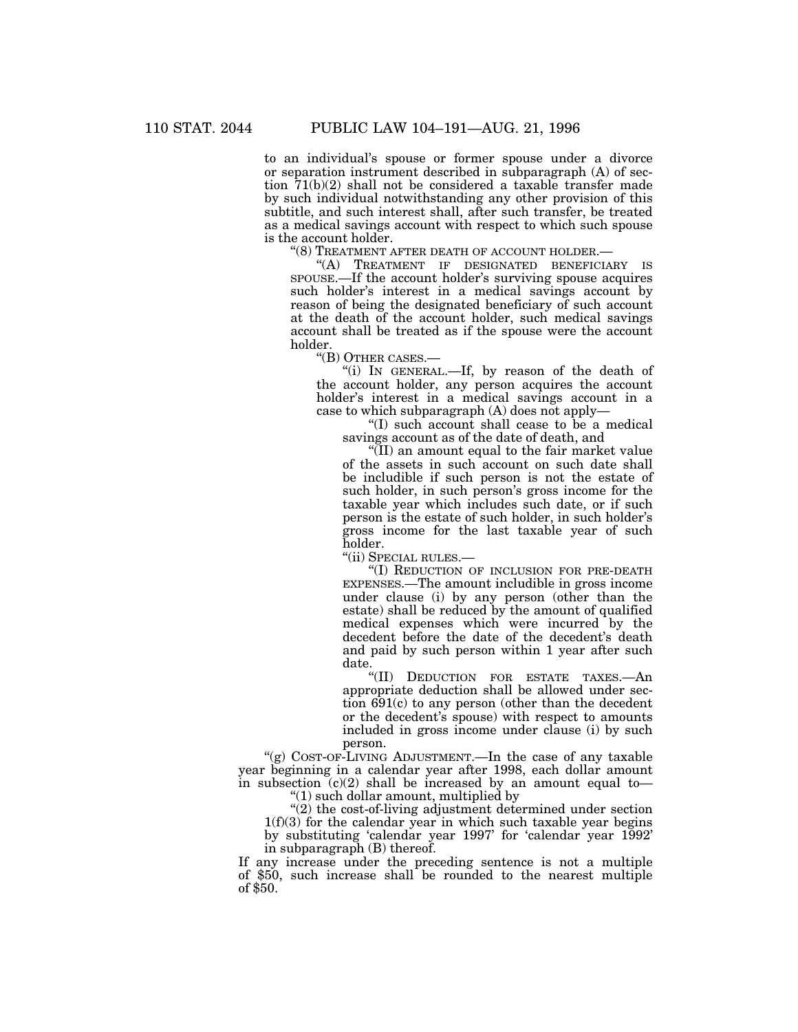to an individual's spouse or former spouse under a divorce or separation instrument described in subparagraph (A) of section 71(b)(2) shall not be considered a taxable transfer made by such individual notwithstanding any other provision of this subtitle, and such interest shall, after such transfer, be treated as a medical savings account with respect to which such spouse is the account holder.

''(8) TREATMENT AFTER DEATH OF ACCOUNT HOLDER.—

''(A) TREATMENT IF DESIGNATED BENEFICIARY IS SPOUSE.—If the account holder's surviving spouse acquires such holder's interest in a medical savings account by reason of being the designated beneficiary of such account at the death of the account holder, such medical savings account shall be treated as if the spouse were the account holder.

''(B) OTHER CASES.—

''(i) IN GENERAL.—If, by reason of the death of the account holder, any person acquires the account holder's interest in a medical savings account in a case to which subparagraph (A) does not apply—

''(I) such account shall cease to be a medical savings account as of the date of death, and

''(II) an amount equal to the fair market value of the assets in such account on such date shall be includible if such person is not the estate of such holder, in such person's gross income for the taxable year which includes such date, or if such person is the estate of such holder, in such holder's gross income for the last taxable year of such holder.

''(ii) SPECIAL RULES.—

''(I) REDUCTION OF INCLUSION FOR PRE-DEATH EXPENSES.—The amount includible in gross income under clause (i) by any person (other than the estate) shall be reduced by the amount of qualified medical expenses which were incurred by the decedent before the date of the decedent's death and paid by such person within 1 year after such date.

''(II) DEDUCTION FOR ESTATE TAXES.—An appropriate deduction shall be allowed under section 691(c) to any person (other than the decedent or the decedent's spouse) with respect to amounts included in gross income under clause (i) by such person.

''(g) COST-OF-LIVING ADJUSTMENT.—In the case of any taxable year beginning in a calendar year after 1998, each dollar amount in subsection  $(c)(2)$  shall be increased by an amount equal to-

''(1) such dollar amount, multiplied by

''(2) the cost-of-living adjustment determined under section  $1(f)(3)$  for the calendar year in which such taxable year begins by substituting 'calendar year 1997' for 'calendar year 1992' in subparagraph (B) thereof.

If any increase under the preceding sentence is not a multiple of \$50, such increase shall be rounded to the nearest multiple of \$50.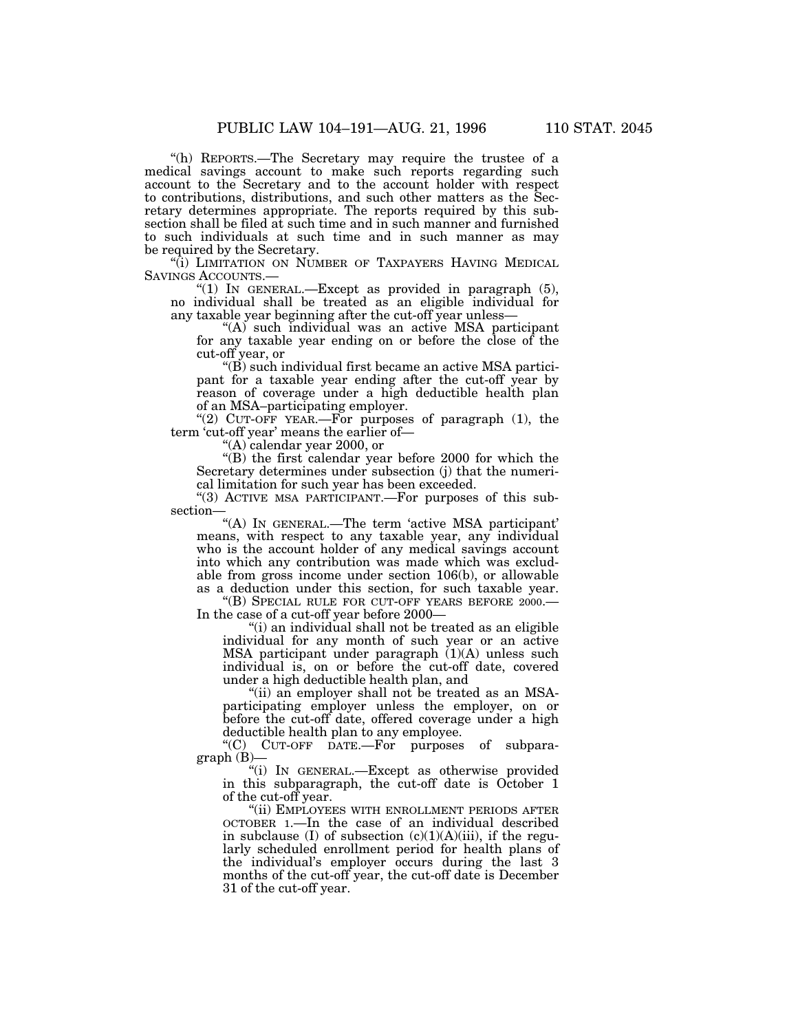''(h) REPORTS.—The Secretary may require the trustee of a medical savings account to make such reports regarding such account to the Secretary and to the account holder with respect to contributions, distributions, and such other matters as the Secretary determines appropriate. The reports required by this subsection shall be filed at such time and in such manner and furnished to such individuals at such time and in such manner as may be required by the Secretary.

''(i) LIMITATION ON NUMBER OF TAXPAYERS HAVING MEDICAL SAVINGS ACCOUNTS.—

"(1) In GENERAL.—Except as provided in paragraph (5), no individual shall be treated as an eligible individual for any taxable year beginning after the cut-off year unless—

"(A) such individual was an active MSA participant for any taxable year ending on or before the close of the cut-off year, or

 $\rm H(B)$  such individual first became an active MSA participant for a taxable year ending after the cut-off year by reason of coverage under a high deductible health plan of an MSA–participating employer.

"(2) CUT-OFF YEAR.—For purposes of paragraph (1), the term 'cut-off year' means the earlier of—

''(A) calendar year 2000, or

''(B) the first calendar year before 2000 for which the Secretary determines under subsection (j) that the numerical limitation for such year has been exceeded.

"(3) ACTIVE MSA PARTICIPANT.—For purposes of this subsection—

''(A) IN GENERAL.—The term 'active MSA participant' means, with respect to any taxable year, any individual who is the account holder of any medical savings account into which any contribution was made which was excludable from gross income under section 106(b), or allowable as a deduction under this section, for such taxable year.

''(B) SPECIAL RULE FOR CUT-OFF YEARS BEFORE 2000.— In the case of a cut-off year before 2000—

''(i) an individual shall not be treated as an eligible individual for any month of such year or an active MSA participant under paragraph (1)(A) unless such individual is, on or before the cut-off date, covered under a high deductible health plan, and

"(ii) an employer shall not be treated as an MSAparticipating employer unless the employer, on or before the cut-off date, offered coverage under a high deductible health plan to any employee.

''(C) CUT-OFF DATE.—For purposes of subparagraph (B)—

''(i) IN GENERAL.—Except as otherwise provided in this subparagraph, the cut-off date is October 1 of the cut-off year.

"(ii) EMPLOYEES WITH ENROLLMENT PERIODS AFTER OCTOBER 1.—In the case of an individual described in subclause (I) of subsection  $(c)(1)(A)(iii)$ , if the regularly scheduled enrollment period for health plans of the individual's employer occurs during the last 3 months of the cut-off year, the cut-off date is December 31 of the cut-off year.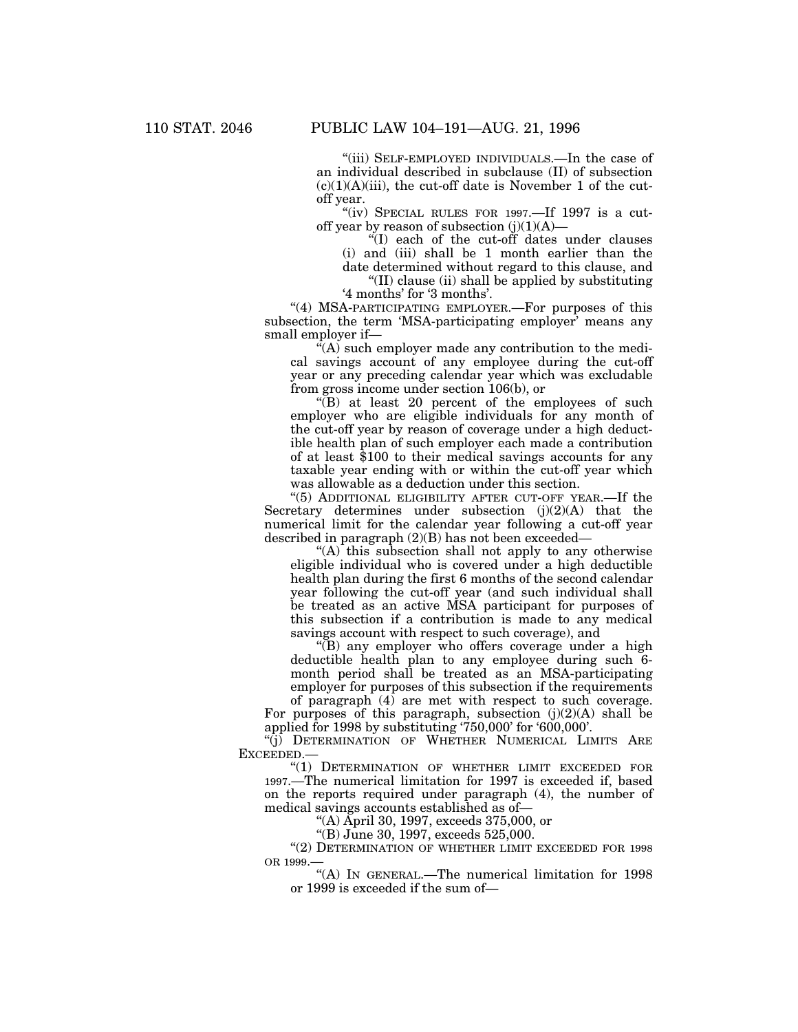''(iii) SELF-EMPLOYED INDIVIDUALS.—In the case of an individual described in subclause (II) of subsection  $(c)(1)(A)(iii)$ , the cut-off date is November 1 of the cutoff year.

"(iv) SPECIAL RULES FOR 1997.—If 1997 is a cutoff year by reason of subsection  $(i)(1)(A)$ —

''(I) each of the cut-off dates under clauses (i) and (iii) shall be 1 month earlier than the

date determined without regard to this clause, and ''(II) clause (ii) shall be applied by substituting

'4 months' for '3 months'.

"(4) MSA-PARTICIPATING EMPLOYER.—For purposes of this subsection, the term 'MSA-participating employer' means any small employer if—

''(A) such employer made any contribution to the medical savings account of any employee during the cut-off year or any preceding calendar year which was excludable from gross income under section 106(b), or

 $\sqrt{\text{B}}$  at least 20 percent of the employees of such employer who are eligible individuals for any month of the cut-off year by reason of coverage under a high deductible health plan of such employer each made a contribution of at least \$100 to their medical savings accounts for any taxable year ending with or within the cut-off year which was allowable as a deduction under this section.

"(5) ADDITIONAL ELIGIBILITY AFTER CUT-OFF YEAR.—If the Secretary determines under subsection  $(j)(2)(A)$  that the numerical limit for the calendar year following a cut-off year described in paragraph (2)(B) has not been exceeded—

" $(A)$  this subsection shall not apply to any otherwise eligible individual who is covered under a high deductible health plan during the first 6 months of the second calendar year following the cut-off year (and such individual shall be treated as an active MSA participant for purposes of this subsection if a contribution is made to any medical savings account with respect to such coverage), and

"(B) any employer who offers coverage under a high deductible health plan to any employee during such 6 month period shall be treated as an MSA-participating employer for purposes of this subsection if the requirements of paragraph  $(4)$  are met with respect to such coverage. For purposes of this paragraph, subsection  $(j)(2)(A)$  shall be

applied for 1998 by substituting '750,000' for '600,000'. ''(j) DETERMINATION OF WHETHER NUMERICAL LIMITS ARE EXCEEDED.—

''(1) DETERMINATION OF WHETHER LIMIT EXCEEDED FOR 1997.—The numerical limitation for 1997 is exceeded if, based on the reports required under paragraph (4), the number of medical savings accounts established as of—

''(A) April 30, 1997, exceeds 375,000, or

''(B) June 30, 1997, exceeds 525,000.

"(2) DETERMINATION OF WHETHER LIMIT EXCEEDED FOR 1998 OR 1999.

''(A) IN GENERAL.—The numerical limitation for 1998 or 1999 is exceeded if the sum of—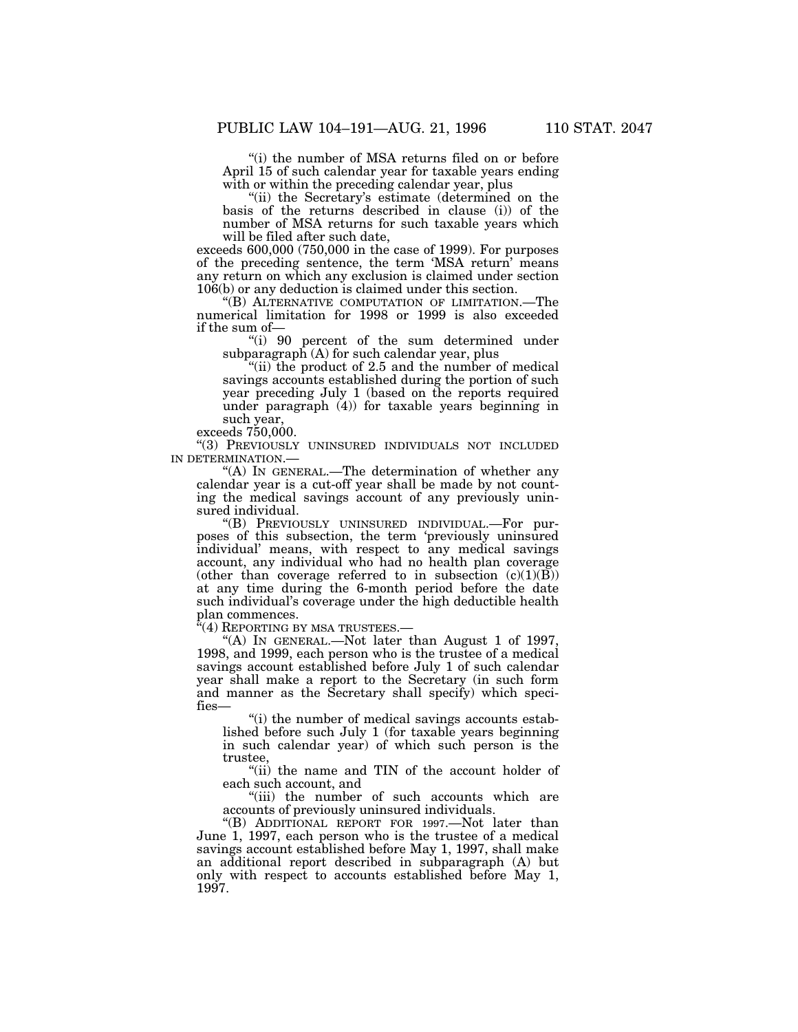''(i) the number of MSA returns filed on or before April 15 of such calendar year for taxable years ending with or within the preceding calendar year, plus

"(ii) the Secretary's estimate (determined on the basis of the returns described in clause (i)) of the number of MSA returns for such taxable years which will be filed after such date,

exceeds 600,000 (750,000 in the case of 1999). For purposes of the preceding sentence, the term 'MSA return' means any return on which any exclusion is claimed under section 106(b) or any deduction is claimed under this section.

''(B) ALTERNATIVE COMPUTATION OF LIMITATION.—The numerical limitation for 1998 or 1999 is also exceeded if the sum of—

''(i) 90 percent of the sum determined under subparagraph (A) for such calendar year, plus

''(ii) the product of 2.5 and the number of medical savings accounts established during the portion of such year preceding July 1 (based on the reports required under paragraph (4)) for taxable years beginning in such year,

exceeds 750,000.

''(3) PREVIOUSLY UNINSURED INDIVIDUALS NOT INCLUDED IN DETERMINATION.—

''(A) IN GENERAL.—The determination of whether any calendar year is a cut-off year shall be made by not counting the medical savings account of any previously uninsured individual.

''(B) PREVIOUSLY UNINSURED INDIVIDUAL.—For purposes of this subsection, the term 'previously uninsured individual' means, with respect to any medical savings account, any individual who had no health plan coverage (other than coverage referred to in subsection  $(c)(1)(\overline{B}))$ at any time during the 6-month period before the date such individual's coverage under the high deductible health plan commences.

''(4) REPORTING BY MSA TRUSTEES.—

''(A) IN GENERAL.—Not later than August 1 of 1997, 1998, and 1999, each person who is the trustee of a medical savings account established before July 1 of such calendar year shall make a report to the Secretary (in such form and manner as the Secretary shall specify) which specifies—

''(i) the number of medical savings accounts established before such July 1 (for taxable years beginning in such calendar year) of which such person is the trustee,

"(ii) the name and TIN of the account holder of each such account, and

''(iii) the number of such accounts which are accounts of previously uninsured individuals.

''(B) ADDITIONAL REPORT FOR 1997.—Not later than June 1, 1997, each person who is the trustee of a medical savings account established before May 1, 1997, shall make an additional report described in subparagraph (A) but only with respect to accounts established before May 1, 1997.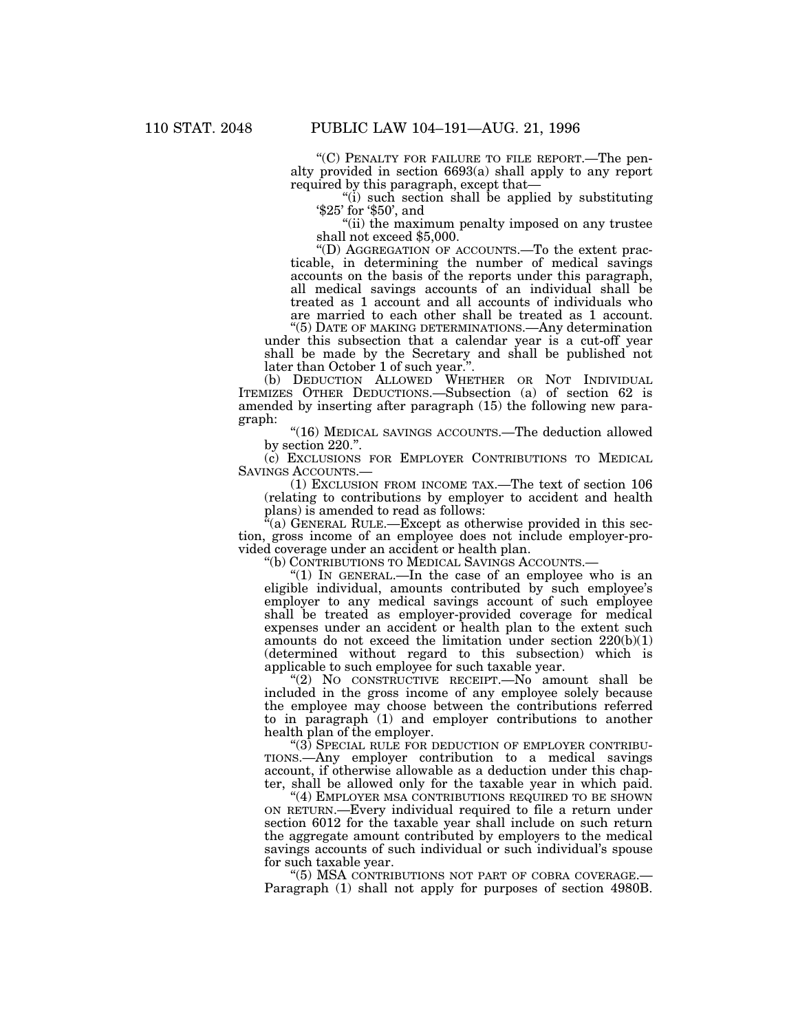"(C) PENALTY FOR FAILURE TO FILE REPORT.—The penalty provided in section 6693(a) shall apply to any report required by this paragraph, except that—

''(i) such section shall be applied by substituting '\$25' for '\$50', and

''(ii) the maximum penalty imposed on any trustee shall not exceed \$5,000.

''(D) AGGREGATION OF ACCOUNTS.—To the extent practicable, in determining the number of medical savings accounts on the basis of the reports under this paragraph, all medical savings accounts of an individual shall be treated as 1 account and all accounts of individuals who are married to each other shall be treated as 1 account.

''(5) DATE OF MAKING DETERMINATIONS.—Any determination under this subsection that a calendar year is a cut-off year shall be made by the Secretary and shall be published not later than October 1 of such year.''.

(b) DEDUCTION ALLOWED WHETHER OR NOT INDIVIDUAL ITEMIZES OTHER DEDUCTIONS.—Subsection (a) of section 62 is amended by inserting after paragraph (15) the following new paragraph:

''(16) MEDICAL SAVINGS ACCOUNTS.—The deduction allowed by section 220.''.

(c) EXCLUSIONS FOR EMPLOYER CONTRIBUTIONS TO MEDICAL SAVINGS ACCOUNTS.—

(1) EXCLUSION FROM INCOME TAX.—The text of section 106 (relating to contributions by employer to accident and health plans) is amended to read as follows:

 $\mathcal{C}(a)$  GENERAL RULE.—Except as otherwise provided in this section, gross income of an employee does not include employer-provided coverage under an accident or health plan.

''(b) CONTRIBUTIONS TO MEDICAL SAVINGS ACCOUNTS.—

" $(1)$  In GENERAL.—In the case of an employee who is an eligible individual, amounts contributed by such employee's employer to any medical savings account of such employee shall be treated as employer-provided coverage for medical expenses under an accident or health plan to the extent such amounts do not exceed the limitation under section 220(b)(1) (determined without regard to this subsection) which is applicable to such employee for such taxable year.

''(2) NO CONSTRUCTIVE RECEIPT.—No amount shall be included in the gross income of any employee solely because the employee may choose between the contributions referred to in paragraph (1) and employer contributions to another health plan of the employer.

''(3) SPECIAL RULE FOR DEDUCTION OF EMPLOYER CONTRIBU-TIONS.—Any employer contribution to a medical savings account, if otherwise allowable as a deduction under this chapter, shall be allowed only for the taxable year in which paid.

''(4) EMPLOYER MSA CONTRIBUTIONS REQUIRED TO BE SHOWN ON RETURN.—Every individual required to file a return under section 6012 for the taxable year shall include on such return the aggregate amount contributed by employers to the medical savings accounts of such individual or such individual's spouse for such taxable year.

''(5) MSA CONTRIBUTIONS NOT PART OF COBRA COVERAGE.— Paragraph (1) shall not apply for purposes of section 4980B.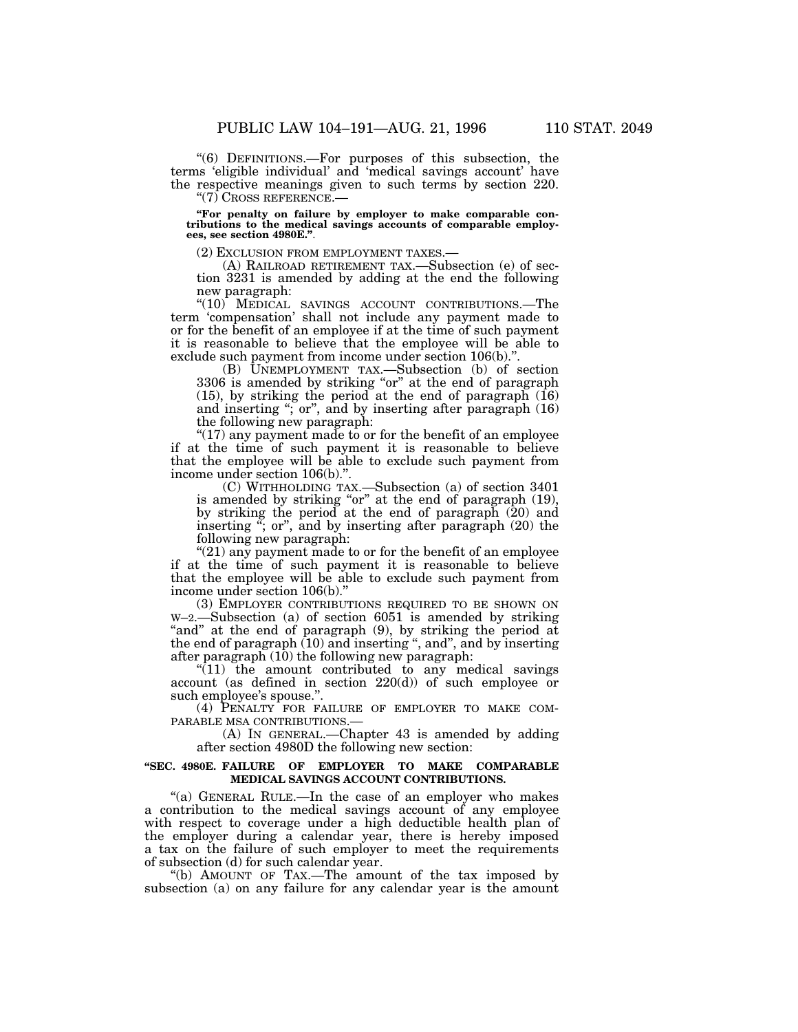''(6) DEFINITIONS.—For purposes of this subsection, the terms 'eligible individual' and 'medical savings account' have the respective meanings given to such terms by section 220.

 $\degree$ (7) Cross reference.

**''For penalty on failure by employer to make comparable contributions to the medical savings accounts of comparable employees, see section 4980E.''**.

(2) EXCLUSION FROM EMPLOYMENT TAXES.—

(A) RAILROAD RETIREMENT TAX.—Subsection (e) of section 3231 is amended by adding at the end the following new paragraph:

"(10) MEDICAL SAVINGS ACCOUNT CONTRIBUTIONS.—The term 'compensation' shall not include any payment made to or for the benefit of an employee if at the time of such payment it is reasonable to believe that the employee will be able to exclude such payment from income under section 106(b).

(B) UNEMPLOYMENT TAX.—Subsection (b) of section 3306 is amended by striking "or" at the end of paragraph  $(15)$ , by striking the period at the end of paragraph  $(16)$ and inserting "; or", and by inserting after paragraph (16) the following new paragraph:

" $(17)$  any payment made to or for the benefit of an employee" if at the time of such payment it is reasonable to believe that the employee will be able to exclude such payment from income under section 106(b).''.

(C) WITHHOLDING TAX.—Subsection (a) of section 3401 is amended by striking "or" at the end of paragraph (19), by striking the period at the end of paragraph (20) and inserting "; or", and by inserting after paragraph (20) the following new paragraph:

 $(21)$  any payment made to or for the benefit of an employee if at the time of such payment it is reasonable to believe that the employee will be able to exclude such payment from income under section 106(b).''

(3) EMPLOYER CONTRIBUTIONS REQUIRED TO BE SHOWN ON W–2.—Subsection (a) of section 6051 is amended by striking "and" at the end of paragraph (9), by striking the period at the end of paragraph (10) and inserting '', and'', and by inserting after paragraph (10) the following new paragraph:

"(11) the amount contributed to any medical savings account (as defined in section 220(d)) of such employee or such employee's spouse.''.

(4) PENALTY FOR FAILURE OF EMPLOYER TO MAKE COM-PARABLE MSA CONTRIBUTIONS.—

(A) IN GENERAL.—Chapter 43 is amended by adding after section 4980D the following new section:

#### **''SEC. 4980E. FAILURE OF EMPLOYER TO MAKE COMPARABLE MEDICAL SAVINGS ACCOUNT CONTRIBUTIONS.**

"(a) GENERAL RULE.—In the case of an employer who makes a contribution to the medical savings account of any employee with respect to coverage under a high deductible health plan of the employer during a calendar year, there is hereby imposed a tax on the failure of such employer to meet the requirements of subsection (d) for such calendar year.

''(b) AMOUNT OF TAX.—The amount of the tax imposed by subsection (a) on any failure for any calendar year is the amount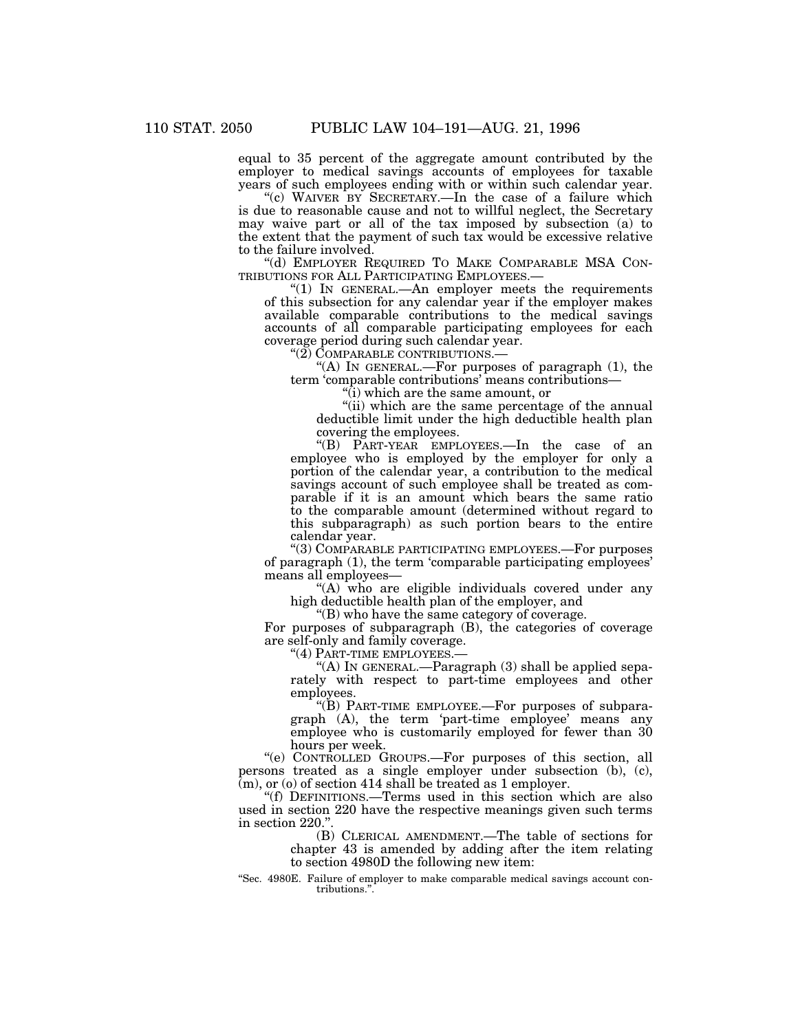equal to 35 percent of the aggregate amount contributed by the employer to medical savings accounts of employees for taxable years of such employees ending with or within such calendar year.

"(c) WAIVER BY SECRETARY.—In the case of a failure which is due to reasonable cause and not to willful neglect, the Secretary may waive part or all of the tax imposed by subsection (a) to the extent that the payment of such tax would be excessive relative to the failure involved.

''(d) EMPLOYER REQUIRED TO MAKE COMPARABLE MSA CON-TRIBUTIONS FOR ALL PARTICIPATING EMPLOYEES.—

''(1) IN GENERAL.—An employer meets the requirements of this subsection for any calendar year if the employer makes available comparable contributions to the medical savings accounts of all comparable participating employees for each coverage period during such calendar year.

''(2) COMPARABLE CONTRIBUTIONS.—

"(A) IN GENERAL.—For purposes of paragraph  $(1)$ , the term 'comparable contributions' means contributions—

''(i) which are the same amount, or

"(ii) which are the same percentage of the annual deductible limit under the high deductible health plan covering the employees.

''(B) PART-YEAR EMPLOYEES.—In the case of an employee who is employed by the employer for only a portion of the calendar year, a contribution to the medical savings account of such employee shall be treated as comparable if it is an amount which bears the same ratio to the comparable amount (determined without regard to this subparagraph) as such portion bears to the entire calendar year.

''(3) COMPARABLE PARTICIPATING EMPLOYEES.—For purposes of paragraph (1), the term 'comparable participating employees' means all employees—

"(A) who are eligible individuals covered under any high deductible health plan of the employer, and

''(B) who have the same category of coverage.

For purposes of subparagraph (B), the categories of coverage are self-only and family coverage.

''(4) PART-TIME EMPLOYEES.—

''(A) IN GENERAL.—Paragraph (3) shall be applied separately with respect to part-time employees and other employees.

''(B) PART-TIME EMPLOYEE.—For purposes of subparagraph (A), the term 'part-time employee' means any employee who is customarily employed for fewer than  $30$ hours per week.

''(e) CONTROLLED GROUPS.—For purposes of this section, all persons treated as a single employer under subsection (b), (c), (m), or (o) of section 414 shall be treated as 1 employer.

''(f) DEFINITIONS.—Terms used in this section which are also used in section 220 have the respective meanings given such terms in section 220."

> (B) CLERICAL AMENDMENT.—The table of sections for chapter 43 is amended by adding after the item relating to section 4980D the following new item:

''Sec. 4980E. Failure of employer to make comparable medical savings account contributions.''.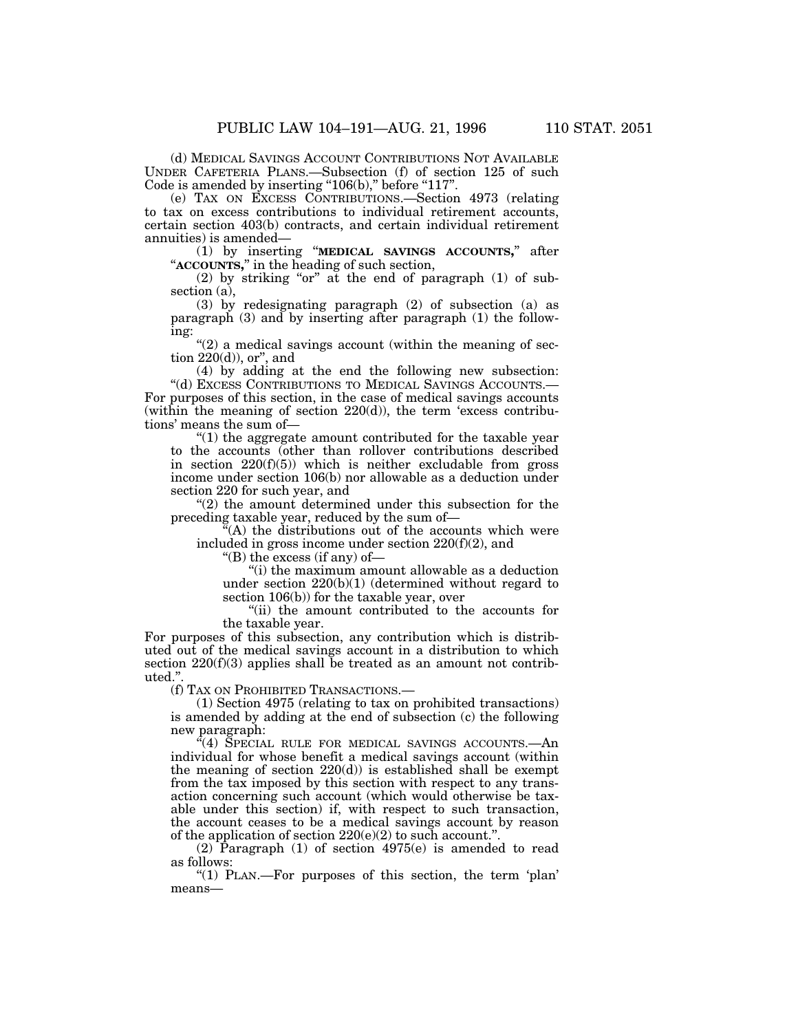(d) MEDICAL SAVINGS ACCOUNT CONTRIBUTIONS NOT AVAILABLE UNDER CAFETERIA PLANS.—Subsection (f) of section 125 of such Code is amended by inserting "106(b)," before "117".

(e) TAX ON EXCESS CONTRIBUTIONS.—Section 4973 (relating to tax on excess contributions to individual retirement accounts, certain section 403(b) contracts, and certain individual retirement annuities) is amended—

(1) by inserting ''**MEDICAL SAVINGS ACCOUNTS,**'' after "ACCOUNTS," in the heading of such section,

 $(2)$  by striking "or" at the end of paragraph  $(1)$  of subsection (a),

(3) by redesignating paragraph (2) of subsection (a) as paragraph (3) and by inserting after paragraph (1) the following:

 $''(2)$  a medical savings account (within the meaning of section 220(d)), or'', and

(4) by adding at the end the following new subsection: ''(d) EXCESS CONTRIBUTIONS TO MEDICAL SAVINGS ACCOUNTS.— For purposes of this section, in the case of medical savings accounts (within the meaning of section  $220(d)$ ), the term 'excess contributions' means the sum of—

 $(1)$  the aggregate amount contributed for the taxable year to the accounts (other than rollover contributions described in section  $220(f)(5)$  which is neither excludable from gross income under section 106(b) nor allowable as a deduction under section 220 for such year, and

 $(2)$  the amount determined under this subsection for the preceding taxable year, reduced by the sum of—

''(A) the distributions out of the accounts which were included in gross income under section 220(f)(2), and

''(B) the excess (if any) of—

''(i) the maximum amount allowable as a deduction under section 220(b)(1) (determined without regard to section 106(b)) for the taxable year, over

''(ii) the amount contributed to the accounts for the taxable year.

For purposes of this subsection, any contribution which is distributed out of the medical savings account in a distribution to which section  $220(f)(3)$  applies shall be treated as an amount not contributed.''.

(f) TAX ON PROHIBITED TRANSACTIONS.—

(1) Section 4975 (relating to tax on prohibited transactions) is amended by adding at the end of subsection (c) the following new paragraph:

 $F(4)$  SPECIAL RULE FOR MEDICAL SAVINGS ACCOUNTS.—An individual for whose benefit a medical savings account (within the meaning of section  $220(d)$  is established shall be exempt from the tax imposed by this section with respect to any transaction concerning such account (which would otherwise be taxable under this section) if, with respect to such transaction, the account ceases to be a medical savings account by reason of the application of section  $220(e)(2)$  to such account."

(2) Paragraph (1) of section 4975(e) is amended to read as follows:

''(1) PLAN.—For purposes of this section, the term 'plan' means—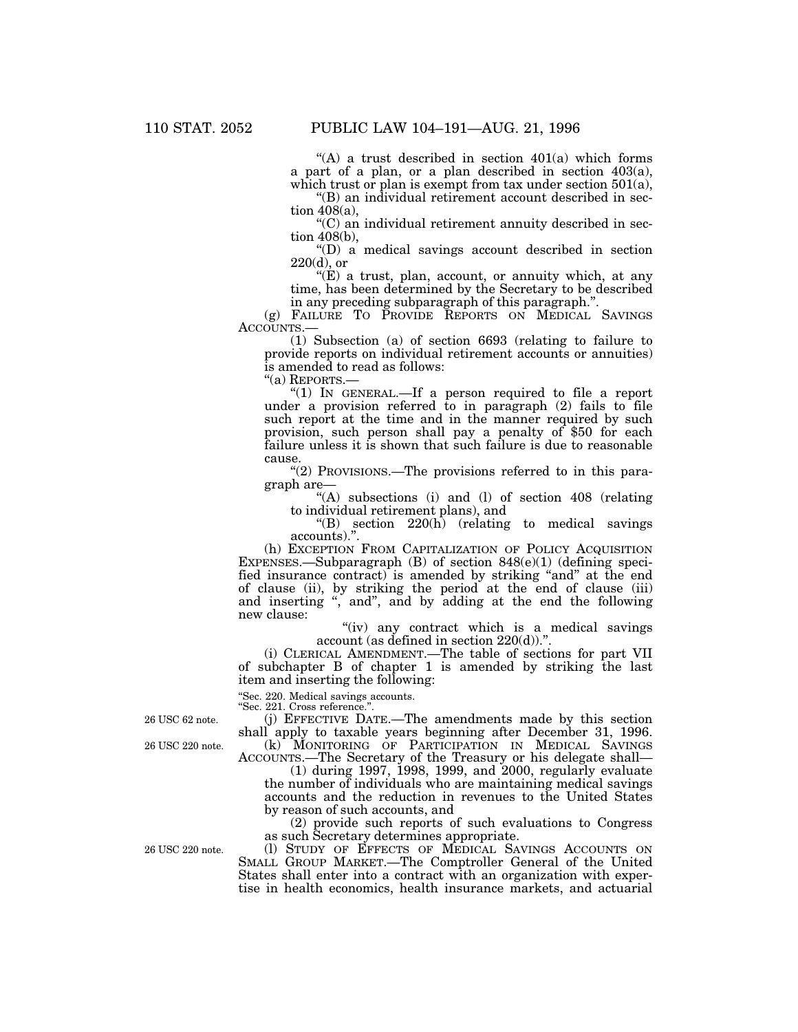"(A) a trust described in section  $401(a)$  which forms a part of a plan, or a plan described in section 403(a), which trust or plan is exempt from tax under section 501(a),

''(B) an individual retirement account described in section 408(a),

 $C$ ) an individual retirement annuity described in section 408(b),

''(D) a medical savings account described in section 220(d), or

''(E) a trust, plan, account, or annuity which, at any time, has been determined by the Secretary to be described in any preceding subparagraph of this paragraph.''.

(g) FAILURE TO PROVIDE REPORTS ON MEDICAL SAVINGS ACCOUNTS.—

(1) Subsection (a) of section 6693 (relating to failure to provide reports on individual retirement accounts or annuities) is amended to read as follows:

''(a) REPORTS.—

"(1) In GENERAL.—If a person required to file a report under a provision referred to in paragraph (2) fails to file such report at the time and in the manner required by such provision, such person shall pay a penalty of \$50 for each failure unless it is shown that such failure is due to reasonable cause.

"(2) PROVISIONS.—The provisions referred to in this paragraph are—

''(A) subsections (i) and (l) of section 408 (relating to individual retirement plans), and

" $(B)$  section  $220(h)$  (relating to medical savings accounts).''.

(h) EXCEPTION FROM CAPITALIZATION OF POLICY ACQUISITION EXPENSES.—Subparagraph (B) of section 848(e)(1) (defining specified insurance contract) is amended by striking "and" at the end of clause (ii), by striking the period at the end of clause (iii) and inserting '', and'', and by adding at the end the following new clause:

"(iv) any contract which is a medical savings account (as defined in section 220(d)).''.

(i) CLERICAL AMENDMENT.—The table of sections for part VII of subchapter B of chapter 1 is amended by striking the last item and inserting the following:

''Sec. 220. Medical savings accounts.

''Sec. 221. Cross reference.''.

(j) EFFECTIVE DATE.—The amendments made by this section shall apply to taxable years beginning after December 31, 1996. (k) MONITORING OF PARTICIPATION IN MEDICAL SAVINGS

ACCOUNTS.—The Secretary of the Treasury or his delegate shall— (1) during 1997, 1998, 1999, and 2000, regularly evaluate

the number of individuals who are maintaining medical savings accounts and the reduction in revenues to the United States by reason of such accounts, and

(2) provide such reports of such evaluations to Congress as such Secretary determines appropriate.

(l) STUDY OF EFFECTS OF MEDICAL SAVINGS ACCOUNTS ON SMALL GROUP MARKET.—The Comptroller General of the United States shall enter into a contract with an organization with expertise in health economics, health insurance markets, and actuarial

26 USC 62 note.

26 USC 220 note.

26 USC 220 note.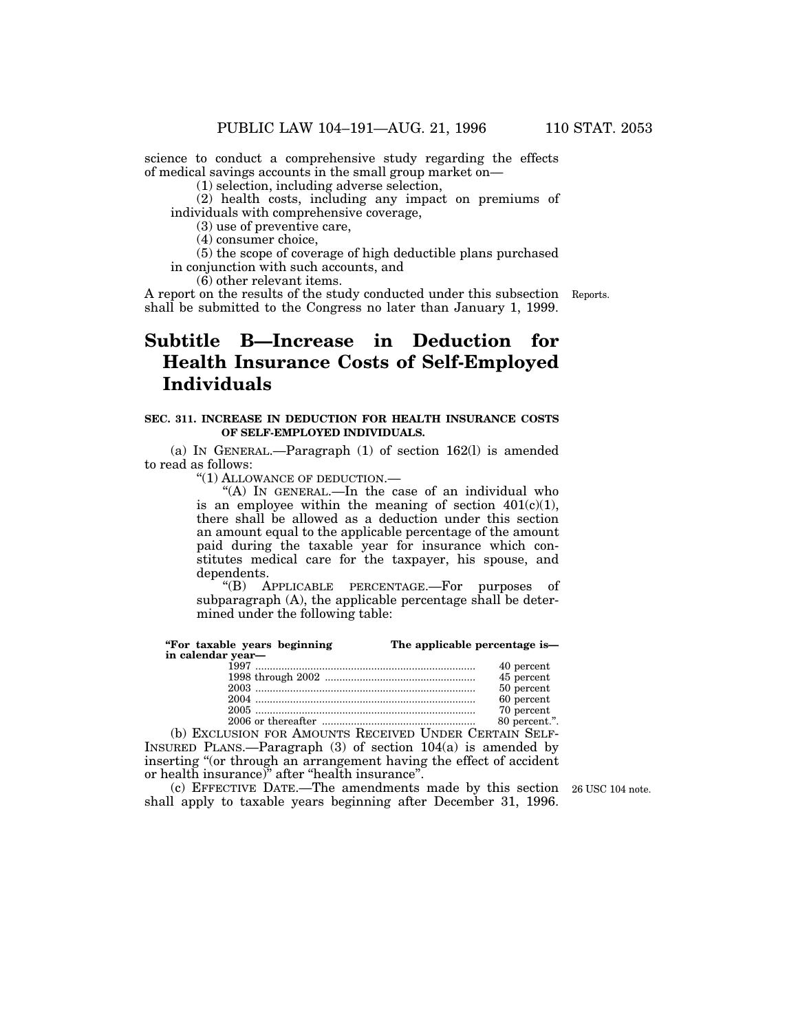science to conduct a comprehensive study regarding the effects of medical savings accounts in the small group market on—

(1) selection, including adverse selection,

(2) health costs, including any impact on premiums of individuals with comprehensive coverage,

(3) use of preventive care,

(4) consumer choice,

(5) the scope of coverage of high deductible plans purchased in conjunction with such accounts, and

(6) other relevant items.

A report on the results of the study conducted under this subsection Reports.shall be submitted to the Congress no later than January 1, 1999.

# **Subtitle B—Increase in Deduction for Health Insurance Costs of Self-Employed Individuals**

#### **SEC. 311. INCREASE IN DEDUCTION FOR HEALTH INSURANCE COSTS OF SELF-EMPLOYED INDIVIDUALS.**

(a) IN GENERAL.—Paragraph (1) of section 162(l) is amended to read as follows:

''(1) ALLOWANCE OF DEDUCTION.—

"(A) In GENERAL.—In the case of an individual who is an employee within the meaning of section  $401(c)(1)$ , there shall be allowed as a deduction under this section an amount equal to the applicable percentage of the amount paid during the taxable year for insurance which constitutes medical care for the taxpayer, his spouse, and dependents.<br>" $(B)$  A

APPLICABLE PERCENTAGE.—For purposes of subparagraph  $(A)$ , the applicable percentage shall be determined under the following table:

| "For taxable years beginning" | The applicable percentage is— |               |
|-------------------------------|-------------------------------|---------------|
| in calendar year-             |                               |               |
|                               |                               | 40 percent    |
|                               |                               | 45 percent    |
|                               |                               | 50 percent    |
|                               |                               | 60 percent    |
|                               |                               | 70 percent    |
|                               |                               | 80 percent.". |

(b) EXCLUSION FOR AMOUNTS RECEIVED UNDER CERTAIN SELF-INSURED PLANS.—Paragraph (3) of section 104(a) is amended by inserting ''(or through an arrangement having the effect of accident or health insurance)" after "health insurance".

(c) EFFECTIVE DATE.—The amendments made by this section 26 USC 104 note. shall apply to taxable years beginning after December 31, 1996.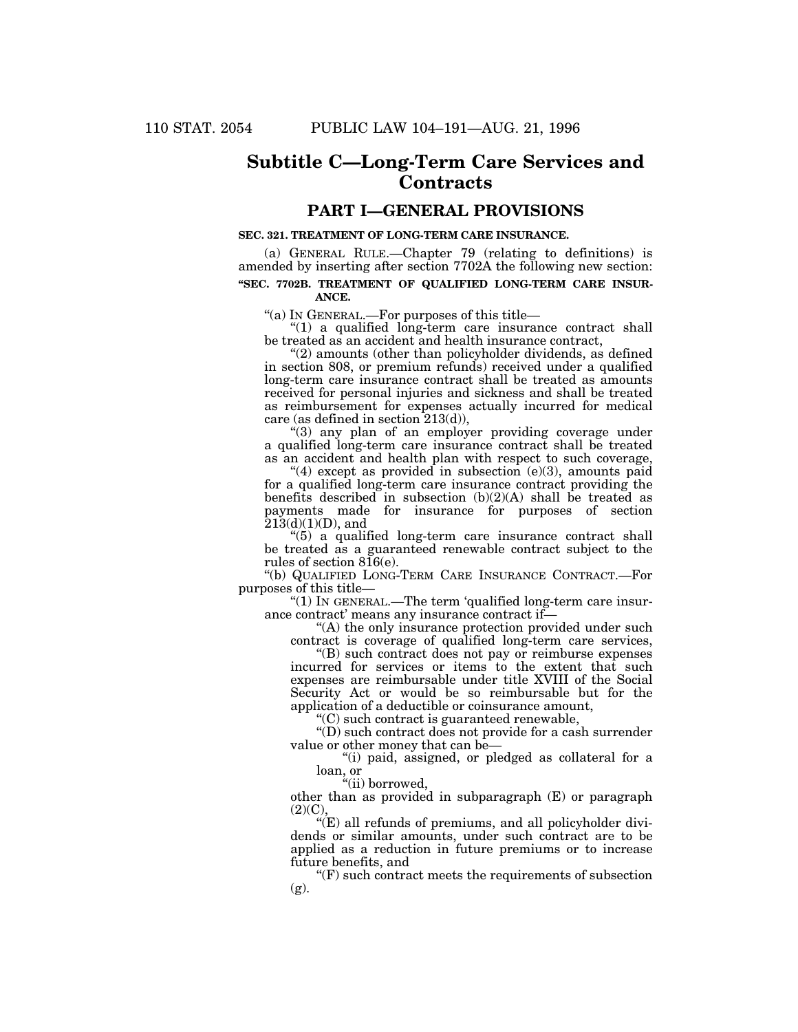# **Subtitle C—Long-Term Care Services and Contracts**

## **PART I—GENERAL PROVISIONS**

#### **SEC. 321. TREATMENT OF LONG-TERM CARE INSURANCE.**

(a) GENERAL RULE.—Chapter 79 (relating to definitions) is amended by inserting after section 7702A the following new section:

### **''SEC. 7702B. TREATMENT OF QUALIFIED LONG-TERM CARE INSUR-ANCE.**

''(a) IN GENERAL.—For purposes of this title—

 $''(1)$  a qualified long-term care insurance contract shall be treated as an accident and health insurance contract,

''(2) amounts (other than policyholder dividends, as defined in section 808, or premium refunds) received under a qualified long-term care insurance contract shall be treated as amounts received for personal injuries and sickness and shall be treated as reimbursement for expenses actually incurred for medical care (as defined in section 213(d)),

"(3) any plan of an employer providing coverage under a qualified long-term care insurance contract shall be treated as an accident and health plan with respect to such coverage,

"(4) except as provided in subsection  $(e)(3)$ , amounts paid for a qualified long-term care insurance contract providing the benefits described in subsection  $(b)(2)(A)$  shall be treated as payments made for insurance for purposes of section  $213(d)(1)(D)$ , and

 $(5)$  a qualified long-term care insurance contract shall be treated as a guaranteed renewable contract subject to the rules of section  $816(e)$ .

''(b) QUALIFIED LONG-TERM CARE INSURANCE CONTRACT.—For purposes of this title—

''(1) IN GENERAL.—The term 'qualified long-term care insurance contract' means any insurance contract if—

"(A) the only insurance protection provided under such contract is coverage of qualified long-term care services,

''(B) such contract does not pay or reimburse expenses incurred for services or items to the extent that such expenses are reimbursable under title XVIII of the Social Security Act or would be so reimbursable but for the application of a deductible or coinsurance amount,

''(C) such contract is guaranteed renewable,

''(D) such contract does not provide for a cash surrender value or other money that can be—

"(i) paid, assigned, or pledged as collateral for a loan, or

''(ii) borrowed,

other than as provided in subparagraph (E) or paragraph  $(2)(C),$ 

 $\sqrt{\text{E}}$ ) all refunds of premiums, and all policyholder dividends or similar amounts, under such contract are to be applied as a reduction in future premiums or to increase future benefits, and

 $f(F)$  such contract meets the requirements of subsection  $(g)$ .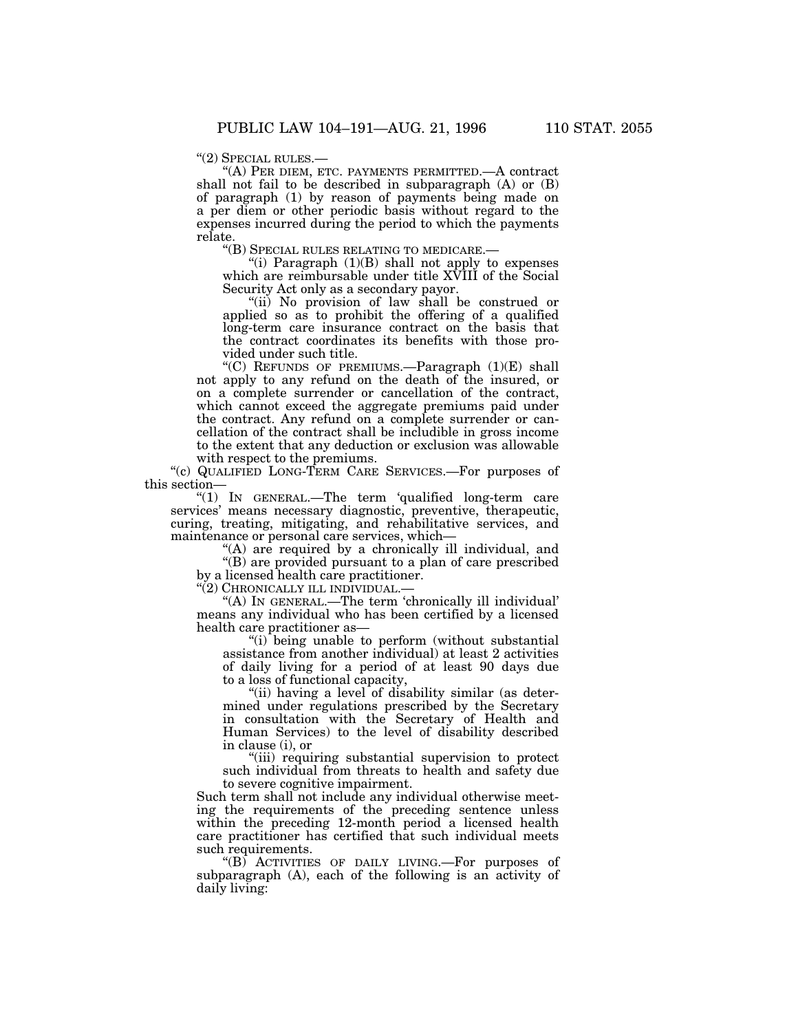''(2) SPECIAL RULES.— ''(A) PER DIEM, ETC. PAYMENTS PERMITTED.—A contract shall not fail to be described in subparagraph (A) or (B) of paragraph (1) by reason of payments being made on a per diem or other periodic basis without regard to the expenses incurred during the period to which the payments relate.

''(B) SPECIAL RULES RELATING TO MEDICARE.—

"(i) Paragraph  $(1)(B)$  shall not apply to expenses which are reimbursable under title XVIII of the Social Security Act only as a secondary payor.

''(ii) No provision of law shall be construed or applied so as to prohibit the offering of a qualified long-term care insurance contract on the basis that the contract coordinates its benefits with those provided under such title.

''(C) REFUNDS OF PREMIUMS.—Paragraph (1)(E) shall not apply to any refund on the death of the insured, or on a complete surrender or cancellation of the contract, which cannot exceed the aggregate premiums paid under the contract. Any refund on a complete surrender or cancellation of the contract shall be includible in gross income to the extent that any deduction or exclusion was allowable with respect to the premiums.

''(c) QUALIFIED LONG-TERM CARE SERVICES.—For purposes of this section—

" $(1)$  In GENERAL.—The term 'qualified long-term care services' means necessary diagnostic, preventive, therapeutic, curing, treating, mitigating, and rehabilitative services, and maintenance or personal care services, which—

''(A) are required by a chronically ill individual, and ''(B) are provided pursuant to a plan of care prescribed by a licensed health care practitioner.

''(2) CHRONICALLY ILL INDIVIDUAL.—

''(A) IN GENERAL.—The term 'chronically ill individual' means any individual who has been certified by a licensed health care practitioner as—

''(i) being unable to perform (without substantial assistance from another individual) at least 2 activities of daily living for a period of at least 90 days due to a loss of functional capacity,

"(ii) having a level of disability similar (as determined under regulations prescribed by the Secretary in consultation with the Secretary of Health and Human Services) to the level of disability described in clause (i), or

"(iii) requiring substantial supervision to protect such individual from threats to health and safety due to severe cognitive impairment.

Such term shall not include any individual otherwise meeting the requirements of the preceding sentence unless within the preceding 12-month period a licensed health care practitioner has certified that such individual meets such requirements.

" $(B)$  ACTIVITIES OF DAILY LIVING.—For purposes of subparagraph (A), each of the following is an activity of daily living: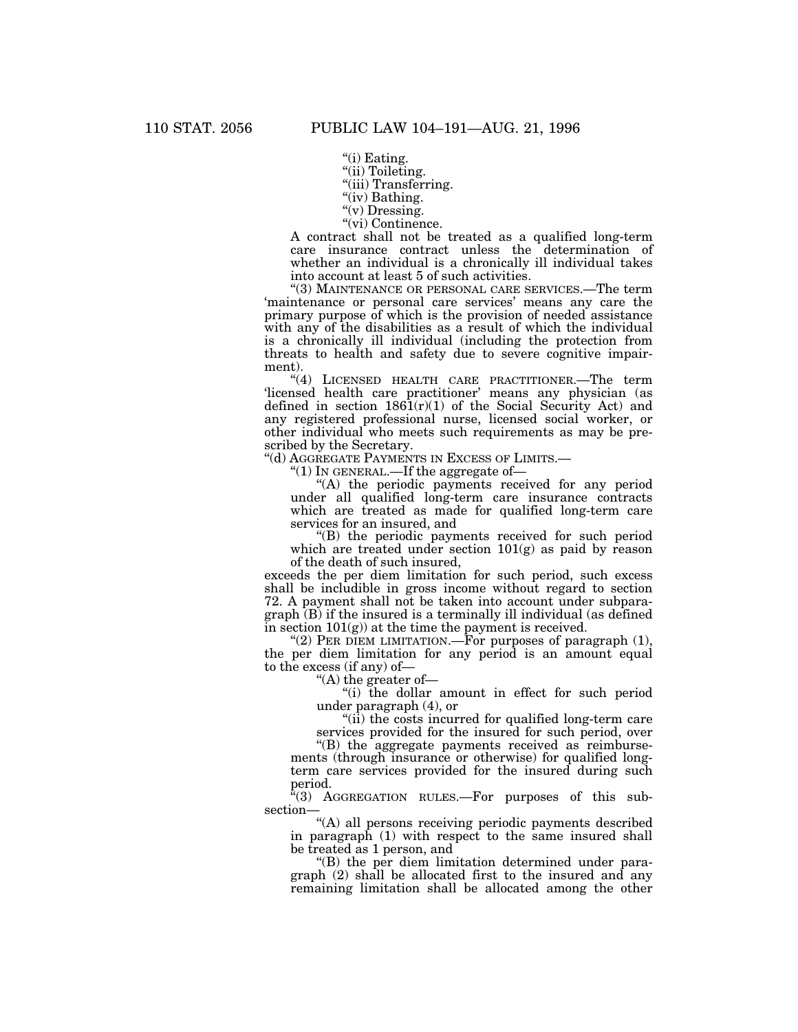''(i) Eating.

"(ii) Toileting.

"(iii) Transferring.

"(iv) Bathing.

"(v) Dressing. "(vi) Continence.

A contract shall not be treated as a qualified long-term care insurance contract unless the determination of whether an individual is a chronically ill individual takes into account at least 5 of such activities.

''(3) MAINTENANCE OR PERSONAL CARE SERVICES.—The term 'maintenance or personal care services' means any care the primary purpose of which is the provision of needed assistance with any of the disabilities as a result of which the individual is a chronically ill individual (including the protection from threats to health and safety due to severe cognitive impairment).

''(4) LICENSED HEALTH CARE PRACTITIONER.—The term 'licensed health care practitioner' means any physician (as defined in section 1861(r)(1) of the Social Security Act) and any registered professional nurse, licensed social worker, or other individual who meets such requirements as may be prescribed by the Secretary.

''(d) AGGREGATE PAYMENTS IN EXCESS OF LIMITS.—

" $(1)$  In GENERAL.—If the aggregate of—

''(A) the periodic payments received for any period under all qualified long-term care insurance contracts which are treated as made for qualified long-term care services for an insured, and

''(B) the periodic payments received for such period which are treated under section  $101(g)$  as paid by reason of the death of such insured,

exceeds the per diem limitation for such period, such excess shall be includible in gross income without regard to section 72. A payment shall not be taken into account under subparagraph (B) if the insured is a terminally ill individual (as defined in section 101(g)) at the time the payment is received.

"(2) PER DIEM LIMITATION.—For purposes of paragraph  $(1)$ , the per diem limitation for any period is an amount equal to the excess (if any) of—

''(A) the greater of—

''(i) the dollar amount in effect for such period under paragraph (4), or

''(ii) the costs incurred for qualified long-term care services provided for the insured for such period, over

''(B) the aggregate payments received as reimbursements (through insurance or otherwise) for qualified longterm care services provided for the insured during such period.

"(3) AGGREGATION RULES.—For purposes of this subsection—

"(A) all persons receiving periodic payments described in paragraph (1) with respect to the same insured shall be treated as 1 person, and

''(B) the per diem limitation determined under paragraph (2) shall be allocated first to the insured and any remaining limitation shall be allocated among the other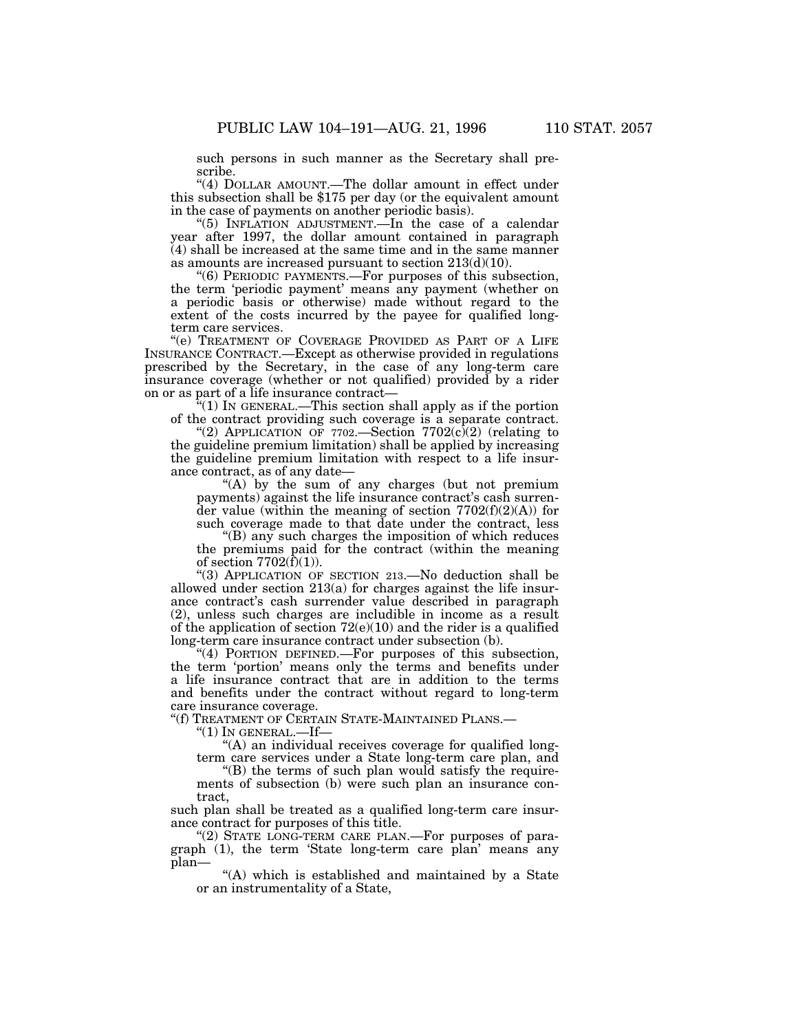such persons in such manner as the Secretary shall prescribe.

"(4) DOLLAR AMOUNT.—The dollar amount in effect under this subsection shall be \$175 per day (or the equivalent amount in the case of payments on another periodic basis).

''(5) INFLATION ADJUSTMENT.—In the case of a calendar year after 1997, the dollar amount contained in paragraph (4) shall be increased at the same time and in the same manner as amounts are increased pursuant to section 213(d)(10).

''(6) PERIODIC PAYMENTS.—For purposes of this subsection, the term 'periodic payment' means any payment (whether on a periodic basis or otherwise) made without regard to the extent of the costs incurred by the payee for qualified longterm care services.

''(e) TREATMENT OF COVERAGE PROVIDED AS PART OF A LIFE INSURANCE CONTRACT.—Except as otherwise provided in regulations prescribed by the Secretary, in the case of any long-term care insurance coverage (whether or not qualified) provided by a rider on or as part of a life insurance contract—

 $(1)$  In GENERAL.—This section shall apply as if the portion of the contract providing such coverage is a separate contract.

"(2) APPLICATION OF 7702.—Section  $7702(c)(2)$  (relating to the guideline premium limitation) shall be applied by increasing the guideline premium limitation with respect to a life insurance contract, as of any date—

''(A) by the sum of any charges (but not premium payments) against the life insurance contract's cash surrender value (within the meaning of section  $7702(f)(2)(A)$ ) for such coverage made to that date under the contract, less

"(B) any such charges the imposition of which reduces the premiums paid for the contract (within the meaning of section  $7702(\hat{f})(1)$ ).

''(3) APPLICATION OF SECTION 213.—No deduction shall be allowed under section 213(a) for charges against the life insurance contract's cash surrender value described in paragraph (2), unless such charges are includible in income as a result of the application of section  $72(e)(10)$  and the rider is a qualified long-term care insurance contract under subsection (b).

"(4) PORTION DEFINED.—For purposes of this subsection, the term 'portion' means only the terms and benefits under a life insurance contract that are in addition to the terms and benefits under the contract without regard to long-term care insurance coverage.

''(f) TREATMENT OF CERTAIN STATE-MAINTAINED PLANS.—

 $"(1)$  In general.—If—

''(A) an individual receives coverage for qualified longterm care services under a State long-term care plan, and

''(B) the terms of such plan would satisfy the requirements of subsection (b) were such plan an insurance contract,

such plan shall be treated as a qualified long-term care insurance contract for purposes of this title.

"(2) STATE LONG-TERM CARE PLAN.—For purposes of paragraph (1), the term 'State long-term care plan' means any plan—

"(A) which is established and maintained by a State or an instrumentality of a State,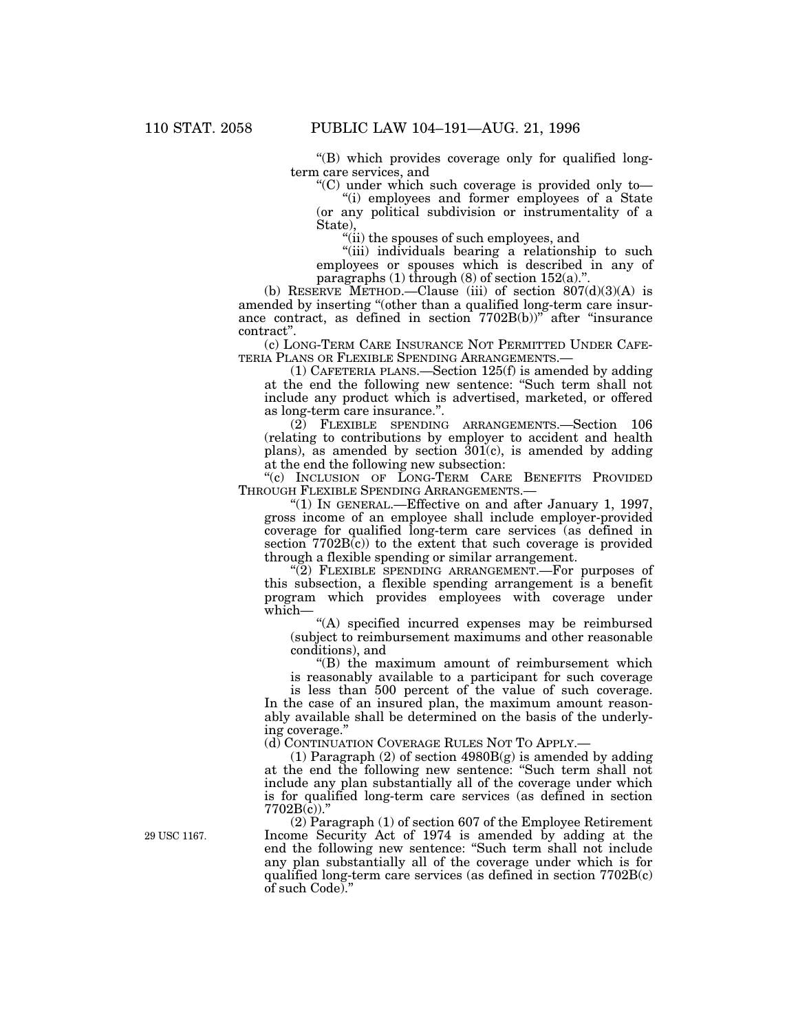''(B) which provides coverage only for qualified longterm care services, and

" $(C)$  under which such coverage is provided only to-

"(i) employees and former employees of a State (or any political subdivision or instrumentality of a State),

"(ii) the spouses of such employees, and

"(iii) individuals bearing a relationship to such employees or spouses which is described in any of paragraphs  $(1)$  through  $(8)$  of section  $152(a)$ ."

(b) RESERVE METHOD.—Clause (iii) of section  $807(d)(3)(A)$  is amended by inserting "(other than a qualified long-term care insurance contract, as defined in section  $7702B(b)$ <sup>"</sup> after "insurance" contract''.

(c) LONG-TERM CARE INSURANCE NOT PERMITTED UNDER CAFE-TERIA PLANS OR FLEXIBLE SPENDING ARRANGEMENTS.—

(1) CAFETERIA PLANS.—Section 125(f) is amended by adding at the end the following new sentence: ''Such term shall not include any product which is advertised, marketed, or offered as long-term care insurance.''.

(2) FLEXIBLE SPENDING ARRANGEMENTS.—Section 106 (relating to contributions by employer to accident and health plans), as amended by section  $301(c)$ , is amended by adding at the end the following new subsection:

''(c) INCLUSION OF LONG-TERM CARE BENEFITS PROVIDED THROUGH FLEXIBLE SPENDING ARRANGEMENTS.—

''(1) IN GENERAL.—Effective on and after January 1, 1997, gross income of an employee shall include employer-provided coverage for qualified long-term care services (as defined in section  $7702B(c)$  to the extent that such coverage is provided through a flexible spending or similar arrangement.

"(2) FLEXIBLE SPENDING ARRANGEMENT.—For purposes of this subsection, a flexible spending arrangement is a benefit program which provides employees with coverage under which—

"(A) specified incurred expenses may be reimbursed (subject to reimbursement maximums and other reasonable conditions), and

''(B) the maximum amount of reimbursement which is reasonably available to a participant for such coverage

is less than 500 percent of the value of such coverage. In the case of an insured plan, the maximum amount reasonably available shall be determined on the basis of the underlying coverage.''

(d) CONTINUATION COVERAGE RULES NOT TO APPLY.—

(1) Paragraph  $(2)$  of section 4980B $(g)$  is amended by adding at the end the following new sentence: ''Such term shall not include any plan substantially all of the coverage under which is for qualified long-term care services (as defined in section  $7702B(c)$ ."

(2) Paragraph (1) of section 607 of the Employee Retirement Income Security Act of 1974 is amended by adding at the end the following new sentence: ''Such term shall not include any plan substantially all of the coverage under which is for qualified long-term care services (as defined in section 7702B(c) of such Code).''

29 USC 1167.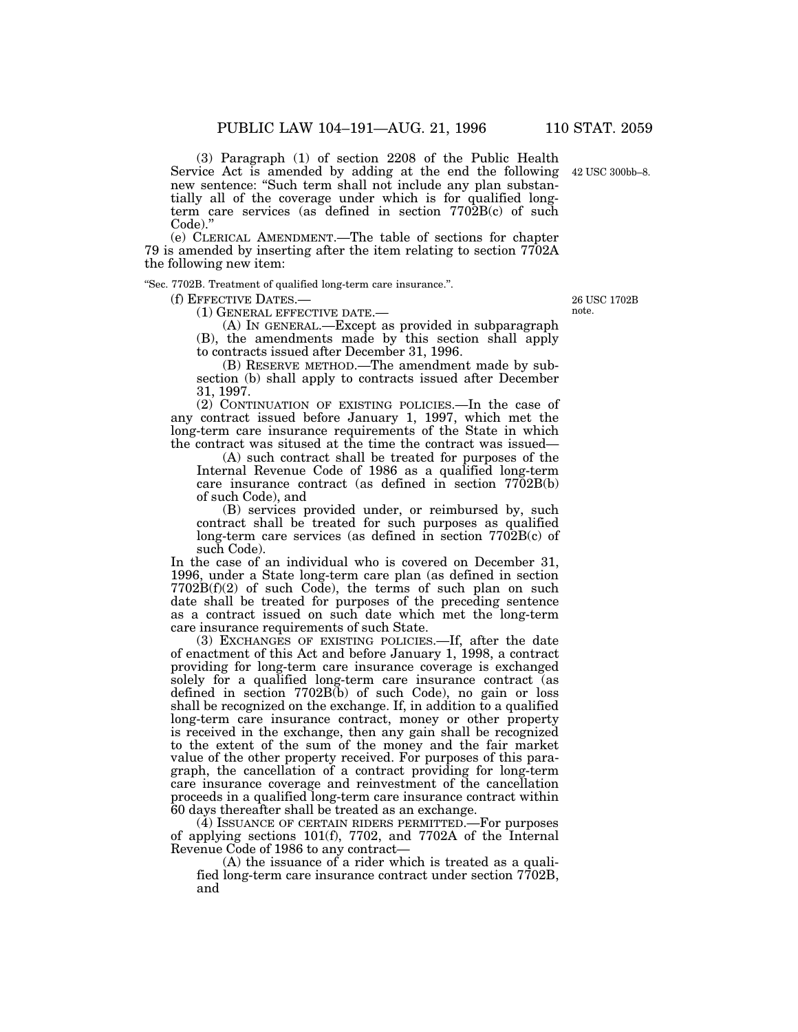(3) Paragraph (1) of section 2208 of the Public Health Service Act is amended by adding at the end the following 42 USC 300bb-8. new sentence: ''Such term shall not include any plan substantially all of the coverage under which is for qualified longterm care services (as defined in section 7702B(c) of such Code).''

(e) CLERICAL AMENDMENT.—The table of sections for chapter 79 is amended by inserting after the item relating to section 7702A the following new item:

''Sec. 7702B. Treatment of qualified long-term care insurance.''.

(f) EFFECTIVE DATES.—

(1) GENERAL EFFECTIVE DATE.—

(A) IN GENERAL.—Except as provided in subparagraph (B), the amendments made by this section shall apply to contracts issued after December 31, 1996.

(B) RESERVE METHOD.—The amendment made by subsection (b) shall apply to contracts issued after December 31, 1997.

(2) CONTINUATION OF EXISTING POLICIES.—In the case of any contract issued before January 1, 1997, which met the long-term care insurance requirements of the State in which the contract was sitused at the time the contract was issued—

(A) such contract shall be treated for purposes of the Internal Revenue Code of 1986 as a qualified long-term care insurance contract (as defined in section 7702B(b) of such Code), and

(B) services provided under, or reimbursed by, such contract shall be treated for such purposes as qualified long-term care services (as defined in section 7702B(c) of such Code).

In the case of an individual who is covered on December 31, 1996, under a State long-term care plan (as defined in section 7702B(f)(2) of such Code), the terms of such plan on such date shall be treated for purposes of the preceding sentence as a contract issued on such date which met the long-term care insurance requirements of such State.

(3) EXCHANGES OF EXISTING POLICIES.—If, after the date of enactment of this Act and before January 1, 1998, a contract providing for long-term care insurance coverage is exchanged solely for a qualified long-term care insurance contract (as defined in section 7702B(b) of such Code), no gain or loss shall be recognized on the exchange. If, in addition to a qualified long-term care insurance contract, money or other property is received in the exchange, then any gain shall be recognized to the extent of the sum of the money and the fair market value of the other property received. For purposes of this paragraph, the cancellation of a contract providing for long-term care insurance coverage and reinvestment of the cancellation proceeds in a qualified long-term care insurance contract within 60 days thereafter shall be treated as an exchange.

(4) ISSUANCE OF CERTAIN RIDERS PERMITTED.—For purposes of applying sections 101(f), 7702, and 7702A of the Internal Revenue Code of 1986 to any contract—

(A) the issuance of a rider which is treated as a qualified long-term care insurance contract under section 7702B, and

26 USC 1702B note.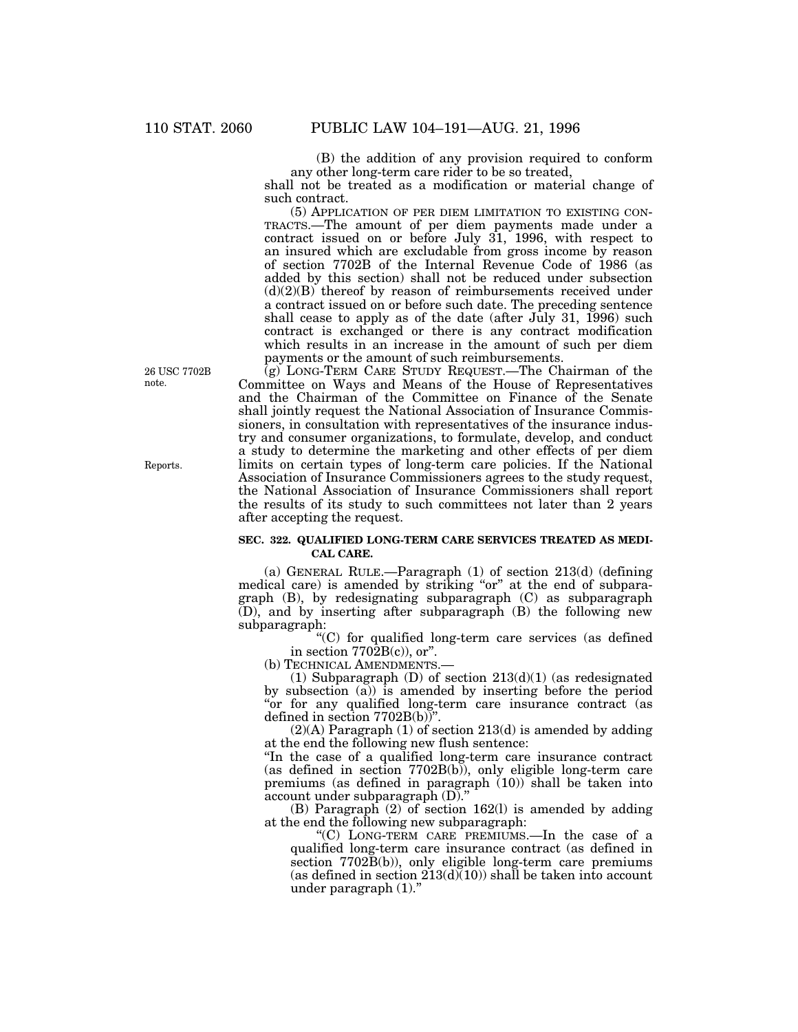(B) the addition of any provision required to conform any other long-term care rider to be so treated,

shall not be treated as a modification or material change of such contract.

(5) APPLICATION OF PER DIEM LIMITATION TO EXISTING CON-TRACTS.—The amount of per diem payments made under a contract issued on or before July 31, 1996, with respect to an insured which are excludable from gross income by reason of section 7702B of the Internal Revenue Code of 1986 (as added by this section) shall not be reduced under subsection  $(d)(2)(B)$  thereof by reason of reimbursements received under a contract issued on or before such date. The preceding sentence shall cease to apply as of the date (after July 31, 1996) such contract is exchanged or there is any contract modification which results in an increase in the amount of such per diem payments or the amount of such reimbursements.

(g) LONG-TERM CARE STUDY REQUEST.—The Chairman of the Committee on Ways and Means of the House of Representatives and the Chairman of the Committee on Finance of the Senate shall jointly request the National Association of Insurance Commissioners, in consultation with representatives of the insurance industry and consumer organizations, to formulate, develop, and conduct a study to determine the marketing and other effects of per diem limits on certain types of long-term care policies. If the National Association of Insurance Commissioners agrees to the study request, the National Association of Insurance Commissioners shall report the results of its study to such committees not later than 2 years after accepting the request.

#### **SEC. 322. QUALIFIED LONG-TERM CARE SERVICES TREATED AS MEDI-CAL CARE.**

(a) GENERAL RULE.—Paragraph (1) of section 213(d) (defining medical care) is amended by striking "or" at the end of subparagraph (B), by redesignating subparagraph (C) as subparagraph (D), and by inserting after subparagraph (B) the following new subparagraph:

''(C) for qualified long-term care services (as defined in section  $770\overline{2}B(c)$ , or".

(b) TECHNICAL AMENDMENTS.—

(1) Subparagraph (D) of section 213(d)(1) (as redesignated by subsection (a)) is amended by inserting before the period ''or for any qualified long-term care insurance contract (as defined in section 7702B(b))''.

 $(2)(A)$  Paragraph  $(1)$  of section  $213(d)$  is amended by adding at the end the following new flush sentence:

''In the case of a qualified long-term care insurance contract (as defined in section  $7702B(b)$ ), only eligible long-term care premiums (as defined in paragraph (10)) shall be taken into account under subparagraph (D).''

(B) Paragraph (2) of section 162(l) is amended by adding at the end the following new subparagraph:

''(C) LONG-TERM CARE PREMIUMS.—In the case of a qualified long-term care insurance contract (as defined in  $section 7702B(b)$ , only eligible long-term care premiums (as defined in section  $213(d)(10)$ ) shall be taken into account under paragraph (1).''

26 USC 7702B note.

Reports.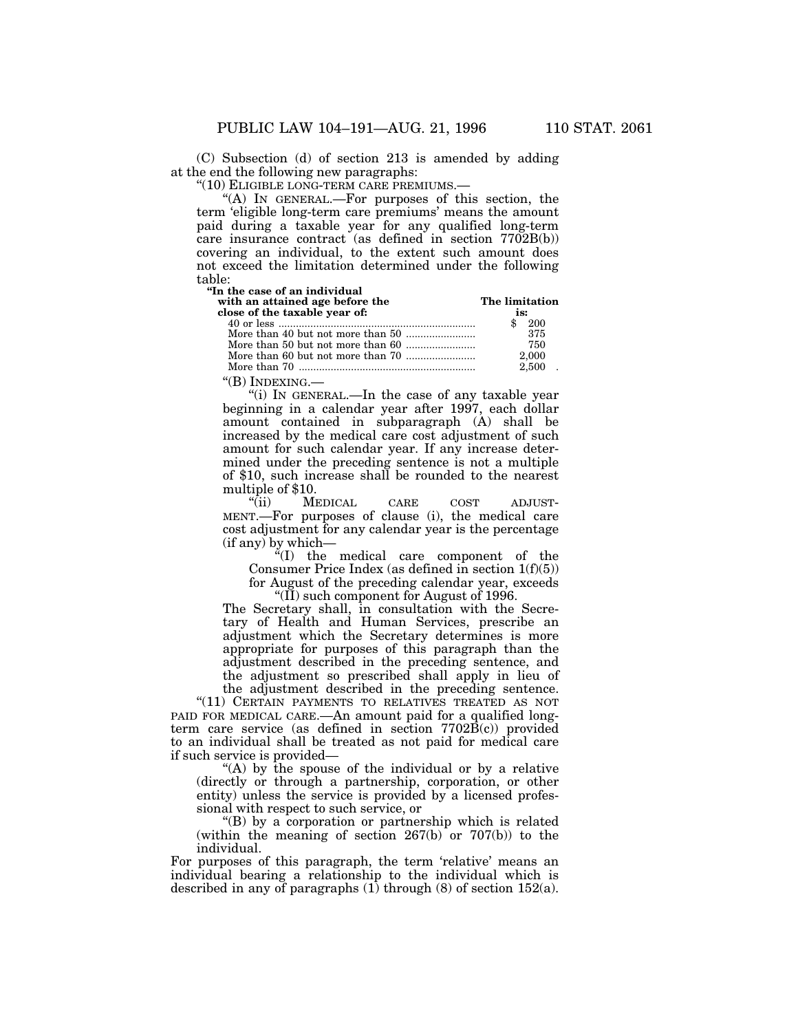(C) Subsection (d) of section 213 is amended by adding at the end the following new paragraphs:

''(10) ELIGIBLE LONG-TERM CARE PREMIUMS.—

''(A) IN GENERAL.—For purposes of this section, the term 'eligible long-term care premiums' means the amount paid during a taxable year for any qualified long-term care insurance contract (as defined in section 7702B(b)) covering an individual, to the extent such amount does not exceed the limitation determined under the following table:<br>"In th

| "In the case of an individual<br>with an attained age before the<br>close of the taxable year of: | The limitation<br>is: |
|---------------------------------------------------------------------------------------------------|-----------------------|
|                                                                                                   | \$ 200                |
|                                                                                                   | 375                   |
|                                                                                                   | 750                   |
|                                                                                                   | 2,000                 |
| More than 70                                                                                      | 2.500                 |
| $\cdots$ $\cdots$                                                                                 |                       |

''(B) INDEXING.—

''(i) IN GENERAL.—In the case of any taxable year beginning in a calendar year after 1997, each dollar amount contained in subparagraph (A) shall be increased by the medical care cost adjustment of such amount for such calendar year. If any increase determined under the preceding sentence is not a multiple of \$10, such increase shall be rounded to the nearest multiple of \$10.

''(ii) MEDICAL CARE COST ADJUST-MENT.—For purposes of clause (i), the medical care cost adjustment for any calendar year is the percentage (if any) by which—

 $\ddot{H}$ (I) the medical care component of the Consumer Price Index (as defined in section  $1(f)(5)$ ) for August of the preceding calendar year, exceeds

" $(\overline{II})$  such component for August of 1996.

The Secretary shall, in consultation with the Secretary of Health and Human Services, prescribe an adjustment which the Secretary determines is more appropriate for purposes of this paragraph than the adjustment described in the preceding sentence, and the adjustment so prescribed shall apply in lieu of the adjustment described in the preceding sentence.

"(11) CERTAIN PAYMENTS TO RELATIVES TREATED AS NOT PAID FOR MEDICAL CARE.—An amount paid for a qualified longterm care service (as defined in section  $7702\overline{B}(c)$ ) provided to an individual shall be treated as not paid for medical care if such service is provided—

"(A) by the spouse of the individual or by a relative (directly or through a partnership, corporation, or other entity) unless the service is provided by a licensed professional with respect to such service, or

''(B) by a corporation or partnership which is related (within the meaning of section 267(b) or 707(b)) to the individual.

For purposes of this paragraph, the term 'relative' means an individual bearing a relationship to the individual which is described in any of paragraphs  $(1)$  through  $(8)$  of section 152 $(a)$ .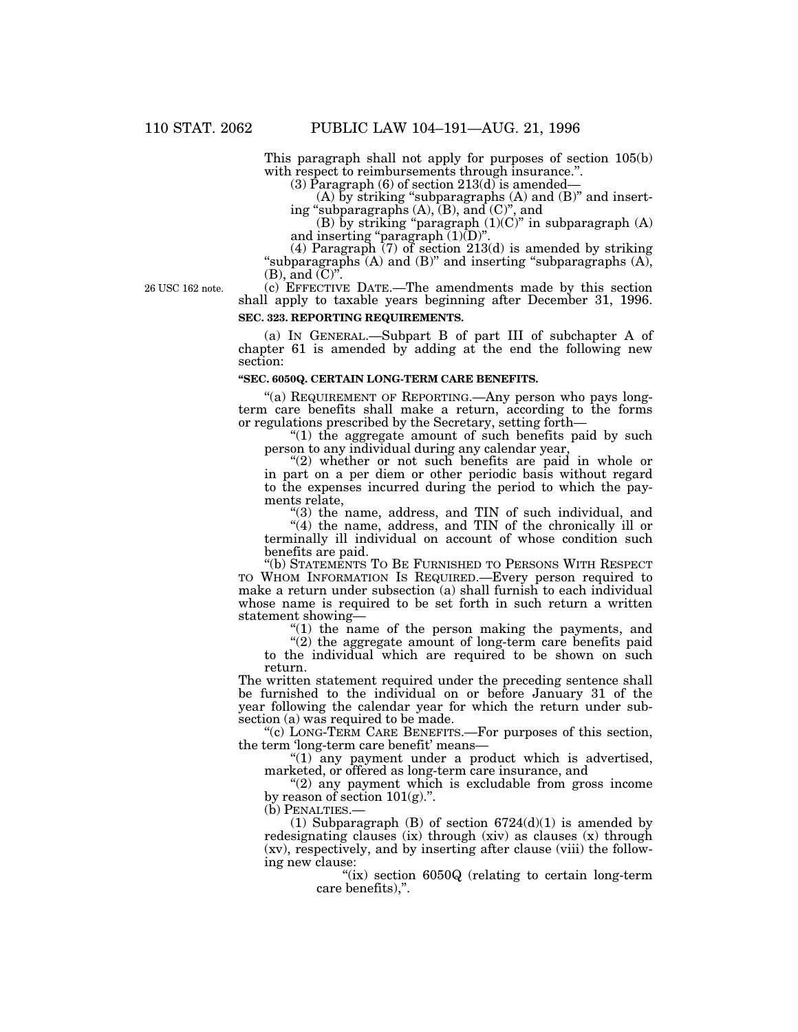This paragraph shall not apply for purposes of section 105(b) with respect to reimbursements through insurance.".

(3) Paragraph (6) of section  $213(d)$  is amended—

(A) by striking "subparagraphs (A) and (B)" and inserting ''subparagraphs (A), (B), and (C)'', and

(B) by striking "paragraph  $(1)(C)$ " in subparagraph  $(A)$ and inserting "paragraph  $(1)(D)$ ".

(4) Paragraph (7) of section 213(d) is amended by striking "subparagraphs  $(A)$  and  $(B)$ " and inserting "subparagraphs  $(A)$ ,  $(B)$ , and  $(C)^{n}$ .

26 USC 162 note.

(c) EFFECTIVE DATE.—The amendments made by this section shall apply to taxable years beginning after December 31, 1996. **SEC. 323. REPORTING REQUIREMENTS.**

(a) IN GENERAL.—Subpart B of part III of subchapter A of chapter 61 is amended by adding at the end the following new section:

#### **''SEC. 6050Q. CERTAIN LONG-TERM CARE BENEFITS.**

"(a) REQUIREMENT OF REPORTING.—Any person who pays longterm care benefits shall make a return, according to the forms or regulations prescribed by the Secretary, setting forth—

"(1) the aggregate amount of such benefits paid by such person to any individual during any calendar year,

"(2) whether or not such benefits are paid in whole or in part on a per diem or other periodic basis without regard to the expenses incurred during the period to which the payments relate,

''(3) the name, address, and TIN of such individual, and

 $''(4)$  the name, address, and TIN of the chronically ill or terminally ill individual on account of whose condition such benefits are paid.

"(b) STATEMENTS TO BE FURNISHED TO PERSONS WITH RESPECT TO WHOM INFORMATION IS REQUIRED.—Every person required to make a return under subsection (a) shall furnish to each individual whose name is required to be set forth in such return a written statement showing—

" $(1)$  the name of the person making the payments, and

''(2) the aggregate amount of long-term care benefits paid to the individual which are required to be shown on such return.

The written statement required under the preceding sentence shall be furnished to the individual on or before January 31 of the year following the calendar year for which the return under subsection (a) was required to be made.

''(c) LONG-TERM CARE BENEFITS.—For purposes of this section, the term 'long-term care benefit' means—

" $(1)$  any payment under a product which is advertised, marketed, or offered as long-term care insurance, and

"(2) any payment which is excludable from gross income by reason of section 101(g).".<br>(b) PENALTIES.—

(1) Subparagraph (B) of section  $6724(d)(1)$  is amended by redesignating clauses (ix) through (xiv) as clauses (x) through (xv), respectively, and by inserting after clause (viii) the following new clause:

"(ix) section 6050Q (relating to certain long-term care benefits),''.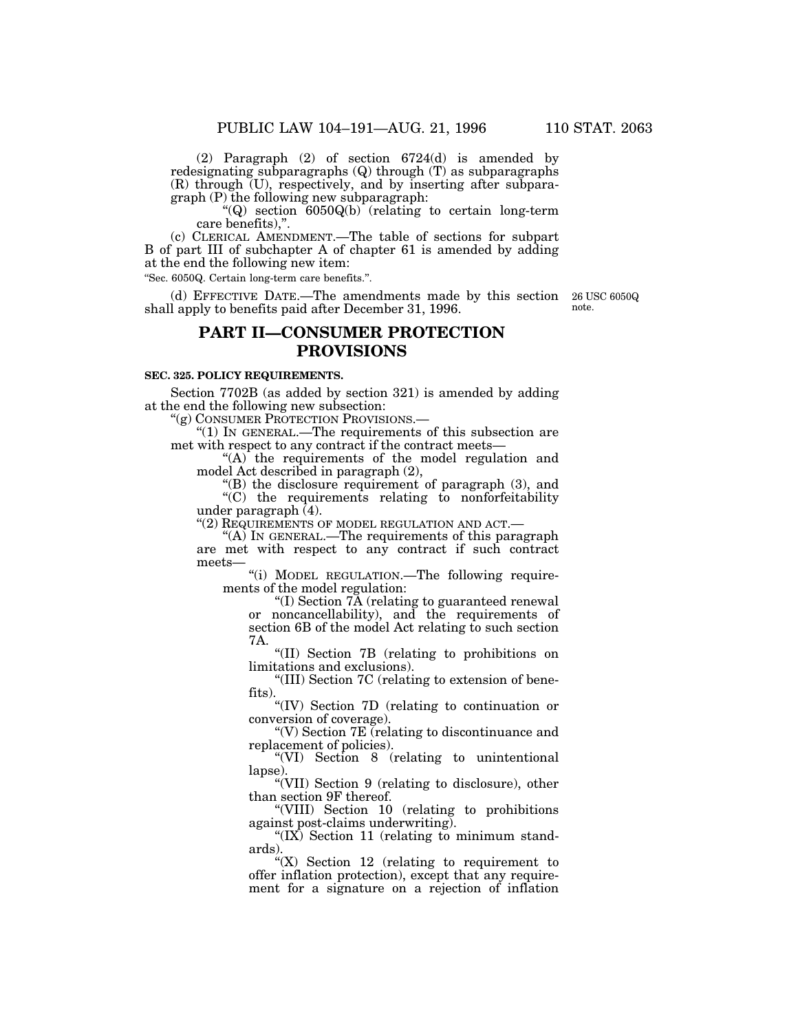(2) Paragraph (2) of section 6724(d) is amended by redesignating subparagraphs (Q) through (T) as subparagraphs (R) through (U), respectively, and by inserting after subparagraph (P) the following new subparagraph:

''(Q) section 6050Q(b) (relating to certain long-term care benefits),''.

(c) CLERICAL AMENDMENT.—The table of sections for subpart B of part III of subchapter A of chapter 61 is amended by adding at the end the following new item:

''Sec. 6050Q. Certain long-term care benefits.''.

(d) EFFECTIVE DATE.—The amendments made by this section 26 USC 6050Q shall apply to benefits paid after December 31, 1996. note.

## **PART II—CONSUMER PROTECTION PROVISIONS**

#### **SEC. 325. POLICY REQUIREMENTS.**

Section 7702B (as added by section 321) is amended by adding at the end the following new subsection:

''(g) CONSUMER PROTECTION PROVISIONS.—

" $(1)$  In GENERAL.—The requirements of this subsection are met with respect to any contract if the contract meets—

 $(A)$  the requirements of the model regulation and model Act described in paragraph (2),

''(B) the disclosure requirement of paragraph (3), and ''(C) the requirements relating to nonforfeitability under paragraph (4).

"(2) REQUIREMENTS OF MODEL REGULATION AND ACT.

"(A) IN GENERAL.—The requirements of this paragraph are met with respect to any contract if such contract meets—

''(i) MODEL REGULATION.—The following requirements of the model regulation:

''(I) Section 7A (relating to guaranteed renewal or noncancellability), and the requirements of section 6B of the model Act relating to such section 7A.

''(II) Section 7B (relating to prohibitions on limitations and exclusions).

''(III) Section 7C (relating to extension of benefits).

''(IV) Section 7D (relating to continuation or conversion of coverage).

''(V) Section 7E (relating to discontinuance and replacement of policies).

''(VI) Section 8 (relating to unintentional lapse).

''(VII) Section 9 (relating to disclosure), other than section 9F thereof.

''(VIII) Section 10 (relating to prohibitions against post-claims underwriting).

" $(IX)$  Section 11 (relating to minimum standards).

"(X) Section  $12$  (relating to requirement to offer inflation protection), except that any requirement for a signature on a rejection of inflation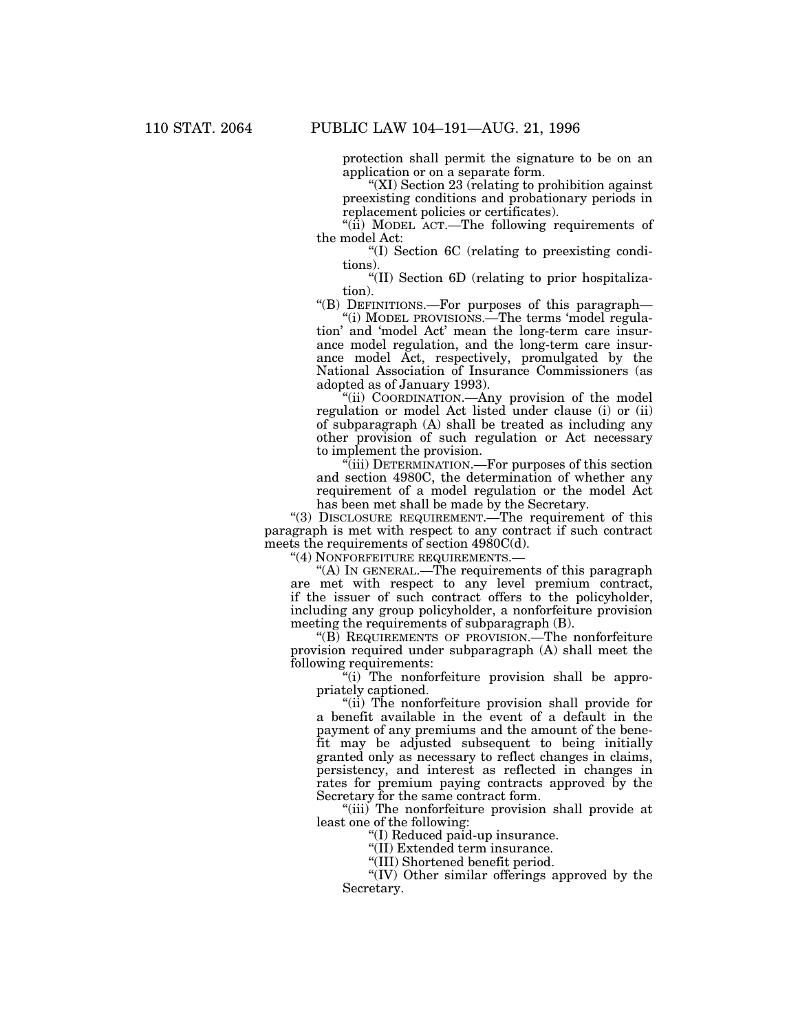protection shall permit the signature to be on an application or on a separate form.

''(XI) Section 23 (relating to prohibition against preexisting conditions and probationary periods in replacement policies or certificates).

"(ii) MODEL ACT.—The following requirements of the model Act:

''(I) Section 6C (relating to preexisting conditions).

''(II) Section 6D (relating to prior hospitalization).

''(B) DEFINITIONS.—For purposes of this paragraph—

"(i) MODEL PROVISIONS.—The terms 'model regulation' and 'model Act' mean the long-term care insurance model regulation, and the long-term care insurance model Act, respectively, promulgated by the National Association of Insurance Commissioners (as adopted as of January 1993).

"(ii) COORDINATION.—Any provision of the model regulation or model Act listed under clause (i) or (ii) of subparagraph (A) shall be treated as including any other provision of such regulation or Act necessary to implement the provision.

''(iii) DETERMINATION.—For purposes of this section and section 4980C, the determination of whether any requirement of a model regulation or the model Act has been met shall be made by the Secretary.

"(3) DISCLOSURE REQUIREMENT.—The requirement of this paragraph is met with respect to any contract if such contract meets the requirements of section 4980C(d).

''(4) NONFORFEITURE REQUIREMENTS.—

"(A) In GENERAL.—The requirements of this paragraph are met with respect to any level premium contract, if the issuer of such contract offers to the policyholder, including any group policyholder, a nonforfeiture provision meeting the requirements of subparagraph (B).

"(B) REQUIREMENTS OF PROVISION.—The nonforfeiture provision required under subparagraph (A) shall meet the following requirements:

''(i) The nonforfeiture provision shall be appropriately captioned.

''(ii) The nonforfeiture provision shall provide for a benefit available in the event of a default in the payment of any premiums and the amount of the benefit may be adjusted subsequent to being initially granted only as necessary to reflect changes in claims, persistency, and interest as reflected in changes in rates for premium paying contracts approved by the Secretary for the same contract form.

"(iii) The nonforfeiture provision shall provide at least one of the following:

''(I) Reduced paid-up insurance.

''(II) Extended term insurance.

''(III) Shortened benefit period.

''(IV) Other similar offerings approved by the Secretary.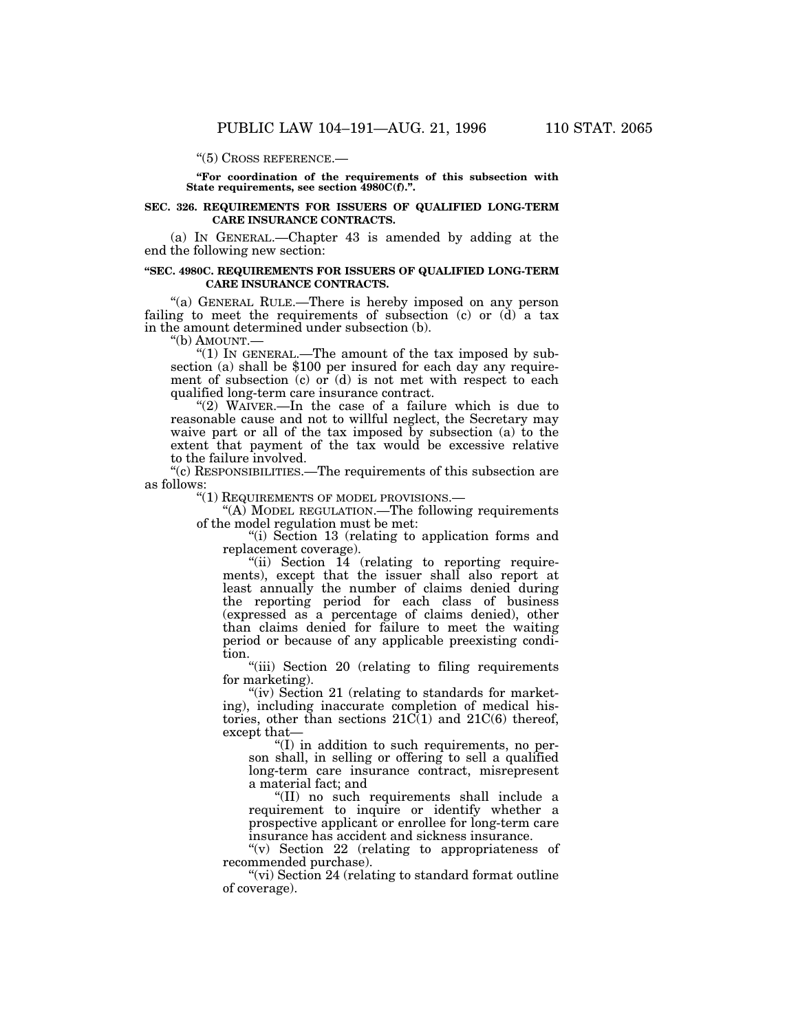''(5) CROSS REFERENCE.—

**''For coordination of the requirements of this subsection with State requirements, see section 4980C(f).''.**

#### **SEC. 326. REQUIREMENTS FOR ISSUERS OF QUALIFIED LONG-TERM CARE INSURANCE CONTRACTS.**

(a) IN GENERAL.—Chapter 43 is amended by adding at the end the following new section:

#### **''SEC. 4980C. REQUIREMENTS FOR ISSUERS OF QUALIFIED LONG-TERM CARE INSURANCE CONTRACTS.**

"(a) GENERAL RULE.—There is hereby imposed on any person failing to meet the requirements of subsection (c) or  $(d)$  a tax in the amount determined under subsection (b).

''(b) AMOUNT.—

"(1) In GENERAL.—The amount of the tax imposed by subsection (a) shall be \$100 per insured for each day any requirement of subsection (c) or (d) is not met with respect to each qualified long-term care insurance contract.

"(2) WAIVER.—In the case of a failure which is due to reasonable cause and not to willful neglect, the Secretary may waive part or all of the tax imposed by subsection (a) to the extent that payment of the tax would be excessive relative to the failure involved.

"(c) RESPONSIBILITIES.—The requirements of this subsection are as follows:

''(1) REQUIREMENTS OF MODEL PROVISIONS.—

"(A) MODEL REGULATION.—The following requirements of the model regulation must be met:

''(i) Section 13 (relating to application forms and replacement coverage).

"(ii) Section 14 (relating to reporting requirements), except that the issuer shall also report at least annually the number of claims denied during the reporting period for each class of business (expressed as a percentage of claims denied), other than claims denied for failure to meet the waiting period or because of any applicable preexisting condition.

"(iii) Section 20 (relating to filing requirements for marketing).

" $(iv)$  Section 21 (relating to standards for marketing), including inaccurate completion of medical histories, other than sections  $21C(1)$  and  $21C(6)$  thereof, except that—

''(I) in addition to such requirements, no person shall, in selling or offering to sell a qualified long-term care insurance contract, misrepresent a material fact; and

''(II) no such requirements shall include a requirement to inquire or identify whether a prospective applicant or enrollee for long-term care insurance has accident and sickness insurance.

''(v) Section 22 (relating to appropriateness of recommended purchase).

"(vi) Section 24 (relating to standard format outline of coverage).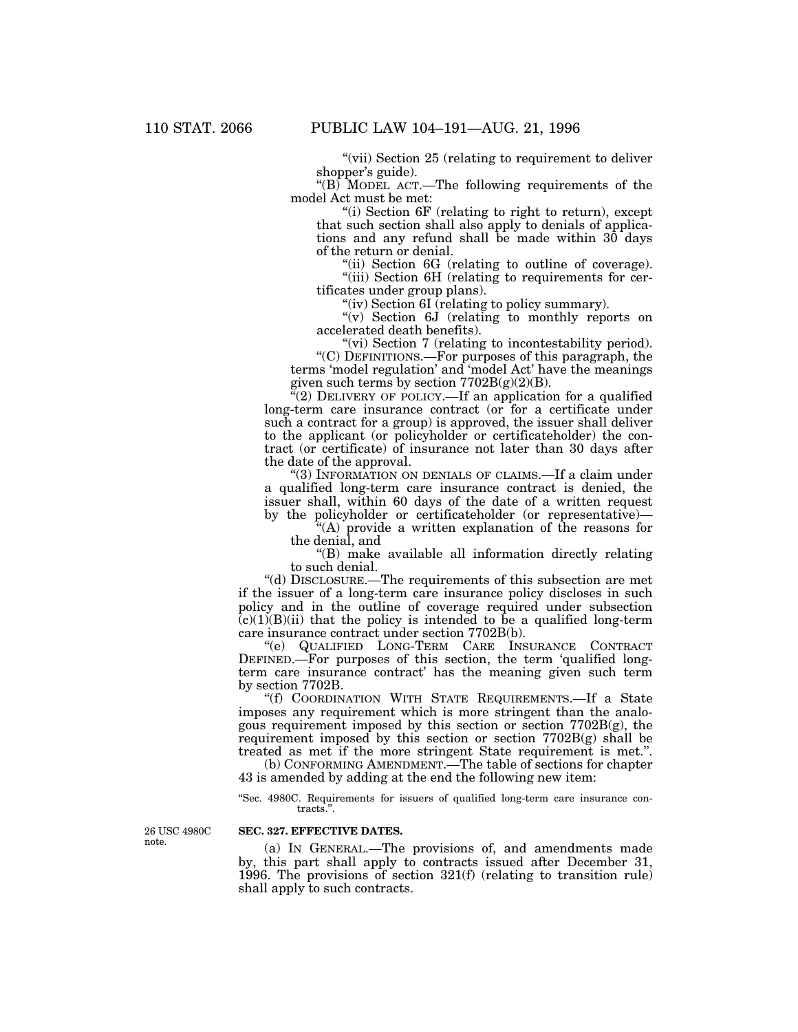"(vii) Section 25 (relating to requirement to deliver shopper's guide).

"(B) MODEL ACT.—The following requirements of the model Act must be met:

''(i) Section 6F (relating to right to return), except that such section shall also apply to denials of applications and any refund shall be made within  $30^{\circ}$  days of the return or denial.

"(ii) Section 6G (relating to outline of coverage).

"(iii) Section 6H (relating to requirements for certificates under group plans).

"(iv) Section 6I (relating to policy summary).

''(v) Section 6J (relating to monthly reports on accelerated death benefits).

"(vi) Section 7 (relating to incontestability period). ''(C) DEFINITIONS.—For purposes of this paragraph, the terms 'model regulation' and 'model Act' have the meanings given such terms by section  $7702B(g)(2)(B)$ .

 $\tilde{H}(2)$  DELIVERY OF POLICY.—If an application for a qualified long-term care insurance contract (or for a certificate under such a contract for a group) is approved, the issuer shall deliver to the applicant (or policyholder or certificateholder) the contract (or certificate) of insurance not later than 30 days after the date of the approval.

"(3) INFORMATION ON DENIALS OF CLAIMS.—If a claim under a qualified long-term care insurance contract is denied, the issuer shall, within 60 days of the date of a written request by the policyholder or certificateholder (or representative)—

 $(A)$  provide a written explanation of the reasons for the denial, and

''(B) make available all information directly relating to such denial.

''(d) DISCLOSURE.—The requirements of this subsection are met if the issuer of a long-term care insurance policy discloses in such policy and in the outline of coverage required under subsection  $(c)(1)(B)(ii)$  that the policy is intended to be a qualified long-term care insurance contract under section 7702B(b).

''(e) QUALIFIED LONG-TERM CARE INSURANCE CONTRACT DEFINED.—For purposes of this section, the term 'qualified longterm care insurance contract' has the meaning given such term by section 7702B.

''(f) COORDINATION WITH STATE REQUIREMENTS.—If a State imposes any requirement which is more stringent than the analogous requirement imposed by this section or section 7702B(g), the requirement imposed by this section or section 7702B(g) shall be treated as met if the more stringent State requirement is met.''.

(b) CONFORMING AMENDMENT.—The table of sections for chapter 43 is amended by adding at the end the following new item:

''Sec. 4980C. Requirements for issuers of qualified long-term care insurance contracts.''.

26 USC 4980C note.

### **SEC. 327. EFFECTIVE DATES.**

(a) IN GENERAL.—The provisions of, and amendments made by, this part shall apply to contracts issued after December 31, 1996. The provisions of section 321(f) (relating to transition rule) shall apply to such contracts.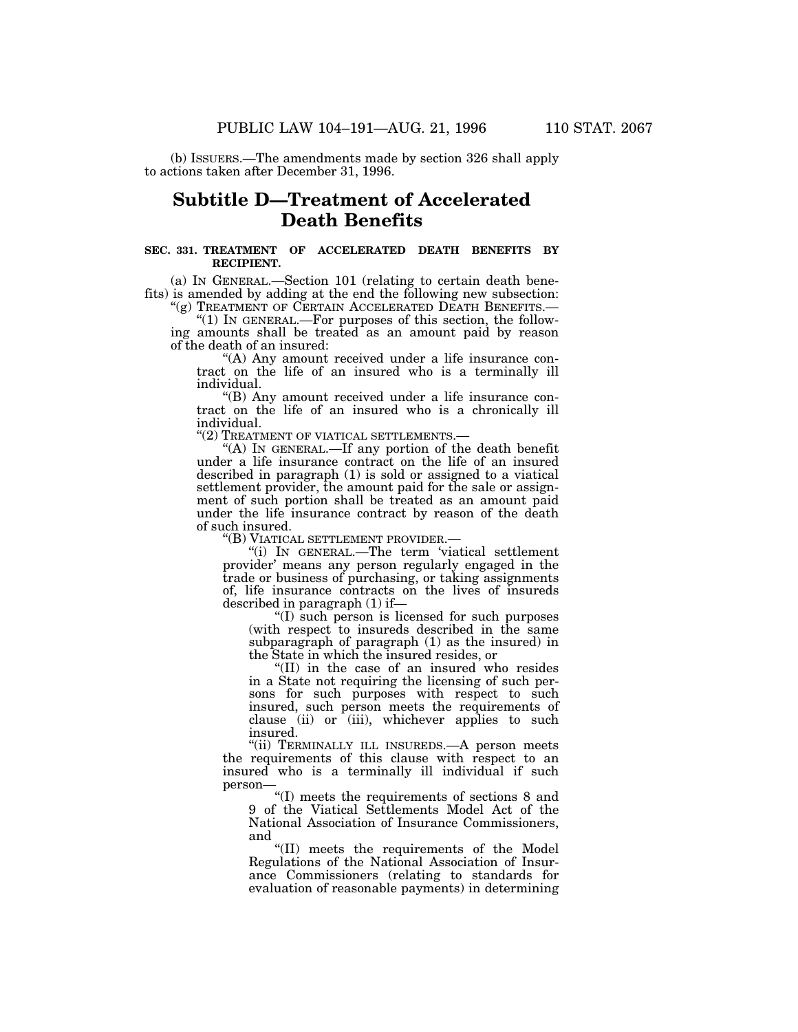(b) ISSUERS.—The amendments made by section 326 shall apply to actions taken after December 31, 1996.

# **Subtitle D—Treatment of Accelerated Death Benefits**

### **SEC. 331. TREATMENT OF ACCELERATED DEATH BENEFITS BY RECIPIENT.**

(a) IN GENERAL.—Section 101 (relating to certain death benefits) is amended by adding at the end the following new subsection:

" $(1)$  IN GENERAL.—For purposes of this section, the following amounts shall be treated as an amount paid by reason of the death of an insured:

"(A) Any amount received under a life insurance contract on the life of an insured who is a terminally ill individual.

''(B) Any amount received under a life insurance contract on the life of an insured who is a chronically ill individual.<br>"(2) Treatment of viatical settlements.—

"(A) IN GENERAL.—If any portion of the death benefit under a life insurance contract on the life of an insured described in paragraph (1) is sold or assigned to a viatical settlement provider, the amount paid for the sale or assignment of such portion shall be treated as an amount paid under the life insurance contract by reason of the death of such insured.

''(B) VIATICAL SETTLEMENT PROVIDER.— ''(i) IN GENERAL.—The term 'viatical settlement provider' means any person regularly engaged in the trade or business of purchasing, or taking assignments of, life insurance contracts on the lives of insureds described in paragraph (1) if—

''(I) such person is licensed for such purposes (with respect to insureds described in the same subparagraph of paragraph (1) as the insured) in the State in which the insured resides, or

''(II) in the case of an insured who resides in a State not requiring the licensing of such persons for such purposes with respect to such insured, such person meets the requirements of clause (ii) or (iii), whichever applies to such insured.

"(ii) TERMINALLY ILL INSUREDS.—A person meets the requirements of this clause with respect to an insured who is a terminally ill individual if such person—

''(I) meets the requirements of sections 8 and 9 of the Viatical Settlements Model Act of the National Association of Insurance Commissioners, and

''(II) meets the requirements of the Model Regulations of the National Association of Insurance Commissioners (relating to standards for evaluation of reasonable payments) in determining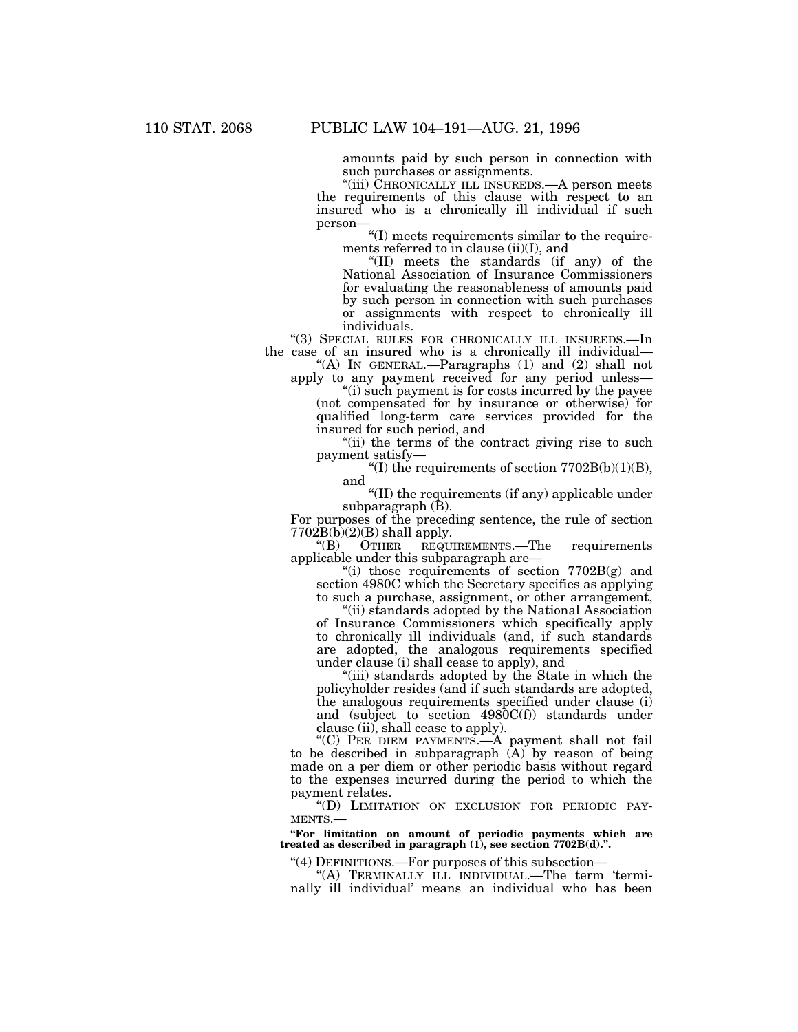amounts paid by such person in connection with such purchases or assignments.

"(iii) CHRONICALLY ILL INSUREDS.—A person meets the requirements of this clause with respect to an insured who is a chronically ill individual if such person—

''(I) meets requirements similar to the requirements referred to in clause (ii)(I), and

''(II) meets the standards (if any) of the National Association of Insurance Commissioners for evaluating the reasonableness of amounts paid by such person in connection with such purchases or assignments with respect to chronically ill individuals.

''(3) SPECIAL RULES FOR CHRONICALLY ILL INSUREDS.—In the case of an insured who is a chronically ill individual—

"(A) IN GENERAL.—Paragraphs (1) and (2) shall not apply to any payment received for any period unless—

''(i) such payment is for costs incurred by the payee (not compensated for by insurance or otherwise) for qualified long-term care services provided for the insured for such period, and

"(ii) the terms of the contract giving rise to such payment satisfy—

"(I) the requirements of section  $7702B(b)(1)(B)$ , and

''(II) the requirements (if any) applicable under subparagraph (B).

For purposes of the preceding sentence, the rule of section  $7702B(b)(2)(B)$  shall apply.<br>"(B) OTHER REQU

OTHER REQUIREMENTS.—The requirements applicable under this subparagraph are—

"(i) those requirements of section  $7702B(g)$  and section 4980C which the Secretary specifies as applying to such a purchase, assignment, or other arrangement,

"(ii) standards adopted by the National Association of Insurance Commissioners which specifically apply to chronically ill individuals (and, if such standards are adopted, the analogous requirements specified under clause (i) shall cease to apply), and

''(iii) standards adopted by the State in which the policyholder resides (and if such standards are adopted, the analogous requirements specified under clause (i) and (subject to section 4980C(f)) standards under clause (ii), shall cease to apply).

''(C) PER DIEM PAYMENTS.—A payment shall not fail to be described in subparagraph (A) by reason of being made on a per diem or other periodic basis without regard to the expenses incurred during the period to which the payment relates.

''(D) LIMITATION ON EXCLUSION FOR PERIODIC PAY- MENTS.—

**''For limitation on amount of periodic payments which are treated as described in paragraph (1), see section 7702B(d).''.**

"(4) DEFINITIONS.—For purposes of this subsection—

"(A) TERMINALLY ILL INDIVIDUAL.—The term 'terminally ill individual' means an individual who has been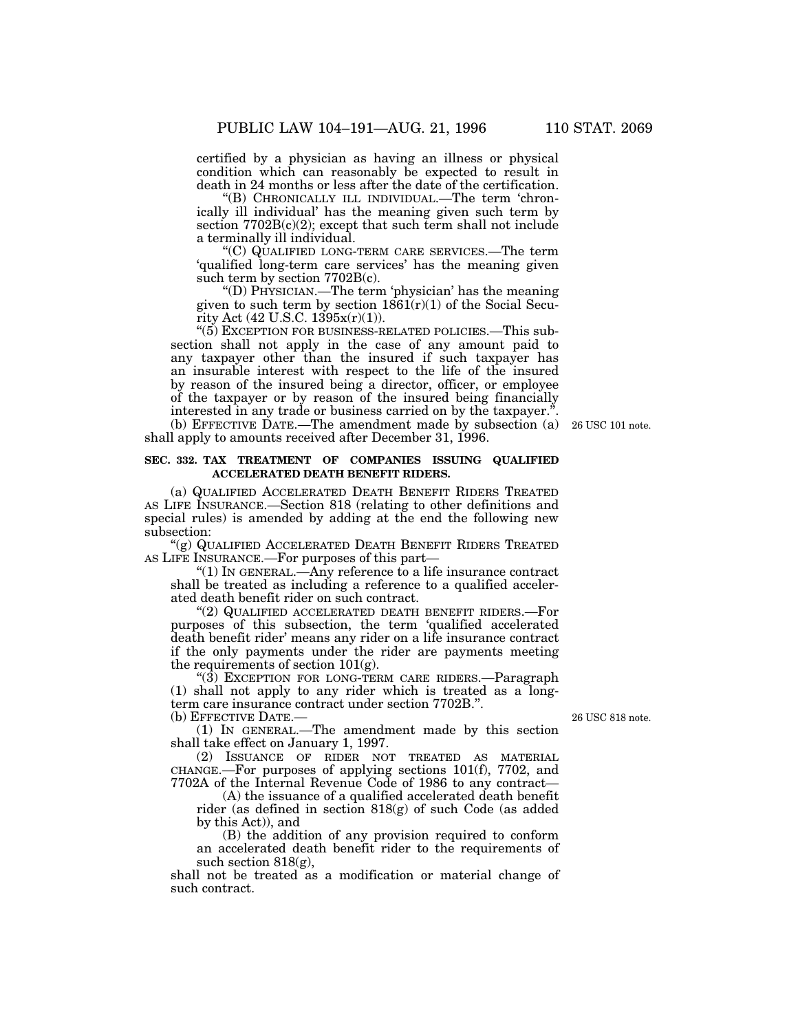certified by a physician as having an illness or physical condition which can reasonably be expected to result in death in 24 months or less after the date of the certification.

''(B) CHRONICALLY ILL INDIVIDUAL.—The term 'chronically ill individual' has the meaning given such term by section  $7702B(c)(2)$ ; except that such term shall not include a terminally ill individual.

''(C) QUALIFIED LONG-TERM CARE SERVICES.—The term 'qualified long-term care services' has the meaning given such term by section 7702B(c).

''(D) PHYSICIAN.—The term 'physician' has the meaning given to such term by section  $1861(r)(1)$  of the Social Security Act (42 U.S.C. 1395x(r)(1)).

''(5) EXCEPTION FOR BUSINESS-RELATED POLICIES.—This subsection shall not apply in the case of any amount paid to any taxpayer other than the insured if such taxpayer has an insurable interest with respect to the life of the insured by reason of the insured being a director, officer, or employee of the taxpayer or by reason of the insured being financially interested in any trade or business carried on by the taxpayer.''. (b) EFFECTIVE DATE.—The amendment made by subsection (a) 26 USC 101 note.

shall apply to amounts received after December 31, 1996.

### **SEC. 332. TAX TREATMENT OF COMPANIES ISSUING QUALIFIED ACCELERATED DEATH BENEFIT RIDERS.**

(a) QUALIFIED ACCELERATED DEATH BENEFIT RIDERS TREATED AS LIFE INSURANCE.—Section 818 (relating to other definitions and special rules) is amended by adding at the end the following new subsection:

''(g) QUALIFIED ACCELERATED DEATH BENEFIT RIDERS TREATED AS LIFE INSURANCE.—For purposes of this part—

''(1) IN GENERAL.—Any reference to a life insurance contract shall be treated as including a reference to a qualified accelerated death benefit rider on such contract.

"(2) QUALIFIED ACCELERATED DEATH BENEFIT RIDERS.—For purposes of this subsection, the term 'qualified accelerated death benefit rider' means any rider on a life insurance contract if the only payments under the rider are payments meeting the requirements of section 101(g).

" $(3)$  EXCEPTION FOR LONG-TERM CARE RIDERS.—Paragraph (1) shall not apply to any rider which is treated as a longterm care insurance contract under section 7702B.''. (b) EFFECTIVE DATE.—

(1) IN GENERAL.—The amendment made by this section shall take effect on January 1, 1997.

(2) ISSUANCE OF RIDER NOT TREATED AS MATERIAL CHANGE.—For purposes of applying sections 101(f), 7702, and 7702A of the Internal Revenue Code of 1986 to any contract—

(A) the issuance of a qualified accelerated death benefit rider (as defined in section 818(g) of such Code (as added by this Act)), and

(B) the addition of any provision required to conform an accelerated death benefit rider to the requirements of such section  $818(g)$ ,

shall not be treated as a modification or material change of such contract.

26 USC 818 note.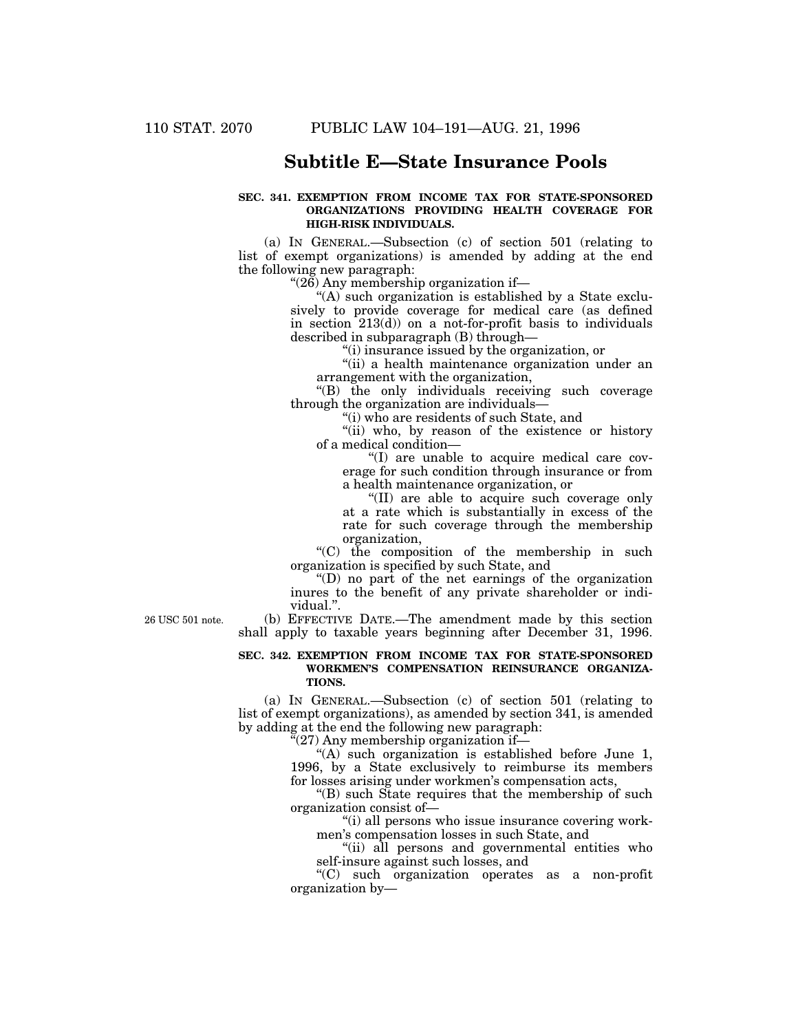## **Subtitle E—State Insurance Pools**

#### **SEC. 341. EXEMPTION FROM INCOME TAX FOR STATE-SPONSORED ORGANIZATIONS PROVIDING HEALTH COVERAGE FOR HIGH-RISK INDIVIDUALS.**

(a) IN GENERAL.—Subsection (c) of section 501 (relating to list of exempt organizations) is amended by adding at the end the following new paragraph:

 $\degree$ (26) Any membership organization if—

''(A) such organization is established by a State exclusively to provide coverage for medical care (as defined in section  $213(d)$  on a not-for-profit basis to individuals described in subparagraph (B) through—

''(i) insurance issued by the organization, or

''(ii) a health maintenance organization under an arrangement with the organization,

''(B) the only individuals receiving such coverage through the organization are individuals—

''(i) who are residents of such State, and

"(ii) who, by reason of the existence or history" of a medical condition—

''(I) are unable to acquire medical care coverage for such condition through insurance or from a health maintenance organization, or

''(II) are able to acquire such coverage only at a rate which is substantially in excess of the rate for such coverage through the membership organization,

''(C) the composition of the membership in such organization is specified by such State, and

''(D) no part of the net earnings of the organization inures to the benefit of any private shareholder or individual.''.

(b) EFFECTIVE DATE.—The amendment made by this section shall apply to taxable years beginning after December 31, 1996.

#### **SEC. 342. EXEMPTION FROM INCOME TAX FOR STATE-SPONSORED WORKMEN'S COMPENSATION REINSURANCE ORGANIZA-TIONS.**

(a) IN GENERAL.—Subsection (c) of section 501 (relating to list of exempt organizations), as amended by section 341, is amended by adding at the end the following new paragraph:

 $\sqrt{27}$  Any membership organization if-

"(A) such organization is established before June 1, 1996, by a State exclusively to reimburse its members for losses arising under workmen's compensation acts,

''(B) such State requires that the membership of such organization consist of—

''(i) all persons who issue insurance covering workmen's compensation losses in such State, and

''(ii) all persons and governmental entities who self-insure against such losses, and

''(C) such organization operates as a non-profit organization by—

26 USC 501 note.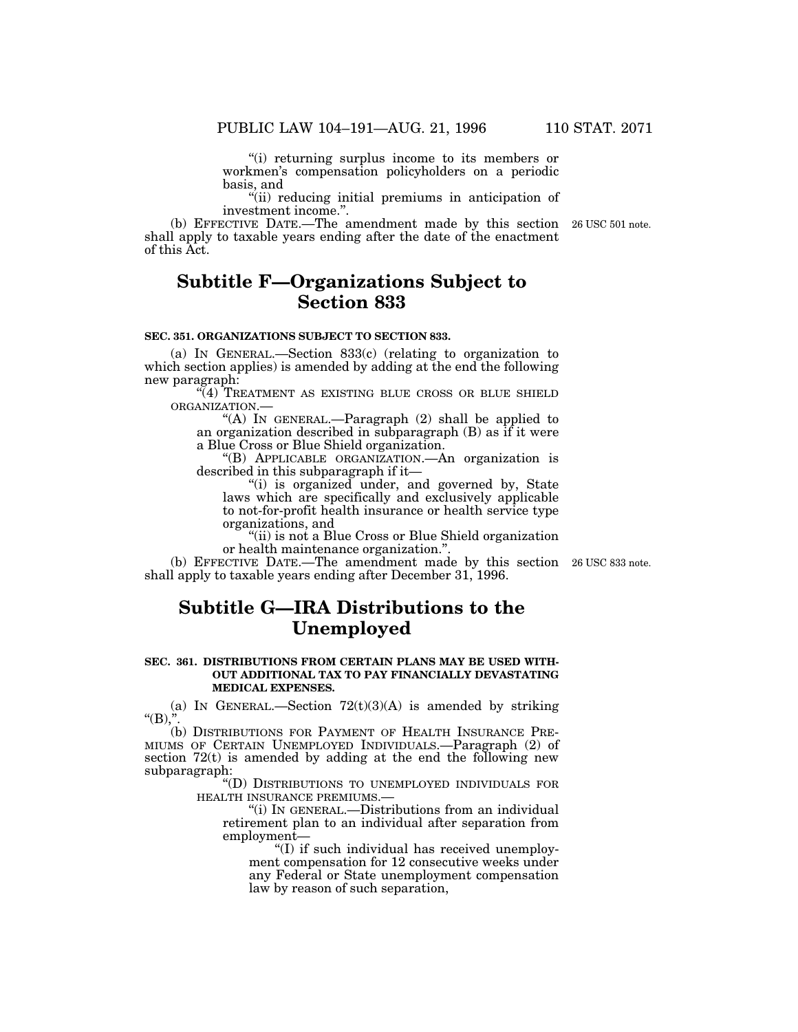''(i) returning surplus income to its members or workmen's compensation policyholders on a periodic basis, and

''(ii) reducing initial premiums in anticipation of investment income.''.

(b) EFFECTIVE DATE.—The amendment made by this section 26 USC 501 note.shall apply to taxable years ending after the date of the enactment of this Act.

# **Subtitle F—Organizations Subject to Section 833**

### **SEC. 351. ORGANIZATIONS SUBJECT TO SECTION 833.**

(a) IN GENERAL.—Section 833(c) (relating to organization to which section applies) is amended by adding at the end the following new paragraph:

''(4) TREATMENT AS EXISTING BLUE CROSS OR BLUE SHIELD ORGANIZATION.—

''(A) IN GENERAL.—Paragraph (2) shall be applied to an organization described in subparagraph (B) as if it were a Blue Cross or Blue Shield organization.

''(B) APPLICABLE ORGANIZATION.—An organization is described in this subparagraph if it—

''(i) is organized under, and governed by, State laws which are specifically and exclusively applicable to not-for-profit health insurance or health service type organizations, and

''(ii) is not a Blue Cross or Blue Shield organization or health maintenance organization.''.

(b) EFFECTIVE DATE.—The amendment made by this section 26 USC 833 note. shall apply to taxable years ending after December 31, 1996.

# **Subtitle G—IRA Distributions to the Unemployed**

### **SEC. 361. DISTRIBUTIONS FROM CERTAIN PLANS MAY BE USED WITH-OUT ADDITIONAL TAX TO PAY FINANCIALLY DEVASTATING MEDICAL EXPENSES.**

(a) IN GENERAL.—Section  $72(t)(3)(A)$  is amended by striking " $(B)$ ,".

(b) DISTRIBUTIONS FOR PAYMENT OF HEALTH INSURANCE PRE-MIUMS OF CERTAIN UNEMPLOYED INDIVIDUALS.—Paragraph (2) of section 72(t) is amended by adding at the end the following new subparagraph:

> ''(D) DISTRIBUTIONS TO UNEMPLOYED INDIVIDUALS FOR HEALTH INSURANCE PREMIUMS.—

''(i) IN GENERAL.—Distributions from an individual retirement plan to an individual after separation from employment—

''(I) if such individual has received unemployment compensation for 12 consecutive weeks under any Federal or State unemployment compensation law by reason of such separation,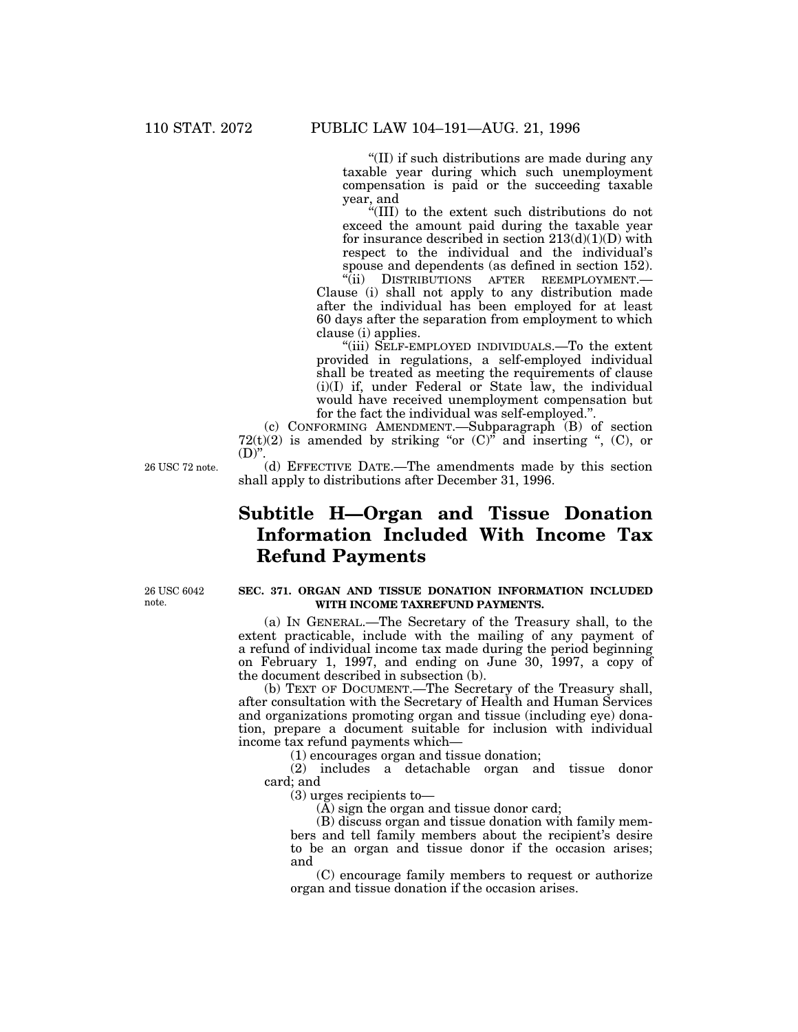''(II) if such distributions are made during any taxable year during which such unemployment compensation is paid or the succeeding taxable year, and

''(III) to the extent such distributions do not exceed the amount paid during the taxable year for insurance described in section  $213(d)(1)(D)$  with respect to the individual and the individual's spouse and dependents (as defined in section 152). ''(ii) DISTRIBUTIONS AFTER REEMPLOYMENT.—

Clause (i) shall not apply to any distribution made after the individual has been employed for at least 60 days after the separation from employment to which clause (i) applies.

''(iii) SELF-EMPLOYED INDIVIDUALS.—To the extent provided in regulations, a self-employed individual shall be treated as meeting the requirements of clause (i)(I) if, under Federal or State law, the individual would have received unemployment compensation but for the fact the individual was self-employed.''.

(c) CONFORMING AMENDMENT.—Subparagraph (B) of section  $72(t)(2)$  is amended by striking "or  $(C)$ " and inserting ",  $(C)$ , or  $(D)$ ".

26 USC 72 note.

(d) EFFECTIVE DATE.—The amendments made by this section shall apply to distributions after December 31, 1996.

# **Subtitle H—Organ and Tissue Donation Information Included With Income Tax Refund Payments**

26 USC 6042 note.

#### **SEC. 371. ORGAN AND TISSUE DONATION INFORMATION INCLUDED WITH INCOME TAXREFUND PAYMENTS.**

(a) IN GENERAL.—The Secretary of the Treasury shall, to the extent practicable, include with the mailing of any payment of a refund of individual income tax made during the period beginning on February 1, 1997, and ending on June 30, 1997, a copy of the document described in subsection (b).

(b) TEXT OF DOCUMENT.—The Secretary of the Treasury shall, after consultation with the Secretary of Health and Human Services and organizations promoting organ and tissue (including eye) donation, prepare a document suitable for inclusion with individual income tax refund payments which—

(1) encourages organ and tissue donation;

(2) includes a detachable organ and tissue donor card; and

(3) urges recipients to—

 $(\overline{A})$  sign the organ and tissue donor card;

(B) discuss organ and tissue donation with family members and tell family members about the recipient's desire to be an organ and tissue donor if the occasion arises; and

(C) encourage family members to request or authorize organ and tissue donation if the occasion arises.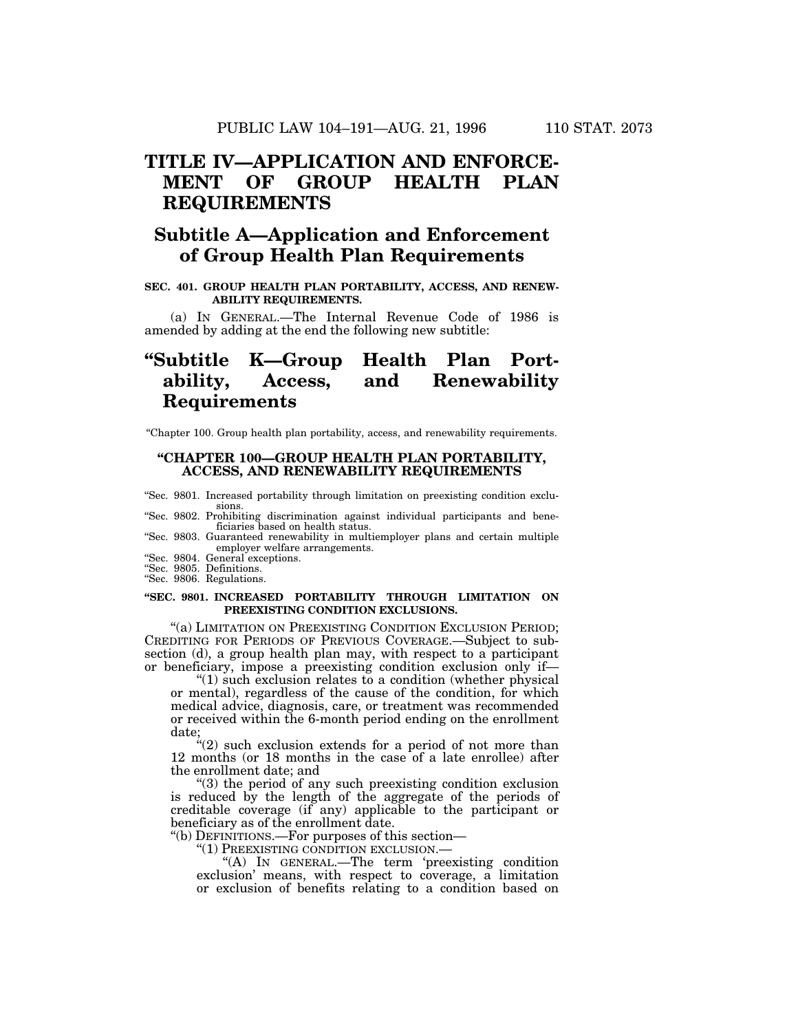# **TITLE IV—APPLICATION AND ENFORCE-MENT OF GROUP HEALTH PLAN REQUIREMENTS**

# **Subtitle A—Application and Enforcement of Group Health Plan Requirements**

### **SEC. 401. GROUP HEALTH PLAN PORTABILITY, ACCESS, AND RENEW-ABILITY REQUIREMENTS.**

(a) IN GENERAL.—The Internal Revenue Code of 1986 is amended by adding at the end the following new subtitle:

# **''Subtitle K—Group Health Plan Portability, Access, and Renewability Requirements**

''Chapter 100. Group health plan portability, access, and renewability requirements.

### **''CHAPTER 100—GROUP HEALTH PLAN PORTABILITY, ACCESS, AND RENEWABILITY REQUIREMENTS**

- ''Sec. 9801. Increased portability through limitation on preexisting condition exclusions.
- ''Sec. 9802. Prohibiting discrimination against individual participants and beneficiaries based on health status.
- ''Sec. 9803. Guaranteed renewability in multiemployer plans and certain multiple employer welfare arrangements.
- ''Sec. 9804. General exceptions.
- ''Sec. 9805. Definitions. ''Sec. 9806. Regulations.

#### **''SEC. 9801. INCREASED PORTABILITY THROUGH LIMITATION ON PREEXISTING CONDITION EXCLUSIONS.**

''(a) LIMITATION ON PREEXISTING CONDITION EXCLUSION PERIOD; CREDITING FOR PERIODS OF PREVIOUS COVERAGE.—Subject to subsection (d), a group health plan may, with respect to a participant or beneficiary, impose a preexisting condition exclusion only if—

''(1) such exclusion relates to a condition (whether physical or mental), regardless of the cause of the condition, for which medical advice, diagnosis, care, or treatment was recommended or received within the 6-month period ending on the enrollment date;

 $f''(2)$  such exclusion extends for a period of not more than 12 months (or 18 months in the case of a late enrollee) after the enrollment date; and

''(3) the period of any such preexisting condition exclusion is reduced by the length of the aggregate of the periods of creditable coverage (if any) applicable to the participant or beneficiary as of the enrollment date.

''(b) DEFINITIONS.—For purposes of this section—

''(1) PREEXISTING CONDITION EXCLUSION.—

''(A) IN GENERAL.—The term 'preexisting condition exclusion' means, with respect to coverage, a limitation or exclusion of benefits relating to a condition based on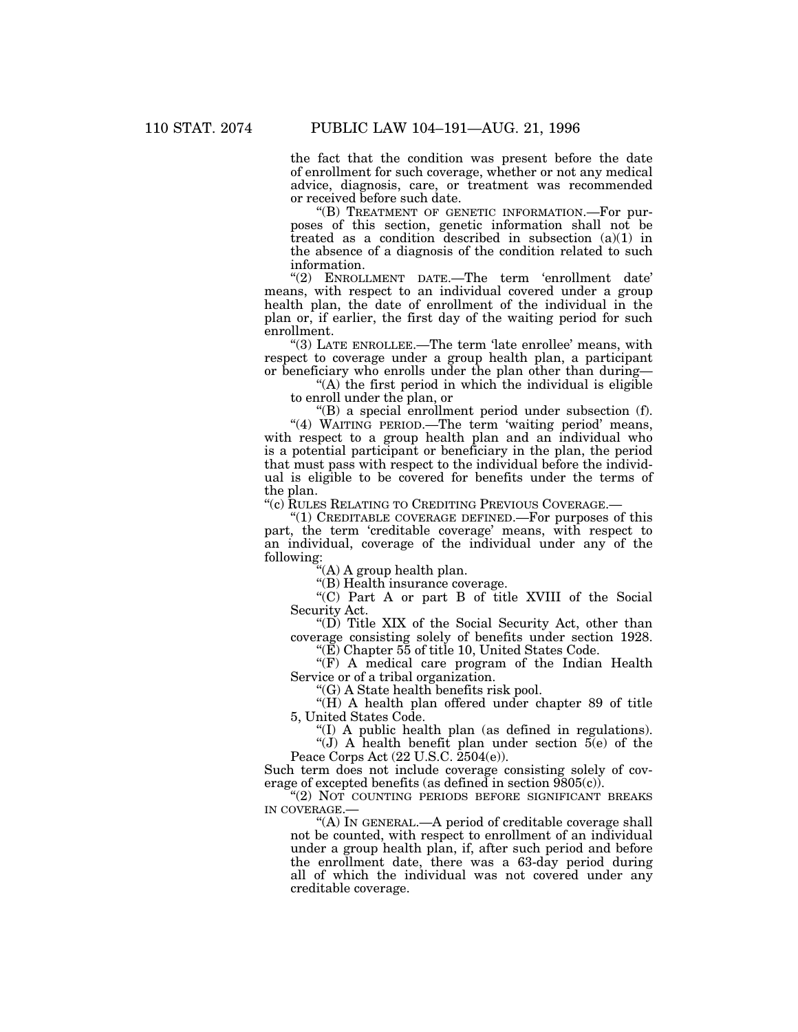the fact that the condition was present before the date of enrollment for such coverage, whether or not any medical advice, diagnosis, care, or treatment was recommended or received before such date.

''(B) TREATMENT OF GENETIC INFORMATION.—For purposes of this section, genetic information shall not be treated as a condition described in subsection (a)(1) in the absence of a diagnosis of the condition related to such information.

''(2) ENROLLMENT DATE.—The term 'enrollment date' means, with respect to an individual covered under a group health plan, the date of enrollment of the individual in the plan or, if earlier, the first day of the waiting period for such enrollment.

''(3) LATE ENROLLEE.—The term 'late enrollee' means, with respect to coverage under a group health plan, a participant or beneficiary who enrolls under the plan other than during—

"(A) the first period in which the individual is eligible to enroll under the plan, or

''(B) a special enrollment period under subsection (f). "(4) WAITING PERIOD.—The term 'waiting period' means, with respect to a group health plan and an individual who is a potential participant or beneficiary in the plan, the period

that must pass with respect to the individual before the individual is eligible to be covered for benefits under the terms of the plan.

''(c) RULES RELATING TO CREDITING PREVIOUS COVERAGE.—

" $(1)$  CREDITABLE COVERAGE DEFINED.—For purposes of this part, the term 'creditable coverage' means, with respect to an individual, coverage of the individual under any of the following:

''(A) A group health plan.

''(B) Health insurance coverage.

''(C) Part A or part B of title XVIII of the Social Security Act.

''(D) Title XIX of the Social Security Act, other than coverage consisting solely of benefits under section 1928.

" $(E)$  Chapter 55 of title 10, United States Code.

"(F) A medical care program of the Indian Health Service or of a tribal organization.

''(G) A State health benefits risk pool.

"(H) A health plan offered under chapter 89 of title 5, United States Code.

''(I) A public health plan (as defined in regulations).

''(J) A health benefit plan under section 5(e) of the

Peace Corps Act (22 U.S.C. 2504(e)). Such term does not include coverage consisting solely of coverage of excepted benefits (as defined in section 9805(c)).

''(2) NOT COUNTING PERIODS BEFORE SIGNIFICANT BREAKS IN COVERAGE.—

''(A) IN GENERAL.—A period of creditable coverage shall not be counted, with respect to enrollment of an individual under a group health plan, if, after such period and before the enrollment date, there was a 63-day period during all of which the individual was not covered under any creditable coverage.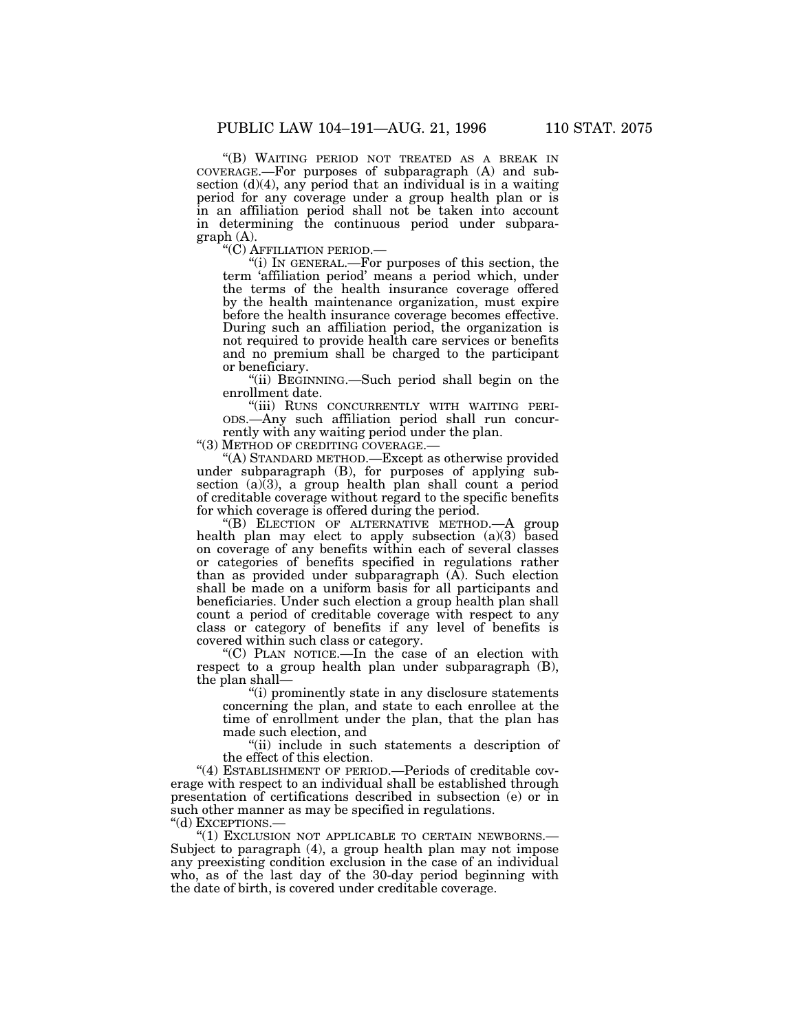''(B) WAITING PERIOD NOT TREATED AS A BREAK IN COVERAGE.—For purposes of subparagraph (A) and subsection  $(d)(4)$ , any period that an individual is in a waiting period for any coverage under a group health plan or is in an affiliation period shall not be taken into account in determining the continuous period under subparagraph (A).

''(C) AFFILIATION PERIOD.—

''(i) IN GENERAL.—For purposes of this section, the term 'affiliation period' means a period which, under the terms of the health insurance coverage offered by the health maintenance organization, must expire before the health insurance coverage becomes effective. During such an affiliation period, the organization is not required to provide health care services or benefits and no premium shall be charged to the participant or beneficiary.

''(ii) BEGINNING.—Such period shall begin on the enrollment date.

"(iii) RUNS CONCURRENTLY WITH WAITING PERI-ODS.—Any such affiliation period shall run concurrently with any waiting period under the plan.

''(3) METHOD OF CREDITING COVERAGE.—

''(A) STANDARD METHOD.—Except as otherwise provided under subparagraph (B), for purposes of applying subsection (a)(3), a group health plan shall count a period of creditable coverage without regard to the specific benefits for which coverage is offered during the period.

''(B) ELECTION OF ALTERNATIVE METHOD.—A group health plan may elect to apply subsection (a)(3) based on coverage of any benefits within each of several classes or categories of benefits specified in regulations rather than as provided under subparagraph (A). Such election shall be made on a uniform basis for all participants and beneficiaries. Under such election a group health plan shall count a period of creditable coverage with respect to any class or category of benefits if any level of benefits is covered within such class or category.

''(C) PLAN NOTICE.—In the case of an election with respect to a group health plan under subparagraph (B), the plan shall—

''(i) prominently state in any disclosure statements concerning the plan, and state to each enrollee at the time of enrollment under the plan, that the plan has made such election, and

''(ii) include in such statements a description of the effect of this election.

"(4) ESTABLISHMENT OF PERIOD.—Periods of creditable coverage with respect to an individual shall be established through presentation of certifications described in subsection (e) or in such other manner as may be specified in regulations.

''(d) EXCEPTIONS.—

"(1) EXCLUSION NOT APPLICABLE TO CERTAIN NEWBORNS.-Subject to paragraph (4), a group health plan may not impose any preexisting condition exclusion in the case of an individual who, as of the last day of the 30-day period beginning with the date of birth, is covered under creditable coverage.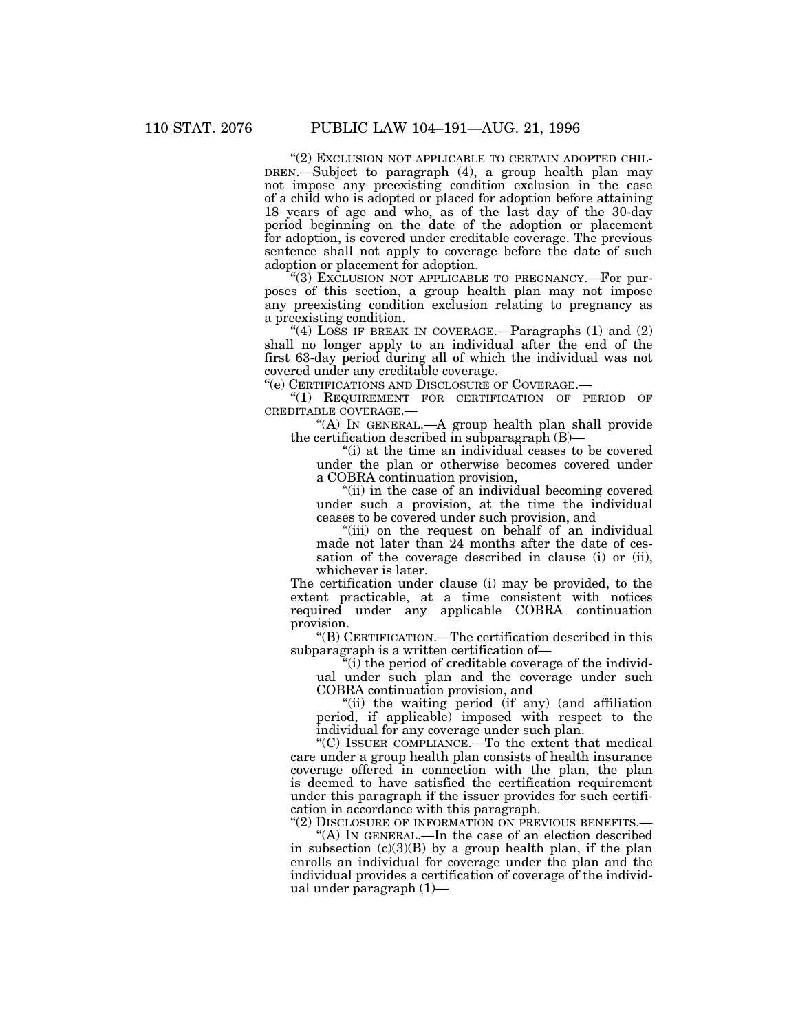"(2) EXCLUSION NOT APPLICABLE TO CERTAIN ADOPTED CHIL-DREN.—Subject to paragraph (4), a group health plan may not impose any preexisting condition exclusion in the case of a child who is adopted or placed for adoption before attaining 18 years of age and who, as of the last day of the 30-day period beginning on the date of the adoption or placement for adoption, is covered under creditable coverage. The previous sentence shall not apply to coverage before the date of such adoption or placement for adoption.

"(3) EXCLUSION NOT APPLICABLE TO PREGNANCY.—For purposes of this section, a group health plan may not impose any preexisting condition exclusion relating to pregnancy as a preexisting condition.

"(4) LOSS IF BREAK IN COVERAGE.—Paragraphs  $(1)$  and  $(2)$ shall no longer apply to an individual after the end of the first 63-day period during all of which the individual was not covered under any creditable coverage.

''(e) CERTIFICATIONS AND DISCLOSURE OF COVERAGE.—

''(1) REQUIREMENT FOR CERTIFICATION OF PERIOD OF CREDITABLE COVERAGE.—

''(A) IN GENERAL.—A group health plan shall provide the certification described in subparagraph (B)—

"(i) at the time an individual ceases to be covered under the plan or otherwise becomes covered under a COBRA continuation provision,

"(ii) in the case of an individual becoming covered under such a provision, at the time the individual ceases to be covered under such provision, and

"(iii) on the request on behalf of an individual made not later than 24 months after the date of cessation of the coverage described in clause (i) or (ii), whichever is later.

The certification under clause (i) may be provided, to the extent practicable, at a time consistent with notices required under any applicable COBRA continuation provision.

''(B) CERTIFICATION.—The certification described in this subparagraph is a written certification of—

''(i) the period of creditable coverage of the individual under such plan and the coverage under such COBRA continuation provision, and

"(ii) the waiting period (if any) (and affiliation period, if applicable) imposed with respect to the individual for any coverage under such plan.

''(C) ISSUER COMPLIANCE.—To the extent that medical care under a group health plan consists of health insurance coverage offered in connection with the plan, the plan is deemed to have satisfied the certification requirement under this paragraph if the issuer provides for such certification in accordance with this paragraph.

"(2) DISCLOSURE OF INFORMATION ON PREVIOUS BENEFITS.-

''(A) IN GENERAL.—In the case of an election described in subsection  $(c)(3)(B)$  by a group health plan, if the plan enrolls an individual for coverage under the plan and the individual provides a certification of coverage of the individual under paragraph (1)—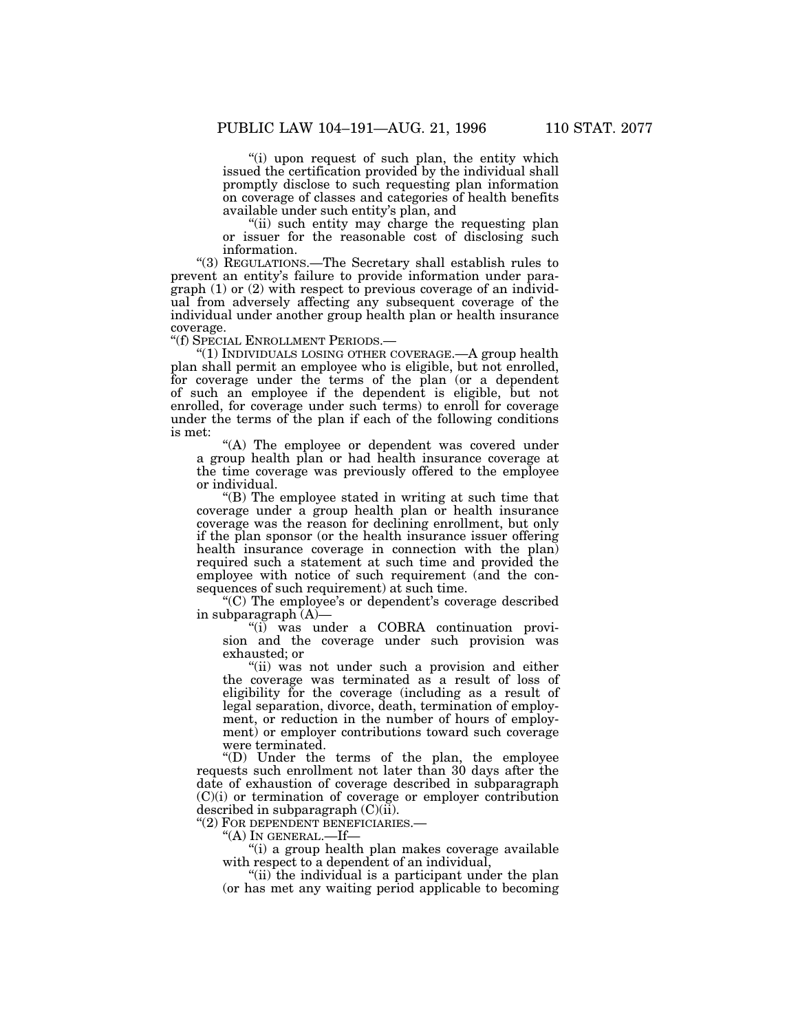"(i) upon request of such plan, the entity which issued the certification provided by the individual shall promptly disclose to such requesting plan information on coverage of classes and categories of health benefits available under such entity's plan, and

''(ii) such entity may charge the requesting plan or issuer for the reasonable cost of disclosing such information.

''(3) REGULATIONS.—The Secretary shall establish rules to prevent an entity's failure to provide information under paragraph (1) or (2) with respect to previous coverage of an individual from adversely affecting any subsequent coverage of the individual under another group health plan or health insurance coverage.

''(f) SPECIAL ENROLLMENT PERIODS.—

''(1) INDIVIDUALS LOSING OTHER COVERAGE.—A group health plan shall permit an employee who is eligible, but not enrolled, for coverage under the terms of the plan (or a dependent of such an employee if the dependent is eligible, but not enrolled, for coverage under such terms) to enroll for coverage under the terms of the plan if each of the following conditions is met:

"(A) The employee or dependent was covered under a group health plan or had health insurance coverage at the time coverage was previously offered to the employee or individual.

''(B) The employee stated in writing at such time that coverage under a group health plan or health insurance coverage was the reason for declining enrollment, but only if the plan sponsor (or the health insurance issuer offering health insurance coverage in connection with the plan) required such a statement at such time and provided the employee with notice of such requirement (and the consequences of such requirement) at such time.

''(C) The employee's or dependent's coverage described in subparagraph (A)—

''(i) was under a COBRA continuation provision and the coverage under such provision was exhausted; or

"(ii) was not under such a provision and either the coverage was terminated as a result of loss of eligibility for the coverage (including as a result of legal separation, divorce, death, termination of employment, or reduction in the number of hours of employment) or employer contributions toward such coverage were terminated.

''(D) Under the terms of the plan, the employee requests such enrollment not later than 30 days after the date of exhaustion of coverage described in subparagraph  $(C)(i)$  or termination of coverage or employer contribution described in subparagraph (C)(ii).

''(2) FOR DEPENDENT BENEFICIARIES.—

''(A) IN GENERAL.—If—

''(i) a group health plan makes coverage available with respect to a dependent of an individual,

"(ii) the individual is a participant under the plan (or has met any waiting period applicable to becoming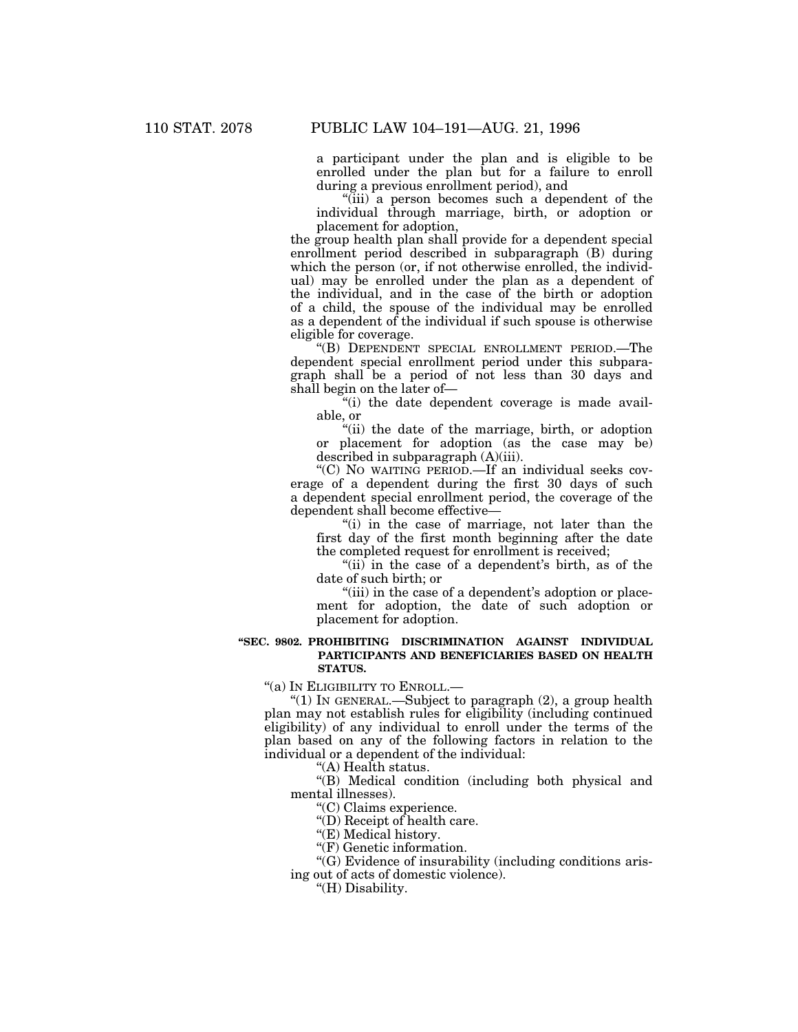a participant under the plan and is eligible to be enrolled under the plan but for a failure to enroll during a previous enrollment period), and

''(iii) a person becomes such a dependent of the individual through marriage, birth, or adoption or placement for adoption,

the group health plan shall provide for a dependent special enrollment period described in subparagraph (B) during which the person (or, if not otherwise enrolled, the individual) may be enrolled under the plan as a dependent of the individual, and in the case of the birth or adoption of a child, the spouse of the individual may be enrolled as a dependent of the individual if such spouse is otherwise eligible for coverage.

''(B) DEPENDENT SPECIAL ENROLLMENT PERIOD.—The dependent special enrollment period under this subparagraph shall be a period of not less than 30 days and shall begin on the later of—

''(i) the date dependent coverage is made available, or

''(ii) the date of the marriage, birth, or adoption or placement for adoption (as the case may be) described in subparagraph (A)(iii).

''(C) NO WAITING PERIOD.—If an individual seeks coverage of a dependent during the first 30 days of such a dependent special enrollment period, the coverage of the dependent shall become effective—

"(i) in the case of marriage, not later than the first day of the first month beginning after the date the completed request for enrollment is received;

" $(ii)$  in the case of a dependent's birth, as of the date of such birth; or

"(iii) in the case of a dependent's adoption or placement for adoption, the date of such adoption or placement for adoption.

#### **''SEC. 9802. PROHIBITING DISCRIMINATION AGAINST INDIVIDUAL PARTICIPANTS AND BENEFICIARIES BASED ON HEALTH STATUS.**

''(a) IN ELIGIBILITY TO ENROLL.—

"(1) In GENERAL.—Subject to paragraph  $(2)$ , a group health plan may not establish rules for eligibility (including continued eligibility) of any individual to enroll under the terms of the plan based on any of the following factors in relation to the individual or a dependent of the individual:

''(A) Health status.

''(B) Medical condition (including both physical and mental illnesses).

''(C) Claims experience.

''(D) Receipt of health care.

"(E) Medical history.

''(F) Genetic information.

''(G) Evidence of insurability (including conditions arising out of acts of domestic violence).

''(H) Disability.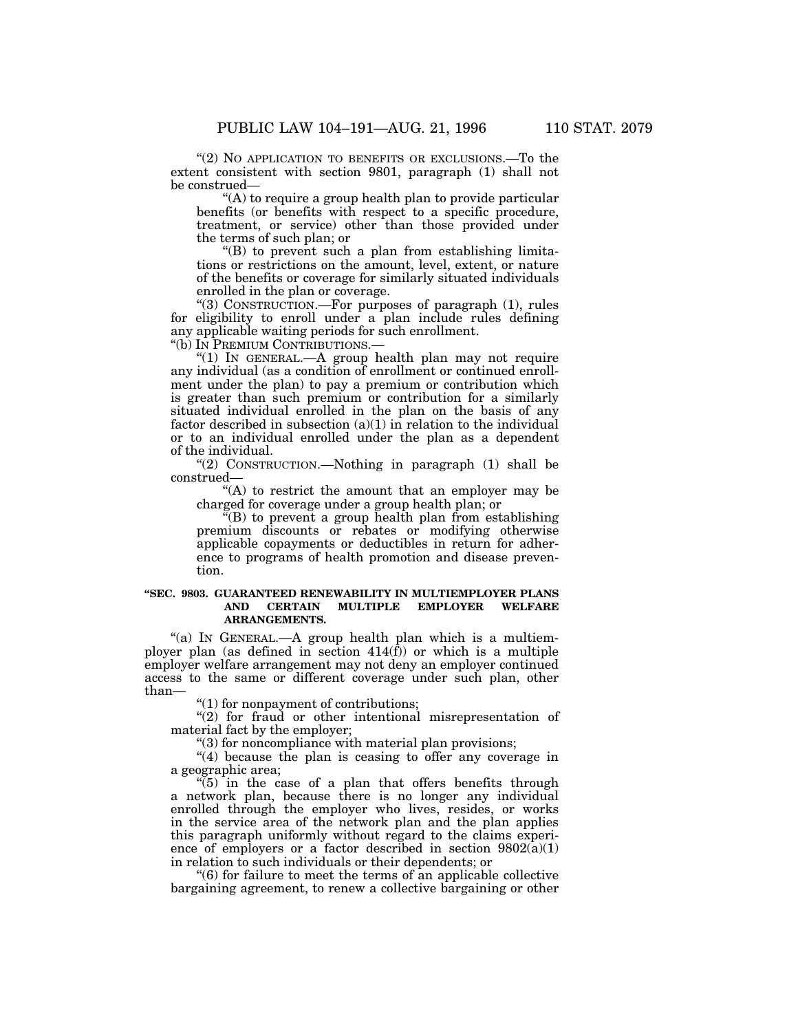"(2) NO APPLICATION TO BENEFITS OR EXCLUSIONS.—To the extent consistent with section 9801, paragraph (1) shall not be construed—

''(A) to require a group health plan to provide particular benefits (or benefits with respect to a specific procedure, treatment, or service) other than those provided under the terms of such plan; or

 $H(B)$  to prevent such a plan from establishing limitations or restrictions on the amount, level, extent, or nature of the benefits or coverage for similarly situated individuals enrolled in the plan or coverage.

"(3) CONSTRUCTION.-For purposes of paragraph (1), rules for eligibility to enroll under a plan include rules defining any applicable waiting periods for such enrollment.

''(b) IN PREMIUM CONTRIBUTIONS.—

''(1) IN GENERAL.—A group health plan may not require any individual (as a condition of enrollment or continued enrollment under the plan) to pay a premium or contribution which is greater than such premium or contribution for a similarly situated individual enrolled in the plan on the basis of any factor described in subsection  $(a)(1)$  in relation to the individual or to an individual enrolled under the plan as a dependent of the individual.

" $(2)$  CONSTRUCTION.—Nothing in paragraph  $(1)$  shall be construed—

''(A) to restrict the amount that an employer may be charged for coverage under a group health plan; or

 $\mathcal{F}(B)$  to prevent a group health plan from establishing premium discounts or rebates or modifying otherwise applicable copayments or deductibles in return for adherence to programs of health promotion and disease prevention.

### **''SEC. 9803. GUARANTEED RENEWABILITY IN MULTIEMPLOYER PLANS MULTIPLE EMPLOYER WELFARE ARRANGEMENTS.**

"(a) IN GENERAL.—A group health plan which is a multiemployer plan (as defined in section  $414(\hat{f})$ ) or which is a multiple employer welfare arrangement may not deny an employer continued access to the same or different coverage under such plan, other than—

''(1) for nonpayment of contributions;

"(2) for fraud or other intentional misrepresentation of material fact by the employer;

''(3) for noncompliance with material plan provisions;

"(4) because the plan is ceasing to offer any coverage in a geographic area;

"(5) in the case of a plan that offers benefits through a network plan, because there is no longer any individual enrolled through the employer who lives, resides, or works in the service area of the network plan and the plan applies this paragraph uniformly without regard to the claims experience of employers or a factor described in section  $9802(a)(1)$ in relation to such individuals or their dependents; or

''(6) for failure to meet the terms of an applicable collective bargaining agreement, to renew a collective bargaining or other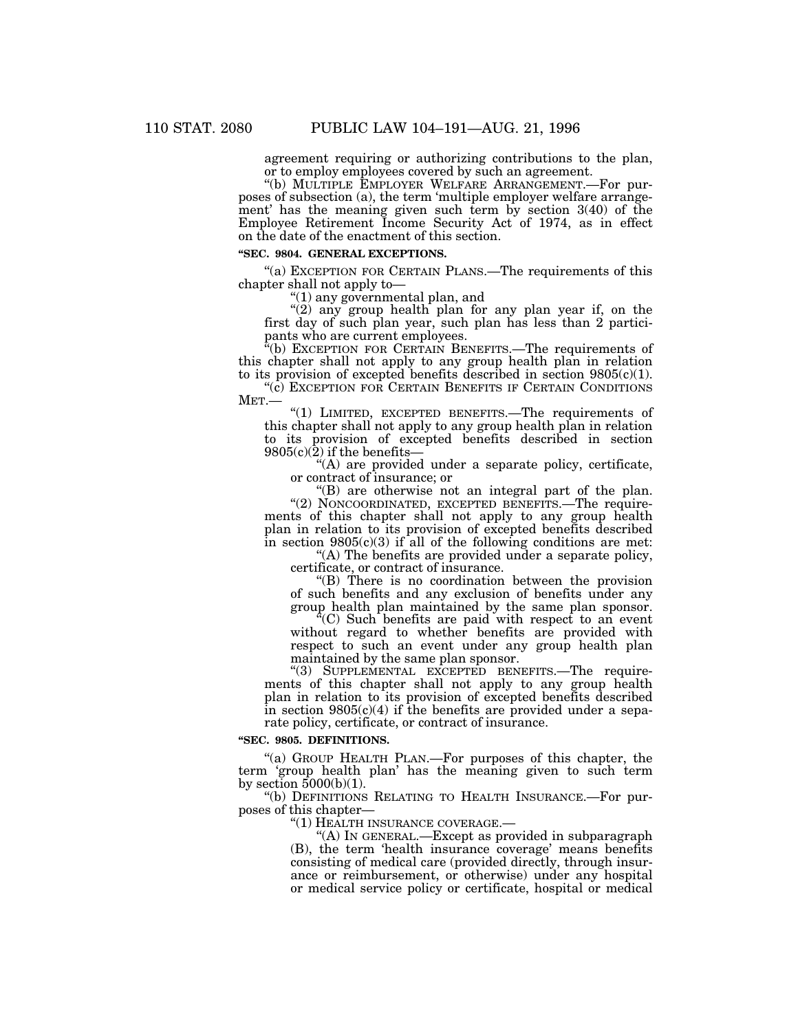agreement requiring or authorizing contributions to the plan, or to employ employees covered by such an agreement.

''(b) MULTIPLE EMPLOYER WELFARE ARRANGEMENT.—For purposes of subsection (a), the term 'multiple employer welfare arrangement' has the meaning given such term by section 3(40) of the Employee Retirement Income Security Act of 1974, as in effect on the date of the enactment of this section.

### **''SEC. 9804. GENERAL EXCEPTIONS.**

"(a) EXCEPTION FOR CERTAIN PLANS.—The requirements of this chapter shall not apply to—

''(1) any governmental plan, and

"(2) any group health plan for any plan year if, on the first day of such plan year, such plan has less than 2 participants who are current employees.

"(b) EXCEPTION FOR CERTAIN BENEFITS.—The requirements of this chapter shall not apply to any group health plan in relation to its provision of excepted benefits described in section  $9805(c)(1)$ .

"(c) EXCEPTION FOR CERTAIN BENEFITS IF CERTAIN CONDITIONS  $MET.$ —

" $(1)$  LIMITED, EXCEPTED BENEFITS.—The requirements of this chapter shall not apply to any group health plan in relation to its provision of excepted benefits described in section  $9805(c)(\bar{2})$  if the benefits—

''(A) are provided under a separate policy, certificate, or contract of insurance; or

''(B) are otherwise not an integral part of the plan. "(2) NONCOORDINATED, EXCEPTED BENEFITS.—The requirements of this chapter shall not apply to any group health plan in relation to its provision of excepted benefits described in section 9805(c)(3) if all of the following conditions are met:

"(A) The benefits are provided under a separate policy, certificate, or contract of insurance.

''(B) There is no coordination between the provision of such benefits and any exclusion of benefits under any group health plan maintained by the same plan sponsor.

 $\mathcal{C}(C)$  Such benefits are paid with respect to an event without regard to whether benefits are provided with respect to such an event under any group health plan maintained by the same plan sponsor.

''(3) SUPPLEMENTAL EXCEPTED BENEFITS.—The requirements of this chapter shall not apply to any group health plan in relation to its provision of excepted benefits described in section  $9805(c)(4)$  if the benefits are provided under a separate policy, certificate, or contract of insurance.

### **''SEC. 9805. DEFINITIONS.**

"(a) GROUP HEALTH PLAN.—For purposes of this chapter, the term 'group health plan' has the meaning given to such term by section  $5000(b)(1)$ .

''(b) DEFINITIONS RELATING TO HEALTH INSURANCE.—For purposes of this chapter—<br>"(1) HEALTH INSURANCE COVERAGE.—

"(A) In GENERAL.—Except as provided in subparagraph (B), the term 'health insurance coverage' means benefits consisting of medical care (provided directly, through insurance or reimbursement, or otherwise) under any hospital or medical service policy or certificate, hospital or medical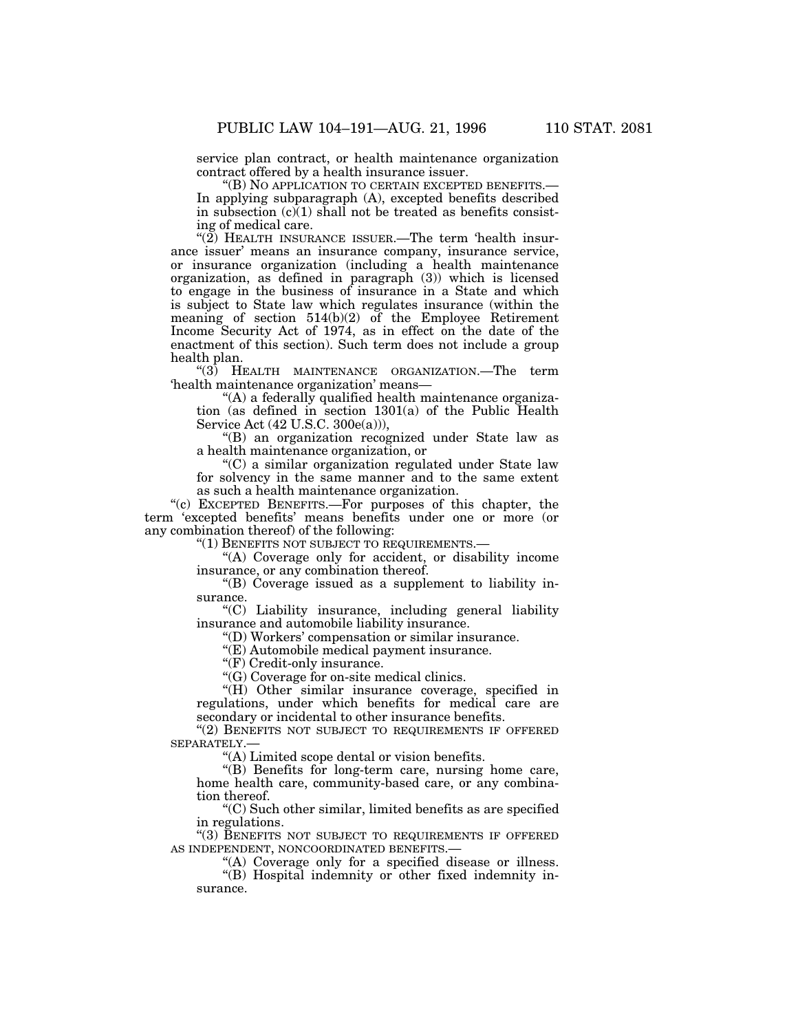service plan contract, or health maintenance organization contract offered by a health insurance issuer.

''(B) NO APPLICATION TO CERTAIN EXCEPTED BENEFITS.— In applying subparagraph (A), excepted benefits described in subsection  $(c)(1)$  shall not be treated as benefits consisting of medical care.

" $(2)$  HEALTH INSURANCE ISSUER.—The term 'health insurance issuer' means an insurance company, insurance service, or insurance organization (including a health maintenance organization, as defined in paragraph (3)) which is licensed to engage in the business of insurance in a State and which is subject to State law which regulates insurance (within the meaning of section 514(b)(2) of the Employee Retirement Income Security Act of 1974, as in effect on the date of the enactment of this section). Such term does not include a group health plan.

 $\sqrt[4]{(3)}$  HEALTH MAINTENANCE ORGANIZATION.—The term 'health maintenance organization' means—

''(A) a federally qualified health maintenance organization (as defined in section 1301(a) of the Public Health Service Act (42 U.S.C. 300e(a))),

''(B) an organization recognized under State law as a health maintenance organization, or

''(C) a similar organization regulated under State law for solvency in the same manner and to the same extent as such a health maintenance organization.

''(c) EXCEPTED BENEFITS.—For purposes of this chapter, the term 'excepted benefits' means benefits under one or more (or any combination thereof) of the following:

"(1) BENEFITS NOT SUBJECT TO REQUIREMENTS.-

"(A) Coverage only for accident, or disability income insurance, or any combination thereof.

''(B) Coverage issued as a supplement to liability insurance.

''(C) Liability insurance, including general liability insurance and automobile liability insurance.

''(D) Workers' compensation or similar insurance.

''(E) Automobile medical payment insurance.

"(F) Credit-only insurance.

''(G) Coverage for on-site medical clinics.

"(H) Other similar insurance coverage, specified in regulations, under which benefits for medical care are secondary or incidental to other insurance benefits.

"(2) BENEFITS NOT SUBJECT TO REQUIREMENTS IF OFFERED SEPARATELY.—

''(A) Limited scope dental or vision benefits.

"(B) Benefits for long-term care, nursing home care, home health care, community-based care, or any combination thereof.

''(C) Such other similar, limited benefits as are specified in regulations.

"(3) BENEFITS NOT SUBJECT TO REQUIREMENTS IF OFFERED AS INDEPENDENT, NONCOORDINATED BENEFITS.—

"(A) Coverage only for a specified disease or illness.

''(B) Hospital indemnity or other fixed indemnity insurance.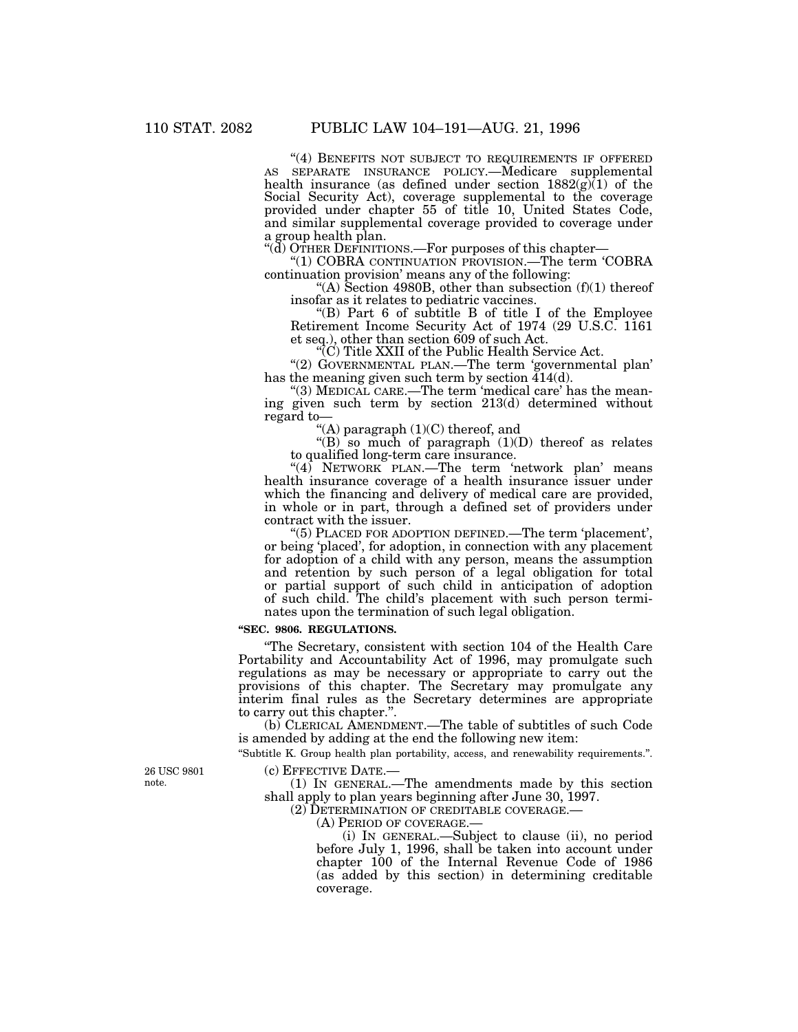"(4) BENEFITS NOT SUBJECT TO REQUIREMENTS IF OFFERED AS SEPARATE INSURANCE POLICY.—Medicare supplemental health insurance (as defined under section  $1882(g)(1)$  of the Social Security Act), coverage supplemental to the coverage provided under chapter 55 of title 10, United States Code, and similar supplemental coverage provided to coverage under a group health plan.

''(d) OTHER DEFINITIONS.—For purposes of this chapter—

''(1) COBRA CONTINUATION PROVISION.—The term 'COBRA continuation provision' means any of the following:

"(A) Section 4980B, other than subsection  $(f)(1)$  thereof insofar as it relates to pediatric vaccines.

"(B) Part  $6$  of subtitle  $B$  of title I of the Employee Retirement Income Security Act of 1974 (29 U.S.C. 1161 et seq.), other than section 609 of such Act.

 $\operatorname{C}(\operatorname{C})$  Title XXII of the Public Health Service Act.

''(2) GOVERNMENTAL PLAN.—The term 'governmental plan' has the meaning given such term by section 414(d).

"(3) MEDICAL CARE.—The term 'medical care' has the meaning given such term by section 213(d) determined without regard to—

"(A) paragraph  $(1)(C)$  thereof, and

"(B) so much of paragraph  $(1)(D)$  thereof as relates to qualified long-term care insurance.

"(4) NETWORK PLAN.—The term 'network plan' means health insurance coverage of a health insurance issuer under which the financing and delivery of medical care are provided, in whole or in part, through a defined set of providers under contract with the issuer.

''(5) PLACED FOR ADOPTION DEFINED.—The term 'placement', or being 'placed', for adoption, in connection with any placement for adoption of a child with any person, means the assumption and retention by such person of a legal obligation for total or partial support of such child in anticipation of adoption of such child. The child's placement with such person terminates upon the termination of such legal obligation.

### **''SEC. 9806. REGULATIONS.**

''The Secretary, consistent with section 104 of the Health Care Portability and Accountability Act of 1996, may promulgate such regulations as may be necessary or appropriate to carry out the provisions of this chapter. The Secretary may promulgate any interim final rules as the Secretary determines are appropriate to carry out this chapter.''.

(b) CLERICAL AMENDMENT.—The table of subtitles of such Code is amended by adding at the end the following new item:

''Subtitle K. Group health plan portability, access, and renewability requirements.''.

(c) EFFECTIVE DATE.— (1) IN GENERAL.—The amendments made by this section shall apply to plan years beginning after June 30, 1997.

(A) PERIOD OF COVERAGE.—<br>(i) IN GENERAL.—Subject to clause (ii), no period before July 1, 1996, shall be taken into account under chapter 100 of the Internal Revenue Code of 1986 (as added by this section) in determining creditable coverage.

26 USC 9801 note.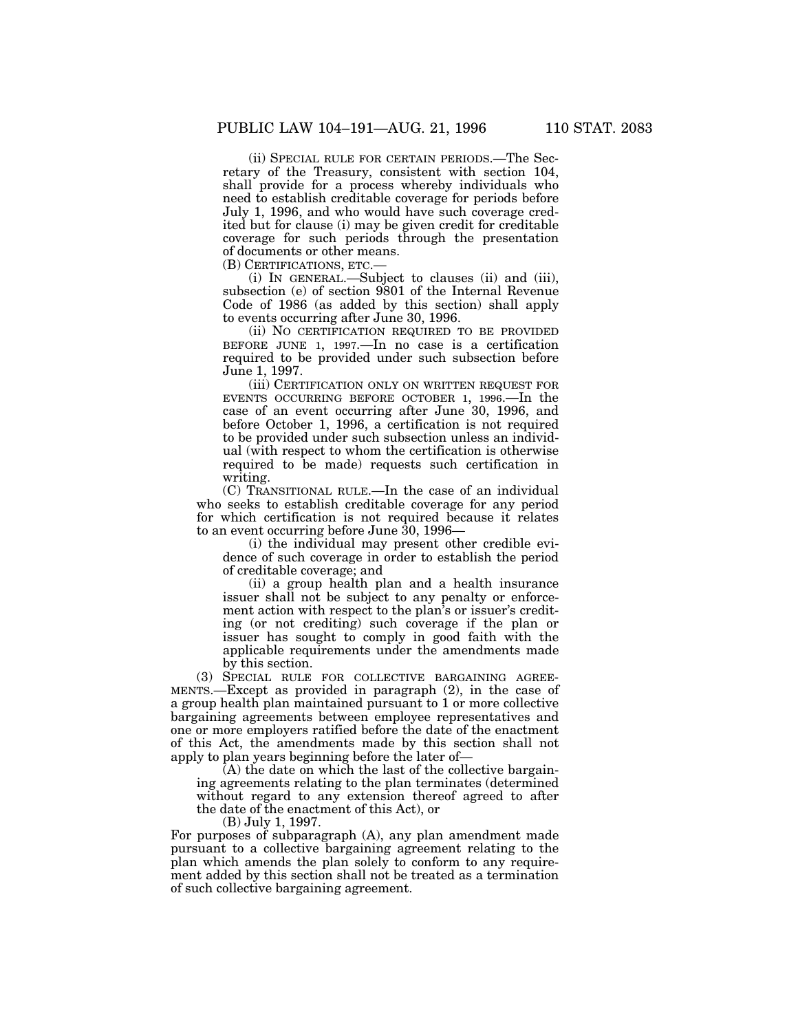(ii) SPECIAL RULE FOR CERTAIN PERIODS.—The Secretary of the Treasury, consistent with section 104, shall provide for a process whereby individuals who need to establish creditable coverage for periods before July 1, 1996, and who would have such coverage credited but for clause (i) may be given credit for creditable coverage for such periods through the presentation of documents or other means.

(B) CERTIFICATIONS, ETC.—

(i) IN GENERAL.—Subject to clauses (ii) and (iii), subsection (e) of section 9801 of the Internal Revenue Code of 1986 (as added by this section) shall apply to events occurring after June 30, 1996.

(ii) NO CERTIFICATION REQUIRED TO BE PROVIDED BEFORE JUNE 1, 1997.—In no case is a certification required to be provided under such subsection before June 1, 1997.

(iii) CERTIFICATION ONLY ON WRITTEN REQUEST FOR EVENTS OCCURRING BEFORE OCTOBER 1, 1996.—In the case of an event occurring after June 30, 1996, and before October 1, 1996, a certification is not required to be provided under such subsection unless an individual (with respect to whom the certification is otherwise required to be made) requests such certification in writing.

(C) TRANSITIONAL RULE.—In the case of an individual who seeks to establish creditable coverage for any period for which certification is not required because it relates to an event occurring before June 30, 1996—

(i) the individual may present other credible evidence of such coverage in order to establish the period of creditable coverage; and

(ii) a group health plan and a health insurance issuer shall not be subject to any penalty or enforcement action with respect to the plan's or issuer's crediting (or not crediting) such coverage if the plan or issuer has sought to comply in good faith with the applicable requirements under the amendments made by this section.

(3) SPECIAL RULE FOR COLLECTIVE BARGAINING AGREE-MENTS.—Except as provided in paragraph (2), in the case of a group health plan maintained pursuant to 1 or more collective bargaining agreements between employee representatives and one or more employers ratified before the date of the enactment of this Act, the amendments made by this section shall not apply to plan years beginning before the later of—

(A) the date on which the last of the collective bargaining agreements relating to the plan terminates (determined without regard to any extension thereof agreed to after the date of the enactment of this Act), or

(B) July 1, 1997.

For purposes of subparagraph (A), any plan amendment made pursuant to a collective bargaining agreement relating to the plan which amends the plan solely to conform to any requirement added by this section shall not be treated as a termination of such collective bargaining agreement.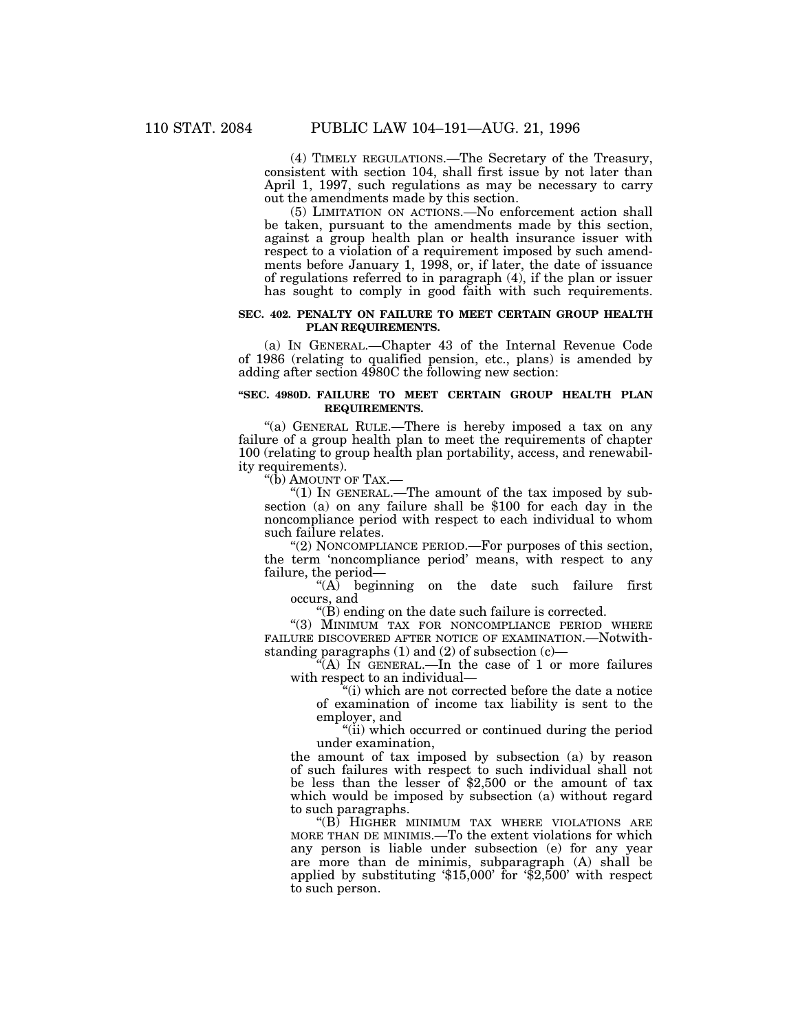(4) TIMELY REGULATIONS.—The Secretary of the Treasury, consistent with section 104, shall first issue by not later than April 1, 1997, such regulations as may be necessary to carry out the amendments made by this section.

(5) LIMITATION ON ACTIONS.—No enforcement action shall be taken, pursuant to the amendments made by this section, against a group health plan or health insurance issuer with respect to a violation of a requirement imposed by such amendments before January 1, 1998, or, if later, the date of issuance of regulations referred to in paragraph (4), if the plan or issuer has sought to comply in good faith with such requirements.

### **SEC. 402. PENALTY ON FAILURE TO MEET CERTAIN GROUP HEALTH PLAN REQUIREMENTS.**

(a) IN GENERAL.—Chapter 43 of the Internal Revenue Code of 1986 (relating to qualified pension, etc., plans) is amended by adding after section 4980C the following new section:

### **''SEC. 4980D. FAILURE TO MEET CERTAIN GROUP HEALTH PLAN REQUIREMENTS.**

"(a) GENERAL RULE.-There is hereby imposed a tax on any failure of a group health plan to meet the requirements of chapter 100 (relating to group health plan portability, access, and renewability requirements).

"(b) AMOUNT OF TAX.-

"(1) IN GENERAL.—The amount of the tax imposed by subsection (a) on any failure shall be \$100 for each day in the noncompliance period with respect to each individual to whom such failure relates.

"(2) NONCOMPLIANCE PERIOD.—For purposes of this section, the term 'noncompliance period' means, with respect to any failure, the period—

''(A) beginning on the date such failure first occurs, and

''(B) ending on the date such failure is corrected.

"(3) MINIMUM TAX FOR NONCOMPLIANCE PERIOD WHERE FAILURE DISCOVERED AFTER NOTICE OF EXAMINATION.—Notwithstanding paragraphs (1) and (2) of subsection (c)—

 $\mathcal{F}(A)$  In GENERAL.—In the case of 1 or more failures with respect to an individual—

''(i) which are not corrected before the date a notice of examination of income tax liability is sent to the employer, and

"(ii) which occurred or continued during the period under examination,

the amount of tax imposed by subsection (a) by reason of such failures with respect to such individual shall not be less than the lesser of \$2,500 or the amount of tax which would be imposed by subsection (a) without regard to such paragraphs.

"(B) HIGHER MINIMUM TAX WHERE VIOLATIONS ARE MORE THAN DE MINIMIS.—To the extent violations for which any person is liable under subsection (e) for any year are more than de minimis, subparagraph (A) shall be applied by substituting '\$15,000' for '\$2,500' with respect to such person.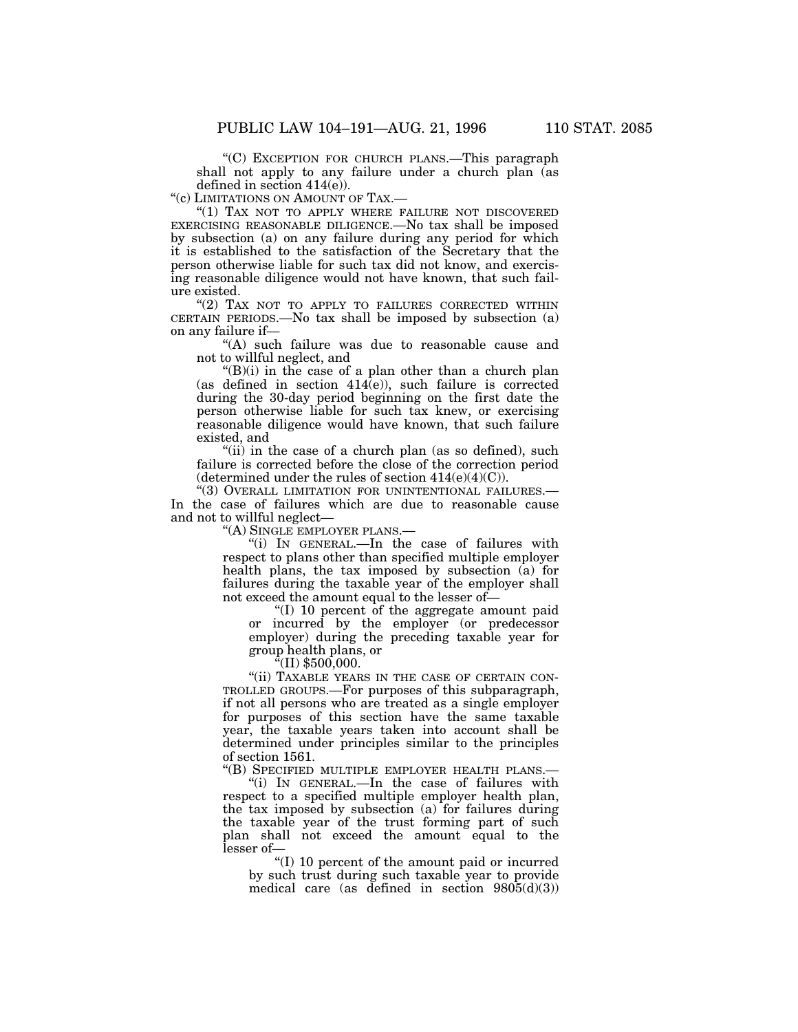''(C) EXCEPTION FOR CHURCH PLANS.—This paragraph shall not apply to any failure under a church plan (as defined in section 414(e)).

''(c) LIMITATIONS ON AMOUNT OF TAX.—

"(1) TAX NOT TO APPLY WHERE FAILURE NOT DISCOVERED EXERCISING REASONABLE DILIGENCE.—No tax shall be imposed by subsection (a) on any failure during any period for which it is established to the satisfaction of the Secretary that the person otherwise liable for such tax did not know, and exercising reasonable diligence would not have known, that such failure existed.

"(2) TAX NOT TO APPLY TO FAILURES CORRECTED WITHIN CERTAIN PERIODS.—No tax shall be imposed by subsection (a) on any failure if—

"(A) such failure was due to reasonable cause and not to willful neglect, and

 $\mathcal{L}(B)(i)$  in the case of a plan other than a church plan (as defined in section  $414(e)$ ), such failure is corrected during the 30-day period beginning on the first date the person otherwise liable for such tax knew, or exercising reasonable diligence would have known, that such failure existed, and

"(ii) in the case of a church plan (as so defined), such failure is corrected before the close of the correction period (determined under the rules of section  $414(e)(4)(C)$ ).

"(3) OVERALL LIMITATION FOR UNINTENTIONAL FAILURES.-In the case of failures which are due to reasonable cause and not to willful neglect—

''(A) SINGLE EMPLOYER PLANS.—

''(i) IN GENERAL.—In the case of failures with respect to plans other than specified multiple employer health plans, the tax imposed by subsection (a) for failures during the taxable year of the employer shall not exceed the amount equal to the lesser of—

''(I) 10 percent of the aggregate amount paid or incurred by the employer (or predecessor employer) during the preceding taxable year for group health plans, or

''(II) \$500,000.

"(ii) TAXABLE YEARS IN THE CASE OF CERTAIN CON-TROLLED GROUPS.—For purposes of this subparagraph, if not all persons who are treated as a single employer for purposes of this section have the same taxable year, the taxable years taken into account shall be determined under principles similar to the principles of section 1561.

''(B) SPECIFIED MULTIPLE EMPLOYER HEALTH PLANS.—

''(i) IN GENERAL.—In the case of failures with respect to a specified multiple employer health plan, the tax imposed by subsection (a) for failures during the taxable year of the trust forming part of such plan shall not exceed the amount equal to the lesser of—

''(I) 10 percent of the amount paid or incurred by such trust during such taxable year to provide medical care (as defined in section  $980\overline{5}(d)(3)$ )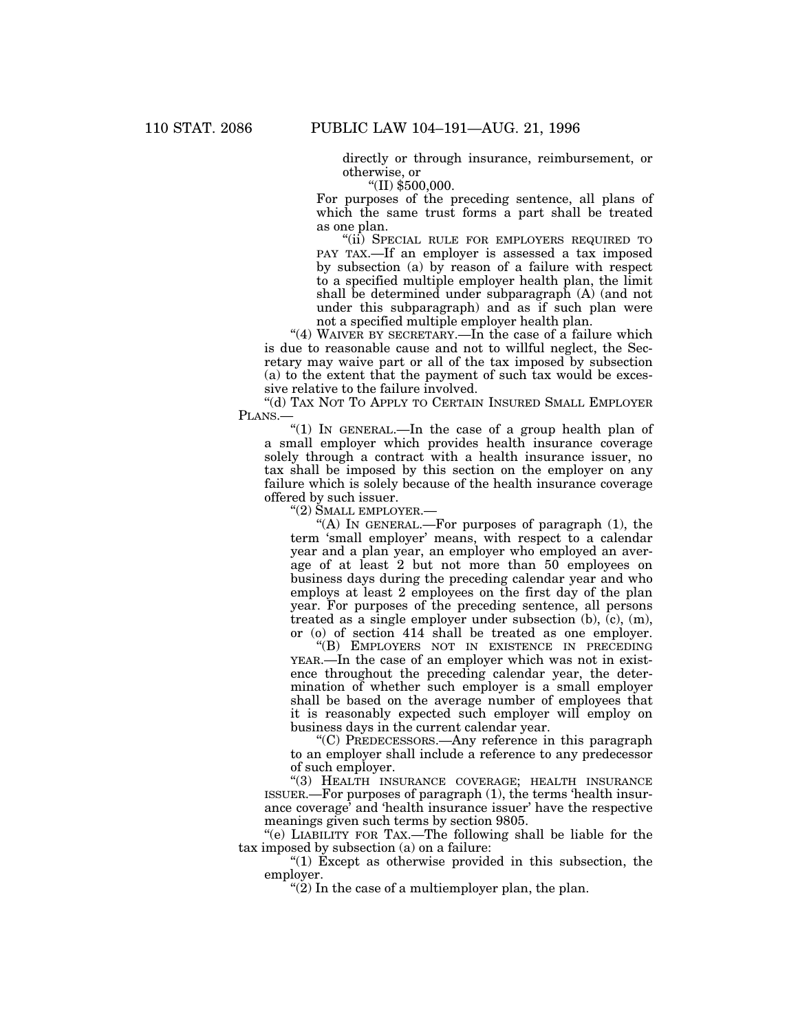directly or through insurance, reimbursement, or otherwise, or

''(II) \$500,000.

For purposes of the preceding sentence, all plans of which the same trust forms a part shall be treated as one plan.

''(ii) SPECIAL RULE FOR EMPLOYERS REQUIRED TO PAY TAX.—If an employer is assessed a tax imposed by subsection (a) by reason of a failure with respect to a specified multiple employer health plan, the limit shall be determined under subparagraph (A) (and not under this subparagraph) and as if such plan were not a specified multiple employer health plan.

"(4) WAIVER BY SECRETARY.—In the case of a failure which is due to reasonable cause and not to willful neglect, the Secretary may waive part or all of the tax imposed by subsection (a) to the extent that the payment of such tax would be excessive relative to the failure involved.

''(d) TAX NOT TO APPLY TO CERTAIN INSURED SMALL EMPLOYER PLANS.

''(1) IN GENERAL.—In the case of a group health plan of a small employer which provides health insurance coverage solely through a contract with a health insurance issuer, no tax shall be imposed by this section on the employer on any failure which is solely because of the health insurance coverage offered by such issuer.

''(2) SMALL EMPLOYER.—

"(A) IN GENERAL.—For purposes of paragraph  $(1)$ , the term 'small employer' means, with respect to a calendar year and a plan year, an employer who employed an average of at least 2 but not more than 50 employees on business days during the preceding calendar year and who employs at least 2 employees on the first day of the plan year. For purposes of the preceding sentence, all persons treated as a single employer under subsection  $(b)$ ,  $(c)$ ,  $(m)$ , or (o) of section 414 shall be treated as one employer.

''(B) EMPLOYERS NOT IN EXISTENCE IN PRECEDING YEAR.—In the case of an employer which was not in existence throughout the preceding calendar year, the determination of whether such employer is a small employer shall be based on the average number of employees that it is reasonably expected such employer will employ on business days in the current calendar year.

''(C) PREDECESSORS.—Any reference in this paragraph to an employer shall include a reference to any predecessor of such employer.

''(3) HEALTH INSURANCE COVERAGE; HEALTH INSURANCE ISSUER.—For purposes of paragraph (1), the terms 'health insurance coverage' and 'health insurance issuer' have the respective meanings given such terms by section 9805.

''(e) LIABILITY FOR TAX.—The following shall be liable for the tax imposed by subsection (a) on a failure:

 $(1)$  Except as otherwise provided in this subsection, the employer.

" $(2)$  In the case of a multiemployer plan, the plan.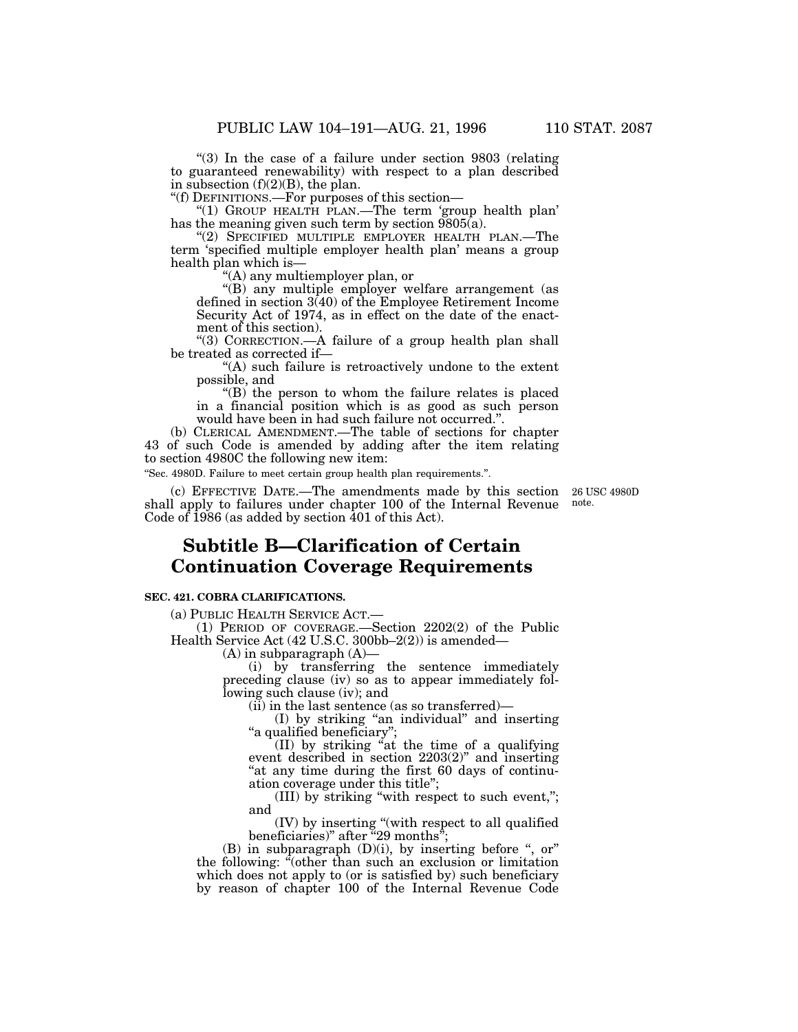" $(3)$  In the case of a failure under section 9803 (relating to guaranteed renewability) with respect to a plan described in subsection  $(f)(2)(B)$ , the plan.

''(f) DEFINITIONS.—For purposes of this section—

''(1) GROUP HEALTH PLAN.—The term 'group health plan' has the meaning given such term by section  $9805(a)$ .

"(2) SPECIFIED MULTIPLE EMPLOYER HEALTH PLAN.—The term 'specified multiple employer health plan' means a group health plan which is—

''(A) any multiemployer plan, or

''(B) any multiple employer welfare arrangement (as defined in section 3(40) of the Employee Retirement Income Security Act of 1974, as in effect on the date of the enactment of this section).

''(3) CORRECTION.—A failure of a group health plan shall be treated as corrected if—

"(A) such failure is retroactively undone to the extent possible, and

''(B) the person to whom the failure relates is placed in a financial position which is as good as such person would have been in had such failure not occurred.''.

(b) CLERICAL AMENDMENT.—The table of sections for chapter 43 of such Code is amended by adding after the item relating to section 4980C the following new item:

''Sec. 4980D. Failure to meet certain group health plan requirements.''.

(c) EFFECTIVE DATE.—The amendments made by this section 26 USC 4980D shall apply to failures under chapter 100 of the Internal Revenue note. Code of 1986 (as added by section 401 of this Act).

# **Subtitle B—Clarification of Certain Continuation Coverage Requirements**

### **SEC. 421. COBRA CLARIFICATIONS.**

(a) PUBLIC HEALTH SERVICE ACT.—

(1) PERIOD OF COVERAGE.—Section 2202(2) of the Public Health Service Act (42 U.S.C. 300bb–2(2)) is amended—

 $(A)$  in subparagraph  $(A)$ —

(i) by transferring the sentence immediately preceding clause (iv) so as to appear immediately following such clause (iv); and

(ii) in the last sentence (as so transferred)—

(I) by striking ''an individual'' and inserting "a qualified beneficiary";

(II) by striking ''at the time of a qualifying event described in section 2203(2)" and inserting ''at any time during the first 60 days of continuation coverage under this title'';

(III) by striking ''with respect to such event,''; and

(IV) by inserting ''(with respect to all qualified beneficiaries)" after "29 months";

 $(B)$  in subparagraph  $(D)(i)$ , by inserting before ", or" the following: ''(other than such an exclusion or limitation which does not apply to (or is satisfied by) such beneficiary by reason of chapter 100 of the Internal Revenue Code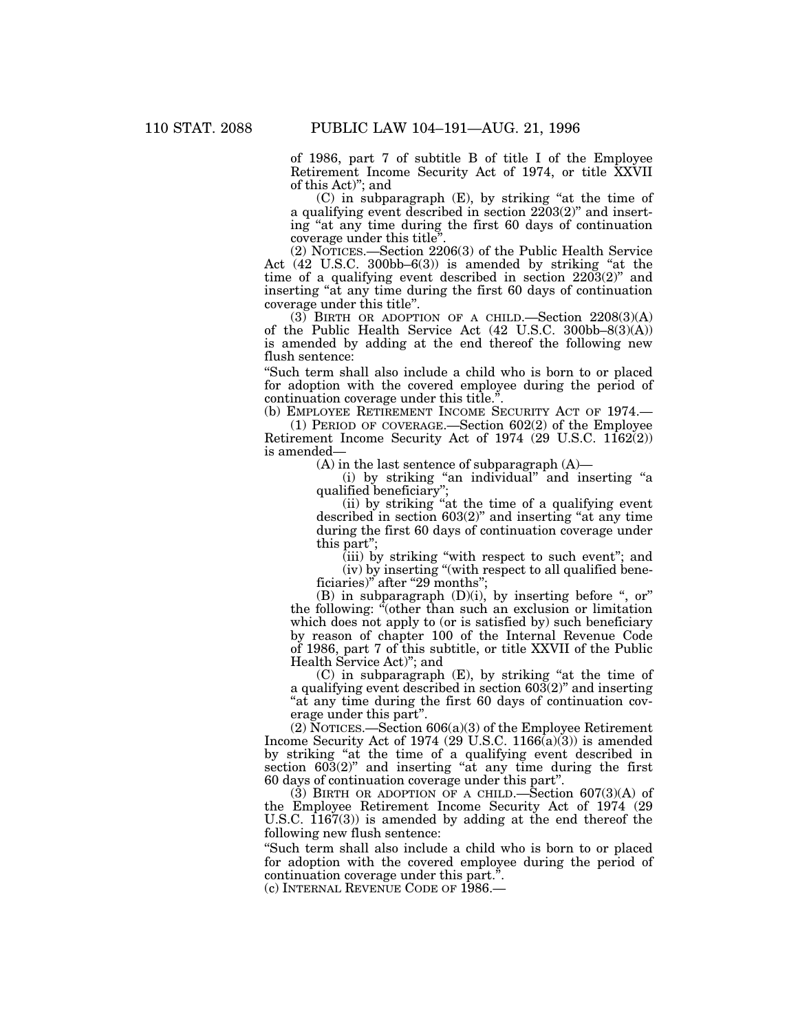of 1986, part 7 of subtitle B of title I of the Employee Retirement Income Security Act of 1974, or title XXVII of this Act)''; and

 $(C)$  in subparagraph  $(E)$ , by striking "at the time of a qualifying event described in section 2203(2)'' and inserting ''at any time during the first 60 days of continuation coverage under this title''.

(2) NOTICES.—Section 2206(3) of the Public Health Service Act  $(42 \text{ U.S.C. } 300 \text{ bb} - 6(3))$  is amended by striking "at the time of a qualifying event described in section  $2203(2)$ " and inserting "at any time during the first 60 days of continuation coverage under this title''.

(3) BIRTH OR ADOPTION OF A CHILD.—Section 2208(3)(A) of the Public Health Service Act (42 U.S.C. 300bb–8(3)(A)) is amended by adding at the end thereof the following new flush sentence:

''Such term shall also include a child who is born to or placed for adoption with the covered employee during the period of continuation coverage under this title.''.

(b) EMPLOYEE RETIREMENT INCOME SECURITY ACT OF 1974.— (1) PERIOD OF COVERAGE.—Section 602(2) of the Employee Retirement Income Security Act of 1974 (29 U.S.C.  $1162(2)$ ) is amended—

(A) in the last sentence of subparagraph (A)—

(i) by striking "an individual" and inserting "a qualified beneficiary'';

(ii) by striking ''at the time of a qualifying event described in section 603(2)'' and inserting ''at any time during the first 60 days of continuation coverage under this part'';

(iii) by striking ''with respect to such event''; and (iv) by inserting ''(with respect to all qualified beneficiaries)" after "29 months";

 $(B)$  in subparagraph  $(D)(i)$ , by inserting before ", or" the following: "(other than such an exclusion or limitation which does not apply to (or is satisfied by) such beneficiary by reason of chapter 100 of the Internal Revenue Code of 1986, part 7 of this subtitle, or title XXVII of the Public Health Service Act)''; and

 $(C)$  in subparagraph  $(E)$ , by striking "at the time of a qualifying event described in section  $603(2)$ " and inserting "at any time during the first 60 days of continuation coverage under this part''.

(2) NOTICES.—Section 606(a)(3) of the Employee Retirement Income Security Act of 1974 (29 U.S.C. 1166 $(a)(3)$ ) is amended by striking ''at the time of a qualifying event described in section 603(2)" and inserting "at any time during the first 60 days of continuation coverage under this part''.

(3) BIRTH OR ADOPTION OF A CHILD.—Section  $607(3)(A)$  of the Employee Retirement Income Security Act of 1974 (29 U.S.C.  $1167(3)$  is amended by adding at the end thereof the following new flush sentence:

''Such term shall also include a child who is born to or placed for adoption with the covered employee during the period of continuation coverage under this part.".

(c) INTERNAL REVENUE CODE OF 1986.—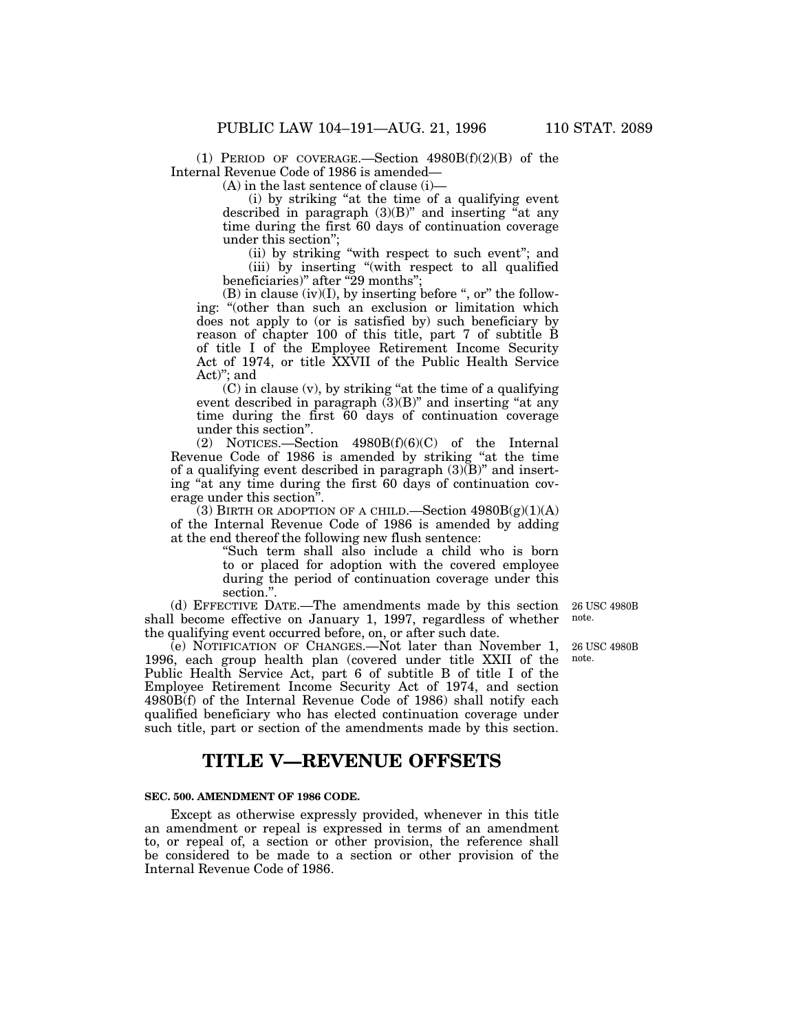(1) PERIOD OF COVERAGE.—Section 4980B(f)(2)(B) of the Internal Revenue Code of 1986 is amended—

(A) in the last sentence of clause (i)—

(i) by striking ''at the time of a qualifying event described in paragraph  $(3)(B)$ " and inserting "at any time during the first 60 days of continuation coverage under this section'';

(ii) by striking ''with respect to such event''; and (iii) by inserting ''(with respect to all qualified beneficiaries)" after "29 months";

 $(B)$  in clause  $(iv)(I)$ , by inserting before ", or" the following: "(other than such an exclusion or limitation which does not apply to (or is satisfied by) such beneficiary by reason of chapter 100 of this title, part 7 of subtitle B of title I of the Employee Retirement Income Security Act of 1974, or title XXVII of the Public Health Service Act)''; and

 $(C)$  in clause  $(v)$ , by striking "at the time of a qualifying" event described in paragraph  $(3)(B)$ " and inserting "at any time during the first 60 days of continuation coverage under this section''.

(2) NOTICES.—Section 4980B(f)(6)(C) of the Internal Revenue Code of 1986 is amended by striking ''at the time of a qualifying event described in paragraph  $(3)(B)$ " and inserting ''at any time during the first 60 days of continuation coverage under this section''.

(3) BIRTH OR ADOPTION OF A CHILD.—Section  $4980B(g)(1)(A)$ of the Internal Revenue Code of 1986 is amended by adding at the end thereof the following new flush sentence:

''Such term shall also include a child who is born to or placed for adoption with the covered employee during the period of continuation coverage under this section.''.

(d) EFFECTIVE DATE.—The amendments made by this section shall become effective on January 1, 1997, regardless of whether the qualifying event occurred before, on, or after such date.

(e) NOTIFICATION OF CHANGES.—Not later than November 1, 1996, each group health plan (covered under title XXII of the Public Health Service Act, part 6 of subtitle B of title I of the Employee Retirement Income Security Act of 1974, and section 4980B(f) of the Internal Revenue Code of 1986) shall notify each qualified beneficiary who has elected continuation coverage under such title, part or section of the amendments made by this section.

## **TITLE V—REVENUE OFFSETS**

### **SEC. 500. AMENDMENT OF 1986 CODE.**

Except as otherwise expressly provided, whenever in this title an amendment or repeal is expressed in terms of an amendment to, or repeal of, a section or other provision, the reference shall be considered to be made to a section or other provision of the Internal Revenue Code of 1986.

26 USC 4980B note.

26 USC 4980B note.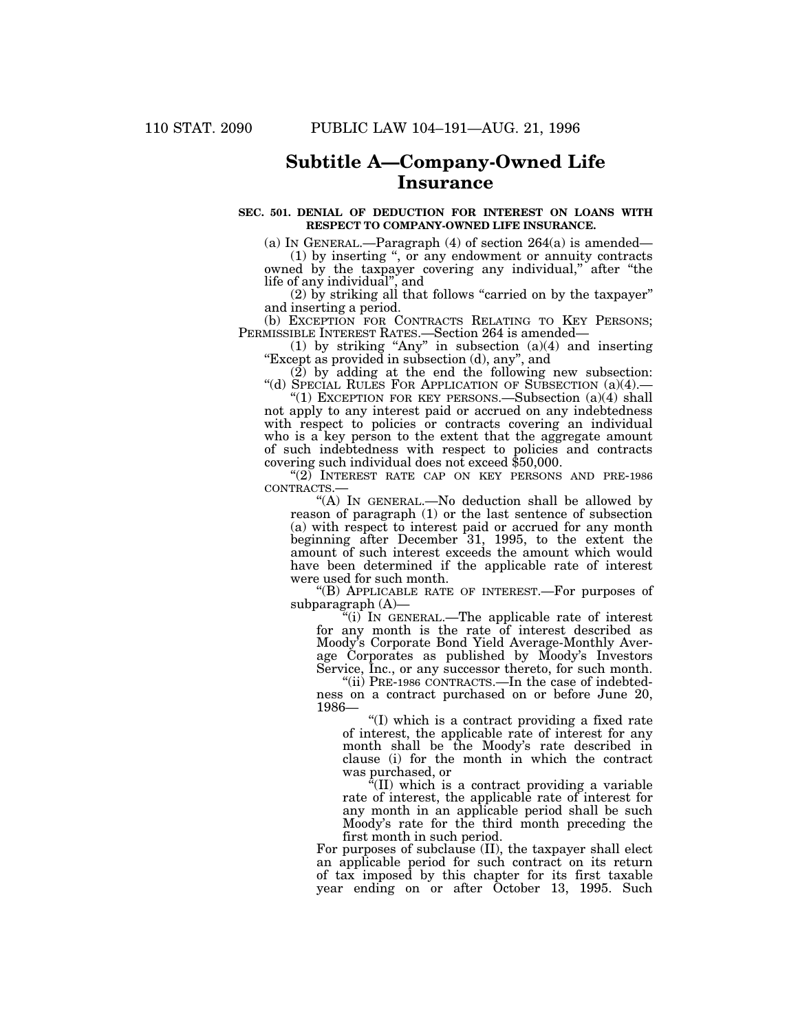## **Subtitle A—Company-Owned Life Insurance**

### **SEC. 501. DENIAL OF DEDUCTION FOR INTEREST ON LOANS WITH RESPECT TO COMPANY-OWNED LIFE INSURANCE.**

(a) IN GENERAL.—Paragraph (4) of section 264(a) is amended—

(1) by inserting '', or any endowment or annuity contracts owned by the taxpayer covering any individual,'' after ''the life of any individual'', and

(2) by striking all that follows ''carried on by the taxpayer'' and inserting a period.

(b) EXCEPTION FOR CONTRACTS RELATING TO KEY PERSONS; PERMISSIBLE INTEREST RATES.—Section 264 is amended—

(1) by striking "Any" in subsection  $(a)(4)$  and inserting "Except as provided in subsection (d), any", and

 $(2)$  by adding at the end the following new subsection: "(d) SPECIAL RULES FOR APPLICATION OF SUBSECTION (a)(4).

"(1) EXCEPTION FOR KEY PERSONS.—Subsection  $(a)(4)$  shall not apply to any interest paid or accrued on any indebtedness with respect to policies or contracts covering an individual who is a key person to the extent that the aggregate amount of such indebtedness with respect to policies and contracts covering such individual does not exceed \$50,000.

 $''(2)$  INTEREST RATE CAP ON KEY PERSONS AND PRE-1986 CONTRACTS.— ''(A) IN GENERAL.—No deduction shall be allowed by

reason of paragraph (1) or the last sentence of subsection (a) with respect to interest paid or accrued for any month beginning after December 31, 1995, to the extent the amount of such interest exceeds the amount which would have been determined if the applicable rate of interest were used for such month.

''(B) APPLICABLE RATE OF INTEREST.—For purposes of subparagraph (A)—

''(i) IN GENERAL.—The applicable rate of interest for any month is the rate of interest described as Moody's Corporate Bond Yield Average-Monthly Average Corporates as published by Moody's Investors Service, Inc., or any successor thereto, for such month.

''(ii) PRE-1986 CONTRACTS.—In the case of indebtedness on a contract purchased on or before June 20, 1986—

''(I) which is a contract providing a fixed rate of interest, the applicable rate of interest for any month shall be the Moody's rate described in clause (i) for the month in which the contract was purchased, or

 $\text{``(II)}$  which is a contract providing a variable rate of interest, the applicable rate of interest for any month in an applicable period shall be such Moody's rate for the third month preceding the first month in such period.

For purposes of subclause (II), the taxpayer shall elect an applicable period for such contract on its return of tax imposed by this chapter for its first taxable year ending on or after October 13, 1995. Such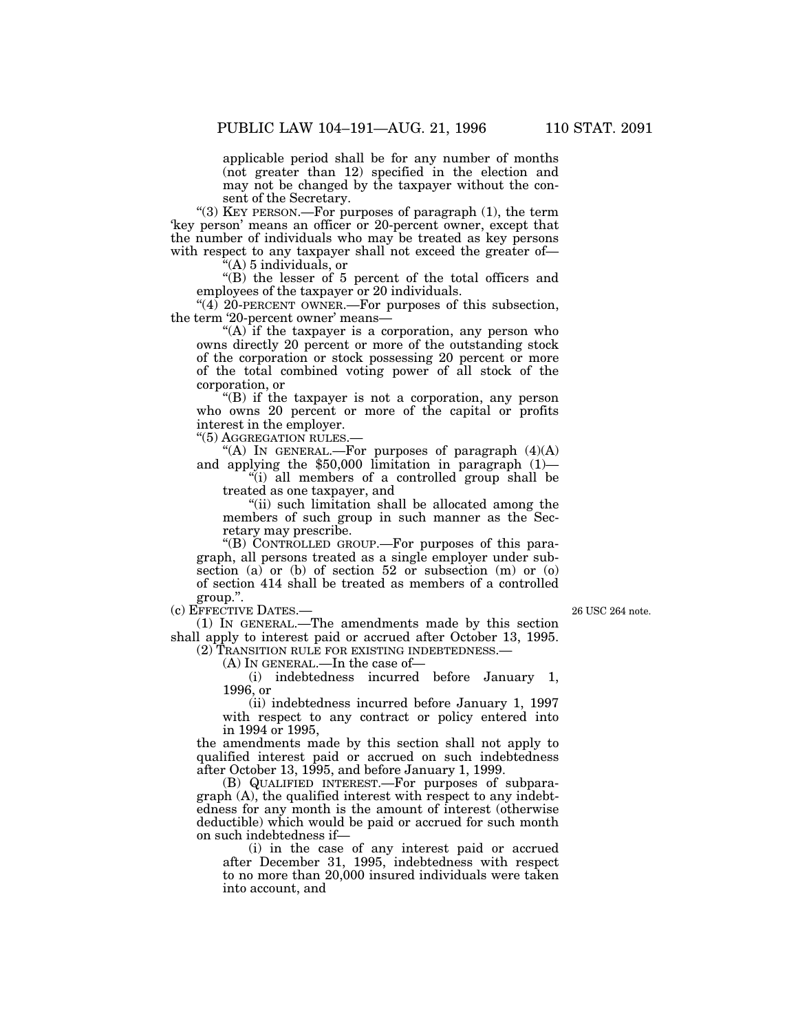applicable period shall be for any number of months (not greater than 12) specified in the election and may not be changed by the taxpayer without the consent of the Secretary.

" $(3)$  KEY PERSON.—For purposes of paragraph  $(1)$ , the term 'key person' means an officer or 20-percent owner, except that the number of individuals who may be treated as key persons with respect to any taxpayer shall not exceed the greater of-

''(A) 5 individuals, or

''(B) the lesser of 5 percent of the total officers and employees of the taxpayer or 20 individuals.

" $(4)$  20-PERCENT OWNER.—For purposes of this subsection, the term '20-percent owner' means—

"(A) if the taxpayer is a corporation, any person who owns directly 20 percent or more of the outstanding stock of the corporation or stock possessing 20 percent or more of the total combined voting power of all stock of the corporation, or

''(B) if the taxpayer is not a corporation, any person who owns 20 percent or more of the capital or profits interest in the employer.

''(5) AGGREGATION RULES.—

"(A) IN GENERAL.—For purposes of paragraph  $(4)(A)$ and applying the \$50,000 limitation in paragraph (1)—

''(i) all members of a controlled group shall be treated as one taxpayer, and

''(ii) such limitation shall be allocated among the members of such group in such manner as the Secretary may prescribe.

''(B) CONTROLLED GROUP.—For purposes of this paragraph, all persons treated as a single employer under subsection  $(a)$  or  $(b)$  of section 52 or subsection  $(m)$  or  $(o)$ of section 414 shall be treated as members of a controlled group.''.

(c) EFFECTIVE DATES.—

26 USC 264 note.

(1) IN GENERAL.—The amendments made by this section shall apply to interest paid or accrued after October 13, 1995. (2) TRANSITION RULE FOR EXISTING INDEBTEDNESS.—

(A) IN GENERAL.—In the case of—

(i) indebtedness incurred before January 1, 1996, or

(ii) indebtedness incurred before January 1, 1997 with respect to any contract or policy entered into in 1994 or 1995,

the amendments made by this section shall not apply to qualified interest paid or accrued on such indebtedness after October 13, 1995, and before January 1, 1999.

(B) QUALIFIED INTEREST.—For purposes of subparagraph (A), the qualified interest with respect to any indebtedness for any month is the amount of interest (otherwise deductible) which would be paid or accrued for such month on such indebtedness if—

(i) in the case of any interest paid or accrued after December 31, 1995, indebtedness with respect to no more than 20,000 insured individuals were taken into account, and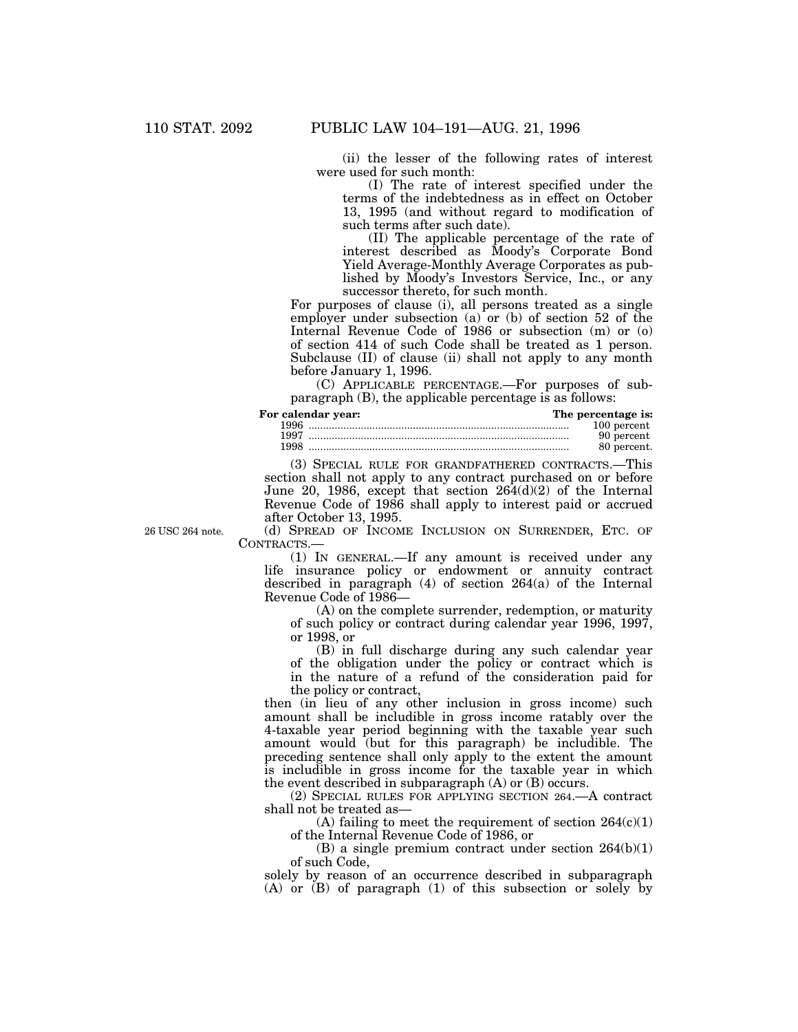(ii) the lesser of the following rates of interest were used for such month:

(I) The rate of interest specified under the terms of the indebtedness as in effect on October 13, 1995 (and without regard to modification of such terms after such date).

(II) The applicable percentage of the rate of interest described as Moody's Corporate Bond Yield Average-Monthly Average Corporates as published by Moody's Investors Service, Inc., or any successor thereto, for such month.

For purposes of clause (i), all persons treated as a single employer under subsection (a) or (b) of section 52 of the Internal Revenue Code of 1986 or subsection (m) or (o) of section 414 of such Code shall be treated as 1 person. Subclause (II) of clause (ii) shall not apply to any month before January 1, 1996.

(C) APPLICABLE PERCENTAGE.—For purposes of subparagraph (B), the applicable percentage is as follows:

**For calendar year: The percentage is:** 1996 .......................................................................................... 100 percent 1997 .......................................................................................... 90 percent 1998 .......................................................................................... 80 percent.

(3) SPECIAL RULE FOR GRANDFATHERED CONTRACTS.—This section shall not apply to any contract purchased on or before June 20, 1986, except that section 264(d)(2) of the Internal Revenue Code of 1986 shall apply to interest paid or accrued after October 13, 1995.

26 USC 264 note.

(d) SPREAD OF INCOME INCLUSION ON SURRENDER, ETC. OF CONTRACTS.—

(1) IN GENERAL.—If any amount is received under any life insurance policy or endowment or annuity contract described in paragraph (4) of section 264(a) of the Internal Revenue Code of 1986—

(A) on the complete surrender, redemption, or maturity of such policy or contract during calendar year 1996, 1997, or 1998, or

(B) in full discharge during any such calendar year of the obligation under the policy or contract which is in the nature of a refund of the consideration paid for the policy or contract,

then (in lieu of any other inclusion in gross income) such amount shall be includible in gross income ratably over the 4-taxable year period beginning with the taxable year such amount would (but for this paragraph) be includible. The preceding sentence shall only apply to the extent the amount is includible in gross income for the taxable year in which the event described in subparagraph (A) or (B) occurs.

(2) SPECIAL RULES FOR APPLYING SECTION 264.—A contract shall not be treated as—

(A) failing to meet the requirement of section  $264(c)(1)$ of the Internal Revenue Code of 1986, or

(B) a single premium contract under section  $264(b)(1)$ of such Code,

solely by reason of an occurrence described in subparagraph (A) or (B) of paragraph (1) of this subsection or solely by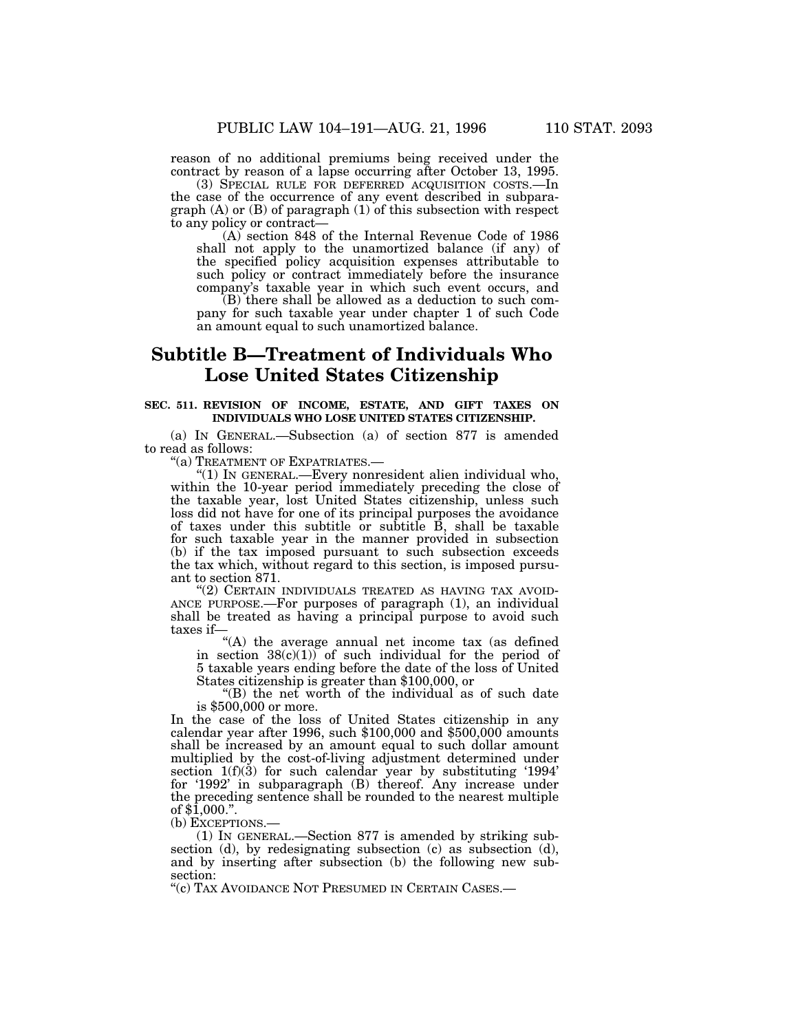reason of no additional premiums being received under the contract by reason of a lapse occurring after October 13, 1995.

(3) SPECIAL RULE FOR DEFERRED ACQUISITION COSTS.—In the case of the occurrence of any event described in subparagraph  $(A)$  or  $(B)$  of paragraph  $(1)$  of this subsection with respect to any policy or contract—

(A) section 848 of the Internal Revenue Code of 1986 shall not apply to the unamortized balance (if any) of the specified policy acquisition expenses attributable to such policy or contract immediately before the insurance company's taxable year in which such event occurs, and

(B) there shall be allowed as a deduction to such company for such taxable year under chapter 1 of such Code an amount equal to such unamortized balance.

## **Subtitle B—Treatment of Individuals Who Lose United States Citizenship**

### **SEC. 511. REVISION OF INCOME, ESTATE, AND GIFT TAXES ON INDIVIDUALS WHO LOSE UNITED STATES CITIZENSHIP.**

(a) IN GENERAL.—Subsection (a) of section 877 is amended to read as follows:<br>"(a) TREATMENT OF EXPATRIATES.—

 $(1)$  IN GENERAL.—Every nonresident alien individual who, within the 10-year period immediately preceding the close of the taxable year, lost United States citizenship, unless such loss did not have for one of its principal purposes the avoidance of taxes under this subtitle or subtitle B, shall be taxable for such taxable year in the manner provided in subsection (b) if the tax imposed pursuant to such subsection exceeds the tax which, without regard to this section, is imposed pursuant to section 871.<br>
"(2) CERTAIN INDIVIDUALS TREATED AS HAVING TAX AVOID-

ANCE PURPOSE.—For purposes of paragraph (1), an individual shall be treated as having a principal purpose to avoid such taxes if—

"(A) the average annual net income tax (as defined in section  $38(c)(1)$  of such individual for the period of 5 taxable years ending before the date of the loss of United States citizenship is greater than \$100,000, or

''(B) the net worth of the individual as of such date is \$500,000 or more.

In the case of the loss of United States citizenship in any calendar year after 1996, such \$100,000 and \$500,000 amounts shall be increased by an amount equal to such dollar amount multiplied by the cost-of-living adjustment determined under section  $1(f)(3)$  for such calendar year by substituting '1994' for '1992' in subparagraph (B) thereof. Any increase under the preceding sentence shall be rounded to the nearest multiple of  $$1,000."$ .<br>(b) EXCEPTIONS.

 $(1)$  In GENERAL.—Section 877 is amended by striking subsection (d), by redesignating subsection (c) as subsection (d), and by inserting after subsection (b) the following new subsection:

''(c) TAX AVOIDANCE NOT PRESUMED IN CERTAIN CASES.—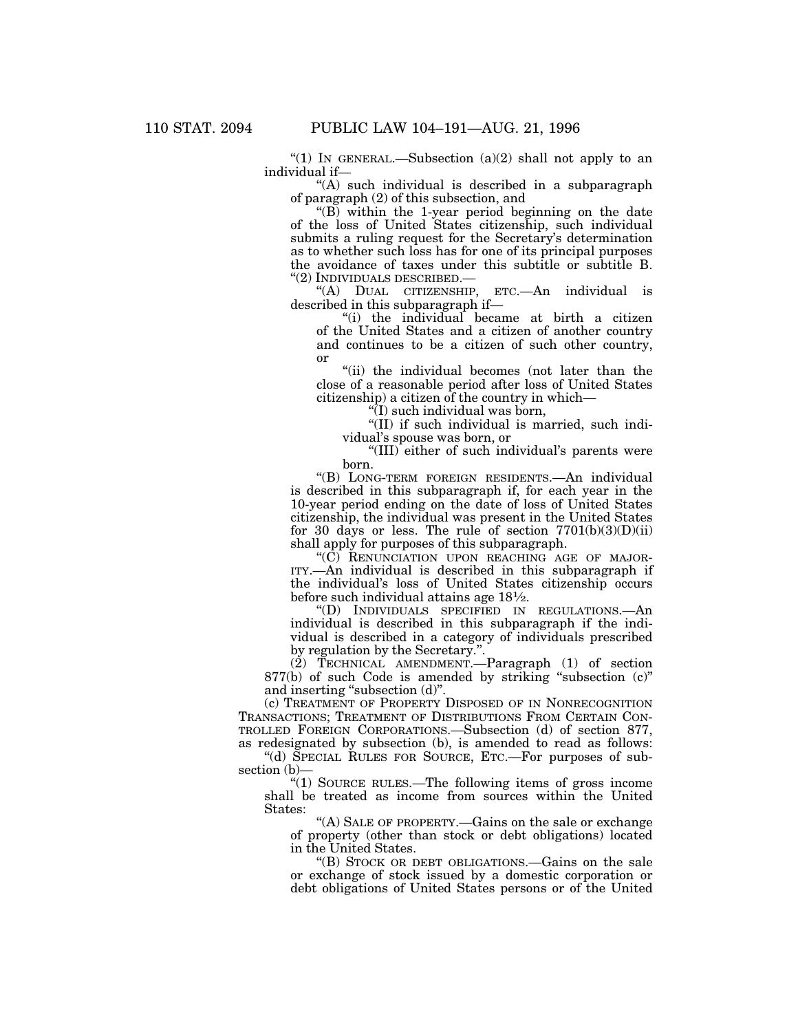"(1) IN GENERAL.—Subsection  $(a)(2)$  shall not apply to an individual if—

''(A) such individual is described in a subparagraph of paragraph (2) of this subsection, and

 $'(B)$  within the 1-year period beginning on the date of the loss of United States citizenship, such individual submits a ruling request for the Secretary's determination as to whether such loss has for one of its principal purposes the avoidance of taxes under this subtitle or subtitle B. ''(2) INDIVIDUALS DESCRIBED.—

''(A) DUAL CITIZENSHIP, ETC.—An individual is described in this subparagraph if—

''(i) the individual became at birth a citizen of the United States and a citizen of another country and continues to be a citizen of such other country, or

''(ii) the individual becomes (not later than the close of a reasonable period after loss of United States citizenship) a citizen of the country in which—

''(I) such individual was born,

''(II) if such individual is married, such individual's spouse was born, or

''(III) either of such individual's parents were born.

''(B) LONG-TERM FOREIGN RESIDENTS.—An individual is described in this subparagraph if, for each year in the 10-year period ending on the date of loss of United States citizenship, the individual was present in the United States for 30 days or less. The rule of section  $7701(b)(3)(D)(ii)$ shall apply for purposes of this subparagraph.

"(C) RENUNCIATION UPON REACHING AGE OF MAJOR-ITY.—An individual is described in this subparagraph if the individual's loss of United States citizenship occurs before such individual attains age 181⁄2.

''(D) INDIVIDUALS SPECIFIED IN REGULATIONS.—An individual is described in this subparagraph if the individual is described in a category of individuals prescribed by regulation by the Secretary."

 $(2)$  TECHNICAL AMENDMENT.—Paragraph  $(1)$  of section  $877(b)$  of such Code is amended by striking "subsection  $(c)$ " and inserting "subsection (d)".

(c) TREATMENT OF PROPERTY DISPOSED OF IN NONRECOGNITION TRANSACTIONS; TREATMENT OF DISTRIBUTIONS FROM CERTAIN CON-TROLLED FOREIGN CORPORATIONS.—Subsection (d) of section 877, as redesignated by subsection (b), is amended to read as follows:

''(d) SPECIAL RULES FOR SOURCE, ETC.—For purposes of subsection (b)—

''(1) SOURCE RULES.—The following items of gross income shall be treated as income from sources within the United States:

''(A) SALE OF PROPERTY.—Gains on the sale or exchange of property (other than stock or debt obligations) located in the United States.

''(B) STOCK OR DEBT OBLIGATIONS.—Gains on the sale or exchange of stock issued by a domestic corporation or debt obligations of United States persons or of the United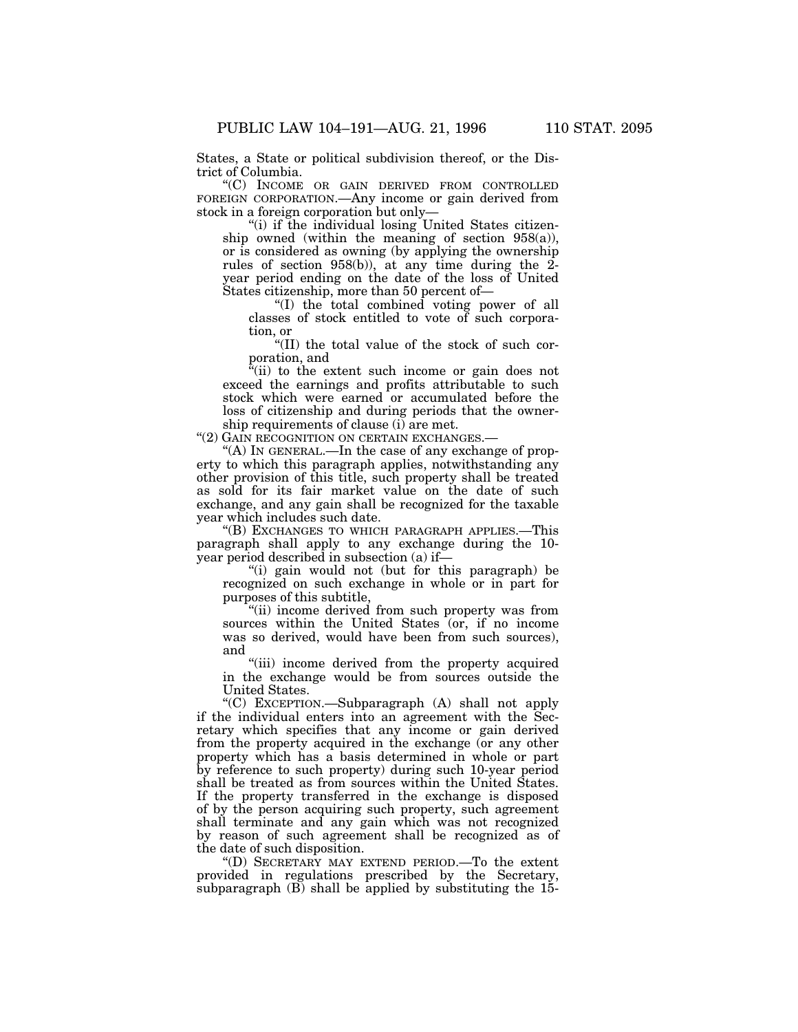States, a State or political subdivision thereof, or the District of Columbia.

''(C) INCOME OR GAIN DERIVED FROM CONTROLLED FOREIGN CORPORATION.—Any income or gain derived from stock in a foreign corporation but only—

"(i) if the individual losing United States citizenship owned (within the meaning of section  $958(a)$ ), or is considered as owning (by applying the ownership rules of section  $958(b)$ , at any time during the 2year period ending on the date of the loss of United States citizenship, more than 50 percent of—

''(I) the total combined voting power of all classes of stock entitled to vote of such corporation, or

''(II) the total value of the stock of such corporation, and

''(ii) to the extent such income or gain does not exceed the earnings and profits attributable to such stock which were earned or accumulated before the loss of citizenship and during periods that the ownership requirements of clause (i) are met.

''(2) GAIN RECOGNITION ON CERTAIN EXCHANGES.—

"(A) IN GENERAL.—In the case of any exchange of property to which this paragraph applies, notwithstanding any other provision of this title, such property shall be treated as sold for its fair market value on the date of such exchange, and any gain shall be recognized for the taxable year which includes such date.

''(B) EXCHANGES TO WHICH PARAGRAPH APPLIES.—This paragraph shall apply to any exchange during the 10 year period described in subsection (a) if—

''(i) gain would not (but for this paragraph) be recognized on such exchange in whole or in part for purposes of this subtitle,

''(ii) income derived from such property was from sources within the United States  $($ or, if no income was so derived, would have been from such sources), and

''(iii) income derived from the property acquired in the exchange would be from sources outside the United States.

''(C) EXCEPTION.—Subparagraph (A) shall not apply if the individual enters into an agreement with the Secretary which specifies that any income or gain derived from the property acquired in the exchange (or any other property which has a basis determined in whole or part by reference to such property) during such 10-year period shall be treated as from sources within the United States. If the property transferred in the exchange is disposed of by the person acquiring such property, such agreement shall terminate and any gain which was not recognized by reason of such agreement shall be recognized as of the date of such disposition.

''(D) SECRETARY MAY EXTEND PERIOD.—To the extent provided in regulations prescribed by the Secretary, subparagraph  $(B)$  shall be applied by substituting the 15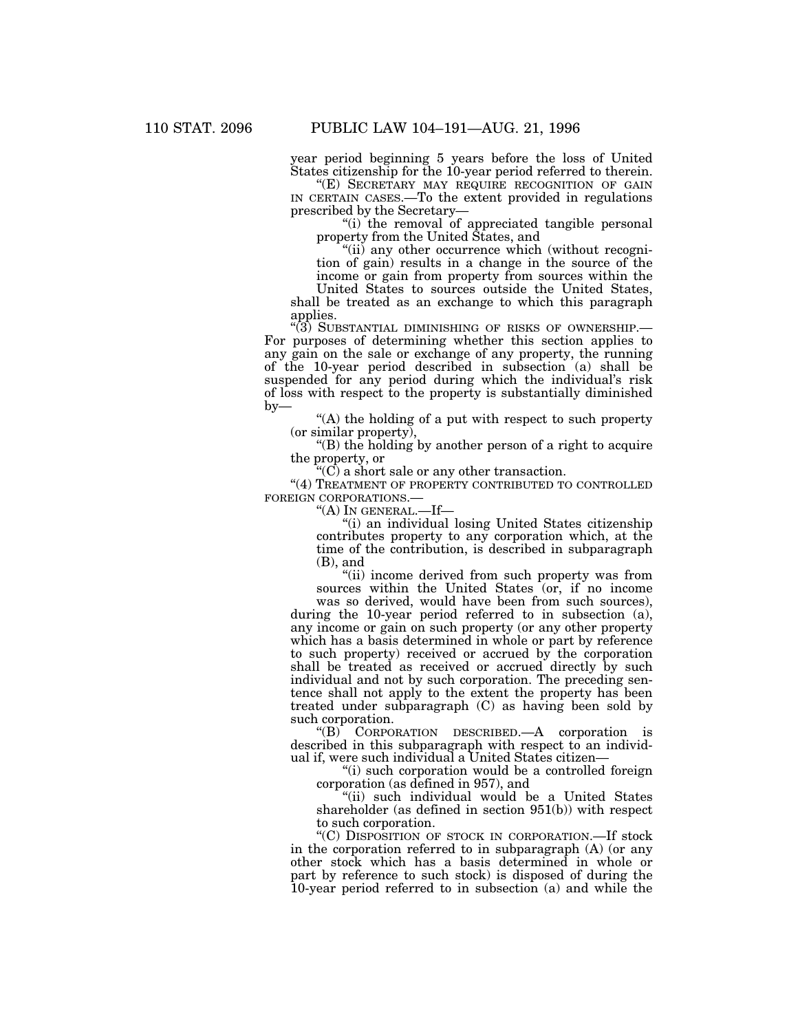year period beginning 5 years before the loss of United States citizenship for the 10-year period referred to therein.

''(E) SECRETARY MAY REQUIRE RECOGNITION OF GAIN IN CERTAIN CASES.—To the extent provided in regulations prescribed by the Secretary—

"(i) the removal of appreciated tangible personal property from the United States, and

"(ii) any other occurrence which (without recognition of gain) results in a change in the source of the income or gain from property from sources within the

United States to sources outside the United States, shall be treated as an exchange to which this paragraph applies.

"(3) SUBSTANTIAL DIMINISHING OF RISKS OF OWNERSHIP.-For purposes of determining whether this section applies to any gain on the sale or exchange of any property, the running of the 10-year period described in subsection (a) shall be suspended for any period during which the individual's risk of loss with respect to the property is substantially diminished  $by-$ 

 $(A)$  the holding of a put with respect to such property (or similar property),

''(B) the holding by another person of a right to acquire the property, or

''(C) a short sale or any other transaction.

"(4) TREATMENT OF PROPERTY CONTRIBUTED TO CONTROLLED FOREIGN CORPORATIONS.—

''(A) IN GENERAL.—If—

''(i) an individual losing United States citizenship contributes property to any corporation which, at the time of the contribution, is described in subparagraph (B), and

"(ii) income derived from such property was from sources within the United States  $\overline{(or, if}$  no income

was so derived, would have been from such sources), during the 10-year period referred to in subsection (a), any income or gain on such property (or any other property which has a basis determined in whole or part by reference to such property) received or accrued by the corporation shall be treated as received or accrued directly by such individual and not by such corporation. The preceding sentence shall not apply to the extent the property has been treated under subparagraph (C) as having been sold by such corporation.

''(B) CORPORATION DESCRIBED.—A corporation is described in this subparagraph with respect to an individual if, were such individual a United States citizen—

''(i) such corporation would be a controlled foreign corporation (as defined in 957), and

''(ii) such individual would be a United States shareholder (as defined in section 951(b)) with respect to such corporation.

''(C) DISPOSITION OF STOCK IN CORPORATION.—If stock in the corporation referred to in subparagraph (A) (or any other stock which has a basis determined in whole or part by reference to such stock) is disposed of during the 10-year period referred to in subsection (a) and while the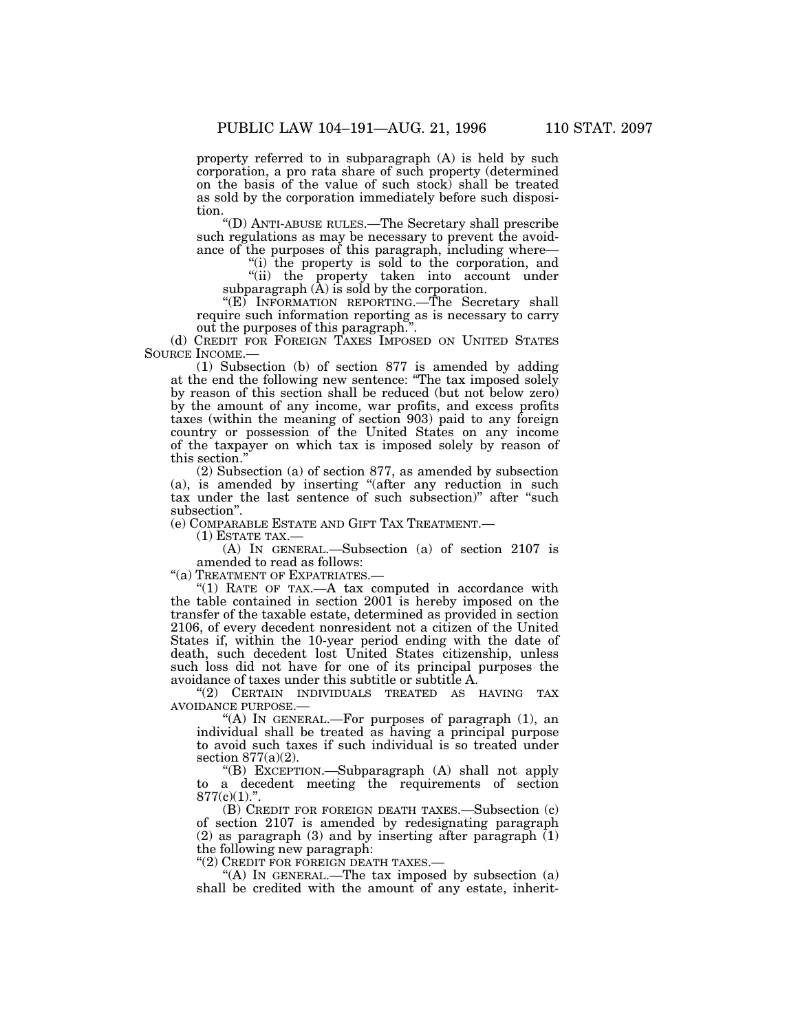property referred to in subparagraph (A) is held by such corporation, a pro rata share of such property (determined on the basis of the value of such stock) shall be treated as sold by the corporation immediately before such disposition.

''(D) ANTI-ABUSE RULES.—The Secretary shall prescribe such regulations as may be necessary to prevent the avoidance of the purposes of this paragraph, including where—

"(i) the property is sold to the corporation, and

''(ii) the property taken into account under subparagraph (A) is sold by the corporation.

''(E) INFORMATION REPORTING.—The Secretary shall require such information reporting as is necessary to carry out the purposes of this paragraph.''.

(d) CREDIT FOR FOREIGN TAXES IMPOSED ON UNITED STATES SOURCE INCOME.—

(1) Subsection (b) of section 877 is amended by adding at the end the following new sentence: ''The tax imposed solely by reason of this section shall be reduced (but not below zero) by the amount of any income, war profits, and excess profits taxes (within the meaning of section 903) paid to any foreign country or possession of the United States on any income of the taxpayer on which tax is imposed solely by reason of this section.''

(2) Subsection (a) of section 877, as amended by subsection (a), is amended by inserting ''(after any reduction in such tax under the last sentence of such subsection)'' after ''such subsection''.

(e) COMPARABLE ESTATE AND GIFT TAX TREATMENT.—

(1) ESTATE TAX.—

(A) IN GENERAL.—Subsection (a) of section 2107 is amended to read as follows:

''(a) TREATMENT OF EXPATRIATES.—

"(1) RATE OF TAX $-A$  tax computed in accordance with the table contained in section 2001 is hereby imposed on the transfer of the taxable estate, determined as provided in section 2106, of every decedent nonresident not a citizen of the United States if, within the 10-year period ending with the date of death, such decedent lost United States citizenship, unless such loss did not have for one of its principal purposes the avoidance of taxes under this subtitle or subtitle A.

''(2) CERTAIN INDIVIDUALS TREATED AS HAVING TAX AVOIDANCE PURPOSE.—

"(A) In GENERAL.—For purposes of paragraph  $(1)$ , an individual shall be treated as having a principal purpose to avoid such taxes if such individual is so treated under section 877(a)(2).

''(B) EXCEPTION.—Subparagraph (A) shall not apply to a decedent meeting the requirements of section  $877(c)(1)$ ."

(B) CREDIT FOR FOREIGN DEATH TAXES.—Subsection (c) of section 2107 is amended by redesignating paragraph (2) as paragraph (3) and by inserting after paragraph  $(1)$ the following new paragraph:

''(2) CREDIT FOR FOREIGN DEATH TAXES.—

"(A) IN GENERAL.—The tax imposed by subsection  $(a)$ shall be credited with the amount of any estate, inherit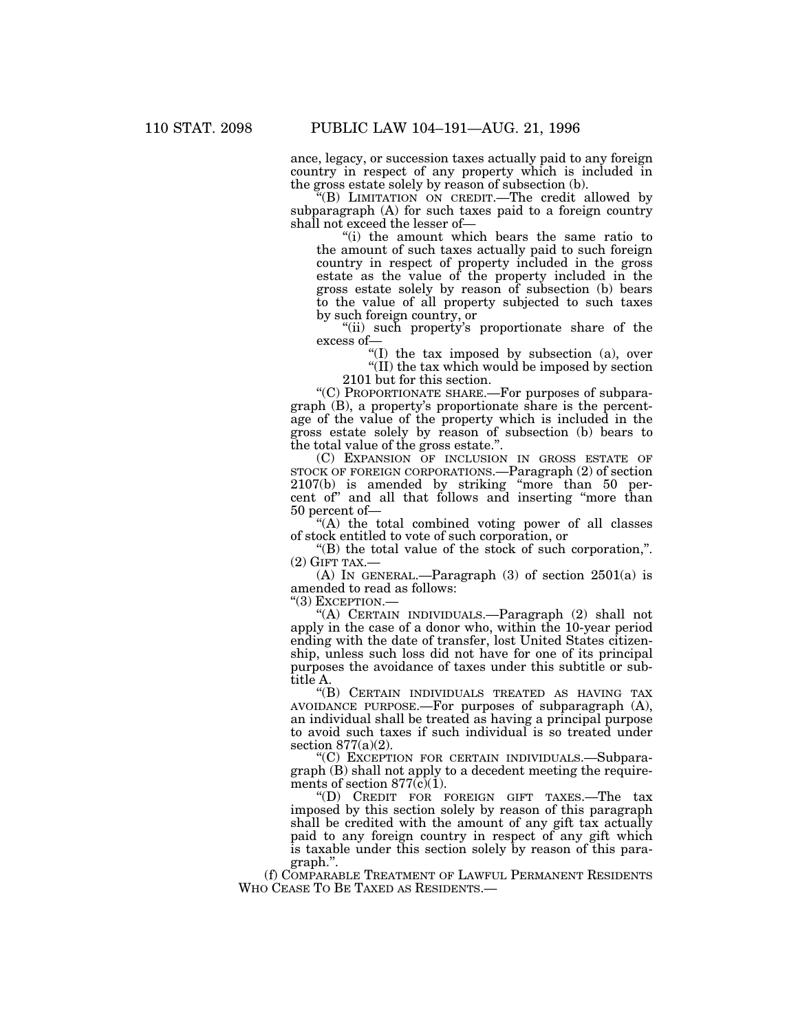ance, legacy, or succession taxes actually paid to any foreign country in respect of any property which is included in the gross estate solely by reason of subsection (b).

''(B) LIMITATION ON CREDIT.—The credit allowed by subparagraph (A) for such taxes paid to a foreign country shall not exceed the lesser of—

''(i) the amount which bears the same ratio to the amount of such taxes actually paid to such foreign country in respect of property included in the gross estate as the value of the property included in the gross estate solely by reason of subsection (b) bears to the value of all property subjected to such taxes by such foreign country, or

"(ii) such property's proportionate share of the excess of—

''(I) the tax imposed by subsection (a), over ''(II) the tax which would be imposed by section 2101 but for this section.

''(C) PROPORTIONATE SHARE.—For purposes of subparagraph (B), a property's proportionate share is the percentage of the value of the property which is included in the gross estate solely by reason of subsection (b) bears to the total value of the gross estate.''.

(C) EXPANSION OF INCLUSION IN GROSS ESTATE OF STOCK OF FOREIGN CORPORATIONS.—Paragraph (2) of section 2107(b) is amended by striking ''more than 50 percent of'' and all that follows and inserting ''more than 50 percent of—

''(A) the total combined voting power of all classes of stock entitled to vote of such corporation, or

''(B) the total value of the stock of such corporation,''. (2) GIFT TAX.—

(A) IN GENERAL.—Paragraph (3) of section 2501(a) is amended to read as follows:

"(3) EXCEPTION.-

''(A) CERTAIN INDIVIDUALS.—Paragraph (2) shall not apply in the case of a donor who, within the 10-year period ending with the date of transfer, lost United States citizenship, unless such loss did not have for one of its principal purposes the avoidance of taxes under this subtitle or subtitle A.

''(B) CERTAIN INDIVIDUALS TREATED AS HAVING TAX AVOIDANCE PURPOSE.—For purposes of subparagraph (A), an individual shall be treated as having a principal purpose to avoid such taxes if such individual is so treated under section  $877(a)(2)$ .

''(C) EXCEPTION FOR CERTAIN INDIVIDUALS.—Subparagraph (B) shall not apply to a decedent meeting the requirements of section  $877(c)(1)$ .

''(D) CREDIT FOR FOREIGN GIFT TAXES.—The tax imposed by this section solely by reason of this paragraph shall be credited with the amount of any gift tax actually paid to any foreign country in respect of any gift which is taxable under this section solely by reason of this paragraph.''.

(f) COMPARABLE TREATMENT OF LAWFUL PERMANENT RESIDENTS WHO CEASE TO BE TAXED AS RESIDENTS.—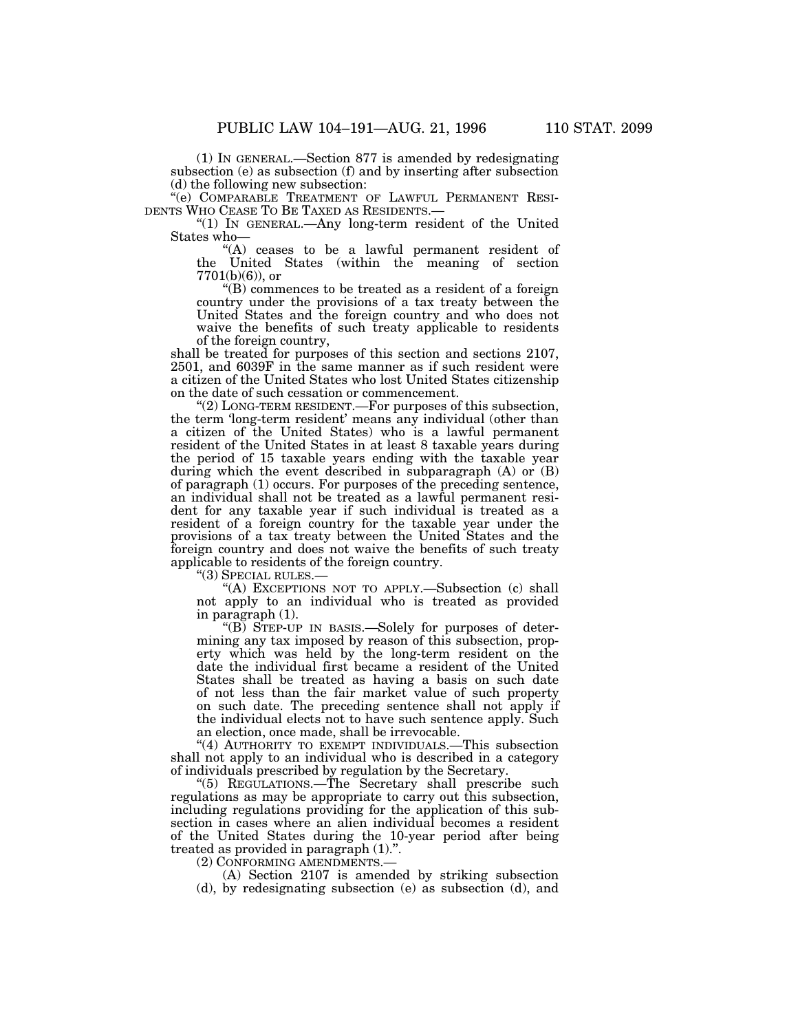(1) IN GENERAL.—Section 877 is amended by redesignating subsection (e) as subsection (f) and by inserting after subsection (d) the following new subsection:

"(e) COMPARABLE TREATMENT OF LAWFUL PERMANENT RESI-DENTS WHO CEASE TO BE TAXED AS RESIDENTS.—

''(1) IN GENERAL.—Any long-term resident of the United States who—

''(A) ceases to be a lawful permanent resident of the United States (within the meaning of section  $7701(b)(6)$ , or

''(B) commences to be treated as a resident of a foreign country under the provisions of a tax treaty between the United States and the foreign country and who does not waive the benefits of such treaty applicable to residents of the foreign country,

shall be treated for purposes of this section and sections 2107, 2501, and 6039F in the same manner as if such resident were a citizen of the United States who lost United States citizenship on the date of such cessation or commencement.

''(2) LONG-TERM RESIDENT.—For purposes of this subsection, the term 'long-term resident' means any individual (other than a citizen of the United States) who is a lawful permanent resident of the United States in at least 8 taxable years during the period of 15 taxable years ending with the taxable year during which the event described in subparagraph (A) or (B) of paragraph (1) occurs. For purposes of the preceding sentence, an individual shall not be treated as a lawful permanent resident for any taxable year if such individual is treated as a resident of a foreign country for the taxable year under the provisions of a tax treaty between the United States and the foreign country and does not waive the benefits of such treaty applicable to residents of the foreign country.

''(3) SPECIAL RULES.—

"(A) EXCEPTIONS NOT TO APPLY.—Subsection (c) shall not apply to an individual who is treated as provided in paragraph (1).

''(B) STEP-UP IN BASIS.—Solely for purposes of determining any tax imposed by reason of this subsection, property which was held by the long-term resident on the date the individual first became a resident of the United States shall be treated as having a basis on such date of not less than the fair market value of such property on such date. The preceding sentence shall not apply if the individual elects not to have such sentence apply. Such an election, once made, shall be irrevocable.

"(4) AUTHORITY TO EXEMPT INDIVIDUALS.—This subsection shall not apply to an individual who is described in a category of individuals prescribed by regulation by the Secretary.

''(5) REGULATIONS.—The Secretary shall prescribe such regulations as may be appropriate to carry out this subsection, including regulations providing for the application of this subsection in cases where an alien individual becomes a resident of the United States during the 10-year period after being treated as provided in paragraph (1).''.

(2) CONFORMING AMENDMENTS.—

(A) Section 2107 is amended by striking subsection

(d), by redesignating subsection (e) as subsection (d), and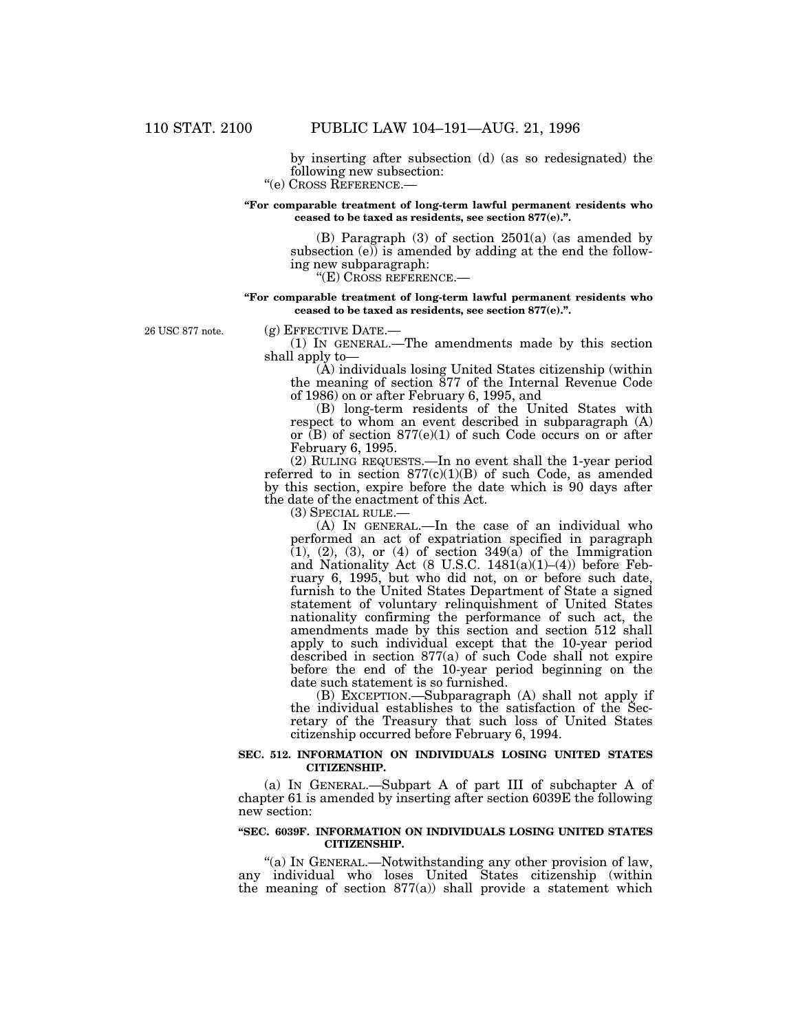by inserting after subsection (d) (as so redesignated) the following new subsection:

''(e) CROSS REFERENCE.—

### **''For comparable treatment of long-term lawful permanent residents who ceased to be taxed as residents, see section 877(e).''.**

(B) Paragraph (3) of section 2501(a) (as amended by subsection  $(e)$  is amended by adding at the end the following new subparagraph:

''(E) CROSS REFERENCE.—

### **''For comparable treatment of long-term lawful permanent residents who ceased to be taxed as residents, see section 877(e).''.**

26 USC 877 note.

### (g) EFFECTIVE DATE.—

(1) IN GENERAL.—The amendments made by this section shall apply to—

(A) individuals losing United States citizenship (within the meaning of section 877 of the Internal Revenue Code of 1986) on or after February 6, 1995, and

(B) long-term residents of the United States with respect to whom an event described in subparagraph (A) or  $(B)$  of section 877 $(e)(1)$  of such Code occurs on or after February 6, 1995.

(2) RULING REQUESTS.—In no event shall the 1-year period referred to in section  $877(c)(1)(B)$  of such Code, as amended by this section, expire before the date which is 90 days after the date of the enactment of this Act.

(3) SPECIAL RULE.—

(A) IN GENERAL.—In the case of an individual who performed an act of expatriation specified in paragraph  $(1)$ ,  $(2)$ ,  $(3)$ , or  $(4)$  of section  $349(a)$  of the Immigration and Nationality Act (8 U.S.C. 1481(a)(1)–(4)) before February 6, 1995, but who did not, on or before such date, furnish to the United States Department of State a signed statement of voluntary relinquishment of United States nationality confirming the performance of such act, the amendments made by this section and section 512 shall apply to such individual except that the 10-year period described in section 877(a) of such Code shall not expire before the end of the 10-year period beginning on the date such statement is so furnished.

(B) EXCEPTION.—Subparagraph (A) shall not apply if the individual establishes to the satisfaction of the Secretary of the Treasury that such loss of United States citizenship occurred before February 6, 1994.

### **SEC. 512. INFORMATION ON INDIVIDUALS LOSING UNITED STATES CITIZENSHIP.**

(a) IN GENERAL.—Subpart A of part III of subchapter A of chapter 61 is amended by inserting after section 6039E the following new section:

### **''SEC. 6039F. INFORMATION ON INDIVIDUALS LOSING UNITED STATES CITIZENSHIP.**

"(a) In GENERAL.—Notwithstanding any other provision of law, any individual who loses United States citizenship (within the meaning of section 877(a)) shall provide a statement which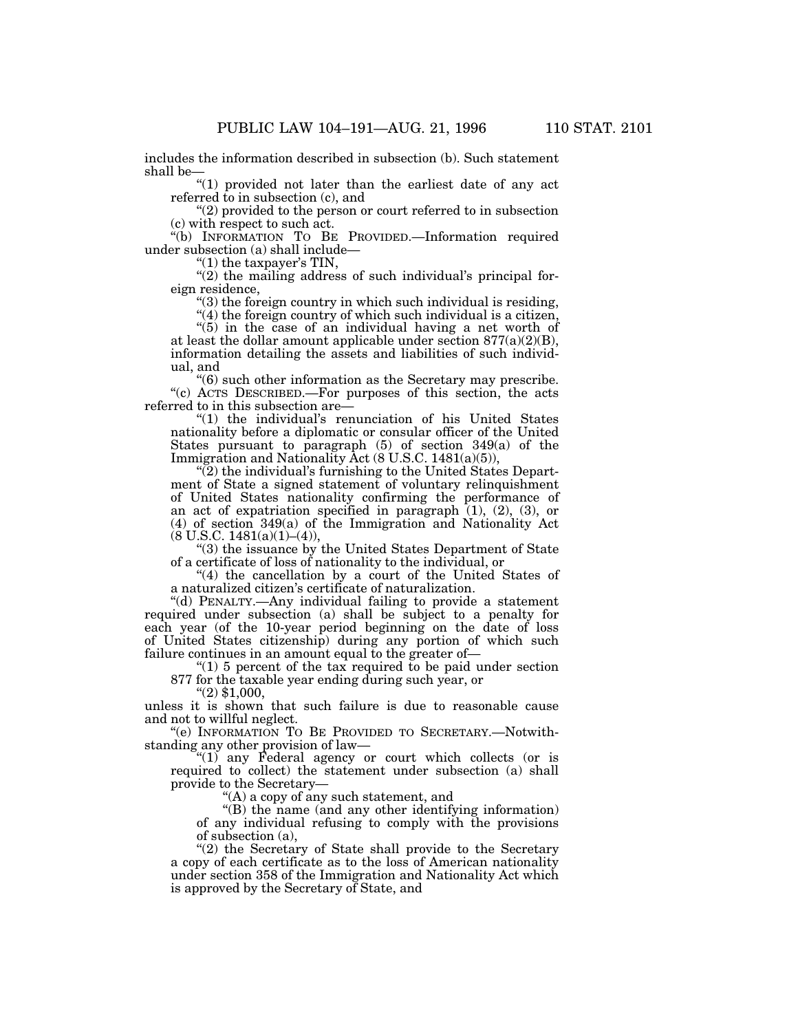includes the information described in subsection (b). Such statement shall be—

''(1) provided not later than the earliest date of any act referred to in subsection (c), and

"(2) provided to the person or court referred to in subsection (c) with respect to such act.

''(b) INFORMATION TO BE PROVIDED.—Information required under subsection (a) shall include—

" $(1)$  the taxpayer's TIN,

 $(2)$  the mailing address of such individual's principal foreign residence,

''(3) the foreign country in which such individual is residing,

 $''(4)$  the foreign country of which such individual is a citizen, ''(5) in the case of an individual having a net worth of at least the dollar amount applicable under section  $877(a)(2)(B)$ , information detailing the assets and liabilities of such individual, and

 $\mathcal{C}(6)$  such other information as the Secretary may prescribe. ''(c) ACTS DESCRIBED.—For purposes of this section, the acts referred to in this subsection are—

''(1) the individual's renunciation of his United States nationality before a diplomatic or consular officer of the United States pursuant to paragraph (5) of section 349(a) of the Immigration and Nationality Act (8 U.S.C. 1481(a)(5)),

 $\sqrt{\left(2\right)}$  the individual's furnishing to the United States Department of State a signed statement of voluntary relinquishment of United States nationality confirming the performance of an act of expatriation specified in paragraph  $(1)$ ,  $(2)$ ,  $(3)$ , or (4) of section 349(a) of the Immigration and Nationality Act  $(8$  U.S.C. 1481 $(a)(1)$ – $(4)$ ),

''(3) the issuance by the United States Department of State of a certificate of loss of nationality to the individual, or

"(4) the cancellation by a court of the United States of a naturalized citizen's certificate of naturalization.

''(d) PENALTY.—Any individual failing to provide a statement required under subsection (a) shall be subject to a penalty for each year (of the 10-year period beginning on the date of loss of United States citizenship) during any portion of which such failure continues in an amount equal to the greater of-

" $(1)$  5 percent of the tax required to be paid under section 877 for the taxable year ending during such year, or

 $\degree$ (2) \$1,000,

unless it is shown that such failure is due to reasonable cause and not to willful neglect.

''(e) INFORMATION TO BE PROVIDED TO SECRETARY.—Notwithstanding any other provision of law—

"(1) any Federal agency or court which collects (or is required to collect) the statement under subsection (a) shall provide to the Secretary—

''(A) a copy of any such statement, and

"(B) the name (and any other identifying information) of any individual refusing to comply with the provisions of subsection (a),

''(2) the Secretary of State shall provide to the Secretary a copy of each certificate as to the loss of American nationality under section 358 of the Immigration and Nationality Act which is approved by the Secretary of State, and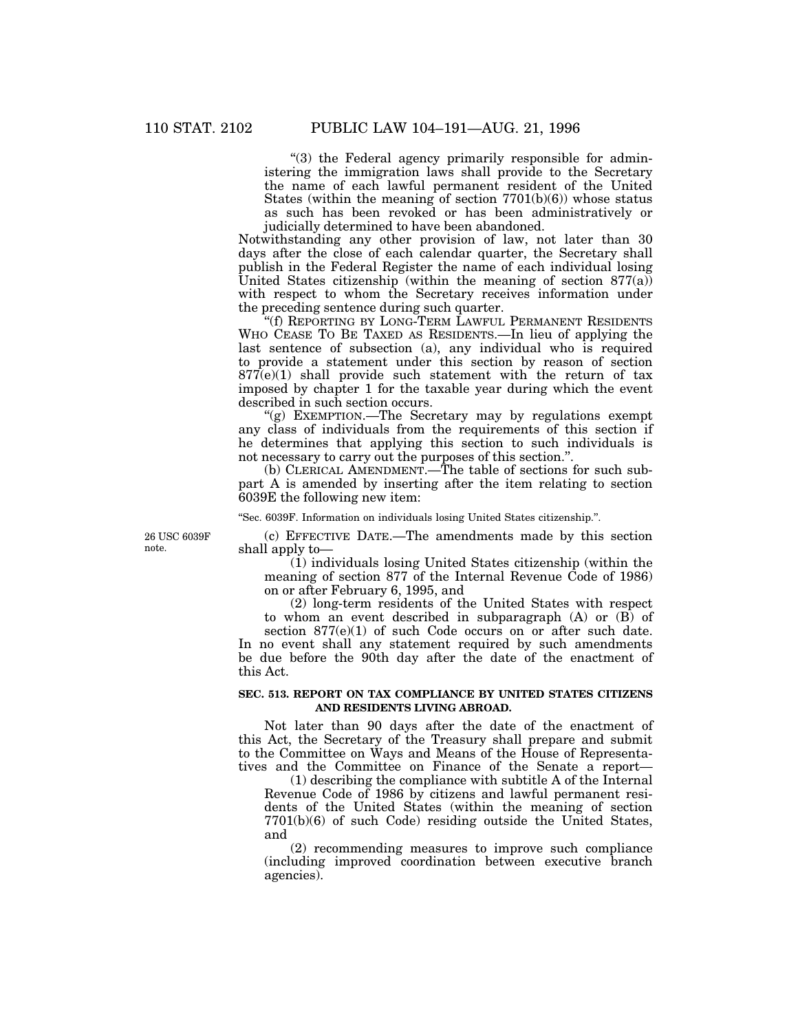"(3) the Federal agency primarily responsible for administering the immigration laws shall provide to the Secretary the name of each lawful permanent resident of the United States (within the meaning of section  $7701(b)(6)$ ) whose status as such has been revoked or has been administratively or judicially determined to have been abandoned.

Notwithstanding any other provision of law, not later than 30 days after the close of each calendar quarter, the Secretary shall publish in the Federal Register the name of each individual losing United States citizenship (within the meaning of section 877(a)) with respect to whom the Secretary receives information under the preceding sentence during such quarter.

''(f) REPORTING BY LONG-TERM LAWFUL PERMANENT RESIDENTS WHO CEASE TO BE TAXED AS RESIDENTS.—In lieu of applying the last sentence of subsection (a), any individual who is required to provide a statement under this section by reason of section  $877(e)(1)$  shall provide such statement with the return of tax imposed by chapter 1 for the taxable year during which the event described in such section occurs.

" $(g)$  EXEMPTION.—The Secretary may by regulations exempt any class of individuals from the requirements of this section if he determines that applying this section to such individuals is not necessary to carry out the purposes of this section.''.

(b) CLERICAL AMENDMENT.—The table of sections for such subpart A is amended by inserting after the item relating to section 6039E the following new item:

''Sec. 6039F. Information on individuals losing United States citizenship.''.

26 USC 6039F note.

(c) EFFECTIVE DATE.—The amendments made by this section shall apply to—

(1) individuals losing United States citizenship (within the meaning of section 877 of the Internal Revenue Code of 1986) on or after February 6, 1995, and

(2) long-term residents of the United States with respect to whom an event described in subparagraph (A) or (B) of

section 877(e)(1) of such Code occurs on or after such date. In no event shall any statement required by such amendments be due before the 90th day after the date of the enactment of this Act.

### **SEC. 513. REPORT ON TAX COMPLIANCE BY UNITED STATES CITIZENS AND RESIDENTS LIVING ABROAD.**

Not later than 90 days after the date of the enactment of this Act, the Secretary of the Treasury shall prepare and submit to the Committee on Ways and Means of the House of Representatives and the Committee on Finance of the Senate a report—

(1) describing the compliance with subtitle A of the Internal Revenue Code of 1986 by citizens and lawful permanent residents of the United States (within the meaning of section 7701(b)(6) of such Code) residing outside the United States, and

(2) recommending measures to improve such compliance (including improved coordination between executive branch agencies).